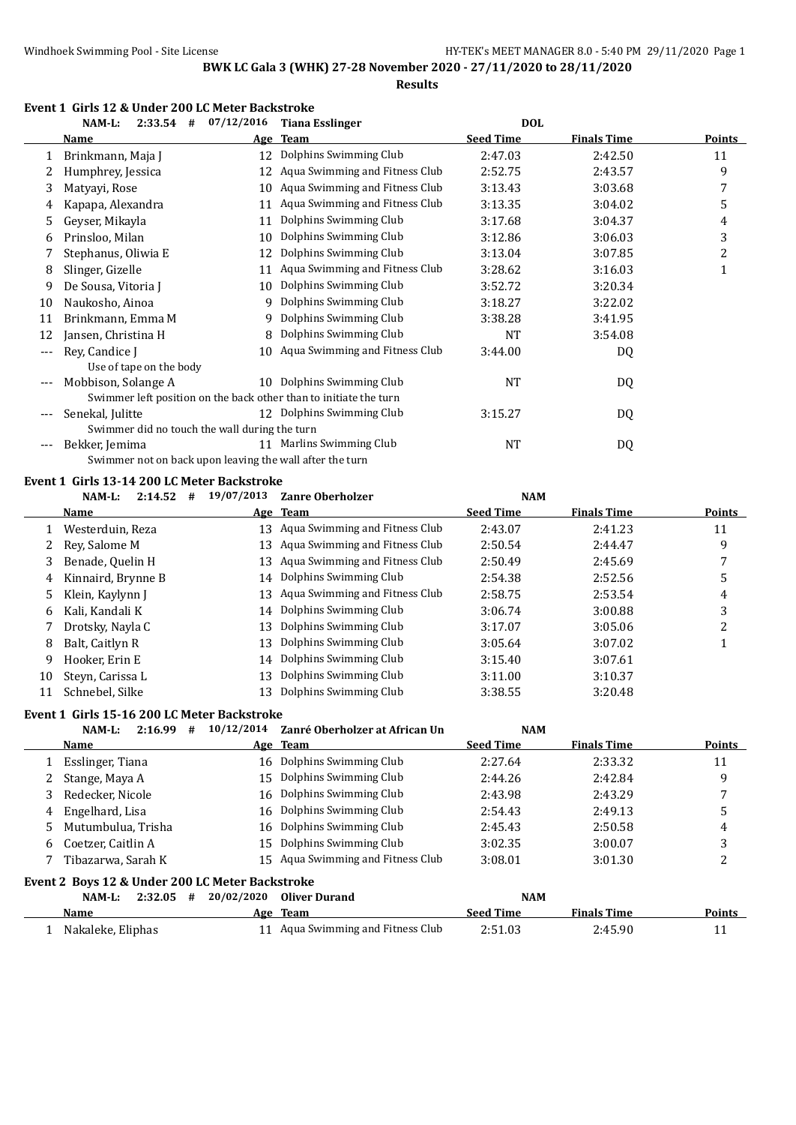**Results**

|  |  |  | Event 1 Girls 12 & Under 200 LC Meter Backstroke |  |
|--|--|--|--------------------------------------------------|--|
|  |  |  |                                                  |  |

|    | $NAM-L$ :                                                | $2:33.54$ # $07/12/2016$ | <b>Tiana Esslinger</b>                                            | <b>DOL</b>       |                    |               |
|----|----------------------------------------------------------|--------------------------|-------------------------------------------------------------------|------------------|--------------------|---------------|
|    | Name                                                     | Age                      | <b>Team</b>                                                       | <b>Seed Time</b> | <b>Finals Time</b> | <b>Points</b> |
| 1  | Brinkmann, Maja J                                        | 12                       | Dolphins Swimming Club                                            | 2:47.03          | 2:42.50            | 11            |
| 2  | Humphrey, Jessica                                        | 12                       | Aqua Swimming and Fitness Club                                    | 2:52.75          | 2:43.57            | 9             |
| 3  | Matyayi, Rose                                            | 10                       | Aqua Swimming and Fitness Club                                    | 3:13.43          | 3:03.68            | 7             |
| 4  | Kapapa, Alexandra                                        | 11                       | Aqua Swimming and Fitness Club                                    | 3:13.35          | 3:04.02            | 5             |
| 5  | Geyser, Mikayla                                          | 11                       | Dolphins Swimming Club                                            | 3:17.68          | 3:04.37            | 4             |
| 6  | Prinsloo, Milan                                          | 10                       | Dolphins Swimming Club                                            | 3:12.86          | 3:06.03            | 3             |
|    | Stephanus, Oliwia E                                      | 12                       | Dolphins Swimming Club                                            | 3:13.04          | 3:07.85            | 2             |
| 8  | Slinger, Gizelle                                         | 11                       | Aqua Swimming and Fitness Club                                    | 3:28.62          | 3:16.03            | 1             |
| 9  | De Sousa, Vitoria J                                      | 10                       | Dolphins Swimming Club                                            | 3:52.72          | 3:20.34            |               |
| 10 | Naukosho, Ainoa                                          | 9                        | Dolphins Swimming Club                                            | 3:18.27          | 3:22.02            |               |
| 11 | Brinkmann, Emma M                                        | 9                        | Dolphins Swimming Club                                            | 3:38.28          | 3:41.95            |               |
| 12 | Jansen, Christina H                                      | 8                        | Dolphins Swimming Club                                            | <b>NT</b>        | 3:54.08            |               |
|    | Rey, Candice J                                           |                          | 10 Aqua Swimming and Fitness Club                                 | 3:44.00          | DQ                 |               |
|    | Use of tape on the body                                  |                          |                                                                   |                  |                    |               |
|    | Mobbison, Solange A                                      |                          | 10 Dolphins Swimming Club                                         | <b>NT</b>        | DQ                 |               |
|    |                                                          |                          | Swimmer left position on the back other than to initiate the turn |                  |                    |               |
|    | Senekal, Julitte                                         |                          | 12 Dolphins Swimming Club                                         | 3:15.27          | DQ                 |               |
|    | Swimmer did no touch the wall during the turn            |                          |                                                                   |                  |                    |               |
|    | Bekker, Jemima                                           |                          | 11 Marlins Swimming Club                                          | <b>NT</b>        | DQ                 |               |
|    | Swimmer not on back upon leaving the wall after the turn |                          |                                                                   |                  |                    |               |
|    | Event 1 Girls 13-14 200 LC Meter Backstroke              |                          |                                                                   |                  |                    |               |
|    | $NAM-L$ :                                                | $2:14.52$ # $19/07/2013$ | <b>Zanre Oberholzer</b>                                           | <b>NAM</b>       |                    |               |
|    | Name                                                     |                          | Age Team                                                          | <b>Seed Time</b> | <b>Finals Time</b> | Points        |
| 1  | Westerduin, Reza                                         |                          | 13 Aqua Swimming and Fitness Club                                 | 2:43.07          | 2:41.23            | 11            |
| 2  | Rey, Salome M                                            |                          | 13 Aqua Swimming and Fitness Club                                 | 2:50.54          | 2:44.47            | 9             |
| 3  | Benade, Quelin H                                         | 13                       | Aqua Swimming and Fitness Club                                    | 2:50.49          | 2:45.69            | 7             |
| 4  | Kinnaird, Brynne B                                       |                          | 14 Dolphins Swimming Club                                         | 2:54.38          | 2:52.56            | 5             |
| 5  | Klein, Kaylynn J                                         |                          | 13 Aqua Swimming and Fitness Club                                 | 2:58.75          | 2:53.54            | 4             |

|    | -Klein, Kaylynn I   | 13 Aqua Swimming and Fitness Glub | 2:58.75 | 2:53.54 |  |
|----|---------------------|-----------------------------------|---------|---------|--|
| 6  | Kali, Kandali K     | 14 Dolphins Swimming Club         | 3:06.74 | 3:00.88 |  |
|    | Drotsky, Nayla C    | 13 Dolphins Swimming Club         | 3:17.07 | 3:05.06 |  |
| 8. | Balt, Caitlyn R     | 13 Dolphins Swimming Club         | 3:05.64 | 3:07.02 |  |
| q. | Hooker. Erin E      | 14 Dolphins Swimming Club         | 3:15.40 | 3:07.61 |  |
|    | 10 Steyn, Carissa L | 13 Dolphins Swimming Club         | 3:11.00 | 3:10.37 |  |
|    | Schnebel, Silke     | 13 Dolphins Swimming Club         | 3:38.55 | 3:20.48 |  |
|    |                     |                                   |         |         |  |

## **Event 1 Girls 15-16 200 LC Meter Backstroke**

|    | 2:16.99<br>NAM-L:<br>#                          | 10/12/2014 | Zanré Oberholzer at African Un    | <b>NAM</b>       |                    |               |
|----|-------------------------------------------------|------------|-----------------------------------|------------------|--------------------|---------------|
|    | Name                                            |            | Age Team                          | <b>Seed Time</b> | <b>Finals Time</b> | Points        |
|    | Esslinger, Tiana                                |            | 16 Dolphins Swimming Club         | 2:27.64          | 2:33.32            | 11            |
|    | Stange, Maya A                                  |            | 15 Dolphins Swimming Club         | 2:44.26          | 2:42.84            | 9             |
| 3  | Redecker, Nicole                                |            | 16 Dolphins Swimming Club         | 2:43.98          | 2:43.29            |               |
| 4  | Engelhard, Lisa                                 |            | 16 Dolphins Swimming Club         | 2:54.43          | 2:49.13            | 5             |
| 5. | Mutumbulua, Trisha                              |            | 16 Dolphins Swimming Club         | 2:45.43          | 2:50.58            | 4             |
| 6  | Coetzer, Caitlin A                              | 15         | Dolphins Swimming Club            | 3:02.35          | 3:00.07            | 3             |
|    | Tibazarwa, Sarah K                              |            | 15 Aqua Swimming and Fitness Club | 3:08.01          | 3:01.30            | C             |
|    | Event 2 Boys 12 & Under 200 LC Meter Backstroke |            |                                   |                  |                    |               |
|    | NAM-L:<br>2:32.05<br>#                          | 20/02/2020 | <b>Oliver Durand</b>              | <b>NAM</b>       |                    |               |
|    | <b>Name</b>                                     |            | Age Team                          | <b>Seed Time</b> | <b>Finals Time</b> | <b>Points</b> |
|    | Nakaleke, Eliphas                               | 11         | Aqua Swimming and Fitness Club    | 2:51.03          | 2:45.90            | 11            |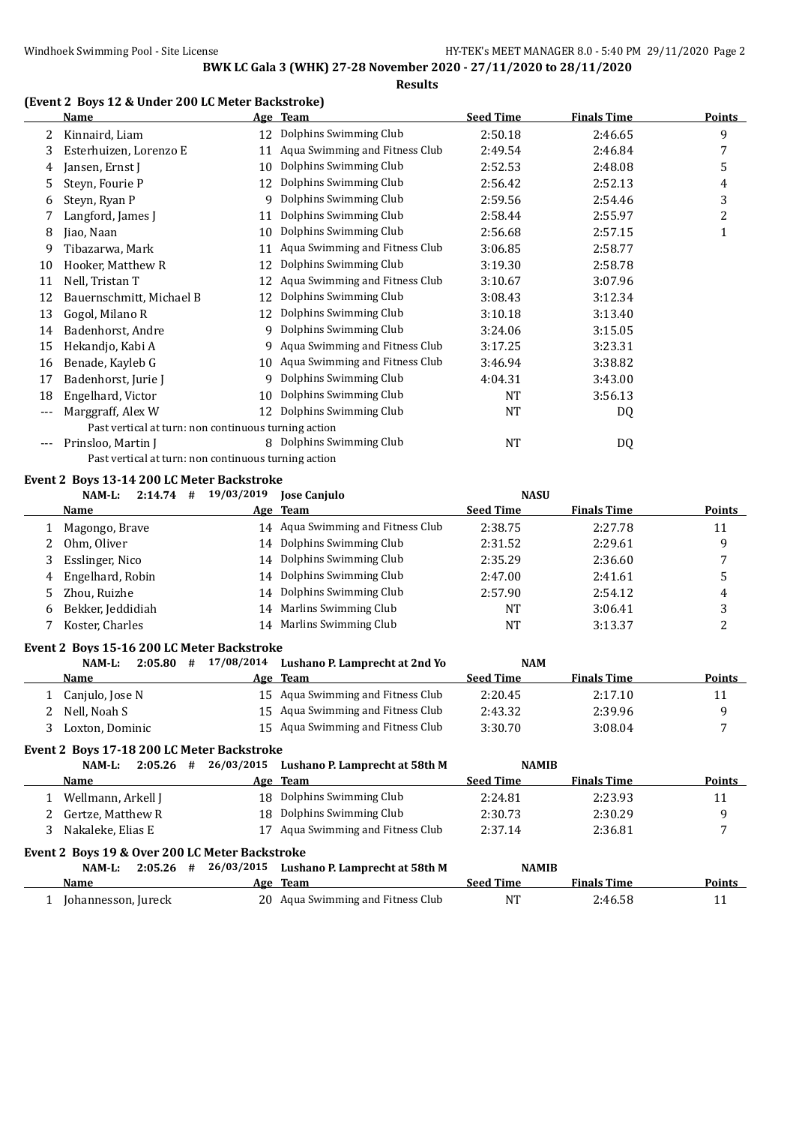## **Results**

## **(Event 2 Boys 12 & Under 200 LC Meter Backstroke)**

|       | <b>Name</b>                                          |    | Age Team                         | <b>Seed Time</b> | <b>Finals Time</b> | <b>Points</b> |
|-------|------------------------------------------------------|----|----------------------------------|------------------|--------------------|---------------|
|       | Kinnaird, Liam                                       | 12 | Dolphins Swimming Club           | 2:50.18          | 2:46.65            | 9             |
| 3     | Esterhuizen, Lorenzo E                               | 11 | Aqua Swimming and Fitness Club   | 2:49.54          | 2:46.84            | 7             |
| 4     | Jansen, Ernst J                                      | 10 | Dolphins Swimming Club           | 2:52.53          | 2:48.08            | 5             |
| 5.    | Steyn, Fourie P                                      | 12 | Dolphins Swimming Club           | 2:56.42          | 2:52.13            | 4             |
| 6     | Steyn, Ryan P                                        | 9  | Dolphins Swimming Club           | 2:59.56          | 2:54.46            | 3             |
|       | Langford, James J                                    | 11 | Dolphins Swimming Club           | 2:58.44          | 2:55.97            | 2             |
| 8     | Jiao, Naan                                           | 10 | Dolphins Swimming Club           | 2:56.68          | 2:57.15            | 1             |
| 9     | Tibazarwa, Mark                                      | 11 | Aqua Swimming and Fitness Club   | 3:06.85          | 2:58.77            |               |
| 10    | Hooker, Matthew R                                    | 12 | Dolphins Swimming Club           | 3:19.30          | 2:58.78            |               |
| 11    | Nell, Tristan T                                      | 12 | Aqua Swimming and Fitness Club   | 3:10.67          | 3:07.96            |               |
| 12    | Bauernschmitt, Michael B                             | 12 | Dolphins Swimming Club           | 3:08.43          | 3:12.34            |               |
| 13    | Gogol, Milano R                                      | 12 | Dolphins Swimming Club           | 3:10.18          | 3:13.40            |               |
| 14    | Badenhorst, Andre                                    | 9  | Dolphins Swimming Club           | 3:24.06          | 3:15.05            |               |
| 15    | Hekandjo, Kabi A                                     |    | 9 Aqua Swimming and Fitness Club | 3:17.25          | 3:23.31            |               |
| 16    | Benade, Kayleb G                                     | 10 | Aqua Swimming and Fitness Club   | 3:46.94          | 3:38.82            |               |
| 17    | Badenhorst, Jurie J                                  | 9  | Dolphins Swimming Club           | 4:04.31          | 3:43.00            |               |
| 18    | Engelhard, Victor                                    | 10 | Dolphins Swimming Club           | <b>NT</b>        | 3:56.13            |               |
| ---   | Marggraff, Alex W                                    | 12 | Dolphins Swimming Club           | NT               | DQ                 |               |
|       | Past vertical at turn: non continuous turning action |    |                                  |                  |                    |               |
| $---$ | Prinsloo, Martin J                                   |    | 8 Dolphins Swimming Club         | <b>NT</b>        | DQ                 |               |
|       | Past vertical at turn: non continuous turning action |    |                                  |                  |                    |               |

#### **Event 2 Boys 13-14 200 LC Meter Backstroke**

|    | $NAM-L$ :<br>2:14.74<br>#                  | 19/03/2019 | <b>Jose Canjulo</b>               | <b>NASU</b>      |                    |               |
|----|--------------------------------------------|------------|-----------------------------------|------------------|--------------------|---------------|
|    | Name                                       |            | Age Team                          | <b>Seed Time</b> | <b>Finals Time</b> | <b>Points</b> |
|    | Magongo, Brave                             |            | 14 Aqua Swimming and Fitness Club | 2:38.75          | 2:27.78            | 11            |
|    | Ohm, Oliver                                |            | 14 Dolphins Swimming Club         | 2:31.52          | 2:29.61            | 9             |
| 3  | Esslinger, Nico                            |            | 14 Dolphins Swimming Club         | 2:35.29          | 2:36.60            | 7             |
| 4  | Engelhard, Robin                           |            | 14 Dolphins Swimming Club         | 2:47.00          | 2:41.61            | 5             |
| 5. | Zhou, Ruizhe                               |            | 14 Dolphins Swimming Club         | 2:57.90          | 2:54.12            | 4             |
| 6  | Bekker, Jeddidiah                          |            | 14 Marlins Swimming Club          | NT               | 3:06.41            | 3             |
| 7  | Koster, Charles                            | 14         | Marlins Swimming Club             | NT               | 3:13.37            | 2             |
|    | Event 2 Boys 15-16 200 LC Meter Backstroke |            |                                   |                  |                    |               |
|    | 2:05.80<br>NAM-L:<br>#                     | 17/08/2014 | Lushano P. Lamprecht at 2nd Yo    | <b>NAM</b>       |                    |               |
|    | Name                                       |            | Age Team                          | <b>Seed Time</b> | <b>Finals Time</b> | Points        |
|    | Canjulo, Jose N                            |            | 15 Aqua Swimming and Fitness Club | 2:20.45          | 2:17.10            | 11            |
|    | Nell, Noah S                               |            | 15 Agua Swimming and Fitness Club | 2:43.32          | 2:39.96            | 9             |
| 3. | Loxton, Dominic                            |            | 15 Aqua Swimming and Fitness Club | 3:30.70          | 3:08.04            | 7             |
|    | Event 2 Boys 17-18 200 LC Meter Backstroke |            |                                   |                  |                    |               |
|    | $2:05.26$ #<br>NAM-L:                      | 26/03/2015 | Lushano P. Lamprecht at 58th M    | <b>NAMIB</b>     |                    |               |

|                                                |    |                                | ,,,,,,,,,,       |                    |        |
|------------------------------------------------|----|--------------------------------|------------------|--------------------|--------|
| Name                                           |    | Age Team                       | <b>Seed Time</b> | <b>Finals Time</b> | Points |
| Wellmann, Arkell J                             |    | 18 Dolphins Swimming Club      | 2:24.81          | 2:23.93            | 11     |
| 2 Gertze, Matthew R                            |    | 18 Dolphins Swimming Club      | 2:30.73          | 2:30.29            |        |
| Nakaleke. Elias E                              | 17 | Aqua Swimming and Fitness Club | 2:37.14          | 2:36.81            |        |
| Event 2 Boys 19 & Over 200 LC Meter Backstroke |    |                                |                  |                    |        |

| 2:05.26<br>NAM-L:   | # | 26/03/2015 Lushano P. Lamprecht at 58th M |                  | <b>NAMIB</b>       |        |
|---------------------|---|-------------------------------------------|------------------|--------------------|--------|
| Name                |   | Age Team                                  | <b>Seed Time</b> | <b>Finals Time</b> | Points |
| Johannesson, Jureck |   | 20 Agua Swimming and Fitness Club         | NT               | 2:46.58            |        |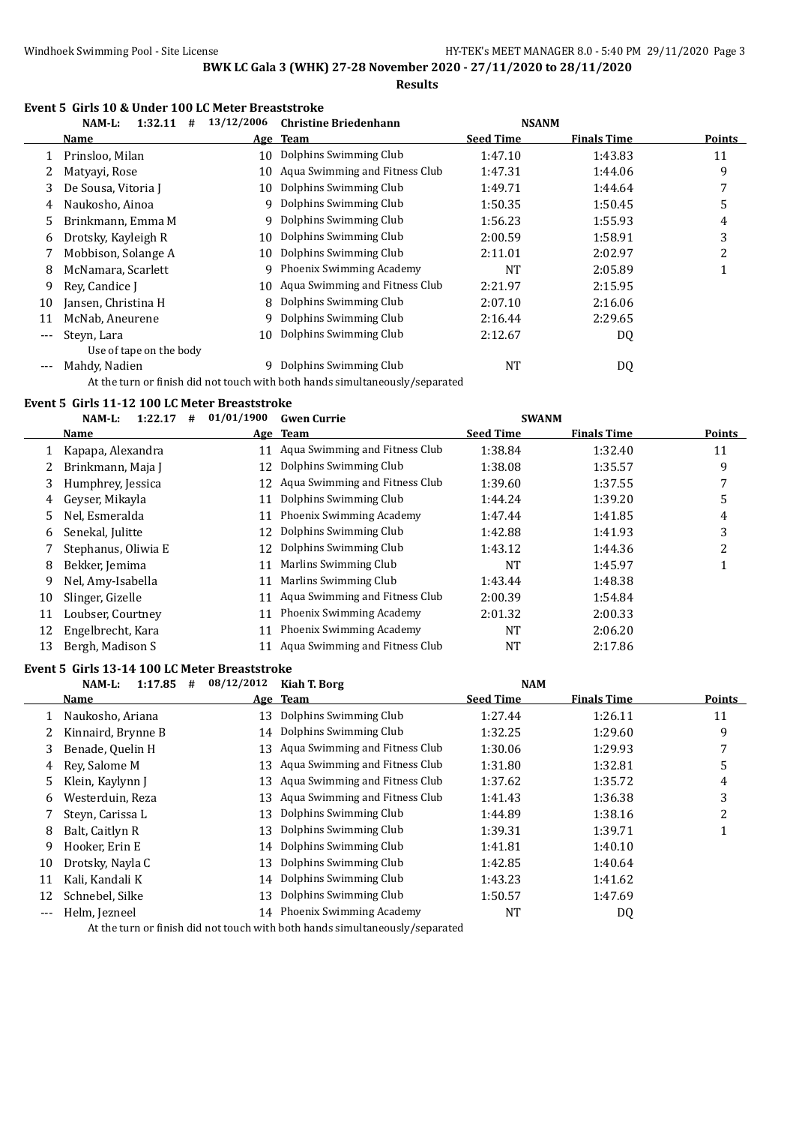**Results**

#### **Event 5 Girls 10 & Under 100 LC Meter Breaststroke**

|     | 1:32.11<br>NAM-L:<br>#  | 13/12/2006 | <b>Christine Briedenhann</b>   | <b>NSANM</b>     |                    |        |
|-----|-------------------------|------------|--------------------------------|------------------|--------------------|--------|
|     | Name                    |            | Age Team                       | <b>Seed Time</b> | <b>Finals Time</b> | Points |
|     | Prinsloo, Milan         | 10         | Dolphins Swimming Club         | 1:47.10          | 1:43.83            | 11     |
|     | Matyayi, Rose           | 10         | Aqua Swimming and Fitness Club | 1:47.31          | 1:44.06            | 9      |
| 3   | De Sousa, Vitoria J     | 10         | Dolphins Swimming Club         | 1:49.71          | 1:44.64            | 7      |
| 4   | Naukosho, Ainoa         |            | 9 Dolphins Swimming Club       | 1:50.35          | 1:50.45            | 5      |
| 5.  | Brinkmann, Emma M       | 9.         | Dolphins Swimming Club         | 1:56.23          | 1:55.93            | 4      |
| 6   | Drotsky, Kayleigh R     | 10         | Dolphins Swimming Club         | 2:00.59          | 1:58.91            | 3      |
|     | Mobbison, Solange A     | 10         | Dolphins Swimming Club         | 2:11.01          | 2:02.97            | 2      |
| 8   | McNamara, Scarlett      | 9          | Phoenix Swimming Academy       | NT               | 2:05.89            |        |
| 9   | Rev. Candice J          | 10.        | Aqua Swimming and Fitness Club | 2:21.97          | 2:15.95            |        |
| 10  | Jansen, Christina H     | 8          | Dolphins Swimming Club         | 2:07.10          | 2:16.06            |        |
| 11  | McNab, Aneurene         | 9          | Dolphins Swimming Club         | 2:16.44          | 2:29.65            |        |
| --- | Steyn, Lara             | 10         | Dolphins Swimming Club         | 2:12.67          | DQ                 |        |
|     | Use of tape on the body |            |                                |                  |                    |        |
|     | Mahdy, Nadien           | q          | Dolphins Swimming Club         | NT               | DQ                 |        |

At the turn or finish did not touch with both hands simultaneously/separated

#### **Event 5 Girls 11-12 100 LC Meter Breaststroke**

|    | 1:22.17<br>$NAM-L$ :<br># | 01/01/1900 | <b>Gwen Currie</b>              | <b>SWANM</b>     |                    |        |
|----|---------------------------|------------|---------------------------------|------------------|--------------------|--------|
|    | Name                      |            | Age Team                        | <b>Seed Time</b> | <b>Finals Time</b> | Points |
|    | Kapapa, Alexandra         | 11         | Aqua Swimming and Fitness Club  | 1:38.84          | 1:32.40            | 11     |
|    | Brinkmann, Maja J         | 12         | Dolphins Swimming Club          | 1:38.08          | 1:35.57            | 9      |
| 3  | Humphrey, Jessica         | 12         | Aqua Swimming and Fitness Club  | 1:39.60          | 1:37.55            |        |
| 4  | Geyser, Mikayla           |            | Dolphins Swimming Club          | 1:44.24          | 1:39.20            | 5      |
| 5  | Nel, Esmeralda            | 11         | Phoenix Swimming Academy        | 1:47.44          | 1:41.85            | 4      |
| 6  | Senekal, Julitte          | 12         | Dolphins Swimming Club          | 1:42.88          | 1:41.93            | 3      |
|    | Stephanus, Oliwia E       | 12         | Dolphins Swimming Club          | 1:43.12          | 1:44.36            | 2      |
| 8  | Bekker, Jemima            |            | Marlins Swimming Club           | NT               | 1:45.97            |        |
| 9  | Nel, Amy-Isabella         | 11         | Marlins Swimming Club           | 1:43.44          | 1:48.38            |        |
| 10 | Slinger, Gizelle          |            | Aqua Swimming and Fitness Club  | 2:00.39          | 1:54.84            |        |
| 11 | Loubser, Courtney         | 11         | <b>Phoenix Swimming Academy</b> | 2:01.32          | 2:00.33            |        |
| 12 | Engelbrecht, Kara         |            | Phoenix Swimming Academy        | NT               | 2:06.20            |        |
| 13 | Bergh, Madison S          |            | Aqua Swimming and Fitness Club  | NT               | 2:17.86            |        |

#### **Event 5 Girls 13-14 100 LC Meter Breaststroke**

|       | 1:17.85<br>NAM-L:<br># | 08/12/2012 | Kiah T. Borg                      | <b>NAM</b>       |                    |        |
|-------|------------------------|------------|-----------------------------------|------------------|--------------------|--------|
|       | Name                   |            | Age Team                          | <b>Seed Time</b> | <b>Finals Time</b> | Points |
| 1     | Naukosho, Ariana       | 13         | Dolphins Swimming Club            | 1:27.44          | 1:26.11            | 11     |
|       | Kinnaird, Brynne B     | 14         | Dolphins Swimming Club            | 1:32.25          | 1:29.60            | 9      |
| 3     | Benade, Quelin H       |            | 13 Aqua Swimming and Fitness Club | 1:30.06          | 1:29.93            |        |
| 4     | Rev. Salome M          |            | 13 Aqua Swimming and Fitness Club | 1:31.80          | 1:32.81            | 5      |
| 5.    | Klein, Kaylynn J       |            | 13 Aqua Swimming and Fitness Club | 1:37.62          | 1:35.72            | 4      |
| 6     | Westerduin, Reza       | 13         | Aqua Swimming and Fitness Club    | 1:41.43          | 1:36.38            | 3      |
|       | Steyn, Carissa L       | 13         | Dolphins Swimming Club            | 1:44.89          | 1:38.16            | 2      |
| 8     | Balt, Caitlyn R        | 13         | Dolphins Swimming Club            | 1:39.31          | 1:39.71            |        |
| 9     | Hooker, Erin E         | 14         | Dolphins Swimming Club            | 1:41.81          | 1:40.10            |        |
| 10    | Drotsky, Nayla C       | 13         | Dolphins Swimming Club            | 1:42.85          | 1:40.64            |        |
| 11    | Kali, Kandali K        | 14         | Dolphins Swimming Club            | 1:43.23          | 1:41.62            |        |
| 12    | Schnebel, Silke        | 13         | Dolphins Swimming Club            | 1:50.57          | 1:47.69            |        |
| $---$ | Helm, Jezneel          |            | 14 Phoenix Swimming Academy       | NT               | DQ                 |        |
|       |                        |            |                                   |                  |                    |        |

At the turn or finish did not touch with both hands simultaneously/separated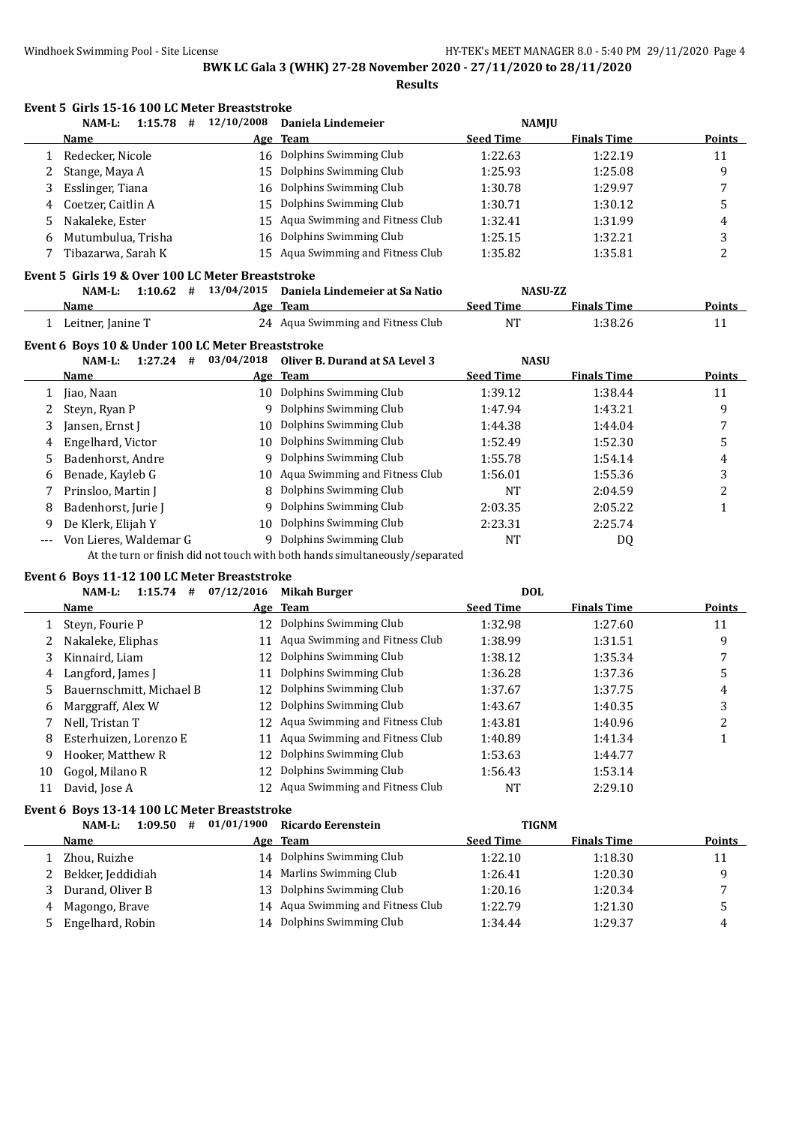|       | Event 5 Girls 15-16 100 LC Meter Breaststroke                                      |            |                                                                              |                  |                    |               |
|-------|------------------------------------------------------------------------------------|------------|------------------------------------------------------------------------------|------------------|--------------------|---------------|
|       | #<br>NAM-L:<br>1:15.78                                                             | 12/10/2008 | Daniela Lindemeier                                                           | <b>NAMJU</b>     |                    |               |
|       | Name                                                                               | Age        | <b>Team</b>                                                                  | <b>Seed Time</b> | <b>Finals Time</b> | Points        |
| 1     | Redecker, Nicole                                                                   | 16         | Dolphins Swimming Club                                                       | 1:22.63          | 1:22.19            | 11            |
| 2     | Stange, Maya A                                                                     | 15         | Dolphins Swimming Club                                                       | 1:25.93          | 1:25.08            | 9             |
| 3     | Esslinger, Tiana                                                                   | 16         | Dolphins Swimming Club                                                       | 1:30.78          | 1:29.97            | 7             |
| 4     | Coetzer, Caitlin A                                                                 | 15         | Dolphins Swimming Club                                                       | 1:30.71          | 1:30.12            | 5             |
| 5     | Nakaleke, Ester                                                                    | 15         | Aqua Swimming and Fitness Club                                               | 1:32.41          | 1:31.99            | 4             |
| 6     | Mutumbulua, Trisha                                                                 | 16         | Dolphins Swimming Club                                                       | 1:25.15          | 1:32.21            | 3             |
| 7     | Tibazarwa, Sarah K                                                                 |            | 15 Aqua Swimming and Fitness Club                                            | 1:35.82          | 1:35.81            | 2             |
|       | Event 5 Girls 19 & Over 100 LC Meter Breaststroke                                  |            |                                                                              |                  |                    |               |
|       | NAM-L:                                                                             |            | 1:10.62 $\#$ 13/04/2015 Daniela Lindemeier at Sa Natio                       |                  | <b>NASU-ZZ</b>     |               |
|       | Name                                                                               |            | Age Team                                                                     | <b>Seed Time</b> | <b>Finals Time</b> | <b>Points</b> |
|       | 1 Leitner, Janine T                                                                |            | 24 Aqua Swimming and Fitness Club                                            | <b>NT</b>        | 1:38.26            | 11            |
|       | Event 6 Boys 10 & Under 100 LC Meter Breaststroke                                  |            |                                                                              |                  |                    |               |
|       | NAM-L:<br>$1:27.24$ #                                                              | 03/04/2018 | Oliver B. Durand at SA Level 3                                               | <b>NASU</b>      |                    |               |
|       | Name                                                                               |            | Age Team                                                                     | <b>Seed Time</b> | <b>Finals Time</b> | <b>Points</b> |
| 1     | Jiao, Naan                                                                         | 10         | Dolphins Swimming Club                                                       | 1:39.12          | 1:38.44            | 11            |
| 2     | Steyn, Ryan P                                                                      | 9          | Dolphins Swimming Club                                                       | 1:47.94          | 1:43.21            | 9             |
| 3     | Jansen, Ernst J                                                                    | 10         | Dolphins Swimming Club                                                       | 1:44.38          | 1:44.04            | 7             |
| 4     | Engelhard, Victor                                                                  | 10         | Dolphins Swimming Club                                                       | 1:52.49          | 1:52.30            | 5             |
| 5     | Badenhorst, Andre                                                                  | 9          | Dolphins Swimming Club                                                       | 1:55.78          | 1:54.14            | 4             |
| 6     | Benade, Kayleb G                                                                   | 10         | Aqua Swimming and Fitness Club                                               | 1:56.01          | 1:55.36            | 3             |
| 7     | Prinsloo, Martin J                                                                 | 8          | Dolphins Swimming Club                                                       | <b>NT</b>        | 2:04.59            | 2             |
| 8     | Badenhorst, Jurie J                                                                | 9          | Dolphins Swimming Club                                                       | 2:03.35          | 2:05.22            | 1             |
| 9     | De Klerk, Elijah Y                                                                 | 10         | Dolphins Swimming Club                                                       | 2:23.31          | 2:25.74            |               |
| $---$ | Von Lieres, Waldemar G                                                             |            | 9 Dolphins Swimming Club                                                     | <b>NT</b>        | DQ                 |               |
|       |                                                                                    |            | At the turn or finish did not touch with both hands simultaneously/separated |                  |                    |               |
|       | Event 6 Boys 11-12 100 LC Meter Breaststroke<br>$1:15.74$ # $07/12/2016$<br>NAM-L: |            | <b>Mikah Burger</b>                                                          | <b>DOL</b>       |                    |               |
|       | Name                                                                               | Age        | <b>Team</b>                                                                  | <b>Seed Time</b> | <b>Finals Time</b> | Points        |
|       | Steyn, Fourie P                                                                    | 12         | Dolphins Swimming Club                                                       | 1:32.98          | 1:27.60            | 11            |
| 1     | Nakaleke, Eliphas                                                                  |            | Aqua Swimming and Fitness Club                                               | 1:38.99          |                    | 9             |
| 2     | Kinnaird, Liam                                                                     | 11<br>12   | Dolphins Swimming Club                                                       | 1:38.12          | 1:31.51<br>1:35.34 |               |
| 3     |                                                                                    | 11         | Dolphins Swimming Club                                                       |                  |                    | 7             |
| 4     | Langford, James J                                                                  |            | 12 Dolphins Swimming Club                                                    | 1:36.28          | 1:37.36            | 5             |
| 5     | Bauernschmitt, Michael B                                                           |            | Dolphins Swimming Club                                                       | 1:37.67          | 1:37.75            | 4             |
| 6     | Marggraff, Alex W                                                                  | 12         |                                                                              | 1:43.67          | 1:40.35            | 3             |
| 7     | Nell, Tristan T                                                                    | 12         | Aqua Swimming and Fitness Club                                               | 1:43.81          | 1:40.96            | 2             |
| 8     | Esterhuizen, Lorenzo E                                                             | 11         | Aqua Swimming and Fitness Club                                               | 1:40.89          | 1:41.34            | $\mathbf{1}$  |
| 9     | Hooker, Matthew R                                                                  | 12         | Dolphins Swimming Club                                                       | 1:53.63          | 1:44.77            |               |
| 10    | Gogol, Milano R                                                                    | 12         | Dolphins Swimming Club                                                       | 1:56.43          | 1:53.14            |               |
| 11    | David, Jose A                                                                      |            | 12 Aqua Swimming and Fitness Club                                            | NT               | 2:29.10            |               |
|       | Event 6 Boys 13-14 100 LC Meter Breaststroke<br>NAM-L:<br>$1:09.50$ #              | 01/01/1900 | <b>Ricardo Eerenstein</b>                                                    | <b>TIGNM</b>     |                    |               |
|       | <u>Name</u>                                                                        | <u>Age</u> | <b>Team</b>                                                                  | <b>Seed Time</b> | <b>Finals Time</b> | <b>Points</b> |
| 1     | Zhou, Ruizhe                                                                       |            | 14 Dolphins Swimming Club                                                    | 1:22.10          | 1:18.30            | 11            |
| 2     | Bekker, Jeddidiah                                                                  | 14         | Marlins Swimming Club                                                        | 1:26.41          | 1:20.30            | 9             |
|       | Durand, Oliver B                                                                   | 13         | Dolphins Swimming Club                                                       | 1:20.16          |                    |               |
| 3     | Magongo, Brave                                                                     |            | 14 Aqua Swimming and Fitness Club                                            | 1:22.79          | 1:20.34<br>1:21.30 | 7             |
| 4     | Engelhard, Robin                                                                   |            | 14 Dolphins Swimming Club                                                    | 1:34.44          | 1:29.37            | 5             |
| 5     |                                                                                    |            |                                                                              |                  |                    | 4             |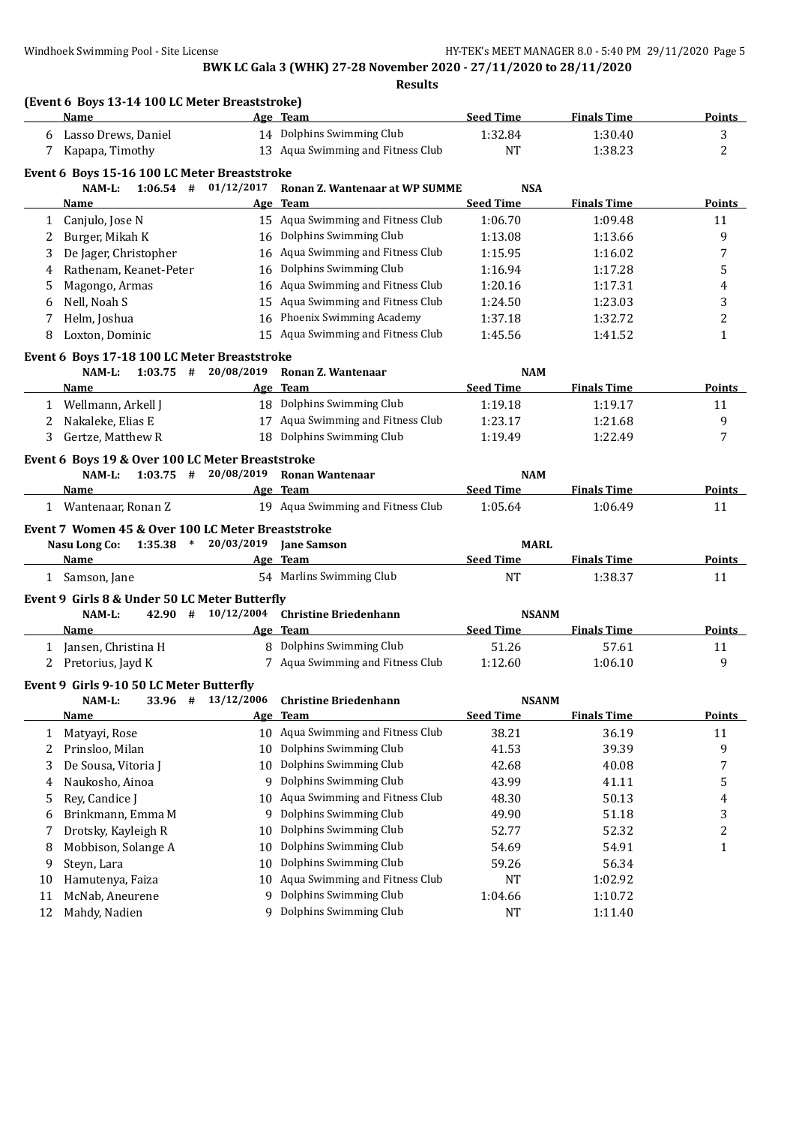| <b>Seed Time</b><br>Name<br>Age Team<br><b>Finals Time</b><br>14 Dolphins Swimming Club<br>1:32.84<br>1:30.40<br>Lasso Drews, Daniel<br>6<br>13 Aqua Swimming and Fitness Club<br>NT<br>1:38.23<br>Kapapa, Timothy<br>7<br>Event 6 Boys 15-16 100 LC Meter Breaststroke<br>$1:06.54$ # $01/12/2017$<br>Ronan Z. Wantenaar at WP SUMME<br><b>NSA</b><br>NAM-L:<br><b>Finals Time</b><br>Age Team<br><b>Seed Time</b><br>Name<br>15 Aqua Swimming and Fitness Club<br>1:06.70<br>1:09.48<br>Canjulo, Jose N<br>1<br>16 Dolphins Swimming Club<br>Burger, Mikah K<br>1:13.66<br>1:13.08<br>2<br>16 Aqua Swimming and Fitness Club<br>De Jager, Christopher<br>1:15.95<br>1:16.02<br>3<br>Dolphins Swimming Club<br>Rathenam, Keanet-Peter<br>1:16.94<br>1:17.28<br>16<br>4<br>Aqua Swimming and Fitness Club<br>Magongo, Armas<br>1:20.16<br>1:17.31<br>16<br>5<br>Aqua Swimming and Fitness Club<br>Nell, Noah S<br>1:23.03<br>1:24.50<br>6<br>15<br>Phoenix Swimming Academy<br>Helm, Joshua<br>1:37.18<br>1:32.72<br>16<br>7<br>Loxton, Dominic<br>15 Aqua Swimming and Fitness Club<br>1:45.56<br>8<br>1:41.52<br>Event 6 Boys 17-18 100 LC Meter Breaststroke<br>$1:03.75$ # 20/08/2019<br>NAM-L:<br>Ronan Z. Wantenaar<br><b>NAM</b><br>Age Team<br><b>Seed Time</b><br><b>Finals Time</b><br><b>Name</b><br>18 Dolphins Swimming Club<br>1:19.17<br>1 Wellmann, Arkell J<br>1:19.18<br>17 Aqua Swimming and Fitness Club<br>Nakaleke, Elias E<br>1:23.17<br>1:21.68<br>2<br>18 Dolphins Swimming Club<br>Gertze, Matthew R<br>1:19.49<br>1:22.49<br>3<br>Event 6 Boys 19 & Over 100 LC Meter Breaststroke<br>$1:03.75$ # 20/08/2019<br><b>Ronan Wantenaar</b><br>NAM-L:<br><b>NAM</b><br>Age Team<br><b>Seed Time</b><br><b>Finals Time</b><br><b>Name</b><br>19 Aqua Swimming and Fitness Club<br>1:05.64<br>1:06.49<br>1 Wantenaar, Ronan Z<br>Event 7 Women 45 & Over 100 LC Meter Breaststroke<br>Nasu Long Co: 1:35.38 * 20/03/2019 Jane Samson<br><b>MARL</b><br><b>Seed Time</b><br><b>Finals Time</b><br>Name<br>Age Team<br>54 Marlins Swimming Club<br>1:38.37<br>1 Samson, Jane<br>NT<br>Event 9 Girls 8 & Under 50 LC Meter Butterfly<br>42.90 # 10/12/2004<br><b>Christine Briedenhann</b><br>NAM-L:<br><b>NSANM</b><br><b>Seed Time</b><br><b>Finals Time</b><br>Age Team<br>Name<br>8 Dolphins Swimming Club<br>51.26<br>1 Jansen, Christina H<br>57.61<br>7 Aqua Swimming and Fitness Club<br>2 Pretorius, Jayd K<br>1:12.60<br>1:06.10<br>Event 9 Girls 9-10 50 LC Meter Butterfly<br>13/12/2006<br><b>Christine Briedenhann</b><br><b>NSANM</b><br>NAM-L:<br>33.96 #<br><b>Seed Time</b><br><b>Team</b><br><b>Finals Time</b><br><b>Name</b><br>Age<br>Aqua Swimming and Fitness Club<br>38.21<br>36.19<br>Matyayi, Rose<br>10<br>1<br>Dolphins Swimming Club<br>Prinsloo, Milan<br>10<br>41.53<br>39.39<br>2<br>Dolphins Swimming Club<br>De Sousa, Vitoria J<br>42.68<br>3<br>10<br>40.08<br>Dolphins Swimming Club<br>Naukosho, Ainoa<br>9<br>43.99<br>41.11<br>4<br>Aqua Swimming and Fitness Club<br>Rey, Candice J<br>50.13<br>48.30<br>10<br>5<br>Dolphins Swimming Club<br>Brinkmann, Emma M<br>49.90<br>51.18<br>9<br>6<br>Dolphins Swimming Club<br>Drotsky, Kayleigh R<br>52.77<br>52.32<br>10<br>7<br>Dolphins Swimming Club<br>Mobbison, Solange A<br>10<br>54.69<br>54.91<br>8<br>Dolphins Swimming Club<br>Steyn, Lara<br>59.26<br>56.34<br>10<br>9<br>Aqua Swimming and Fitness Club<br>Hamutenya, Faiza<br>1:02.92<br>10<br>NT<br>10 |    | (Event 6 Boys 13-14 100 LC Meter Breaststroke) |   |                        |         |         |                |
|-----------------------------------------------------------------------------------------------------------------------------------------------------------------------------------------------------------------------------------------------------------------------------------------------------------------------------------------------------------------------------------------------------------------------------------------------------------------------------------------------------------------------------------------------------------------------------------------------------------------------------------------------------------------------------------------------------------------------------------------------------------------------------------------------------------------------------------------------------------------------------------------------------------------------------------------------------------------------------------------------------------------------------------------------------------------------------------------------------------------------------------------------------------------------------------------------------------------------------------------------------------------------------------------------------------------------------------------------------------------------------------------------------------------------------------------------------------------------------------------------------------------------------------------------------------------------------------------------------------------------------------------------------------------------------------------------------------------------------------------------------------------------------------------------------------------------------------------------------------------------------------------------------------------------------------------------------------------------------------------------------------------------------------------------------------------------------------------------------------------------------------------------------------------------------------------------------------------------------------------------------------------------------------------------------------------------------------------------------------------------------------------------------------------------------------------------------------------------------------------------------------------------------------------------------------------------------------------------------------------------------------------------------------------------------------------------------------------------------------------------------------------------------------------------------------------------------------------------------------------------------------------------------------------------------------------------------------------------------------------------------------------------------------------------------------------------------------------------------------------------------------------------------------------------------------------------------------------------------------------------------------------------------------------------------------------------------------------------------------------------------------------------------------------------------------------------------------------------------|----|------------------------------------------------|---|------------------------|---------|---------|----------------|
|                                                                                                                                                                                                                                                                                                                                                                                                                                                                                                                                                                                                                                                                                                                                                                                                                                                                                                                                                                                                                                                                                                                                                                                                                                                                                                                                                                                                                                                                                                                                                                                                                                                                                                                                                                                                                                                                                                                                                                                                                                                                                                                                                                                                                                                                                                                                                                                                                                                                                                                                                                                                                                                                                                                                                                                                                                                                                                                                                                                                                                                                                                                                                                                                                                                                                                                                                                                                                                                                             |    |                                                |   |                        |         |         | Points         |
|                                                                                                                                                                                                                                                                                                                                                                                                                                                                                                                                                                                                                                                                                                                                                                                                                                                                                                                                                                                                                                                                                                                                                                                                                                                                                                                                                                                                                                                                                                                                                                                                                                                                                                                                                                                                                                                                                                                                                                                                                                                                                                                                                                                                                                                                                                                                                                                                                                                                                                                                                                                                                                                                                                                                                                                                                                                                                                                                                                                                                                                                                                                                                                                                                                                                                                                                                                                                                                                                             |    |                                                |   |                        |         |         | 3              |
|                                                                                                                                                                                                                                                                                                                                                                                                                                                                                                                                                                                                                                                                                                                                                                                                                                                                                                                                                                                                                                                                                                                                                                                                                                                                                                                                                                                                                                                                                                                                                                                                                                                                                                                                                                                                                                                                                                                                                                                                                                                                                                                                                                                                                                                                                                                                                                                                                                                                                                                                                                                                                                                                                                                                                                                                                                                                                                                                                                                                                                                                                                                                                                                                                                                                                                                                                                                                                                                                             |    |                                                |   |                        |         |         | 2              |
|                                                                                                                                                                                                                                                                                                                                                                                                                                                                                                                                                                                                                                                                                                                                                                                                                                                                                                                                                                                                                                                                                                                                                                                                                                                                                                                                                                                                                                                                                                                                                                                                                                                                                                                                                                                                                                                                                                                                                                                                                                                                                                                                                                                                                                                                                                                                                                                                                                                                                                                                                                                                                                                                                                                                                                                                                                                                                                                                                                                                                                                                                                                                                                                                                                                                                                                                                                                                                                                                             |    |                                                |   |                        |         |         |                |
|                                                                                                                                                                                                                                                                                                                                                                                                                                                                                                                                                                                                                                                                                                                                                                                                                                                                                                                                                                                                                                                                                                                                                                                                                                                                                                                                                                                                                                                                                                                                                                                                                                                                                                                                                                                                                                                                                                                                                                                                                                                                                                                                                                                                                                                                                                                                                                                                                                                                                                                                                                                                                                                                                                                                                                                                                                                                                                                                                                                                                                                                                                                                                                                                                                                                                                                                                                                                                                                                             |    |                                                |   |                        |         |         |                |
|                                                                                                                                                                                                                                                                                                                                                                                                                                                                                                                                                                                                                                                                                                                                                                                                                                                                                                                                                                                                                                                                                                                                                                                                                                                                                                                                                                                                                                                                                                                                                                                                                                                                                                                                                                                                                                                                                                                                                                                                                                                                                                                                                                                                                                                                                                                                                                                                                                                                                                                                                                                                                                                                                                                                                                                                                                                                                                                                                                                                                                                                                                                                                                                                                                                                                                                                                                                                                                                                             |    |                                                |   |                        |         |         | <b>Points</b>  |
|                                                                                                                                                                                                                                                                                                                                                                                                                                                                                                                                                                                                                                                                                                                                                                                                                                                                                                                                                                                                                                                                                                                                                                                                                                                                                                                                                                                                                                                                                                                                                                                                                                                                                                                                                                                                                                                                                                                                                                                                                                                                                                                                                                                                                                                                                                                                                                                                                                                                                                                                                                                                                                                                                                                                                                                                                                                                                                                                                                                                                                                                                                                                                                                                                                                                                                                                                                                                                                                                             |    |                                                |   |                        |         |         | 11             |
|                                                                                                                                                                                                                                                                                                                                                                                                                                                                                                                                                                                                                                                                                                                                                                                                                                                                                                                                                                                                                                                                                                                                                                                                                                                                                                                                                                                                                                                                                                                                                                                                                                                                                                                                                                                                                                                                                                                                                                                                                                                                                                                                                                                                                                                                                                                                                                                                                                                                                                                                                                                                                                                                                                                                                                                                                                                                                                                                                                                                                                                                                                                                                                                                                                                                                                                                                                                                                                                                             |    |                                                |   |                        |         |         | 9              |
|                                                                                                                                                                                                                                                                                                                                                                                                                                                                                                                                                                                                                                                                                                                                                                                                                                                                                                                                                                                                                                                                                                                                                                                                                                                                                                                                                                                                                                                                                                                                                                                                                                                                                                                                                                                                                                                                                                                                                                                                                                                                                                                                                                                                                                                                                                                                                                                                                                                                                                                                                                                                                                                                                                                                                                                                                                                                                                                                                                                                                                                                                                                                                                                                                                                                                                                                                                                                                                                                             |    |                                                |   |                        |         |         | 7              |
|                                                                                                                                                                                                                                                                                                                                                                                                                                                                                                                                                                                                                                                                                                                                                                                                                                                                                                                                                                                                                                                                                                                                                                                                                                                                                                                                                                                                                                                                                                                                                                                                                                                                                                                                                                                                                                                                                                                                                                                                                                                                                                                                                                                                                                                                                                                                                                                                                                                                                                                                                                                                                                                                                                                                                                                                                                                                                                                                                                                                                                                                                                                                                                                                                                                                                                                                                                                                                                                                             |    |                                                |   |                        |         |         | 5              |
|                                                                                                                                                                                                                                                                                                                                                                                                                                                                                                                                                                                                                                                                                                                                                                                                                                                                                                                                                                                                                                                                                                                                                                                                                                                                                                                                                                                                                                                                                                                                                                                                                                                                                                                                                                                                                                                                                                                                                                                                                                                                                                                                                                                                                                                                                                                                                                                                                                                                                                                                                                                                                                                                                                                                                                                                                                                                                                                                                                                                                                                                                                                                                                                                                                                                                                                                                                                                                                                                             |    |                                                |   |                        |         |         | 4              |
|                                                                                                                                                                                                                                                                                                                                                                                                                                                                                                                                                                                                                                                                                                                                                                                                                                                                                                                                                                                                                                                                                                                                                                                                                                                                                                                                                                                                                                                                                                                                                                                                                                                                                                                                                                                                                                                                                                                                                                                                                                                                                                                                                                                                                                                                                                                                                                                                                                                                                                                                                                                                                                                                                                                                                                                                                                                                                                                                                                                                                                                                                                                                                                                                                                                                                                                                                                                                                                                                             |    |                                                |   |                        |         |         | 3              |
|                                                                                                                                                                                                                                                                                                                                                                                                                                                                                                                                                                                                                                                                                                                                                                                                                                                                                                                                                                                                                                                                                                                                                                                                                                                                                                                                                                                                                                                                                                                                                                                                                                                                                                                                                                                                                                                                                                                                                                                                                                                                                                                                                                                                                                                                                                                                                                                                                                                                                                                                                                                                                                                                                                                                                                                                                                                                                                                                                                                                                                                                                                                                                                                                                                                                                                                                                                                                                                                                             |    |                                                |   |                        |         |         | 2              |
|                                                                                                                                                                                                                                                                                                                                                                                                                                                                                                                                                                                                                                                                                                                                                                                                                                                                                                                                                                                                                                                                                                                                                                                                                                                                                                                                                                                                                                                                                                                                                                                                                                                                                                                                                                                                                                                                                                                                                                                                                                                                                                                                                                                                                                                                                                                                                                                                                                                                                                                                                                                                                                                                                                                                                                                                                                                                                                                                                                                                                                                                                                                                                                                                                                                                                                                                                                                                                                                                             |    |                                                |   |                        |         |         | $\mathbf{1}$   |
|                                                                                                                                                                                                                                                                                                                                                                                                                                                                                                                                                                                                                                                                                                                                                                                                                                                                                                                                                                                                                                                                                                                                                                                                                                                                                                                                                                                                                                                                                                                                                                                                                                                                                                                                                                                                                                                                                                                                                                                                                                                                                                                                                                                                                                                                                                                                                                                                                                                                                                                                                                                                                                                                                                                                                                                                                                                                                                                                                                                                                                                                                                                                                                                                                                                                                                                                                                                                                                                                             |    |                                                |   |                        |         |         |                |
|                                                                                                                                                                                                                                                                                                                                                                                                                                                                                                                                                                                                                                                                                                                                                                                                                                                                                                                                                                                                                                                                                                                                                                                                                                                                                                                                                                                                                                                                                                                                                                                                                                                                                                                                                                                                                                                                                                                                                                                                                                                                                                                                                                                                                                                                                                                                                                                                                                                                                                                                                                                                                                                                                                                                                                                                                                                                                                                                                                                                                                                                                                                                                                                                                                                                                                                                                                                                                                                                             |    |                                                |   |                        |         |         |                |
|                                                                                                                                                                                                                                                                                                                                                                                                                                                                                                                                                                                                                                                                                                                                                                                                                                                                                                                                                                                                                                                                                                                                                                                                                                                                                                                                                                                                                                                                                                                                                                                                                                                                                                                                                                                                                                                                                                                                                                                                                                                                                                                                                                                                                                                                                                                                                                                                                                                                                                                                                                                                                                                                                                                                                                                                                                                                                                                                                                                                                                                                                                                                                                                                                                                                                                                                                                                                                                                                             |    |                                                |   |                        |         |         | Points         |
|                                                                                                                                                                                                                                                                                                                                                                                                                                                                                                                                                                                                                                                                                                                                                                                                                                                                                                                                                                                                                                                                                                                                                                                                                                                                                                                                                                                                                                                                                                                                                                                                                                                                                                                                                                                                                                                                                                                                                                                                                                                                                                                                                                                                                                                                                                                                                                                                                                                                                                                                                                                                                                                                                                                                                                                                                                                                                                                                                                                                                                                                                                                                                                                                                                                                                                                                                                                                                                                                             |    |                                                |   |                        |         |         | 11             |
|                                                                                                                                                                                                                                                                                                                                                                                                                                                                                                                                                                                                                                                                                                                                                                                                                                                                                                                                                                                                                                                                                                                                                                                                                                                                                                                                                                                                                                                                                                                                                                                                                                                                                                                                                                                                                                                                                                                                                                                                                                                                                                                                                                                                                                                                                                                                                                                                                                                                                                                                                                                                                                                                                                                                                                                                                                                                                                                                                                                                                                                                                                                                                                                                                                                                                                                                                                                                                                                                             |    |                                                |   |                        |         |         | 9              |
|                                                                                                                                                                                                                                                                                                                                                                                                                                                                                                                                                                                                                                                                                                                                                                                                                                                                                                                                                                                                                                                                                                                                                                                                                                                                                                                                                                                                                                                                                                                                                                                                                                                                                                                                                                                                                                                                                                                                                                                                                                                                                                                                                                                                                                                                                                                                                                                                                                                                                                                                                                                                                                                                                                                                                                                                                                                                                                                                                                                                                                                                                                                                                                                                                                                                                                                                                                                                                                                                             |    |                                                |   |                        |         |         | 7              |
|                                                                                                                                                                                                                                                                                                                                                                                                                                                                                                                                                                                                                                                                                                                                                                                                                                                                                                                                                                                                                                                                                                                                                                                                                                                                                                                                                                                                                                                                                                                                                                                                                                                                                                                                                                                                                                                                                                                                                                                                                                                                                                                                                                                                                                                                                                                                                                                                                                                                                                                                                                                                                                                                                                                                                                                                                                                                                                                                                                                                                                                                                                                                                                                                                                                                                                                                                                                                                                                                             |    |                                                |   |                        |         |         |                |
|                                                                                                                                                                                                                                                                                                                                                                                                                                                                                                                                                                                                                                                                                                                                                                                                                                                                                                                                                                                                                                                                                                                                                                                                                                                                                                                                                                                                                                                                                                                                                                                                                                                                                                                                                                                                                                                                                                                                                                                                                                                                                                                                                                                                                                                                                                                                                                                                                                                                                                                                                                                                                                                                                                                                                                                                                                                                                                                                                                                                                                                                                                                                                                                                                                                                                                                                                                                                                                                                             |    |                                                |   |                        |         |         |                |
|                                                                                                                                                                                                                                                                                                                                                                                                                                                                                                                                                                                                                                                                                                                                                                                                                                                                                                                                                                                                                                                                                                                                                                                                                                                                                                                                                                                                                                                                                                                                                                                                                                                                                                                                                                                                                                                                                                                                                                                                                                                                                                                                                                                                                                                                                                                                                                                                                                                                                                                                                                                                                                                                                                                                                                                                                                                                                                                                                                                                                                                                                                                                                                                                                                                                                                                                                                                                                                                                             |    |                                                |   |                        |         |         | <b>Points</b>  |
|                                                                                                                                                                                                                                                                                                                                                                                                                                                                                                                                                                                                                                                                                                                                                                                                                                                                                                                                                                                                                                                                                                                                                                                                                                                                                                                                                                                                                                                                                                                                                                                                                                                                                                                                                                                                                                                                                                                                                                                                                                                                                                                                                                                                                                                                                                                                                                                                                                                                                                                                                                                                                                                                                                                                                                                                                                                                                                                                                                                                                                                                                                                                                                                                                                                                                                                                                                                                                                                                             |    |                                                |   |                        |         |         | 11             |
|                                                                                                                                                                                                                                                                                                                                                                                                                                                                                                                                                                                                                                                                                                                                                                                                                                                                                                                                                                                                                                                                                                                                                                                                                                                                                                                                                                                                                                                                                                                                                                                                                                                                                                                                                                                                                                                                                                                                                                                                                                                                                                                                                                                                                                                                                                                                                                                                                                                                                                                                                                                                                                                                                                                                                                                                                                                                                                                                                                                                                                                                                                                                                                                                                                                                                                                                                                                                                                                                             |    |                                                |   |                        |         |         |                |
|                                                                                                                                                                                                                                                                                                                                                                                                                                                                                                                                                                                                                                                                                                                                                                                                                                                                                                                                                                                                                                                                                                                                                                                                                                                                                                                                                                                                                                                                                                                                                                                                                                                                                                                                                                                                                                                                                                                                                                                                                                                                                                                                                                                                                                                                                                                                                                                                                                                                                                                                                                                                                                                                                                                                                                                                                                                                                                                                                                                                                                                                                                                                                                                                                                                                                                                                                                                                                                                                             |    |                                                |   |                        |         |         |                |
|                                                                                                                                                                                                                                                                                                                                                                                                                                                                                                                                                                                                                                                                                                                                                                                                                                                                                                                                                                                                                                                                                                                                                                                                                                                                                                                                                                                                                                                                                                                                                                                                                                                                                                                                                                                                                                                                                                                                                                                                                                                                                                                                                                                                                                                                                                                                                                                                                                                                                                                                                                                                                                                                                                                                                                                                                                                                                                                                                                                                                                                                                                                                                                                                                                                                                                                                                                                                                                                                             |    |                                                |   |                        |         |         |                |
|                                                                                                                                                                                                                                                                                                                                                                                                                                                                                                                                                                                                                                                                                                                                                                                                                                                                                                                                                                                                                                                                                                                                                                                                                                                                                                                                                                                                                                                                                                                                                                                                                                                                                                                                                                                                                                                                                                                                                                                                                                                                                                                                                                                                                                                                                                                                                                                                                                                                                                                                                                                                                                                                                                                                                                                                                                                                                                                                                                                                                                                                                                                                                                                                                                                                                                                                                                                                                                                                             |    |                                                |   |                        |         |         | <b>Points</b>  |
|                                                                                                                                                                                                                                                                                                                                                                                                                                                                                                                                                                                                                                                                                                                                                                                                                                                                                                                                                                                                                                                                                                                                                                                                                                                                                                                                                                                                                                                                                                                                                                                                                                                                                                                                                                                                                                                                                                                                                                                                                                                                                                                                                                                                                                                                                                                                                                                                                                                                                                                                                                                                                                                                                                                                                                                                                                                                                                                                                                                                                                                                                                                                                                                                                                                                                                                                                                                                                                                                             |    |                                                |   |                        |         |         | 11             |
|                                                                                                                                                                                                                                                                                                                                                                                                                                                                                                                                                                                                                                                                                                                                                                                                                                                                                                                                                                                                                                                                                                                                                                                                                                                                                                                                                                                                                                                                                                                                                                                                                                                                                                                                                                                                                                                                                                                                                                                                                                                                                                                                                                                                                                                                                                                                                                                                                                                                                                                                                                                                                                                                                                                                                                                                                                                                                                                                                                                                                                                                                                                                                                                                                                                                                                                                                                                                                                                                             |    |                                                |   |                        |         |         |                |
|                                                                                                                                                                                                                                                                                                                                                                                                                                                                                                                                                                                                                                                                                                                                                                                                                                                                                                                                                                                                                                                                                                                                                                                                                                                                                                                                                                                                                                                                                                                                                                                                                                                                                                                                                                                                                                                                                                                                                                                                                                                                                                                                                                                                                                                                                                                                                                                                                                                                                                                                                                                                                                                                                                                                                                                                                                                                                                                                                                                                                                                                                                                                                                                                                                                                                                                                                                                                                                                                             |    |                                                |   |                        |         |         |                |
|                                                                                                                                                                                                                                                                                                                                                                                                                                                                                                                                                                                                                                                                                                                                                                                                                                                                                                                                                                                                                                                                                                                                                                                                                                                                                                                                                                                                                                                                                                                                                                                                                                                                                                                                                                                                                                                                                                                                                                                                                                                                                                                                                                                                                                                                                                                                                                                                                                                                                                                                                                                                                                                                                                                                                                                                                                                                                                                                                                                                                                                                                                                                                                                                                                                                                                                                                                                                                                                                             |    |                                                |   |                        |         |         | <b>Points</b>  |
|                                                                                                                                                                                                                                                                                                                                                                                                                                                                                                                                                                                                                                                                                                                                                                                                                                                                                                                                                                                                                                                                                                                                                                                                                                                                                                                                                                                                                                                                                                                                                                                                                                                                                                                                                                                                                                                                                                                                                                                                                                                                                                                                                                                                                                                                                                                                                                                                                                                                                                                                                                                                                                                                                                                                                                                                                                                                                                                                                                                                                                                                                                                                                                                                                                                                                                                                                                                                                                                                             |    |                                                |   |                        |         |         | 11             |
|                                                                                                                                                                                                                                                                                                                                                                                                                                                                                                                                                                                                                                                                                                                                                                                                                                                                                                                                                                                                                                                                                                                                                                                                                                                                                                                                                                                                                                                                                                                                                                                                                                                                                                                                                                                                                                                                                                                                                                                                                                                                                                                                                                                                                                                                                                                                                                                                                                                                                                                                                                                                                                                                                                                                                                                                                                                                                                                                                                                                                                                                                                                                                                                                                                                                                                                                                                                                                                                                             |    |                                                |   |                        |         |         | 9              |
|                                                                                                                                                                                                                                                                                                                                                                                                                                                                                                                                                                                                                                                                                                                                                                                                                                                                                                                                                                                                                                                                                                                                                                                                                                                                                                                                                                                                                                                                                                                                                                                                                                                                                                                                                                                                                                                                                                                                                                                                                                                                                                                                                                                                                                                                                                                                                                                                                                                                                                                                                                                                                                                                                                                                                                                                                                                                                                                                                                                                                                                                                                                                                                                                                                                                                                                                                                                                                                                                             |    |                                                |   |                        |         |         |                |
|                                                                                                                                                                                                                                                                                                                                                                                                                                                                                                                                                                                                                                                                                                                                                                                                                                                                                                                                                                                                                                                                                                                                                                                                                                                                                                                                                                                                                                                                                                                                                                                                                                                                                                                                                                                                                                                                                                                                                                                                                                                                                                                                                                                                                                                                                                                                                                                                                                                                                                                                                                                                                                                                                                                                                                                                                                                                                                                                                                                                                                                                                                                                                                                                                                                                                                                                                                                                                                                                             |    |                                                |   |                        |         |         |                |
|                                                                                                                                                                                                                                                                                                                                                                                                                                                                                                                                                                                                                                                                                                                                                                                                                                                                                                                                                                                                                                                                                                                                                                                                                                                                                                                                                                                                                                                                                                                                                                                                                                                                                                                                                                                                                                                                                                                                                                                                                                                                                                                                                                                                                                                                                                                                                                                                                                                                                                                                                                                                                                                                                                                                                                                                                                                                                                                                                                                                                                                                                                                                                                                                                                                                                                                                                                                                                                                                             |    |                                                |   |                        |         |         | <b>Points</b>  |
|                                                                                                                                                                                                                                                                                                                                                                                                                                                                                                                                                                                                                                                                                                                                                                                                                                                                                                                                                                                                                                                                                                                                                                                                                                                                                                                                                                                                                                                                                                                                                                                                                                                                                                                                                                                                                                                                                                                                                                                                                                                                                                                                                                                                                                                                                                                                                                                                                                                                                                                                                                                                                                                                                                                                                                                                                                                                                                                                                                                                                                                                                                                                                                                                                                                                                                                                                                                                                                                                             |    |                                                |   |                        |         |         | 11             |
|                                                                                                                                                                                                                                                                                                                                                                                                                                                                                                                                                                                                                                                                                                                                                                                                                                                                                                                                                                                                                                                                                                                                                                                                                                                                                                                                                                                                                                                                                                                                                                                                                                                                                                                                                                                                                                                                                                                                                                                                                                                                                                                                                                                                                                                                                                                                                                                                                                                                                                                                                                                                                                                                                                                                                                                                                                                                                                                                                                                                                                                                                                                                                                                                                                                                                                                                                                                                                                                                             |    |                                                |   |                        |         |         | 9              |
|                                                                                                                                                                                                                                                                                                                                                                                                                                                                                                                                                                                                                                                                                                                                                                                                                                                                                                                                                                                                                                                                                                                                                                                                                                                                                                                                                                                                                                                                                                                                                                                                                                                                                                                                                                                                                                                                                                                                                                                                                                                                                                                                                                                                                                                                                                                                                                                                                                                                                                                                                                                                                                                                                                                                                                                                                                                                                                                                                                                                                                                                                                                                                                                                                                                                                                                                                                                                                                                                             |    |                                                |   |                        |         |         | 7              |
|                                                                                                                                                                                                                                                                                                                                                                                                                                                                                                                                                                                                                                                                                                                                                                                                                                                                                                                                                                                                                                                                                                                                                                                                                                                                                                                                                                                                                                                                                                                                                                                                                                                                                                                                                                                                                                                                                                                                                                                                                                                                                                                                                                                                                                                                                                                                                                                                                                                                                                                                                                                                                                                                                                                                                                                                                                                                                                                                                                                                                                                                                                                                                                                                                                                                                                                                                                                                                                                                             |    |                                                |   |                        |         |         | 5              |
|                                                                                                                                                                                                                                                                                                                                                                                                                                                                                                                                                                                                                                                                                                                                                                                                                                                                                                                                                                                                                                                                                                                                                                                                                                                                                                                                                                                                                                                                                                                                                                                                                                                                                                                                                                                                                                                                                                                                                                                                                                                                                                                                                                                                                                                                                                                                                                                                                                                                                                                                                                                                                                                                                                                                                                                                                                                                                                                                                                                                                                                                                                                                                                                                                                                                                                                                                                                                                                                                             |    |                                                |   |                        |         |         | 4              |
|                                                                                                                                                                                                                                                                                                                                                                                                                                                                                                                                                                                                                                                                                                                                                                                                                                                                                                                                                                                                                                                                                                                                                                                                                                                                                                                                                                                                                                                                                                                                                                                                                                                                                                                                                                                                                                                                                                                                                                                                                                                                                                                                                                                                                                                                                                                                                                                                                                                                                                                                                                                                                                                                                                                                                                                                                                                                                                                                                                                                                                                                                                                                                                                                                                                                                                                                                                                                                                                                             |    |                                                |   |                        |         |         | 3              |
|                                                                                                                                                                                                                                                                                                                                                                                                                                                                                                                                                                                                                                                                                                                                                                                                                                                                                                                                                                                                                                                                                                                                                                                                                                                                                                                                                                                                                                                                                                                                                                                                                                                                                                                                                                                                                                                                                                                                                                                                                                                                                                                                                                                                                                                                                                                                                                                                                                                                                                                                                                                                                                                                                                                                                                                                                                                                                                                                                                                                                                                                                                                                                                                                                                                                                                                                                                                                                                                                             |    |                                                |   |                        |         |         | $\overline{c}$ |
|                                                                                                                                                                                                                                                                                                                                                                                                                                                                                                                                                                                                                                                                                                                                                                                                                                                                                                                                                                                                                                                                                                                                                                                                                                                                                                                                                                                                                                                                                                                                                                                                                                                                                                                                                                                                                                                                                                                                                                                                                                                                                                                                                                                                                                                                                                                                                                                                                                                                                                                                                                                                                                                                                                                                                                                                                                                                                                                                                                                                                                                                                                                                                                                                                                                                                                                                                                                                                                                                             |    |                                                |   |                        |         |         | $\mathbf{1}$   |
|                                                                                                                                                                                                                                                                                                                                                                                                                                                                                                                                                                                                                                                                                                                                                                                                                                                                                                                                                                                                                                                                                                                                                                                                                                                                                                                                                                                                                                                                                                                                                                                                                                                                                                                                                                                                                                                                                                                                                                                                                                                                                                                                                                                                                                                                                                                                                                                                                                                                                                                                                                                                                                                                                                                                                                                                                                                                                                                                                                                                                                                                                                                                                                                                                                                                                                                                                                                                                                                                             |    |                                                |   |                        |         |         |                |
|                                                                                                                                                                                                                                                                                                                                                                                                                                                                                                                                                                                                                                                                                                                                                                                                                                                                                                                                                                                                                                                                                                                                                                                                                                                                                                                                                                                                                                                                                                                                                                                                                                                                                                                                                                                                                                                                                                                                                                                                                                                                                                                                                                                                                                                                                                                                                                                                                                                                                                                                                                                                                                                                                                                                                                                                                                                                                                                                                                                                                                                                                                                                                                                                                                                                                                                                                                                                                                                                             |    |                                                |   |                        |         |         |                |
|                                                                                                                                                                                                                                                                                                                                                                                                                                                                                                                                                                                                                                                                                                                                                                                                                                                                                                                                                                                                                                                                                                                                                                                                                                                                                                                                                                                                                                                                                                                                                                                                                                                                                                                                                                                                                                                                                                                                                                                                                                                                                                                                                                                                                                                                                                                                                                                                                                                                                                                                                                                                                                                                                                                                                                                                                                                                                                                                                                                                                                                                                                                                                                                                                                                                                                                                                                                                                                                                             | 11 | McNab, Aneurene                                | 9 | Dolphins Swimming Club | 1:04.66 | 1:10.72 |                |
| Dolphins Swimming Club<br>Mahdy, Nadien<br>12<br>9<br>1:11.40<br>NT                                                                                                                                                                                                                                                                                                                                                                                                                                                                                                                                                                                                                                                                                                                                                                                                                                                                                                                                                                                                                                                                                                                                                                                                                                                                                                                                                                                                                                                                                                                                                                                                                                                                                                                                                                                                                                                                                                                                                                                                                                                                                                                                                                                                                                                                                                                                                                                                                                                                                                                                                                                                                                                                                                                                                                                                                                                                                                                                                                                                                                                                                                                                                                                                                                                                                                                                                                                                         |    |                                                |   |                        |         |         |                |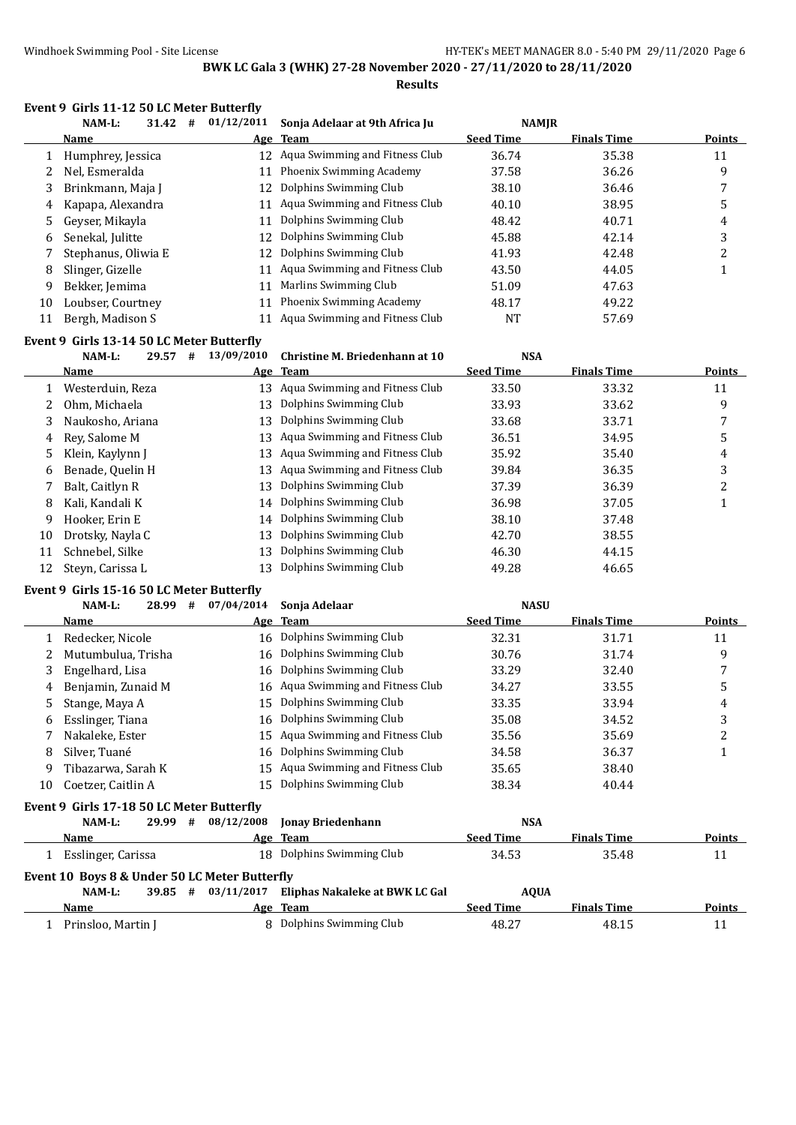**Results**

#### **Event 9 Girls 11-12 50 LC Meter Butterfly**

|    | NAM-L:<br>31.42<br># | 01/12/2011 | Sonja Adelaar at 9th Africa Ju    | <b>NAMJR</b>     |                    |               |
|----|----------------------|------------|-----------------------------------|------------------|--------------------|---------------|
|    | <b>Name</b>          |            | Age Team                          | <b>Seed Time</b> | <b>Finals Time</b> | <b>Points</b> |
|    | Humphrey, Jessica    |            | 12 Agua Swimming and Fitness Club | 36.74            | 35.38              | 11            |
|    | Nel, Esmeralda       | 11         | Phoenix Swimming Academy          | 37.58            | 36.26              | 9             |
| 3  | Brinkmann, Maja J    | 12         | Dolphins Swimming Club            | 38.10            | 36.46              | ┑             |
| 4  | Kapapa, Alexandra    | 11         | Aqua Swimming and Fitness Club    | 40.10            | 38.95              | 5             |
| 5. | Geyser, Mikayla      | 11         | Dolphins Swimming Club            | 48.42            | 40.71              | 4             |
| 6  | Senekal, Julitte     | 12.        | Dolphins Swimming Club            | 45.88            | 42.14              | 3             |
|    | Stephanus, Oliwia E  | 12         | Dolphins Swimming Club            | 41.93            | 42.48              |               |
| 8  | Slinger, Gizelle     | 11         | Aqua Swimming and Fitness Club    | 43.50            | 44.05              |               |
| 9  | Bekker, Jemima       | 11         | Marlins Swimming Club             | 51.09            | 47.63              |               |
| 10 | Loubser, Courtney    | 11         | Phoenix Swimming Academy          | 48.17            | 49.22              |               |
| 11 | Bergh, Madison S     |            | Aqua Swimming and Fitness Club    | NT               | 57.69              |               |

#### **Event 9 Girls 13-14 50 LC Meter Butterfly**

|    | $NAM-L$ :        | 29.57 | # | 13/09/2010 | Christine M. Briedenhann at 10 | <b>NSA</b>       |                    |               |
|----|------------------|-------|---|------------|--------------------------------|------------------|--------------------|---------------|
|    | <b>Name</b>      |       |   |            | Age Team                       | <b>Seed Time</b> | <b>Finals Time</b> | <b>Points</b> |
|    | Westerduin, Reza |       |   | 13         | Aqua Swimming and Fitness Club | 33.50            | 33.32              | 11            |
|    | Ohm, Michaela    |       |   | 13         | Dolphins Swimming Club         | 33.93            | 33.62              | 9             |
| 3. | Naukosho, Ariana |       |   | 13         | Dolphins Swimming Club         | 33.68            | 33.71              | 7             |
| 4  | Rev. Salome M    |       |   | 13         | Aqua Swimming and Fitness Club | 36.51            | 34.95              | 5             |
| 5. | Klein, Kaylynn J |       |   | 13         | Aqua Swimming and Fitness Club | 35.92            | 35.40              | 4             |
| 6  | Benade, Quelin H |       |   | 13         | Aqua Swimming and Fitness Club | 39.84            | 36.35              | 3             |
|    | Balt, Caitlyn R  |       |   | 13         | Dolphins Swimming Club         | 37.39            | 36.39              | າ             |
| 8  | Kali, Kandali K  |       |   | 14         | Dolphins Swimming Club         | 36.98            | 37.05              |               |
| 9. | Hooker, Erin E   |       |   | 14         | Dolphins Swimming Club         | 38.10            | 37.48              |               |
| 10 | Drotsky, Nayla C |       |   | 13         | Dolphins Swimming Club         | 42.70            | 38.55              |               |
| 11 | Schnebel, Silke  |       |   | 13         | Dolphins Swimming Club         | 46.30            | 44.15              |               |
|    | Steyn, Carissa L |       |   |            | Dolphins Swimming Club         | 49.28            | 46.65              |               |

#### **Event 9 Girls 15-16 50 LC Meter Butterfly**

|    | NAM-L:                                    | 28.99 | # | 07/04/2014 | Sonja Adelaar                     | <b>NASU</b>      |                    |        |
|----|-------------------------------------------|-------|---|------------|-----------------------------------|------------------|--------------------|--------|
|    | Name                                      |       |   |            | Age Team                          | <b>Seed Time</b> | <b>Finals Time</b> | Points |
|    | Redecker, Nicole                          |       |   |            | 16 Dolphins Swimming Club         | 32.31            | 31.71              | 11     |
|    | Mutumbulua, Trisha                        |       |   |            | 16 Dolphins Swimming Club         | 30.76            | 31.74              | 9      |
| 3  | Engelhard, Lisa                           |       |   |            | 16 Dolphins Swimming Club         | 33.29            | 32.40              | 7      |
| 4  | Benjamin, Zunaid M                        |       |   |            | 16 Aqua Swimming and Fitness Club | 34.27            | 33.55              | 5      |
| 5. | Stange, Maya A                            |       |   | 15         | Dolphins Swimming Club            | 33.35            | 33.94              | 4      |
| 6  | Esslinger, Tiana                          |       |   |            | 16 Dolphins Swimming Club         | 35.08            | 34.52              | 3      |
|    | Nakaleke, Ester                           |       |   |            | 15 Agua Swimming and Fitness Club | 35.56            | 35.69              | 2      |
| 8  | Silver, Tuané                             |       |   |            | 16 Dolphins Swimming Club         | 34.58            | 36.37              |        |
| 9  | Tibazarwa, Sarah K                        |       |   |            | 15 Agua Swimming and Fitness Club | 35.65            | 38.40              |        |
| 10 | Coetzer, Caitlin A                        |       |   | 15.        | Dolphins Swimming Club            | 38.34            | 40.44              |        |
|    | Event 9 Girls 17-18 50 LC Meter Butterfly |       |   |            |                                   |                  |                    |        |
|    | NAM-L:                                    | 29.99 | # | 08/12/2008 | <b>Jonay Briedenhann</b>          | <b>NSA</b>       |                    |        |

|                                               |            |                                | .                |                    |               |  |  |  |  |
|-----------------------------------------------|------------|--------------------------------|------------------|--------------------|---------------|--|--|--|--|
| Name                                          |            | Age Team                       | <b>Seed Time</b> | <b>Finals Time</b> | <b>Points</b> |  |  |  |  |
| Esslinger, Carissa                            |            | 18 Dolphins Swimming Club      | 34.53            | 35.48              | 11            |  |  |  |  |
| Event 10 Boys 8 & Under 50 LC Meter Butterfly |            |                                |                  |                    |               |  |  |  |  |
| #<br>39.85<br>NAM-L:                          | 03/11/2017 | Eliphas Nakaleke at BWK LC Gal | <b>AOUA</b>      |                    |               |  |  |  |  |
| Name                                          |            | Age Team                       | <b>Seed Time</b> | <b>Finals Time</b> | <b>Points</b> |  |  |  |  |
| Prinsloo, Martin J                            |            | 8 Dolphins Swimming Club       | 48.27            | 48.15              |               |  |  |  |  |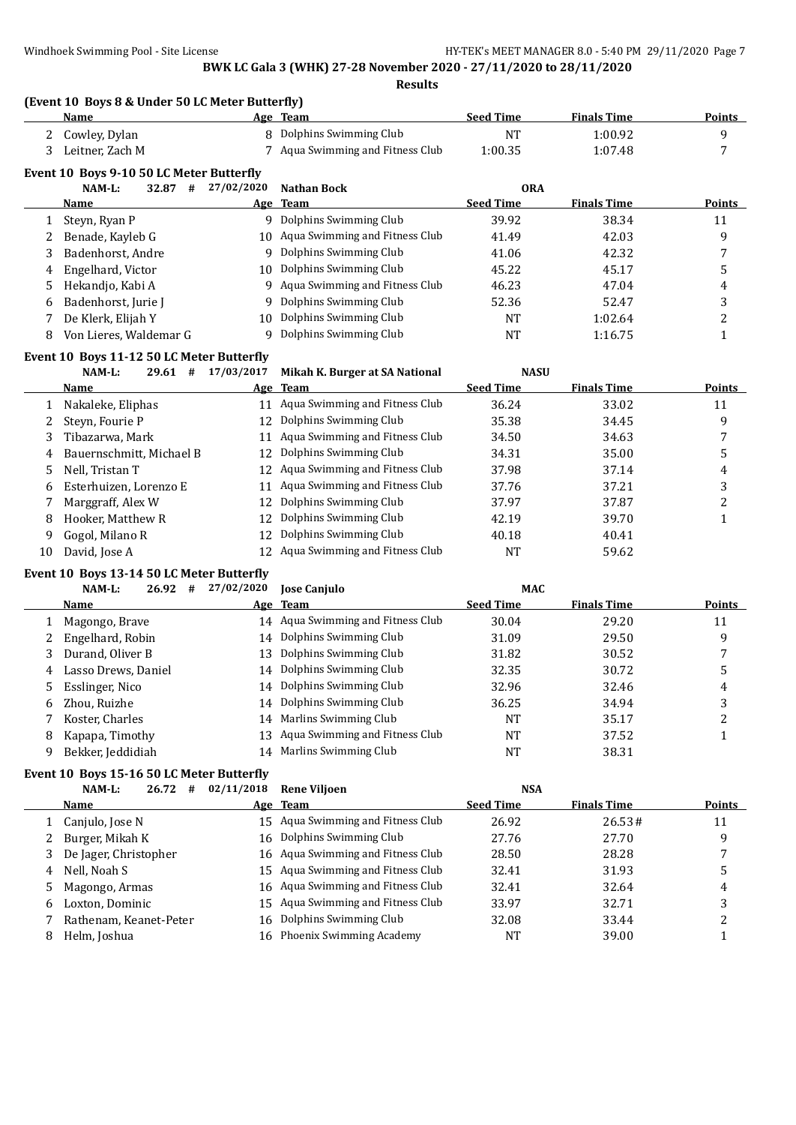**Results**

#### **(Event 10 Boys 8 & Under 50 LC Meter Butterfly)**

|              | Name                                      |            | Age Team                          | <b>Seed Time</b> | <b>Finals Time</b> | <b>Points</b>  |  |  |  |  |
|--------------|-------------------------------------------|------------|-----------------------------------|------------------|--------------------|----------------|--|--|--|--|
| 2            | Cowley, Dylan                             |            | 8 Dolphins Swimming Club          | NT               | 1:00.92            | 9              |  |  |  |  |
| 3            | Leitner, Zach M                           |            | 7 Aqua Swimming and Fitness Club  | 1:00.35          | 1:07.48            |                |  |  |  |  |
|              | Event 10 Boys 9-10 50 LC Meter Butterfly  |            |                                   |                  |                    |                |  |  |  |  |
|              | NAM-L:<br>32.87<br>#                      | 27/02/2020 | Nathan Bock                       | <b>ORA</b>       |                    |                |  |  |  |  |
|              | Name                                      |            | Age Team                          | <b>Seed Time</b> | <b>Finals Time</b> | <b>Points</b>  |  |  |  |  |
| $\mathbf{1}$ | Steyn, Ryan P                             |            | 9 Dolphins Swimming Club          | 39.92            | 38.34              | 11             |  |  |  |  |
|              | Benade, Kayleb G                          |            | 10 Aqua Swimming and Fitness Club | 41.49            | 42.03              | 9              |  |  |  |  |
| 3.           | Badenhorst, Andre                         |            | 9 Dolphins Swimming Club          | 41.06            | 42.32              |                |  |  |  |  |
| 4            | Engelhard, Victor                         | 10         | Dolphins Swimming Club            | 45.22            | 45.17              | 5              |  |  |  |  |
| 5.           | Hekandjo, Kabi A                          |            | 9 Aqua Swimming and Fitness Club  | 46.23            | 47.04              | 4              |  |  |  |  |
| 6.           | Badenhorst, Jurie J                       | 9          | Dolphins Swimming Club            | 52.36            | 52.47              | 3              |  |  |  |  |
|              | De Klerk, Elijah Y                        | 10         | Dolphins Swimming Club            | <b>NT</b>        | 1:02.64            | $\overline{c}$ |  |  |  |  |
| 8            | Von Lieres, Waldemar G                    | q          | Dolphins Swimming Club            | NT               | 1:16.75            |                |  |  |  |  |
|              | Event 10 Boys 11-12 50 LC Meter Butterfly |            |                                   |                  |                    |                |  |  |  |  |

|              | $NAM-L$ :<br>29.61<br>#    | 17/03/2017 | Mikah K. Burger at SA National    | <b>NASU</b>      |                    |        |
|--------------|----------------------------|------------|-----------------------------------|------------------|--------------------|--------|
|              | <b>Name</b>                |            | Age Team                          | <b>Seed Time</b> | <b>Finals Time</b> | Points |
|              | Nakaleke, Eliphas          |            | 11 Aqua Swimming and Fitness Club | 36.24            | 33.02              | 11     |
| $\mathbf{Z}$ | Steyn, Fourie P            | 12         | Dolphins Swimming Club            | 35.38            | 34.45              | 9      |
| 3            | Tibazarwa, Mark            |            | 11 Aqua Swimming and Fitness Club | 34.50            | 34.63              |        |
|              | 4 Bauernschmitt, Michael B |            | 12 Dolphins Swimming Club         | 34.31            | 35.00              |        |
| 5.           | Nell. Tristan T            |            | 12 Agua Swimming and Fitness Club | 37.98            | 37.14              | 4      |
| 6.           | Esterhuizen, Lorenzo E     |            | 11 Aqua Swimming and Fitness Club | 37.76            | 37.21              | 3      |
|              | Marggraff, Alex W          |            | 12 Dolphins Swimming Club         | 37.97            | 37.87              | っ      |
| 8            | Hooker, Matthew R          | 12         | Dolphins Swimming Club            | 42.19            | 39.70              |        |
| 9.           | Gogol, Milano R            | 12         | Dolphins Swimming Club            | 40.18            | 40.41              |        |
| 10           | David, Jose A              |            | 12 Agua Swimming and Fitness Club | NT               | 59.62              |        |
|              |                            |            |                                   |                  |                    |        |

# **Event 10 Boys 13-14 50 LC Meter Butterfly**<br>
NAM-1: 26.92  $\#$  27/02/2020

|   | NAM-L:<br>26.92       | # | 27/02/2020 | <b>Iose Caniulo</b>               | <b>MAC</b>       |                    |               |
|---|-----------------------|---|------------|-----------------------------------|------------------|--------------------|---------------|
|   | Name                  |   |            | Age Team                          | <b>Seed Time</b> | <b>Finals Time</b> | <b>Points</b> |
|   | 1 Magongo, Brave      |   |            | 14 Aqua Swimming and Fitness Club | 30.04            | 29.20              | 11            |
|   | 2 Engelhard, Robin    |   |            | 14 Dolphins Swimming Club         | 31.09            | 29.50              | 9             |
|   | 3 Durand, Oliver B    |   |            | 13 Dolphins Swimming Club         | 31.82            | 30.52              |               |
|   | 4 Lasso Drews, Daniel |   |            | 14 Dolphins Swimming Club         | 32.35            | 30.72              | 5             |
|   | 5 Esslinger, Nico     |   |            | 14 Dolphins Swimming Club         | 32.96            | 32.46              | 4             |
|   | 6 Zhou, Ruizhe        |   |            | 14 Dolphins Swimming Club         | 36.25            | 34.94              |               |
|   | Koster, Charles       |   | 14         | Marlins Swimming Club             | NT               | 35.17              |               |
| 8 | Kapapa, Timothy       |   |            | 13 Agua Swimming and Fitness Club | NT               | 37.52              |               |
| 9 | Bekker, Jeddidiah     |   | 14         | Marlins Swimming Club             | NT               | 38.31              |               |

# **Event 10 Boys 15-16 50 LC Meter Butterfly**<br>MAM-1:  $26.72 + 02/11/2018$

|   | NAM-L:<br>26.72<br>#   | 02/11/2018 | <b>Rene Vilioen</b>               | <b>NSA</b>       |                    |        |
|---|------------------------|------------|-----------------------------------|------------------|--------------------|--------|
|   | <b>Name</b>            |            | Age Team                          | <b>Seed Time</b> | <b>Finals Time</b> | Points |
|   | 1 Canjulo, Jose N      |            | 15 Agua Swimming and Fitness Club | 26.92            | 26.53#             | 11     |
|   | 2 Burger, Mikah K      |            | 16 Dolphins Swimming Club         | 27.76            | 27.70              | 9      |
|   | De Jager, Christopher  |            | 16 Aqua Swimming and Fitness Club | 28.50            | 28.28              |        |
| 4 | Nell, Noah S           |            | 15 Aqua Swimming and Fitness Club | 32.41            | 31.93              |        |
| 5 | Magongo, Armas         |            | 16 Aqua Swimming and Fitness Club | 32.41            | 32.64              | 4      |
| 6 | Loxton, Dominic        |            | 15 Aqua Swimming and Fitness Club | 33.97            | 32.71              |        |
|   | Rathenam, Keanet-Peter |            | 16 Dolphins Swimming Club         | 32.08            | 33.44              |        |
| 8 | Helm, Joshua           | 16         | <b>Phoenix Swimming Academy</b>   | NΤ               | 39.00              |        |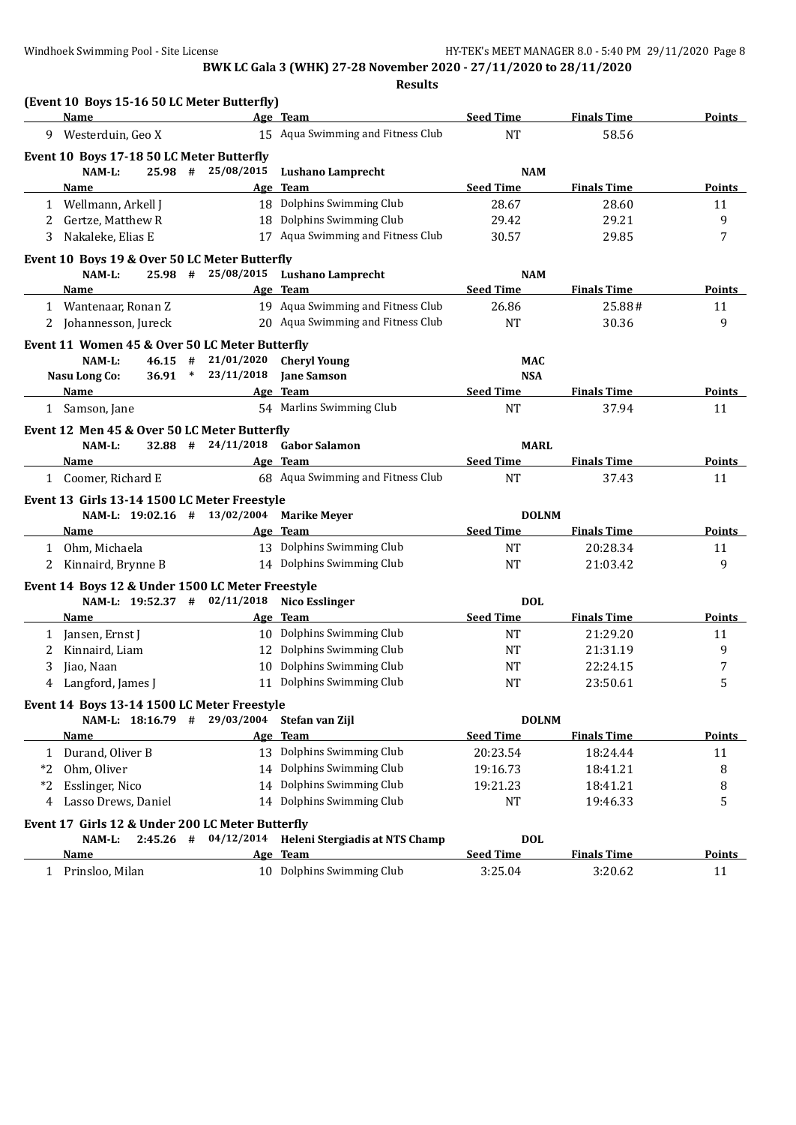|              | (Event 10 Boys 15-16 50 LC Meter Butterfly)      |            |                                           |                  |                    |               |
|--------------|--------------------------------------------------|------------|-------------------------------------------|------------------|--------------------|---------------|
|              | Name                                             |            | Age Team                                  | <b>Seed Time</b> | <b>Finals Time</b> | Points        |
| 9            | Westerduin, Geo X                                |            | 15 Aqua Swimming and Fitness Club         | <b>NT</b>        | 58.56              |               |
|              | Event 10 Boys 17-18 50 LC Meter Butterfly        |            |                                           |                  |                    |               |
|              | NAM-L:<br>$25.98$ #                              | 25/08/2015 | <b>Lushano Lamprecht</b>                  | <b>NAM</b>       |                    |               |
|              | Name                                             |            | Age Team                                  | <b>Seed Time</b> | <b>Finals Time</b> | <b>Points</b> |
|              | 1 Wellmann, Arkell J                             |            | 18 Dolphins Swimming Club                 | 28.67            | 28.60              | 11            |
| 2            | Gertze, Matthew R                                |            | 18 Dolphins Swimming Club                 | 29.42            | 29.21              | 9             |
| 3            | Nakaleke, Elias E                                |            | 17 Aqua Swimming and Fitness Club         | 30.57            | 29.85              | 7             |
|              | Event 10 Boys 19 & Over 50 LC Meter Butterfly    |            |                                           |                  |                    |               |
|              | NAM-L:<br>$25.98$ #                              | 25/08/2015 | <b>Lushano Lamprecht</b>                  | <b>NAM</b>       |                    |               |
|              | Name                                             |            | Age Team                                  | <b>Seed Time</b> | <b>Finals Time</b> | <b>Points</b> |
|              | 1 Wantenaar, Ronan Z                             |            | 19 Aqua Swimming and Fitness Club         | 26.86            | 25.88#             | 11            |
|              | 2 Johannesson, Jureck                            |            | 20 Aqua Swimming and Fitness Club         | NT               | 30.36              | 9             |
|              | Event 11 Women 45 & Over 50 LC Meter Butterfly   |            |                                           |                  |                    |               |
|              | NAM-L:<br>$46.15$ #                              | 21/01/2020 | <b>Cheryl Young</b>                       | <b>MAC</b>       |                    |               |
|              | $36.91$ *<br>Nasu Long Co:                       | 23/11/2018 | <b>Jane Samson</b>                        | <b>NSA</b>       |                    |               |
|              | Name                                             |            | Age Team                                  | <b>Seed Time</b> | <b>Finals Time</b> | Points        |
|              | 1 Samson, Jane                                   |            | 54 Marlins Swimming Club                  | <b>NT</b>        | 37.94              | 11            |
|              | Event 12 Men 45 & Over 50 LC Meter Butterfly     |            |                                           |                  |                    |               |
|              | $32.88$ #<br>NAM-L:                              | 24/11/2018 | <b>Gabor Salamon</b>                      | <b>MARL</b>      |                    |               |
|              | Name                                             |            | Age Team                                  | <b>Seed Time</b> | <b>Finals Time</b> | Points        |
|              | 1 Coomer, Richard E                              |            | 68 Aqua Swimming and Fitness Club         | <b>NT</b>        | 37.43              | 11            |
|              |                                                  |            |                                           |                  |                    |               |
|              | Event 13 Girls 13-14 1500 LC Meter Freestyle     |            |                                           |                  |                    |               |
|              | NAM-L: 19:02.16 # 13/02/2004                     |            | <b>Marike Meyer</b>                       | <b>DOLNM</b>     |                    |               |
|              | Name                                             |            | Age Team                                  | <b>Seed Time</b> | <b>Finals Time</b> | <b>Points</b> |
|              | 1 Ohm, Michaela                                  |            | 13 Dolphins Swimming Club                 | <b>NT</b>        | 20:28.34           | 11            |
| 2            | Kinnaird, Brynne B                               |            | 14 Dolphins Swimming Club                 | <b>NT</b>        | 21:03.42           | 9             |
|              | Event 14 Boys 12 & Under 1500 LC Meter Freestyle |            |                                           |                  |                    |               |
|              | NAM-L: 19:52.37 # 02/11/2018                     |            | <b>Nico Esslinger</b>                     | <b>DOL</b>       |                    |               |
|              | Name                                             |            | Age Team                                  | <b>Seed Time</b> | <b>Finals Time</b> | Points        |
| 1            | Jansen, Ernst J                                  |            | 10 Dolphins Swimming Club                 | <b>NT</b>        | 21:29.20           | 11            |
| 2            | Kinnaird, Liam                                   |            | 12 Dolphins Swimming Club                 | NT               | 21:31.19           | 9             |
| 3            | Jiao, Naan                                       | 10         | Dolphins Swimming Club                    | NT               | 22:24.15           | 7             |
| 4            | Langford, James J                                |            | 11 Dolphins Swimming Club                 | NT               | 23:50.61           | 5             |
|              | Event 14 Boys 13-14 1500 LC Meter Freestyle      |            |                                           |                  |                    |               |
|              | NAM-L: 18:16.79 #                                | 29/03/2004 | Stefan van Zijl                           | <b>DOLNM</b>     |                    |               |
|              | <b>Name</b>                                      |            | Age Team                                  | <b>Seed Time</b> | <b>Finals Time</b> | <b>Points</b> |
| $\mathbf{1}$ | Durand, Oliver B                                 |            | 13 Dolphins Swimming Club                 | 20:23.54         | 18:24.44           | 11            |
| *2           | Ohm, Oliver                                      |            | 14 Dolphins Swimming Club                 | 19:16.73         | 18:41.21           | 8             |
| $*2$         | Esslinger, Nico                                  |            | 14 Dolphins Swimming Club                 | 19:21.23         | 18:41.21           | 8             |
| 4            | Lasso Drews, Daniel                              |            | 14 Dolphins Swimming Club                 | NT               | 19:46.33           | 5             |
|              | Event 17 Girls 12 & Under 200 LC Meter Butterfly |            |                                           |                  |                    |               |
|              | NAM-L:<br>$2:45.26$ #                            |            | 04/12/2014 Heleni Stergiadis at NTS Champ | <b>DOL</b>       |                    |               |
|              | <u>Name</u>                                      |            | Age Team                                  | <b>Seed Time</b> | <b>Finals Time</b> | <b>Points</b> |
| $\mathbf{1}$ | Prinsloo, Milan                                  |            | 10 Dolphins Swimming Club                 | 3:25.04          | 3:20.62            |               |
|              |                                                  |            |                                           |                  |                    | 11            |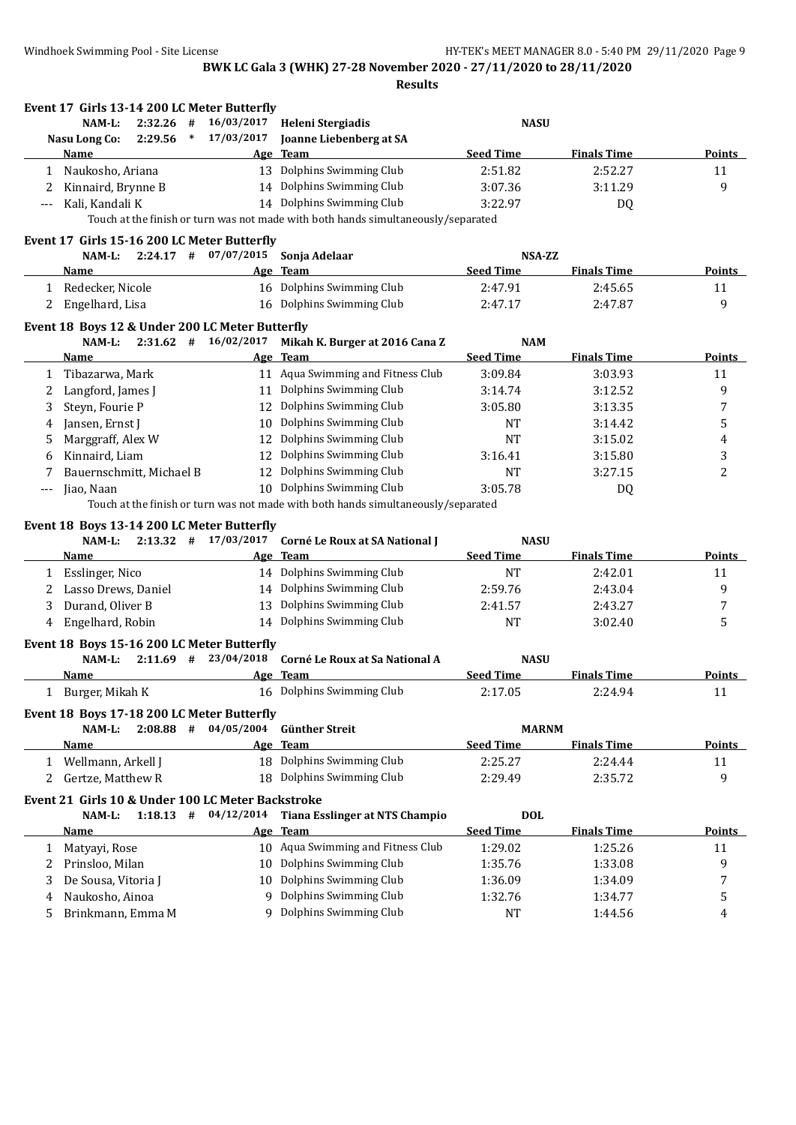|              | Event 17 Girls 13-14 200 LC Meter Butterfly<br>NAM-L:<br>2:32.26<br># | 16/03/2017 | Heleni Stergiadis                                                                 | <b>NASU</b>                    |                    |                         |
|--------------|-----------------------------------------------------------------------|------------|-----------------------------------------------------------------------------------|--------------------------------|--------------------|-------------------------|
|              | 2:29.56<br>$\ast$<br>Nasu Long Co:                                    | 17/03/2017 | Joanne Liebenberg at SA                                                           |                                |                    |                         |
|              | Name                                                                  | Age        | <b>Team</b>                                                                       | <b>Seed Time</b>               | <b>Finals Time</b> | Points                  |
| 1            | Naukosho, Ariana                                                      | 13         | Dolphins Swimming Club                                                            | 2:51.82                        | 2:52.27            | 11                      |
| 2            | Kinnaird, Brynne B                                                    |            | 14 Dolphins Swimming Club                                                         | 3:07.36                        | 3:11.29            | 9                       |
| ---          | Kali, Kandali K                                                       |            | 14 Dolphins Swimming Club                                                         | 3:22.97                        | DQ                 |                         |
|              |                                                                       |            | Touch at the finish or turn was not made with both hands simultaneously/separated |                                |                    |                         |
|              | Event 17 Girls 15-16 200 LC Meter Butterfly                           |            |                                                                                   |                                |                    |                         |
|              | $2:24.17$ #<br>$NAM-L$ :                                              | 07/07/2015 | Sonja Adelaar                                                                     | NSA-ZZ                         |                    |                         |
|              | Name                                                                  |            | Age Team                                                                          | <b>Seed Time</b>               | <b>Finals Time</b> | <b>Points</b>           |
|              | 1 Redecker, Nicole                                                    |            | 16 Dolphins Swimming Club                                                         | 2:47.91                        | 2:45.65            | 11                      |
| 2            | Engelhard, Lisa                                                       |            | 16 Dolphins Swimming Club                                                         | 2:47.17                        | 2:47.87            | 9                       |
|              |                                                                       |            |                                                                                   |                                |                    |                         |
|              | Event 18 Boys 12 & Under 200 LC Meter Butterfly                       |            |                                                                                   |                                |                    |                         |
|              | $2:31.62$ # $16/02/2017$<br>NAM-L:                                    |            | Mikah K. Burger at 2016 Cana Z                                                    | <b>NAM</b><br><b>Seed Time</b> | <b>Finals Time</b> | <b>Points</b>           |
|              | Name                                                                  |            | Age Team                                                                          |                                |                    |                         |
| $\mathbf{1}$ | Tibazarwa, Mark                                                       |            | 11 Aqua Swimming and Fitness Club<br>11 Dolphins Swimming Club                    | 3:09.84                        | 3:03.93            | 11                      |
| 2            | Langford, James J                                                     |            | 12 Dolphins Swimming Club                                                         | 3:14.74                        | 3:12.52            | 9                       |
| 3            | Steyn, Fourie P                                                       |            |                                                                                   | 3:05.80                        | 3:13.35            | 7                       |
| 4            | Jansen, Ernst J                                                       | 10         | Dolphins Swimming Club                                                            | <b>NT</b>                      | 3:14.42            | 5                       |
| 5            | Marggraff, Alex W                                                     | 12         | Dolphins Swimming Club                                                            | <b>NT</b>                      | 3:15.02            | 4                       |
| 6            | Kinnaird, Liam                                                        | 12         | Dolphins Swimming Club                                                            | 3:16.41                        | 3:15.80            | 3                       |
| 7            | Bauernschmitt, Michael B                                              | 12         | Dolphins Swimming Club                                                            | <b>NT</b>                      | 3:27.15            | 2                       |
| ---          | Jiao, Naan                                                            |            | 10 Dolphins Swimming Club                                                         | 3:05.78                        | DQ                 |                         |
|              |                                                                       |            | Touch at the finish or turn was not made with both hands simultaneously/separated |                                |                    |                         |
|              | Event 18 Boys 13-14 200 LC Meter Butterfly                            |            |                                                                                   |                                |                    |                         |
|              | $2:13.32$ # $17/03/2017$<br>NAM-L:                                    |            | Corné Le Roux at SA National J                                                    | <b>NASU</b>                    |                    |                         |
|              | Name                                                                  |            | Age Team                                                                          | <b>Seed Time</b>               | <b>Finals Time</b> | <b>Points</b>           |
| 1            | Esslinger, Nico                                                       |            | 14 Dolphins Swimming Club                                                         | <b>NT</b>                      | 2:42.01            | 11                      |
| 2            | Lasso Drews, Daniel                                                   | 14         | Dolphins Swimming Club                                                            | 2:59.76                        | 2:43.04            | 9                       |
| 3            | Durand, Oliver B                                                      | 13         | Dolphins Swimming Club                                                            | 2:41.57                        | 2:43.27            | 7                       |
| 4            | Engelhard, Robin                                                      |            | 14 Dolphins Swimming Club                                                         | <b>NT</b>                      | 3:02.40            | 5                       |
|              | Event 18 Boys 15-16 200 LC Meter Butterfly                            |            |                                                                                   |                                |                    |                         |
|              | $2:11.69$ #<br>NAM-L:                                                 | 23/04/2018 | Corné Le Roux at Sa National A                                                    | <b>NASU</b>                    |                    |                         |
|              | Name                                                                  |            | Age Team                                                                          | Seed Time                      | <b>Finals Time</b> | <b>Points</b>           |
|              | 1 Burger, Mikah K                                                     |            | 16 Dolphins Swimming Club                                                         | 2:17.05                        | 2:24.94            | 11                      |
|              | Event 18 Boys 17-18 200 LC Meter Butterfly                            |            |                                                                                   |                                |                    |                         |
|              | NAM-L:<br>2:08.88<br>#                                                | 04/05/2004 | <b>Günther Streit</b>                                                             | <b>MARNM</b>                   |                    |                         |
|              | Name                                                                  |            | Age Team                                                                          | <b>Seed Time</b>               | <b>Finals Time</b> | <b>Points</b>           |
|              | 1 Wellmann, Arkell J                                                  |            | 18 Dolphins Swimming Club                                                         | 2:25.27                        | 2:24.44            | 11                      |
| 2            | Gertze, Matthew R                                                     | 18         | Dolphins Swimming Club                                                            | 2:29.49                        | 2:35.72            | 9                       |
|              |                                                                       |            |                                                                                   |                                |                    |                         |
|              |                                                                       |            |                                                                                   |                                |                    |                         |
|              | Event 21 Girls 10 & Under 100 LC Meter Backstroke                     |            |                                                                                   |                                |                    |                         |
|              | NAM-L:<br>$1:18.13$ #                                                 | 04/12/2014 | Tiana Esslinger at NTS Champio                                                    | <b>DOL</b>                     |                    |                         |
|              | <b>Name</b>                                                           |            | Age Team                                                                          | <b>Seed Time</b>               | <b>Finals Time</b> |                         |
| $\mathbf{1}$ | Matyayi, Rose                                                         |            | 10 Aqua Swimming and Fitness Club                                                 | 1:29.02                        | 1:25.26            | 11                      |
| 2            | Prinsloo, Milan                                                       |            | 10 Dolphins Swimming Club                                                         | 1:35.76                        | 1:33.08            | 9                       |
| 3            | De Sousa, Vitoria J                                                   |            | 10 Dolphins Swimming Club                                                         | 1:36.09                        | 1:34.09            | 7                       |
| 4<br>5       | Naukosho, Ainoa<br>Brinkmann, Emma M                                  |            | 9 Dolphins Swimming Club<br>9 Dolphins Swimming Club                              | 1:32.76<br>NT                  | 1:34.77<br>1:44.56 | <b>Points</b><br>5<br>4 |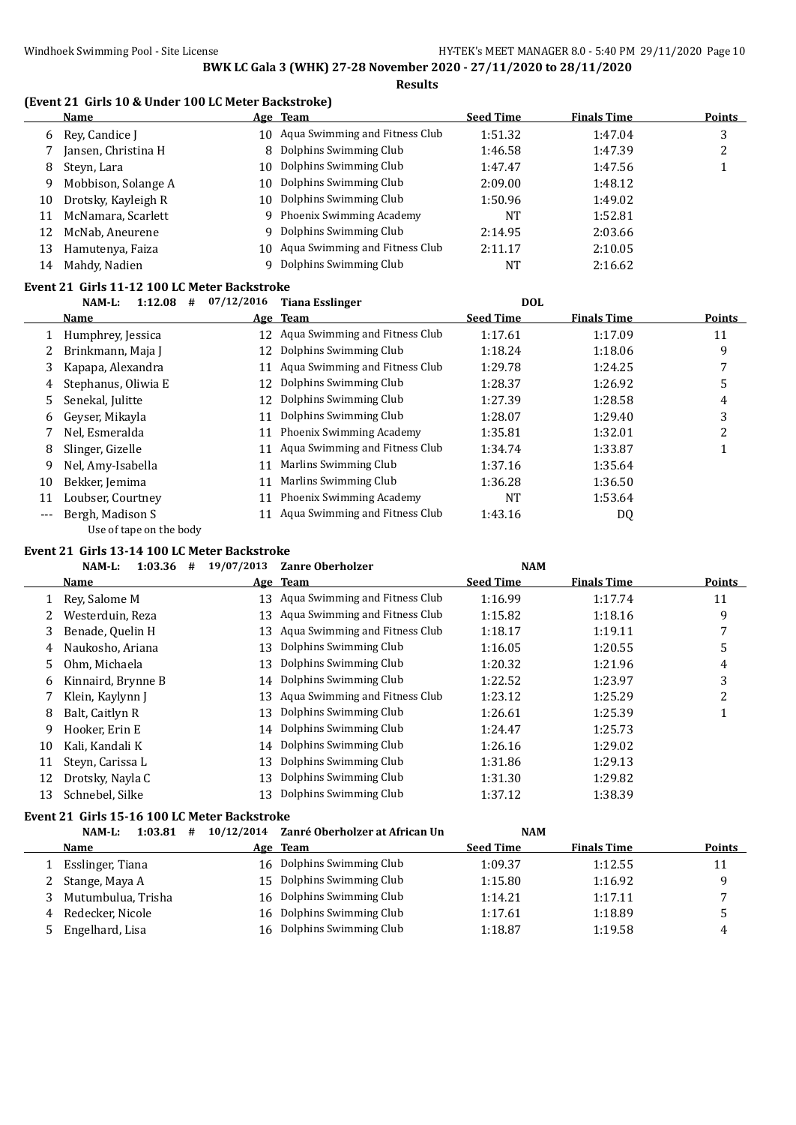#### **(Event 21 Girls 10 & Under 100 LC Meter Backstroke)**

|    | Name                |     | Age Team                          | <b>Seed Time</b> | <b>Finals Time</b> | <b>Points</b> |
|----|---------------------|-----|-----------------------------------|------------------|--------------------|---------------|
|    | 6 Rev. Candice I    |     | 10 Aqua Swimming and Fitness Club | 1:51.32          | 1:47.04            | 3             |
|    | Jansen, Christina H |     | 8 Dolphins Swimming Club          | 1:46.58          | 1:47.39            | ∠             |
| 8  | Steyn, Lara         | 10  | Dolphins Swimming Club            | 1:47.47          | 1:47.56            |               |
| 9  | Mobbison, Solange A |     | 10 Dolphins Swimming Club         | 2:09.00          | 1:48.12            |               |
| 10 | Drotsky, Kayleigh R | 10  | Dolphins Swimming Club            | 1:50.96          | 1:49.02            |               |
| 11 | McNamara, Scarlett  |     | 9 Phoenix Swimming Academy        | <b>NT</b>        | 1:52.81            |               |
| 12 | McNab, Aneurene     | Q.  | Dolphins Swimming Club            | 2:14.95          | 2:03.66            |               |
| 13 | Hamutenya, Faiza    | 10- | Aqua Swimming and Fitness Club    | 2:11.17          | 2:10.05            |               |
| 14 | Mahdy, Nadien       |     | Dolphins Swimming Club            | <b>NT</b>        | 2:16.62            |               |

#### **Event 21 Girls 11-12 100 LC Meter Backstroke**

|     | 1:12.08<br>NAM-L:<br># | 07/12/2016 | <b>Tiana Esslinger</b>            | <b>DOL</b>       |                    |               |
|-----|------------------------|------------|-----------------------------------|------------------|--------------------|---------------|
|     | Name                   |            | Age Team                          | <b>Seed Time</b> | <b>Finals Time</b> | <b>Points</b> |
|     | Humphrey, Jessica      |            | 12 Aqua Swimming and Fitness Club | 1:17.61          | 1:17.09            | 11            |
|     | Brinkmann, Maja J      | 12         | Dolphins Swimming Club            | 1:18.24          | 1:18.06            | 9             |
|     | Kapapa, Alexandra      | 11         | Aqua Swimming and Fitness Club    | 1:29.78          | 1:24.25            |               |
| 4   | Stephanus, Oliwia E    | 12         | Dolphins Swimming Club            | 1:28.37          | 1:26.92            | 5             |
| 5.  | Senekal, Julitte       | 12         | Dolphins Swimming Club            | 1:27.39          | 1:28.58            | 4             |
| 6   | Gevser, Mikavla        | 11         | Dolphins Swimming Club            | 1:28.07          | 1:29.40            | 3             |
|     | Nel, Esmeralda         | 11         | Phoenix Swimming Academy          | 1:35.81          | 1:32.01            | ำ             |
| 8   | Slinger, Gizelle       | 11         | Aqua Swimming and Fitness Club    | 1:34.74          | 1:33.87            |               |
| 9   | Nel, Amy-Isabella      | 11         | Marlins Swimming Club             | 1:37.16          | 1:35.64            |               |
| 10  | Bekker, Jemima         | 11         | Marlins Swimming Club             | 1:36.28          | 1:36.50            |               |
| 11  | Loubser, Courtney      | 11         | Phoenix Swimming Academy          | NT               | 1:53.64            |               |
| --- | Bergh, Madison S       | 11         | Aqua Swimming and Fitness Club    | 1:43.16          | DQ                 |               |

Use of tape on the body

#### **Event 21 Girls 13-14 100 LC Meter Backstroke**

|    | NAM-L:<br>1:03.36<br># | 19/07/2013 | <b>Zanre Oberholzer</b>        | <b>NAM</b>       |                    |               |
|----|------------------------|------------|--------------------------------|------------------|--------------------|---------------|
|    | Name                   |            | Age Team                       | <b>Seed Time</b> | <b>Finals Time</b> | <b>Points</b> |
|    | Rev. Salome M          | 13         | Aqua Swimming and Fitness Club | 1:16.99          | 1:17.74            | 11            |
|    | Westerduin, Reza       | 13         | Aqua Swimming and Fitness Club | 1:15.82          | 1:18.16            | 9             |
| 3  | Benade, Quelin H       | 13         | Aqua Swimming and Fitness Club | 1:18.17          | 1:19.11            | 7             |
| 4  | Naukosho, Ariana       | 13         | Dolphins Swimming Club         | 1:16.05          | 1:20.55            | 5             |
| 5. | Ohm, Michaela          | 13         | Dolphins Swimming Club         | 1:20.32          | 1:21.96            | 4             |
| 6  | Kinnaird, Brynne B     | 14         | Dolphins Swimming Club         | 1:22.52          | 1:23.97            | 3             |
|    | Klein, Kaylynn J       | 13         | Aqua Swimming and Fitness Club | 1:23.12          | 1:25.29            | 2             |
| 8  | Balt, Caitlyn R        | 13         | Dolphins Swimming Club         | 1:26.61          | 1:25.39            |               |
| 9  | Hooker, Erin E         |            | 14 Dolphins Swimming Club      | 1:24.47          | 1:25.73            |               |
| 10 | Kali, Kandali K        | 14         | Dolphins Swimming Club         | 1:26.16          | 1:29.02            |               |
| 11 | Steyn, Carissa L       | 13         | Dolphins Swimming Club         | 1:31.86          | 1:29.13            |               |
| 12 | Drotsky, Nayla C       | 13         | Dolphins Swimming Club         | 1:31.30          | 1:29.82            |               |
| 13 | Schnebel, Silke        | 13         | Dolphins Swimming Club         | 1:37.12          | 1:38.39            |               |

### **Event 21 Girls 15-16 100 LC Meter Backstroke**

|    | NAM-L:<br>#<br>1:03.81 | 10/12/2014 Zanré Oberholzer at African Un | <b>NAM</b>       |                    |               |
|----|------------------------|-------------------------------------------|------------------|--------------------|---------------|
|    | Name                   | Age Team                                  | <b>Seed Time</b> | <b>Finals Time</b> | <b>Points</b> |
|    | Esslinger, Tiana       | 16 Dolphins Swimming Club                 | 1:09.37          | 1:12.55            | 11            |
|    | Stange, Maya A         | 15 Dolphins Swimming Club                 | 1:15.80          | 1:16.92            |               |
|    | Mutumbulua, Trisha     | 16 Dolphins Swimming Club                 | 1:14.21          | 1:17.11            |               |
| 4  | Redecker, Nicole       | 16 Dolphins Swimming Club                 | 1:17.61          | 1:18.89            |               |
| 5. | Engelhard, Lisa        | 16 Dolphins Swimming Club                 | 1:18.87          | 1:19.58            | 4             |
|    |                        |                                           |                  |                    |               |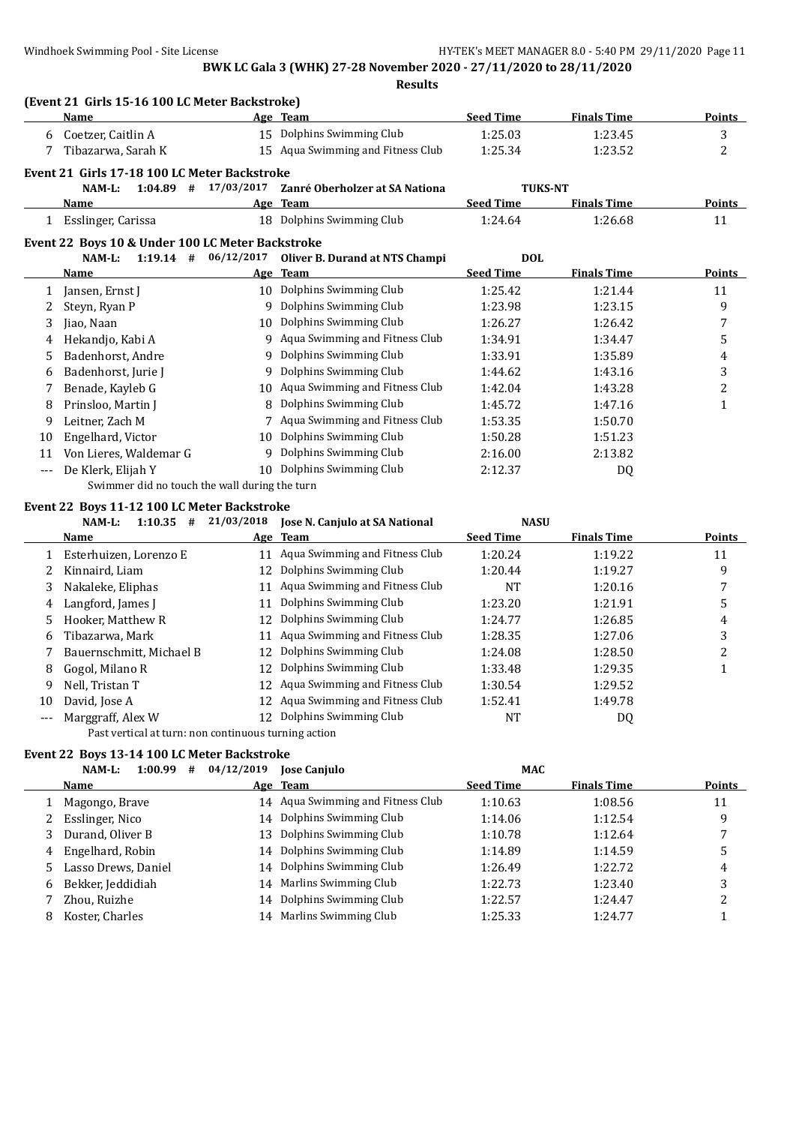**(Event 21 Girls 15-16 100 LC Meter Backstroke) Name Age Team Seed Time Finals Time Points** 6 Coetzer, Caitlin A 15 Dolphins Swimming Club 1:25.03 1:23.45 3 7 Tibazarwa, Sarah K 15 Aqua Swimming and Fitness Club 1:25.34 1:23.52 2 **Event 21 Girls 17-18 100 LC Meter Backstroke NAM-L: 1:04.89 # 17/03/2017 Zanré Oberholzer at SA Nationa TUKS-NT Name Age Team Seed Time Finals Time Points** 1 Esslinger, Carissa 18 Dolphins Swimming Club 1:24.64 1:26.68 11 **Event 22 Boys 10 & Under 100 LC Meter Backstroke NAM-L: 1:19.14 # 06/12/2017 Oliver B. Durand at NTS Champi DOL Name Age Team Seed Time Finals Time Points** 1 Jansen, Ernst J 10 Dolphins Swimming Club 1:25.42 1:21.44 11 2 Steyn, Ryan P 9 Dolphins Swimming Club 1:23.98 1:23.15 9 3 Jiao, Naan 10 Dolphins Swimming Club 1:26.27 1:26.42 7 4 Hekandjo, Kabi A 9 Aqua Swimming and Fitness Club 1:34.91 1:34.47 5 5 Badenhorst, Andre 9 Dolphins Swimming Club 1:33.91 1:35.89 4 6 Badenhorst, Jurie J 9 Dolphins Swimming Club 1:44.62 1:43.16 3 7 Benade, Kayleb G 10 Aqua Swimming and Fitness Club 1:42.04 1:43.28 2 8 Prinsloo, Martin J 8 Dolphins Swimming Club 1:45.72 1:47.16 1 9 Leitner, Zach M 7 Aqua Swimming and Fitness Club 1:53.35 1:50.70 10 Engelhard, Victor 10 Dolphins Swimming Club 1:50.28 1:51.23 11 Von Lieres, Waldemar G 9 Dolphins Swimming Club 2:16.00 2:13.82 --- De Klerk, Elijah Y 10 Dolphins Swimming Club 2:12.37 DQ Swimmer did no touch the wall during the turn **Event 22 Boys 11-12 100 LC Meter Backstroke NAM-L: 1:10.35 # 21/03/2018 Jose N. Canjulo at SA National NASU**

|     |                          | $\cdots$ | Tope In Gampaio at Difficultura   | .                |                    |        |
|-----|--------------------------|----------|-----------------------------------|------------------|--------------------|--------|
|     | Name                     |          | Age Team                          | <b>Seed Time</b> | <b>Finals Time</b> | Points |
|     | Esterhuizen, Lorenzo E   |          | 11 Agua Swimming and Fitness Club | 1:20.24          | 1:19.22            | 11     |
|     | Kinnaird, Liam           | 12       | Dolphins Swimming Club            | 1:20.44          | 1:19.27            | 9      |
| 3   | Nakaleke, Eliphas        |          | 11 Aqua Swimming and Fitness Club | NT               | 1:20.16            |        |
| 4   | Langford, James J        | 11       | Dolphins Swimming Club            | 1:23.20          | 1:21.91            | 5      |
| 5.  | Hooker, Matthew R        |          | 12 Dolphins Swimming Club         | 1:24.77          | 1:26.85            | 4      |
| 6   | Tibazarwa, Mark          | 11       | Aqua Swimming and Fitness Club    | 1:28.35          | 1:27.06            |        |
|     | Bauernschmitt, Michael B |          | 12 Dolphins Swimming Club         | 1:24.08          | 1:28.50            |        |
| 8   | Gogol, Milano R          | 12.      | Dolphins Swimming Club            | 1:33.48          | 1:29.35            |        |
| 9.  | Nell, Tristan T          | 12       | Aqua Swimming and Fitness Club    | 1:30.54          | 1:29.52            |        |
| 10  | David, Jose A            | 12.      | Aqua Swimming and Fitness Club    | 1:52.41          | 1:49.78            |        |
| --- | Marggraff, Alex W        |          | Dolphins Swimming Club            | NT               | DQ                 |        |

Past vertical at turn: non continuous turning action

#### **Event 22 Boys 13-14 100 LC Meter Backstroke**

| 1:00.99<br>NAM-L:<br>#    | 04/12/2019 | <b>Jose Canjulo</b>               | <b>MAC</b>       |                    |               |
|---------------------------|------------|-----------------------------------|------------------|--------------------|---------------|
| Name                      |            | Age Team                          | <b>Seed Time</b> | <b>Finals Time</b> | <b>Points</b> |
| Magongo, Brave            |            | 14 Aqua Swimming and Fitness Club | 1:10.63          | 1:08.56            | 11            |
| Esslinger, Nico           |            | 14 Dolphins Swimming Club         | 1:14.06          | 1:12.54            | 9             |
| Durand, Oliver B          | 13         | Dolphins Swimming Club            | 1:10.78          | 1:12.64            |               |
| Engelhard, Robin<br>4     |            | 14 Dolphins Swimming Club         | 1:14.89          | 1:14.59            |               |
| Lasso Drews, Daniel<br>5. |            | 14 Dolphins Swimming Club         | 1:26.49          | 1:22.72            | 4             |
| Bekker, Jeddidiah<br>6    | 14         | Marlins Swimming Club             | 1:22.73          | 1:23.40            | 3             |
| Zhou, Ruizhe              | 14         | Dolphins Swimming Club            | 1:22.57          | 1:24.47            | າ             |
| Koster, Charles<br>8      |            | 14 Marlins Swimming Club          | 1:25.33          | 1:24.77            |               |
|                           |            |                                   |                  |                    |               |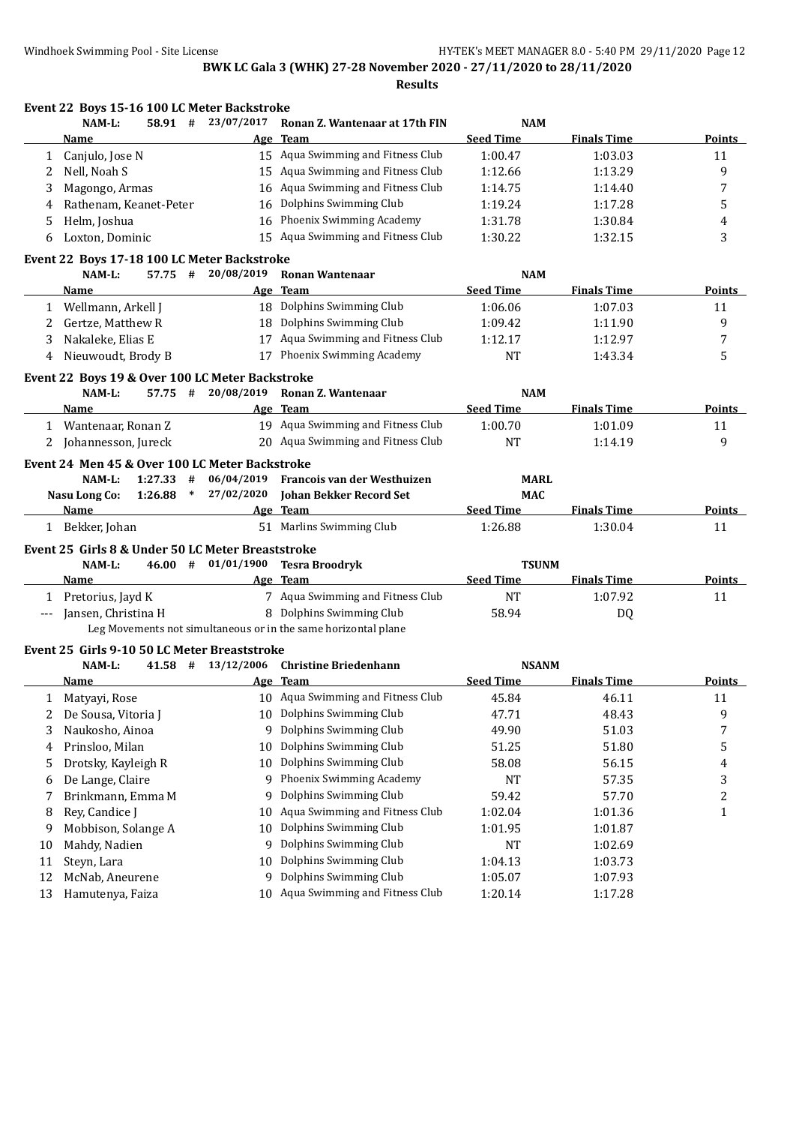|                      | Event 22 Boys 15-16 100 LC Meter Backstroke<br>NAM-L:<br>58.91 # | 23/07/2017             | Ronan Z. Wantenaar at 17th FIN                                 | <b>NAM</b>       |                    |               |
|----------------------|------------------------------------------------------------------|------------------------|----------------------------------------------------------------|------------------|--------------------|---------------|
|                      | Name                                                             |                        | Age Team                                                       | <b>Seed Time</b> | <b>Finals Time</b> | Points        |
|                      |                                                                  |                        | 15 Aqua Swimming and Fitness Club                              | 1:00.47          | 1:03.03            | 11            |
| 1<br>2               | Canjulo, Jose N<br>Nell, Noah S                                  |                        | 15 Aqua Swimming and Fitness Club                              | 1:12.66          | 1:13.29            | 9             |
|                      | Magongo, Armas                                                   |                        | 16 Aqua Swimming and Fitness Club                              | 1:14.75          | 1:14.40            | 7             |
| 3<br>4               | Rathenam, Keanet-Peter                                           | 16                     | Dolphins Swimming Club                                         | 1:19.24          | 1:17.28            | 5             |
| 5                    | Helm, Joshua                                                     | 16                     | Phoenix Swimming Academy                                       | 1:31.78          | 1:30.84            |               |
|                      |                                                                  |                        | 15 Aqua Swimming and Fitness Club                              |                  |                    | 4             |
| 6                    | Loxton, Dominic                                                  |                        |                                                                | 1:30.22          | 1:32.15            | 3             |
|                      | Event 22 Boys 17-18 100 LC Meter Backstroke<br>NAM-L:<br>57.75 # | 20/08/2019             | <b>Ronan Wantenaar</b>                                         | <b>NAM</b>       |                    |               |
|                      | Name                                                             |                        | Age Team                                                       | <b>Seed Time</b> | <b>Finals Time</b> | <b>Points</b> |
| 1                    | Wellmann, Arkell J                                               |                        | 18 Dolphins Swimming Club                                      | 1:06.06          | 1:07.03            | 11            |
| 2                    | Gertze, Matthew R                                                |                        | 18 Dolphins Swimming Club                                      | 1:09.42          | 1:11.90            | 9             |
| 3                    | Nakaleke, Elias E                                                |                        | 17 Aqua Swimming and Fitness Club                              | 1:12.17          | 1:12.97            | 7             |
| 4                    | Nieuwoudt, Brody B                                               |                        | 17 Phoenix Swimming Academy                                    | <b>NT</b>        | 1:43.34            | 5             |
|                      |                                                                  |                        |                                                                |                  |                    |               |
|                      | Event 22 Boys 19 & Over 100 LC Meter Backstroke                  |                        |                                                                |                  |                    |               |
|                      | NAM-L:<br>57.75 #                                                | 20/08/2019             | Ronan Z. Wantenaar                                             | <b>NAM</b>       |                    |               |
|                      | Name                                                             |                        | Age Team                                                       | <b>Seed Time</b> | <b>Finals Time</b> | <b>Points</b> |
|                      | 1 Wantenaar, Ronan Z                                             |                        | 19 Aqua Swimming and Fitness Club                              | 1:00.70          | 1:01.09            | 11            |
| 2                    | Johannesson, Jureck                                              |                        | 20 Aqua Swimming and Fitness Club                              | <b>NT</b>        | 1:14.19            | 9             |
|                      | Event 24 Men 45 & Over 100 LC Meter Backstroke                   |                        |                                                                |                  |                    |               |
|                      | 1:27.33<br>NAM-L:<br>#                                           | 06/04/2019             | Francois van der Westhuizen                                    | <b>MARL</b>      |                    |               |
|                      | $\ast$<br><b>Nasu Long Co:</b><br>1:26.88                        | 27/02/2020             | <b>Johan Bekker Record Set</b>                                 | <b>MAC</b>       |                    |               |
|                      | Name                                                             |                        | Age Team                                                       | <b>Seed Time</b> | <b>Finals Time</b> | Points        |
|                      | 1 Bekker, Johan                                                  |                        | 51 Marlins Swimming Club                                       | 1:26.88          | 1:30.04            | 11            |
|                      | Event 25 Girls 8 & Under 50 LC Meter Breaststroke                |                        |                                                                |                  |                    |               |
|                      | NAM-L:                                                           | $46.00$ # $01/01/1900$ | <b>Tesra Broodryk</b>                                          | <b>TSUNM</b>     |                    |               |
|                      | Name                                                             |                        | Age Team                                                       | <b>Seed Time</b> | <b>Finals Time</b> |               |
|                      |                                                                  |                        |                                                                |                  |                    | <b>Points</b> |
|                      | 1 Pretorius, Jayd K                                              |                        | 7 Aqua Swimming and Fitness Club                               | <b>NT</b>        | 1:07.92            | 11            |
| $\scriptstyle\cdots$ | Jansen, Christina H                                              |                        | 8 Dolphins Swimming Club                                       | 58.94            | DQ                 |               |
|                      |                                                                  |                        | Leg Movements not simultaneous or in the same horizontal plane |                  |                    |               |
|                      | Event 25 Girls 9-10 50 LC Meter Breaststroke                     |                        |                                                                |                  |                    |               |
|                      | NAM-L:                                                           | 41.58 # 13/12/2006     | <b>Christine Briedenhann</b>                                   | <b>NSANM</b>     |                    |               |
|                      | Name                                                             |                        | Age Team                                                       | <b>Seed Time</b> | <b>Finals Time</b> | Points        |
| 1                    | Matyayi, Rose                                                    |                        | 10 Aqua Swimming and Fitness Club                              | 45.84            | 46.11              | 11            |
| 2                    | De Sousa, Vitoria J                                              | 10                     | Dolphins Swimming Club                                         | 47.71            | 48.43              | 9             |
| 3                    | Naukosho, Ainoa                                                  | 9                      | Dolphins Swimming Club                                         | 49.90            | 51.03              | 7             |
| 4                    | Prinsloo, Milan                                                  | 10                     | Dolphins Swimming Club                                         | 51.25            | 51.80              | 5             |
| 5                    | Drotsky, Kayleigh R                                              | 10                     | Dolphins Swimming Club                                         | 58.08            | 56.15              | 4             |
| 6                    | De Lange, Claire                                                 | 9                      | Phoenix Swimming Academy                                       | NT               | 57.35              | 3             |
| 7                    | Brinkmann, Emma M                                                | 9                      | Dolphins Swimming Club                                         | 59.42            | 57.70              | 2             |
| 8                    | Rey, Candice J                                                   | 10                     | Aqua Swimming and Fitness Club                                 | 1:02.04          | 1:01.36            | 1             |
| 9                    | Mobbison, Solange A                                              | 10                     | Dolphins Swimming Club                                         | 1:01.95          | 1:01.87            |               |
| 10                   | Mahdy, Nadien                                                    |                        | 9 Dolphins Swimming Club                                       | <b>NT</b>        | 1:02.69            |               |
| 11                   | Steyn, Lara                                                      | 10                     | Dolphins Swimming Club                                         | 1:04.13          | 1:03.73            |               |
| 12                   | McNab, Aneurene                                                  | 9.                     | Dolphins Swimming Club                                         | 1:05.07          | 1:07.93            |               |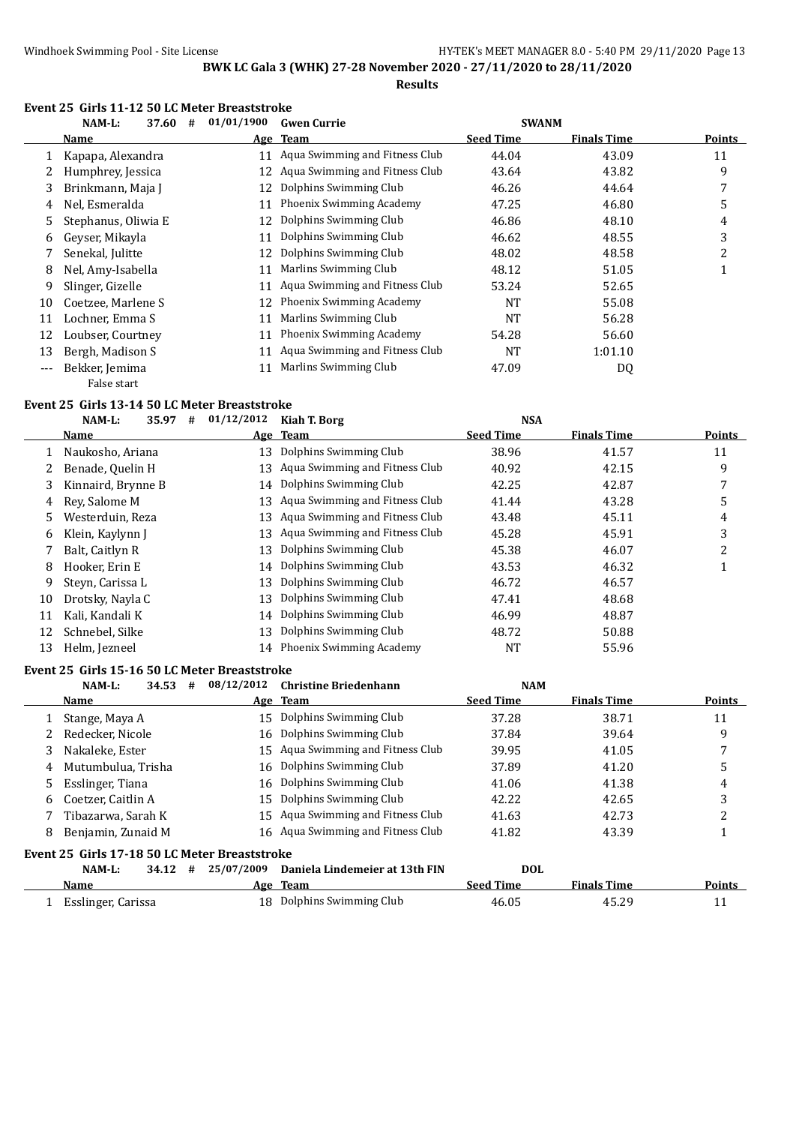#### **Event 25 Girls 11-12 50 LC Meter Breaststroke**

|              | NAM-L:<br>37.60<br># | 01/01/1900 | <b>Gwen Currie</b>             | <b>SWANM</b>     |                    |        |
|--------------|----------------------|------------|--------------------------------|------------------|--------------------|--------|
|              | Name                 |            | Age Team                       | <b>Seed Time</b> | <b>Finals Time</b> | Points |
| $\mathbf{1}$ | Kapapa, Alexandra    | 11         | Aqua Swimming and Fitness Club | 44.04            | 43.09              | 11     |
|              | Humphrey, Jessica    | 12         | Aqua Swimming and Fitness Club | 43.64            | 43.82              | 9      |
| 3            | Brinkmann, Maja J    | 12         | Dolphins Swimming Club         | 46.26            | 44.64              | 7      |
| 4            | Nel, Esmeralda       | 11         | Phoenix Swimming Academy       | 47.25            | 46.80              | 5      |
| 5.           | Stephanus, Oliwia E  | 12         | Dolphins Swimming Club         | 46.86            | 48.10              | 4      |
| 6            | Gevser, Mikavla      | 11         | Dolphins Swimming Club         | 46.62            | 48.55              | 3      |
|              | Senekal, Julitte     | 12         | Dolphins Swimming Club         | 48.02            | 48.58              | 2      |
| 8            | Nel, Amy-Isabella    | 11         | Marlins Swimming Club          | 48.12            | 51.05              | 1      |
| 9            | Slinger, Gizelle     | 11         | Aqua Swimming and Fitness Club | 53.24            | 52.65              |        |
| 10           | Coetzee, Marlene S   | 12         | Phoenix Swimming Academy       | <b>NT</b>        | 55.08              |        |
| 11           | Lochner, Emma S      | 11         | Marlins Swimming Club          | <b>NT</b>        | 56.28              |        |
| 12           | Loubser, Courtney    | 11         | Phoenix Swimming Academy       | 54.28            | 56.60              |        |
| 13           | Bergh, Madison S     | 11         | Aqua Swimming and Fitness Club | <b>NT</b>        | 1:01.10            |        |
| $---$        | Bekker, Jemima       | 11         | Marlins Swimming Club          | 47.09            | DQ                 |        |
|              | False start          |            |                                |                  |                    |        |

#### **Event 25 Girls 13-14 50 LC Meter Breaststroke**

|    | NAM-L:             | 35.97 | # | 01/12/2012 | Kiah T. Borg                      | <b>NSA</b>       |                    |               |
|----|--------------------|-------|---|------------|-----------------------------------|------------------|--------------------|---------------|
|    | Name               |       |   | <u>Age</u> | Team                              | <b>Seed Time</b> | <b>Finals Time</b> | <b>Points</b> |
|    | Naukosho, Ariana   |       |   |            | 13 Dolphins Swimming Club         | 38.96            | 41.57              | 11            |
|    | Benade, Quelin H   |       |   | 13         | Aqua Swimming and Fitness Club    | 40.92            | 42.15              | 9             |
| 3  | Kinnaird, Brynne B |       |   |            | 14 Dolphins Swimming Club         | 42.25            | 42.87              |               |
| 4  | Rev. Salome M      |       |   |            | 13 Agua Swimming and Fitness Club | 41.44            | 43.28              | 5             |
| 5. | Westerduin, Reza   |       |   | 13         | Aqua Swimming and Fitness Club    | 43.48            | 45.11              | 4             |
| 6  | Klein, Kaylynn J   |       |   | 13         | Aqua Swimming and Fitness Club    | 45.28            | 45.91              | 3             |
|    | Balt, Caitlyn R    |       |   | 13         | Dolphins Swimming Club            | 45.38            | 46.07              | 2             |
| 8  | Hooker, Erin E     |       |   |            | 14 Dolphins Swimming Club         | 43.53            | 46.32              |               |
| 9  | Steyn, Carissa L   |       |   | 13         | Dolphins Swimming Club            | 46.72            | 46.57              |               |
| 10 | Drotsky, Nayla C   |       |   | 13         | Dolphins Swimming Club            | 47.41            | 48.68              |               |
| 11 | Kali, Kandali K    |       |   |            | 14 Dolphins Swimming Club         | 46.99            | 48.87              |               |
| 12 | Schnebel, Silke    |       |   | 13         | Dolphins Swimming Club            | 48.72            | 50.88              |               |
| 13 | Helm, Jezneel      |       |   |            | 14 Phoenix Swimming Academy       | NT               | 55.96              |               |

#### **Event 25 Girls 15-16 50 LC Meter Breaststroke**

|   | NAM-L:                                        | 34.53 | 08/12/2012<br># | <b>Christine Briedenhann</b>      | <b>NAM</b>       |                    |        |
|---|-----------------------------------------------|-------|-----------------|-----------------------------------|------------------|--------------------|--------|
|   | Name                                          |       |                 | Age Team                          | <b>Seed Time</b> | <b>Finals Time</b> | Points |
|   | Stange, Maya A                                |       | 15              | Dolphins Swimming Club            | 37.28            | 38.71              | 11     |
|   | Redecker, Nicole                              |       | 16              | Dolphins Swimming Club            | 37.84            | 39.64              | 9      |
| 3 | Nakaleke, Ester                               |       | 15              | Aqua Swimming and Fitness Club    | 39.95            | 41.05              |        |
| 4 | Mutumbulua. Trisha                            |       | 16              | Dolphins Swimming Club            | 37.89            | 41.20              | 5      |
|   | Esslinger, Tiana                              |       | 16              | Dolphins Swimming Club            | 41.06            | 41.38              | 4      |
| 6 | Coetzer, Caitlin A                            |       | 15              | Dolphins Swimming Club            | 42.22            | 42.65              | 3      |
|   | Tibazarwa. Sarah K                            |       | 15              | Aqua Swimming and Fitness Club    | 41.63            | 42.73              |        |
| 8 | Benjamin, Zunaid M                            |       |                 | 16 Agua Swimming and Fitness Club | 41.82            | 43.39              |        |
|   | Event 25 Girls 17-18 50 LC Meter Breaststroke |       |                 |                                   |                  |                    |        |
|   | NAM-L:                                        | 34.12 | 25/07/2009<br># | Daniela Lindemeier at 13th FIN    | <b>DOL</b>       |                    |        |
|   | <b>Name</b>                                   |       |                 | Age Team                          | <b>Seed Time</b> | <b>Finals Time</b> | Points |
|   | Esslinger, Carissa                            |       | 18              | Dolphins Swimming Club            | 46.05            | 45.29              | 11     |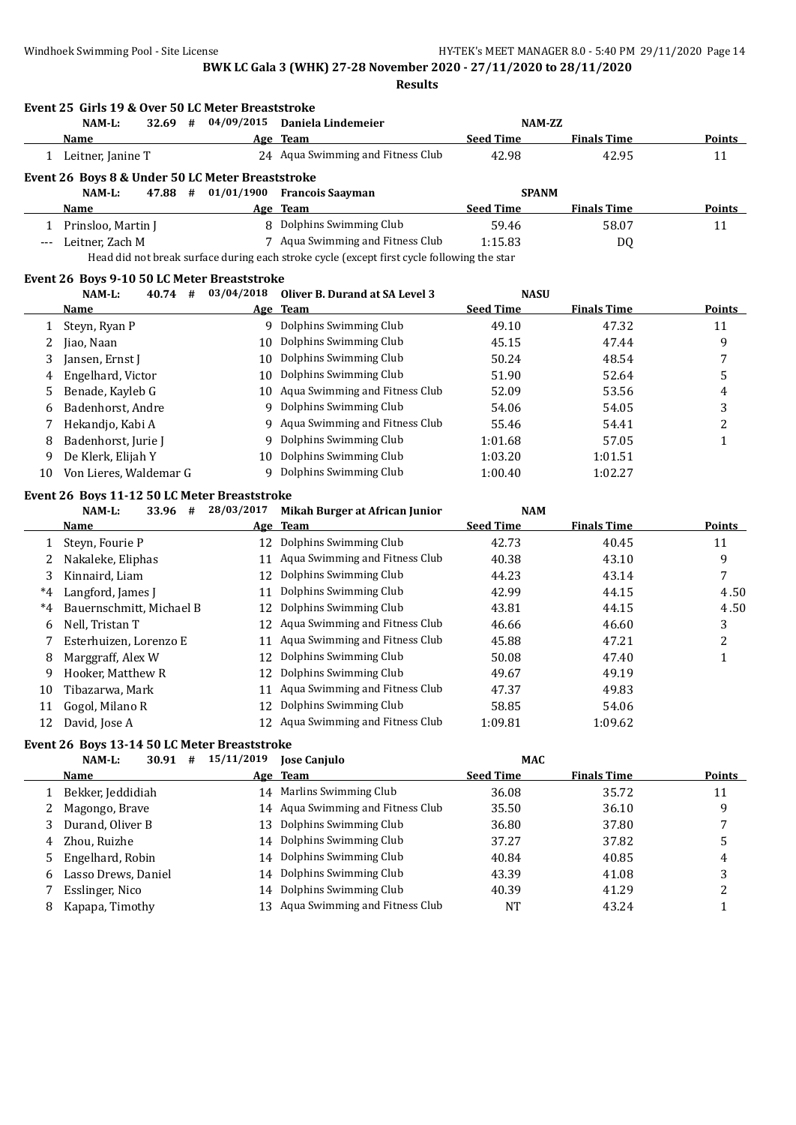**Results**

|             | Event 25 Girls 19 & Over 50 LC Meter Breaststroke<br>32.69 #<br>NAM-L: | 04/09/2015 | Daniela Lindemeier                                                                         | NAM-ZZ                         |                    |                                                     |
|-------------|------------------------------------------------------------------------|------------|--------------------------------------------------------------------------------------------|--------------------------------|--------------------|-----------------------------------------------------|
|             | Name                                                                   |            | Age Team                                                                                   | <b>Seed Time</b>               | <b>Finals Time</b> | Points                                              |
|             | 1 Leitner, Janine T                                                    |            | 24 Aqua Swimming and Fitness Club                                                          | 42.98                          | 42.95              | 11                                                  |
|             | Event 26 Boys 8 & Under 50 LC Meter Breaststroke                       |            |                                                                                            |                                |                    |                                                     |
|             | 47.88 #<br>NAM-L:                                                      | 01/01/1900 | <b>Francois Saayman</b>                                                                    | <b>SPANM</b>                   |                    |                                                     |
|             | Name                                                                   |            | Age Team                                                                                   | <b>Seed Time</b>               | <b>Finals Time</b> | <b>Points</b>                                       |
|             | 1 Prinsloo, Martin J                                                   |            | 8 Dolphins Swimming Club                                                                   | 59.46                          | 58.07              | 11                                                  |
| $-\, -\, -$ | Leitner, Zach M                                                        |            | 7 Aqua Swimming and Fitness Club                                                           | 1:15.83                        | DQ                 |                                                     |
|             |                                                                        |            | Head did not break surface during each stroke cycle (except first cycle following the star |                                |                    |                                                     |
|             | Event 26 Boys 9-10 50 LC Meter Breaststroke                            |            |                                                                                            |                                |                    |                                                     |
|             | 40.74#<br>NAM-L:                                                       | 03/04/2018 | Oliver B. Durand at SA Level 3                                                             | <b>NASU</b>                    |                    |                                                     |
|             | <b>Name</b>                                                            |            | Age Team                                                                                   | <b>Seed Time</b>               | <b>Finals Time</b> | <b>Points</b>                                       |
| 1           | Steyn, Ryan P                                                          |            | 9 Dolphins Swimming Club                                                                   | 49.10                          | 47.32              | 11                                                  |
| 2           | Jiao, Naan                                                             | 10         | Dolphins Swimming Club                                                                     | 45.15                          | 47.44              | 9                                                   |
| 3           | Jansen, Ernst J                                                        | 10         | Dolphins Swimming Club                                                                     | 50.24                          | 48.54              | 7                                                   |
| 4           | Engelhard, Victor                                                      | 10         | Dolphins Swimming Club                                                                     | 51.90                          | 52.64              | 5                                                   |
| 5           | Benade, Kayleb G                                                       |            | 10 Aqua Swimming and Fitness Club                                                          | 52.09                          | 53.56              | 4                                                   |
| 6           | Badenhorst, Andre                                                      | 9          | Dolphins Swimming Club                                                                     | 54.06                          | 54.05              | 3                                                   |
| 7           | Hekandjo, Kabi A                                                       | 9.         | Aqua Swimming and Fitness Club                                                             | 55.46                          | 54.41              | 2                                                   |
| 8           | Badenhorst, Jurie J                                                    | 9          | Dolphins Swimming Club                                                                     | 1:01.68                        | 57.05              | 1                                                   |
|             | De Klerk, Elijah Y                                                     |            | 10 Dolphins Swimming Club                                                                  | 1:03.20                        | 1:01.51            |                                                     |
| 9           |                                                                        |            |                                                                                            |                                |                    |                                                     |
| 10          | Von Lieres, Waldemar G                                                 |            | 9 Dolphins Swimming Club                                                                   | 1:00.40                        | 1:02.27            |                                                     |
|             |                                                                        |            |                                                                                            |                                |                    |                                                     |
|             | Event 26 Boys 11-12 50 LC Meter Breaststroke<br>NAM-L:<br>33.96 #      | 28/03/2017 |                                                                                            | <b>NAM</b>                     |                    |                                                     |
|             | <b>Name</b>                                                            |            | Mikah Burger at African Junior<br>Age Team                                                 | <b>Seed Time</b>               | <b>Finals Time</b> |                                                     |
| 1           | Steyn, Fourie P                                                        |            | 12 Dolphins Swimming Club                                                                  | 42.73                          | 40.45              | 11                                                  |
| 2           | Nakaleke, Eliphas                                                      |            | 11 Aqua Swimming and Fitness Club                                                          | 40.38                          | 43.10              | 9                                                   |
| 3           | Kinnaird, Liam                                                         |            | 12 Dolphins Swimming Club                                                                  | 44.23                          | 43.14              | 7                                                   |
| $^*4$       |                                                                        | 11         | Dolphins Swimming Club                                                                     | 42.99                          | 44.15              |                                                     |
| $^{\ast}4$  | Langford, James J<br>Bauernschmitt, Michael B                          | 12         | Dolphins Swimming Club                                                                     | 43.81                          | 44.15              |                                                     |
| 6           |                                                                        |            | 12 Aqua Swimming and Fitness Club                                                          | 46.66                          | 46.60              |                                                     |
| 7           | Nell, Tristan T                                                        | 11         | Aqua Swimming and Fitness Club                                                             |                                | 47.21              | 3                                                   |
|             | Esterhuizen, Lorenzo E                                                 | 12         | Dolphins Swimming Club                                                                     | 45.88                          |                    | 2                                                   |
| 8<br>9      | Marggraff, Alex W                                                      |            |                                                                                            | 50.08                          | 47.40              | $\mathbf{1}$                                        |
|             | Hooker, Matthew R                                                      | 12         | Dolphins Swimming Club                                                                     | 49.67                          | 49.19              |                                                     |
| 10          | Tibazarwa, Mark                                                        |            | 11 Aqua Swimming and Fitness Club                                                          | 47.37                          | 49.83              |                                                     |
| 11<br>12    | Gogol, Milano R<br>David, Jose A                                       |            | 12 Dolphins Swimming Club<br>12 Aqua Swimming and Fitness Club                             | 58.85<br>1:09.81               | 54.06<br>1:09.62   |                                                     |
|             |                                                                        |            |                                                                                            |                                |                    |                                                     |
|             | Event 26 Boys 13-14 50 LC Meter Breaststroke                           |            |                                                                                            |                                |                    |                                                     |
|             | NAM-L:<br>$30.91$ #<br><b>Name</b>                                     |            | 15/11/2019 Jose Canjulo                                                                    | <b>MAC</b><br><b>Seed Time</b> | <b>Finals Time</b> |                                                     |
| 1           |                                                                        |            | Age Team                                                                                   |                                |                    |                                                     |
|             | Bekker, Jeddidiah                                                      |            | 14 Marlins Swimming Club                                                                   | 36.08                          | 35.72              | 11                                                  |
| 2           | Magongo, Brave                                                         |            | 14 Aqua Swimming and Fitness Club                                                          | 35.50                          | 36.10              | 9                                                   |
| 3           | Durand, Oliver B                                                       | 13         | Dolphins Swimming Club                                                                     | 36.80                          | 37.80              | <b>Points</b><br>4.50<br>4.50<br><b>Points</b><br>7 |
| 4<br>5      | Zhou, Ruizhe<br>Engelhard, Robin                                       | 14         | Dolphins Swimming Club<br>14 Dolphins Swimming Club                                        | 37.27<br>40.84                 | 37.82<br>40.85     | 5<br>4                                              |

7 Esslinger, Nico 14 Dolphins Swimming Club 40.39 41.29 41.29 2<br>
8 Kapapa, Timothy 13 Aqua Swimming and Fitness Club 1 43.24 1 8 Kapapa, Timothy 13 Aqua Swimming and Fitness Club NT 43.24 1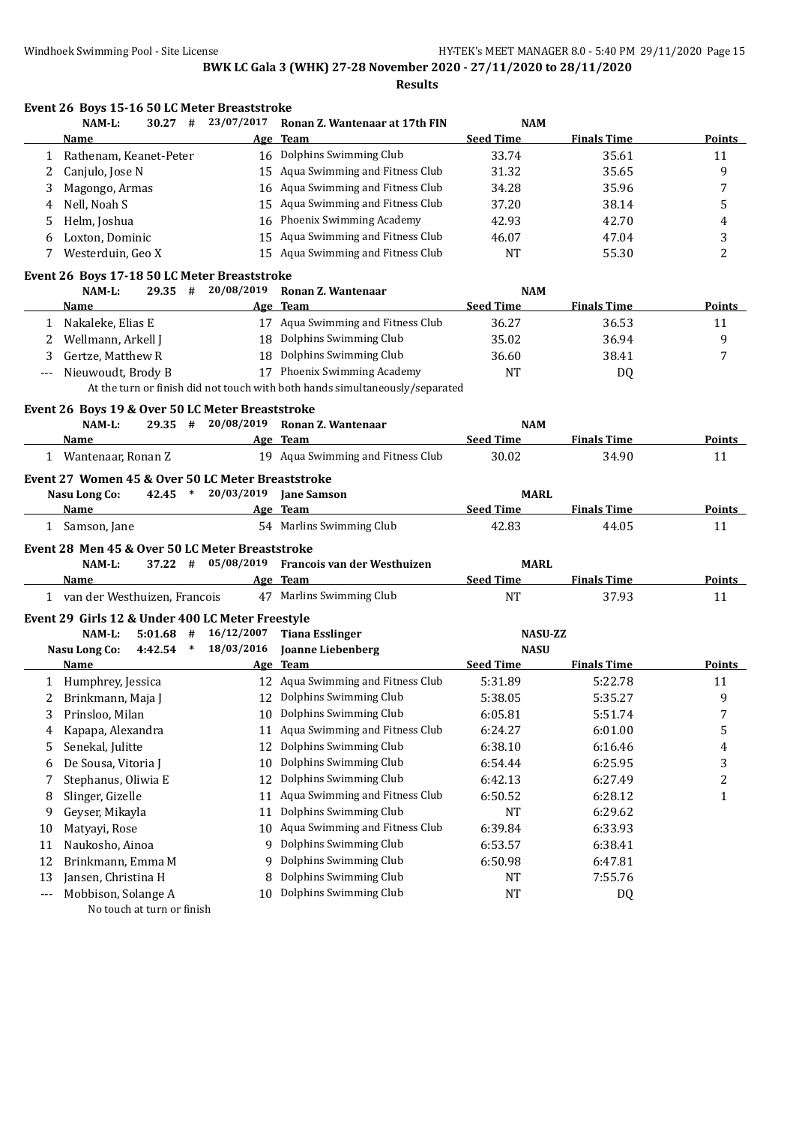|       | Event 26 Boys 15-16 50 LC Meter Breaststroke      |                 |                                                                              |                                 |                    |               |
|-------|---------------------------------------------------|-----------------|------------------------------------------------------------------------------|---------------------------------|--------------------|---------------|
|       | NAM-L:<br>$30.27$ #                               | 23/07/2017      | Ronan Z. Wantenaar at 17th FIN                                               | <b>NAM</b>                      |                    |               |
|       | Name                                              |                 | Age Team                                                                     | <b>Seed Time</b>                | <b>Finals Time</b> | Points        |
| 1     | Rathenam, Keanet-Peter                            |                 | 16 Dolphins Swimming Club                                                    | 33.74                           | 35.61              | 11            |
| 2     | Canjulo, Jose N                                   |                 | 15 Aqua Swimming and Fitness Club                                            | 31.32                           | 35.65              | 9             |
| 3     | Magongo, Armas                                    |                 | 16 Aqua Swimming and Fitness Club                                            | 34.28                           | 35.96              | 7             |
| 4     | Nell, Noah S                                      |                 | 15 Aqua Swimming and Fitness Club                                            | 37.20                           | 38.14              | 5             |
| 5     | Helm, Joshua                                      |                 | 16 Phoenix Swimming Academy                                                  | 42.93                           | 42.70              | 4             |
| 6     | Loxton, Dominic                                   |                 | 15 Aqua Swimming and Fitness Club                                            | 46.07                           | 47.04              | 3             |
| 7     | Westerduin, Geo X                                 |                 | 15 Aqua Swimming and Fitness Club                                            | <b>NT</b>                       | 55.30              | 2             |
|       | Event 26 Boys 17-18 50 LC Meter Breaststroke      |                 |                                                                              |                                 |                    |               |
|       | NAM-L:<br>$29.35$ #                               | 20/08/2019      | Ronan Z. Wantenaar                                                           | <b>NAM</b>                      |                    |               |
|       | Name                                              |                 | Age Team                                                                     | <b>Seed Time</b>                | <b>Finals Time</b> | <b>Points</b> |
| 1     | Nakaleke, Elias E                                 |                 | 17 Aqua Swimming and Fitness Club                                            | 36.27                           | 36.53              | 11            |
| 2     | Wellmann, Arkell J                                |                 | 18 Dolphins Swimming Club                                                    | 35.02                           | 36.94              | 9             |
| 3     | Gertze, Matthew R                                 |                 | 18 Dolphins Swimming Club                                                    | 36.60                           | 38.41              | 7             |
| $---$ | Nieuwoudt, Brody B                                |                 | 17 Phoenix Swimming Academy                                                  | <b>NT</b>                       | DQ                 |               |
|       |                                                   |                 | At the turn or finish did not touch with both hands simultaneously/separated |                                 |                    |               |
|       | Event 26 Boys 19 & Over 50 LC Meter Breaststroke  |                 |                                                                              |                                 |                    |               |
|       | NAM-L:<br>$29.35 +$                               | 20/08/2019      | Ronan Z. Wantenaar                                                           | <b>NAM</b>                      |                    |               |
|       | Name                                              |                 | Age Team                                                                     | <b>Seed Time</b>                | <b>Finals Time</b> | <b>Points</b> |
|       | 1 Wantenaar, Ronan Z                              |                 | 19 Aqua Swimming and Fitness Club                                            | 30.02                           | 34.90              | 11            |
|       | Event 27 Women 45 & Over 50 LC Meter Breaststroke |                 |                                                                              |                                 |                    |               |
|       | <b>Nasu Long Co:</b><br>42.45 *                   | 20/03/2019      | <b>Jane Samson</b>                                                           | <b>MARL</b>                     |                    |               |
|       | Name                                              |                 | Age Team                                                                     | <b>Seed Time</b>                | <b>Finals Time</b> | Points        |
|       | 1 Samson, Jane                                    |                 | 54 Marlins Swimming Club                                                     | 42.83                           | 44.05              | 11            |
|       | Event 28 Men 45 & Over 50 LC Meter Breaststroke   |                 |                                                                              |                                 |                    |               |
|       | NAM-L:<br>37.22 #                                 | 05/08/2019      | Francois van der Westhuizen                                                  | <b>MARL</b>                     |                    |               |
|       | Name                                              |                 | Age Team                                                                     | <b>Seed Time</b>                | <b>Finals Time</b> | Points        |
|       | 1 van der Westhuizen, Francois                    |                 | 47 Marlins Swimming Club                                                     | NT                              | 37.93              | 11            |
|       |                                                   |                 |                                                                              |                                 |                    |               |
|       | Event 29 Girls 12 & Under 400 LC Meter Freestyle  |                 |                                                                              |                                 |                    |               |
|       | NAM-L:<br>5:01.68                                 | 16/12/2007<br># | <b>Tiana Esslinger</b>                                                       | <b>NASU-ZZ</b>                  |                    |               |
|       | $4:42.54$ *<br>Nasu Long Co:                      | 18/03/2016      | <b>Joanne Liebenberg</b>                                                     | <b>NASU</b><br><b>Seed Time</b> | <b>Finals Time</b> |               |
|       | Name                                              |                 | Age Team                                                                     |                                 |                    | Points        |
|       | 1 Humphrey, Jessica                               |                 | 12 Aqua Swimming and Fitness Club                                            | 5:31.89                         | 5:22.78            | 11            |
|       | 2 Brinkmann, Maja J                               |                 | 12 Dolphins Swimming Club                                                    | 5:38.05                         | 5:35.27            | 9             |
| 3     | Prinsloo, Milan                                   | 10              | Dolphins Swimming Club                                                       | 6:05.81                         | 5:51.74            | 7             |
| 4     | Kapapa, Alexandra                                 | 11              | Aqua Swimming and Fitness Club                                               | 6:24.27                         | 6:01.00            | 5             |
| 5     | Senekal, Julitte                                  | 12              | Dolphins Swimming Club                                                       | 6:38.10                         | 6:16.46            | 4             |
| 6     | De Sousa, Vitoria J                               | 10              | Dolphins Swimming Club                                                       | 6:54.44                         | 6:25.95            | 3             |
| 7     | Stephanus, Oliwia E                               | 12              | Dolphins Swimming Club                                                       | 6:42.13                         | 6:27.49            | 2             |
| 8     | Slinger, Gizelle                                  | 11              | Aqua Swimming and Fitness Club                                               | 6:50.52                         | 6:28.12            | 1             |
| 9     | Geyser, Mikayla                                   | 11              | Dolphins Swimming Club                                                       | NT                              | 6:29.62            |               |
| 10    | Matyayi, Rose                                     | 10              | Aqua Swimming and Fitness Club                                               | 6:39.84                         | 6:33.93            |               |
| 11    | Naukosho, Ainoa                                   | 9               | Dolphins Swimming Club                                                       | 6:53.57                         | 6:38.41            |               |
| 12    | Brinkmann, Emma M                                 | 9               | Dolphins Swimming Club                                                       | 6:50.98                         | 6:47.81            |               |
| 13    | Jansen, Christina H                               | 8               | Dolphins Swimming Club                                                       | NT                              | 7:55.76            |               |
| $---$ | Mobbison, Solange A                               | 10              | Dolphins Swimming Club                                                       | NT                              | DQ                 |               |
|       | No touch at turn or finish                        |                 |                                                                              |                                 |                    |               |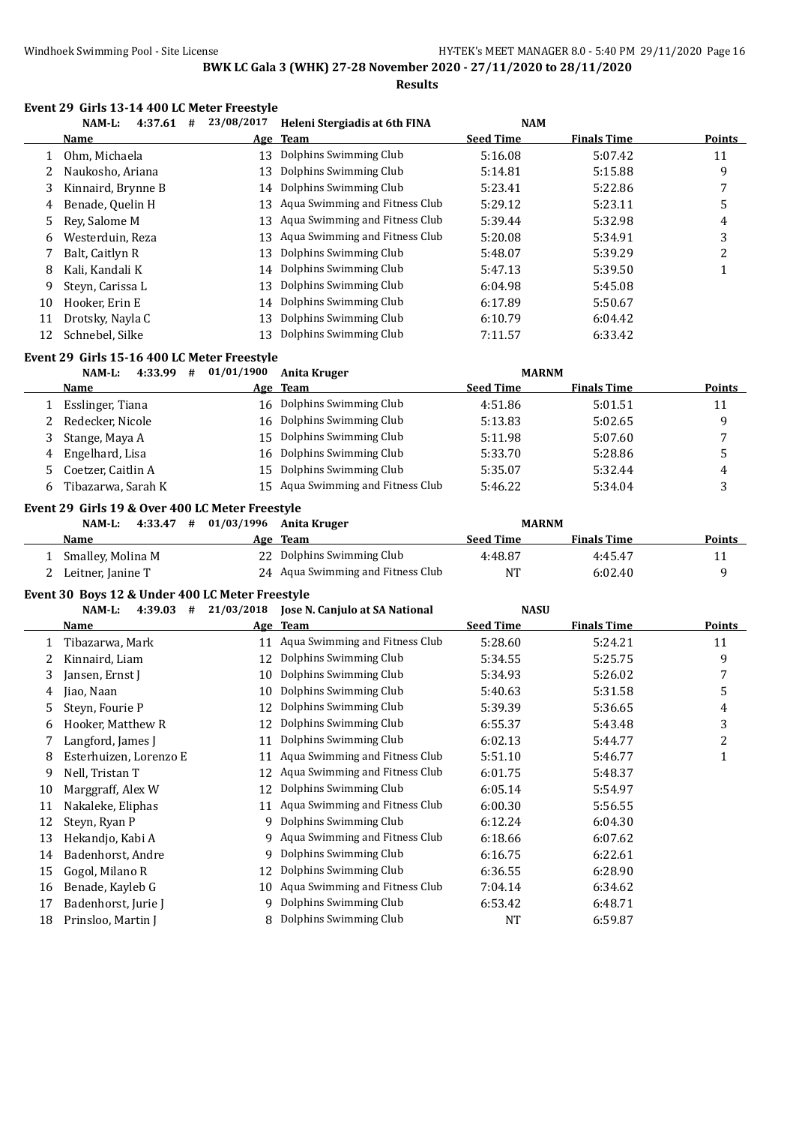**Results**

#### **Event 29 Girls 13-14 400 LC Meter Freestyle**

|    | 4:37.61<br>NAM-L:<br># | 23/08/2017 | Heleni Stergiadis at 6th FINA     | <b>NAM</b>       |                    |               |
|----|------------------------|------------|-----------------------------------|------------------|--------------------|---------------|
|    | Name                   |            | Age Team                          | <b>Seed Time</b> | <b>Finals Time</b> | <b>Points</b> |
|    | Ohm, Michaela          | 13         | Dolphins Swimming Club            | 5:16.08          | 5:07.42            | 11            |
| 2  | Naukosho, Ariana       | 13         | Dolphins Swimming Club            | 5:14.81          | 5:15.88            | 9             |
| 3  | Kinnaird, Brynne B     |            | 14 Dolphins Swimming Club         | 5:23.41          | 5:22.86            | 7             |
| 4  | Benade, Quelin H       |            | 13 Agua Swimming and Fitness Club | 5:29.12          | 5:23.11            | 5             |
| 5. | Rev. Salome M          | 13         | Aqua Swimming and Fitness Club    | 5:39.44          | 5:32.98            | 4             |
| 6  | Westerduin, Reza       | 13         | Aqua Swimming and Fitness Club    | 5:20.08          | 5:34.91            | 3             |
|    | Balt, Caitlyn R        | 13         | Dolphins Swimming Club            | 5:48.07          | 5:39.29            | າ             |
| 8  | Kali, Kandali K        |            | 14 Dolphins Swimming Club         | 5:47.13          | 5:39.50            |               |
| 9  | Steyn, Carissa L       | 13         | Dolphins Swimming Club            | 6:04.98          | 5:45.08            |               |
| 10 | Hooker, Erin E         |            | 14 Dolphins Swimming Club         | 6:17.89          | 5:50.67            |               |
| 11 | Drotsky, Nayla C       | 13         | Dolphins Swimming Club            | 6:10.79          | 6:04.42            |               |
| 12 | Schnebel, Silke        | 13         | Dolphins Swimming Club            | 7:11.57          | 6:33.42            |               |

#### **Event 29 Girls 15-16 400 LC Meter Freestyle**

|    | 4:33.99<br>NAM-L:<br># | 01/01/1900 | Anita Kruger                      | <b>MARNM</b>     |                    |               |
|----|------------------------|------------|-----------------------------------|------------------|--------------------|---------------|
|    | <b>Name</b>            |            | Age Team                          | <b>Seed Time</b> | <b>Finals Time</b> | <b>Points</b> |
|    | Esslinger, Tiana       | 16         | Dolphins Swimming Club            | 4:51.86          | 5:01.51            | 11            |
|    | Redecker, Nicole       | 16         | Dolphins Swimming Club            | 5:13.83          | 5:02.65            | q             |
|    | Stange, Maya A         | 15         | Dolphins Swimming Club            | 5:11.98          | 5:07.60            |               |
| 4  | Engelhard, Lisa        | 16         | Dolphins Swimming Club            | 5:33.70          | 5:28.86            |               |
|    | Coetzer, Caitlin A     | 15         | Dolphins Swimming Club            | 5:35.07          | 5:32.44            | 4             |
| 6. | Tibazarwa, Sarah K     |            | 15 Aqua Swimming and Fitness Club | 5:46.22          | 5:34.04            |               |

#### **Event 29 Girls 19 & Over 400 LC Meter Freestyle**

| 4:33.47<br>NAM-L: | # 01/03/1996 Anita Kruger         | <b>MARNM</b>     |                    |               |
|-------------------|-----------------------------------|------------------|--------------------|---------------|
| <b>Name</b>       | Age Team                          | <b>Seed Time</b> | <b>Finals Time</b> | <b>Points</b> |
| Smalley, Molina M | 22 Dolphins Swimming Club         | 4:48.87          | 4:45.47            | 11            |
| Leitner, Janine T | 24 Agua Swimming and Fitness Club | NT               | 6:02.40            |               |

#### **Event 30 Boys 12 & Under 400 LC Meter Freestyle**

|    | NAM-L:<br>4:39.03<br># | 21/03/2018 | Jose N. Canjulo at SA National | <b>NASU</b>      |                    |        |
|----|------------------------|------------|--------------------------------|------------------|--------------------|--------|
|    | Name                   |            | Age Team                       | <b>Seed Time</b> | <b>Finals Time</b> | Points |
|    | Tibazarwa, Mark        | 11         | Aqua Swimming and Fitness Club | 5:28.60          | 5:24.21            | 11     |
|    | Kinnaird, Liam         | 12         | Dolphins Swimming Club         | 5:34.55          | 5:25.75            | 9      |
| 3  | Jansen, Ernst J        | 10         | Dolphins Swimming Club         | 5:34.93          | 5:26.02            | 7      |
| 4  | iao, Naan              | 10         | Dolphins Swimming Club         | 5:40.63          | 5:31.58            | 5      |
| 5  | Steyn, Fourie P        | 12         | Dolphins Swimming Club         | 5:39.39          | 5:36.65            | 4      |
| 6  | Hooker, Matthew R      | 12         | Dolphins Swimming Club         | 6:55.37          | 5:43.48            | 3      |
|    | Langford, James J      | 11         | Dolphins Swimming Club         | 6:02.13          | 5:44.77            | 2      |
| 8  | Esterhuizen, Lorenzo E | 11         | Aqua Swimming and Fitness Club | 5:51.10          | 5:46.77            |        |
| 9  | Nell, Tristan T        | 12         | Aqua Swimming and Fitness Club | 6:01.75          | 5:48.37            |        |
| 10 | Marggraff, Alex W      | 12         | Dolphins Swimming Club         | 6:05.14          | 5:54.97            |        |
| 11 | Nakaleke, Eliphas      | 11         | Aqua Swimming and Fitness Club | 6:00.30          | 5:56.55            |        |
| 12 | Steyn, Ryan P          | 9          | Dolphins Swimming Club         | 6:12.24          | 6:04.30            |        |
| 13 | Hekandjo, Kabi A       | 9          | Aqua Swimming and Fitness Club | 6:18.66          | 6:07.62            |        |
| 14 | Badenhorst, Andre      | 9          | Dolphins Swimming Club         | 6:16.75          | 6:22.61            |        |
| 15 | Gogol, Milano R        | 12         | Dolphins Swimming Club         | 6:36.55          | 6:28.90            |        |
| 16 | Benade, Kayleb G       | 10         | Aqua Swimming and Fitness Club | 7:04.14          | 6:34.62            |        |
| 17 | Badenhorst, Jurie J    | 9          | Dolphins Swimming Club         | 6:53.42          | 6:48.71            |        |
| 18 | Prinsloo, Martin J     |            | Dolphins Swimming Club         | <b>NT</b>        | 6:59.87            |        |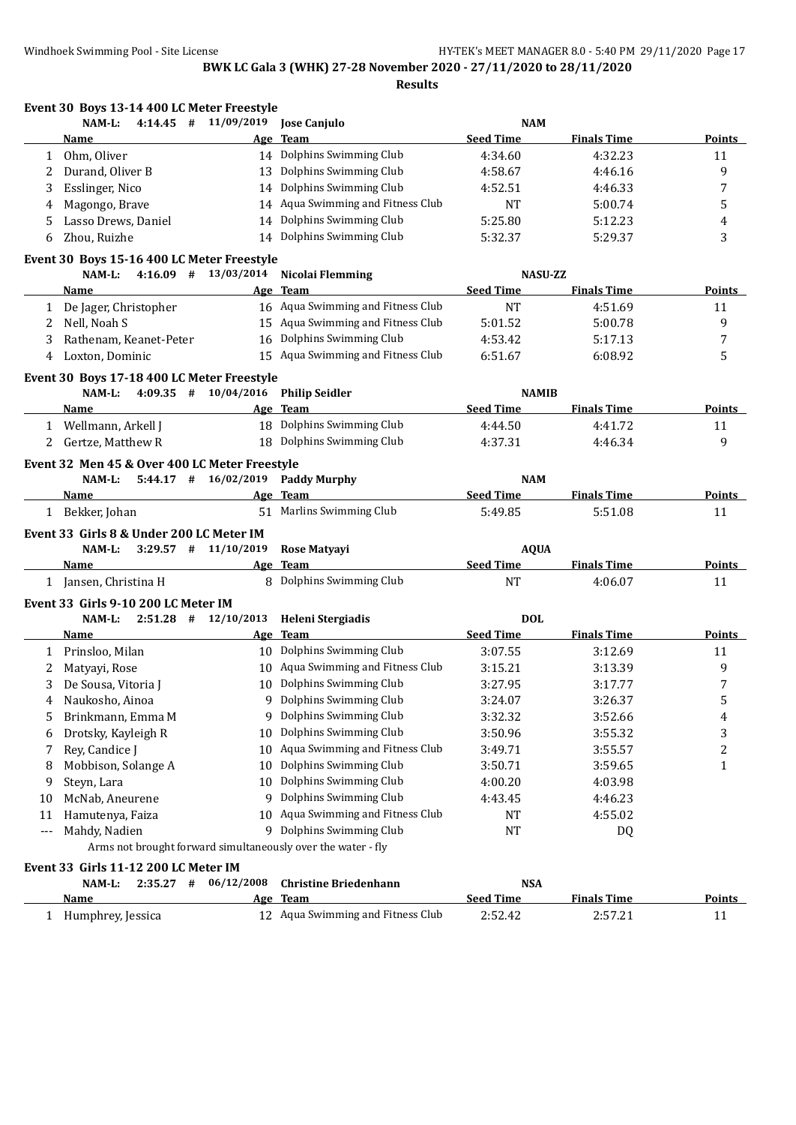**Event 30 Boys 13-14 400 LC Meter Freestyle NAM-L: 4:14.45 # 11/09/2019 Jose Canjulo NAM Name Age Team Seed Time Finals Time Points** 1 Ohm, Oliver 14 Dolphins Swimming Club 4:34.60 4:32.23 11 2 Durand, Oliver B 13 Dolphins Swimming Club 4:58.67 4:46.16 9 3 Esslinger, Nico 14 Dolphins Swimming Club 4:52.51 4:46.33 7 4 Magongo, Brave 14 Aqua Swimming and Fitness Club NT 5:00.74 5 5 Lasso Drews, Daniel 14 Dolphins Swimming Club 5:25.80 5:12.23 4 6 Zhou, Ruizhe 14 Dolphins Swimming Club 5:32.37 5:29.37 3 **Event 30 Boys 15-16 400 LC Meter Freestyle NAM-L: 4:16.09 # 13/03/2014 Nicolai Flemming NASU-ZZ Name Age Team Seed Time Finals Time Points** 1 De Jager, Christopher 16 Aqua Swimming and Fitness Club NT 4:51.69 11 2 Nell, Noah S 15 Aqua Swimming and Fitness Club 5:01.52 5:00.78 5:00.78 3 Rathenam, Keanet-Peter 16 Dolphins Swimming Club 4:53.42 5:17.13 7 4 Loxton, Dominic 15 Aqua Swimming and Fitness Club 6:51.67 6:08.92 5 **Event 30 Boys 17-18 400 LC Meter Freestyle NAM-L: 4:09.35 # 10/04/2016 Philip Seidler NAMIB Name Age Team Seed Time Finals Time Points** 1 Wellmann, Arkell J 18 Dolphins Swimming Club 4:44.50 4:41.72 11 2 Gertze, Matthew R 18 Dolphins Swimming Club 4:37.31 4:46.34 9 **Event 32 Men 45 & Over 400 LC Meter Freestyle NAM-L: 5:44.17 # 16/02/2019 Paddy Murphy NAM Name Age Team Seed Time Finals Time Points** 1 Bekker, Johan 51 Marlins Swimming Club 5:49.85 5:51.08 11 **Event 33 Girls 8 & Under 200 LC Meter IM NAM-L: 3:29.57 # 11/10/2019 Rose Matyayi AQUA Name Age Team Seed Time Finals Time Points** 1 Jansen, Christina H 8 Dolphins Swimming Club NT 4:06.07 11 **Event 33 Girls 9-10 200 LC Meter IM NAM-L: 2:51.28 # 12/10/2013 Heleni Stergiadis DOL Name Age Team Seed Time Finals Time Points** 1 Prinsloo, Milan 10 Dolphins Swimming Club 3:07.55 3:12.69 11 2 Matyayi, Rose 20 10 Aqua Swimming and Fitness Club 3:15.21 3:13.39 3:13.39 3 De Sousa, Vitoria J 10 Dolphins Swimming Club 3:27.95 3:17.77 7 4 Naukosho, Ainoa 9 Dolphins Swimming Club 3:24.07 3:26.37 5 5 Brinkmann, Emma M 9 Dolphins Swimming Club 3:32.32 3:52.66 4 6 Drotsky, Kayleigh R 10 Dolphins Swimming Club 3:50.96 3:55.32 3 7 Rey, Candice J 10 Aqua Swimming and Fitness Club 3:49.71 3:55.57 2 2 8 Mobbison, Solange A 10 Dolphins Swimming Club 3:50.71 3:59.65 1 9 Steyn, Lara 10 Dolphins Swimming Club 4:00.20 4:03.98 10 McNab, Aneurene 9 Dolphins Swimming Club 4:43.45 4:46.23 11 Hamutenya, Faiza 10 Aqua Swimming and Fitness Club NT 4:55.02 Mahdy, Nadien 19 Dolphins Swimming Club 19 NT 19 DQ Arms not brought forward simultaneously over the water - fly **Event 33 Girls 11-12 200 LC Meter IM NAM-L: 2:35.27 # 06/12/2008 Christine Briedenhann NSA**

| Name              | Age Team                          | Seed Time | <b>Finals Time</b> | <b>Points</b> |
|-------------------|-----------------------------------|-----------|--------------------|---------------|
| Humphrey, Jessica | 12 Aqua Swimming and Fitness Club | 2:52.42   | 2:57.21            |               |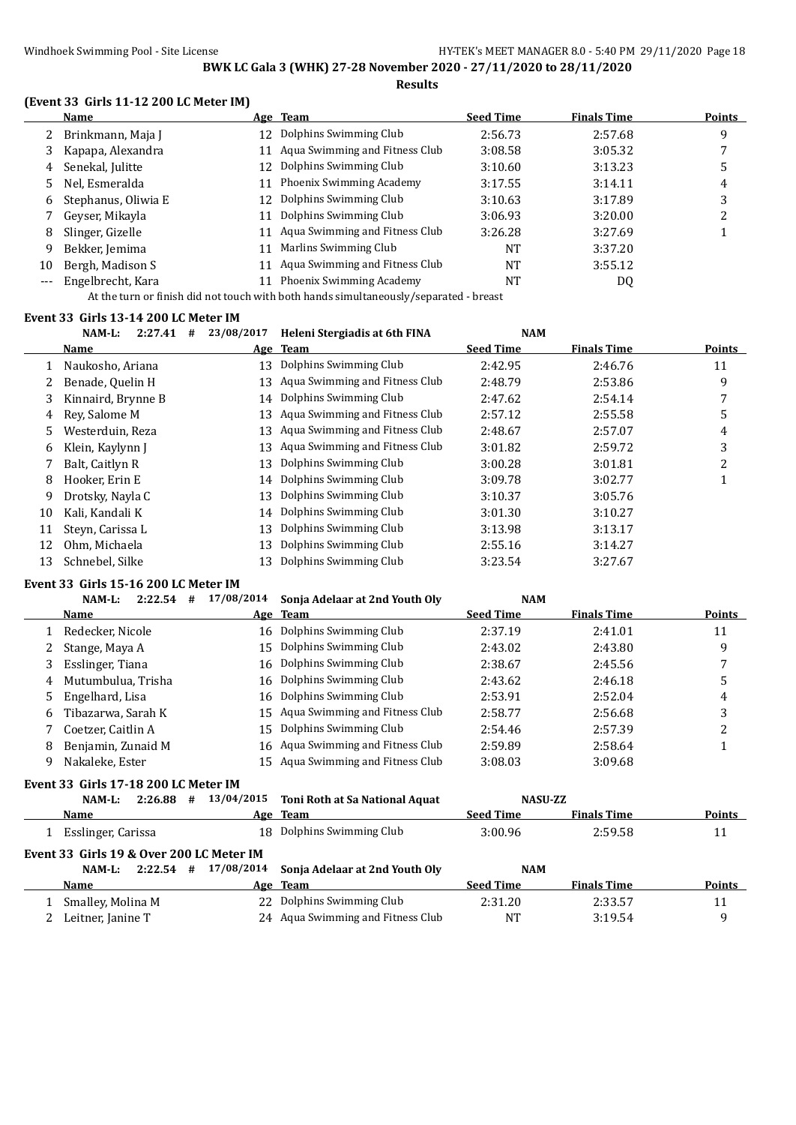#### **(Event 33 Girls 11-12 200 LC Meter IM)**

|       | <b>Name</b>         |    | Age Team                          | <b>Seed Time</b> | <b>Finals Time</b> | Points |
|-------|---------------------|----|-----------------------------------|------------------|--------------------|--------|
|       | Brinkmann, Maja J   | 12 | Dolphins Swimming Club            | 2:56.73          | 2:57.68            | 9      |
| 3     | Kapapa, Alexandra   |    | 11 Aqua Swimming and Fitness Club | 3:08.58          | 3:05.32            |        |
| 4     | Senekal, Julitte    | 12 | Dolphins Swimming Club            | 3:10.60          | 3:13.23            | ა      |
| 5.    | Nel, Esmeralda      | 11 | Phoenix Swimming Academy          | 3:17.55          | 3:14.11            | 4      |
| 6     | Stephanus, Oliwia E | 12 | Dolphins Swimming Club            | 3:10.63          | 3:17.89            | 3      |
|       | Geyser, Mikayla     | 11 | Dolphins Swimming Club            | 3:06.93          | 3:20.00            |        |
| 8     | Slinger, Gizelle    |    | 11 Agua Swimming and Fitness Club | 3:26.28          | 3:27.69            |        |
| 9     | Bekker, Jemima      | 11 | Marlins Swimming Club             | <b>NT</b>        | 3:37.20            |        |
| 10    | Bergh, Madison S    | 11 | Aqua Swimming and Fitness Club    | <b>NT</b>        | 3:55.12            |        |
| $---$ | Engelbrecht, Kara   |    | Phoenix Swimming Academy          | NT               | DQ                 |        |
|       |                     |    |                                   |                  |                    |        |

At the turn or finish did not touch with both hands simultaneously/separated - breast

#### **Event 33 Girls 13-14 200 LC Meter IM**

|    | $NAM-L$ :          | 2:27.41 | # | 23/08/2017 | Heleni Stergiadis at 6th FINA  | <b>NAM</b>       |                    |               |
|----|--------------------|---------|---|------------|--------------------------------|------------------|--------------------|---------------|
|    | <u>Name</u>        |         |   |            | Age Team                       | <b>Seed Time</b> | <b>Finals Time</b> | <b>Points</b> |
|    | Naukosho, Ariana   |         |   | 13         | Dolphins Swimming Club         | 2:42.95          | 2:46.76            | 11            |
|    | Benade, Quelin H   |         |   | 13         | Aqua Swimming and Fitness Club | 2:48.79          | 2:53.86            | 9             |
| 3. | Kinnaird, Brynne B |         |   | 14         | Dolphins Swimming Club         | 2:47.62          | 2:54.14            |               |
| 4  | Rev. Salome M      |         |   | 13         | Aqua Swimming and Fitness Club | 2:57.12          | 2:55.58            | 5             |
| 5. | Westerduin, Reza   |         |   | 13         | Aqua Swimming and Fitness Club | 2:48.67          | 2:57.07            | 4             |
| 6  | Klein, Kaylynn J   |         |   | 13         | Aqua Swimming and Fitness Club | 3:01.82          | 2:59.72            | 3             |
|    | Balt, Caitlyn R    |         |   | 13         | Dolphins Swimming Club         | 3:00.28          | 3:01.81            | 2             |
| 8  | Hooker, Erin E     |         |   |            | 14 Dolphins Swimming Club      | 3:09.78          | 3:02.77            |               |
| 9  | Drotsky, Nayla C   |         |   | 13         | Dolphins Swimming Club         | 3:10.37          | 3:05.76            |               |
| 10 | Kali, Kandali K    |         |   | 14         | Dolphins Swimming Club         | 3:01.30          | 3:10.27            |               |
| 11 | Steyn, Carissa L   |         |   | 13         | Dolphins Swimming Club         | 3:13.98          | 3:13.17            |               |
| 12 | Ohm, Michaela      |         |   | 13         | Dolphins Swimming Club         | 2:55.16          | 3:14.27            |               |
| 13 | Schnebel, Silke    |         |   | 13         | Dolphins Swimming Club         | 3:23.54          | 3:27.67            |               |
|    |                    |         |   |            |                                |                  |                    |               |

#### **Event 33 Girls 15-16 200 LC Meter IM**

#### **NAM-L: 2:22.54 # 17/08/2014 Sonja Adelaar at 2nd Youth Oly NAM**

|    | Name               | Age Team                          | <b>Seed Time</b> | <b>Finals Time</b> | <b>Points</b> |
|----|--------------------|-----------------------------------|------------------|--------------------|---------------|
|    | Redecker, Nicole   | 16 Dolphins Swimming Club         | 2:37.19          | 2:41.01            | 11            |
| 2  | Stange, Maya A     | 15 Dolphins Swimming Club         | 2:43.02          | 2:43.80            | 9             |
|    | Esslinger, Tiana   | 16 Dolphins Swimming Club         | 2:38.67          | 2:45.56            |               |
| 4  | Mutumbulua, Trisha | 16 Dolphins Swimming Club         | 2:43.62          | 2:46.18            |               |
| 5. | Engelhard, Lisa    | 16 Dolphins Swimming Club         | 2:53.91          | 2:52.04            | 4             |
| 6  | Tibazarwa, Sarah K | 15 Agua Swimming and Fitness Club | 2:58.77          | 2:56.68            | 3             |
|    | Coetzer, Caitlin A | 15 Dolphins Swimming Club         | 2:54.46          | 2:57.39            |               |
| 8  | Benjamin, Zunaid M | 16 Agua Swimming and Fitness Club | 2:59.89          | 2:58.64            |               |
|    | Nakaleke, Ester    | 15 Agua Swimming and Fitness Club | 3:08.03          | 3:09.68            |               |

#### **Event 33 Girls 17-18 200 LC Meter IM**

|                                           |                      |    |     | NAM-L: 2:26.88 # 13/04/2015 |  |  |  |  |  |
|-------------------------------------------|----------------------|----|-----|-----------------------------|--|--|--|--|--|
|                                           | Name                 |    | Age |                             |  |  |  |  |  |
|                                           | 1 Esslinger, Carissa | 18 |     |                             |  |  |  |  |  |
| Event 33  Girls 19 & Over 200 LC Meter IM |                      |    |     |                             |  |  |  |  |  |
|                                           |                      |    |     | NAM-L: 2:22.54 # 17/08/2014 |  |  |  |  |  |
| Name<br>Age                               |                      |    |     |                             |  |  |  |  |  |
|                                           | 1 Smalley, Molina M  |    | 22  |                             |  |  |  |  |  |

| nt 33  Girls 17-18 200 LC Meter IM     |         |   |            |                                           |                  |                    |               |
|----------------------------------------|---------|---|------------|-------------------------------------------|------------------|--------------------|---------------|
| NAM-L:                                 | 2:26.88 | # |            | 13/04/2015 Toni Roth at Sa National Aquat | NASU-ZZ          |                    |               |
| <b>Name</b>                            |         |   |            | Age Team                                  | <b>Seed Time</b> | <b>Finals Time</b> | <b>Points</b> |
| 1 Esslinger, Carissa                   |         |   |            | 18 Dolphins Swimming Club                 | 3:00.96          | 2:59.58            | 11            |
| nt 33  Girls 19 & Over 200 LC Meter IM |         |   |            |                                           |                  |                    |               |
| NAM-L:                                 | 2:22.54 | # | 17/08/2014 | Sonja Adelaar at 2nd Youth Oly            | <b>NAM</b>       |                    |               |
| Name                                   |         |   |            | Age Team                                  | <b>Seed Time</b> | <b>Finals Time</b> | Points        |
|                                        |         |   |            |                                           |                  |                    |               |

| Name                | лее теаш                          | зееч типе | гшать гипе | гошь |
|---------------------|-----------------------------------|-----------|------------|------|
| 1 Smalley, Molina M | 22 Dolphins Swimming Club         | 2:31.20   | 2:33.57    |      |
| 2 Leitner, Janine T | 24 Agua Swimming and Fitness Club | NT        | 3:19.54    |      |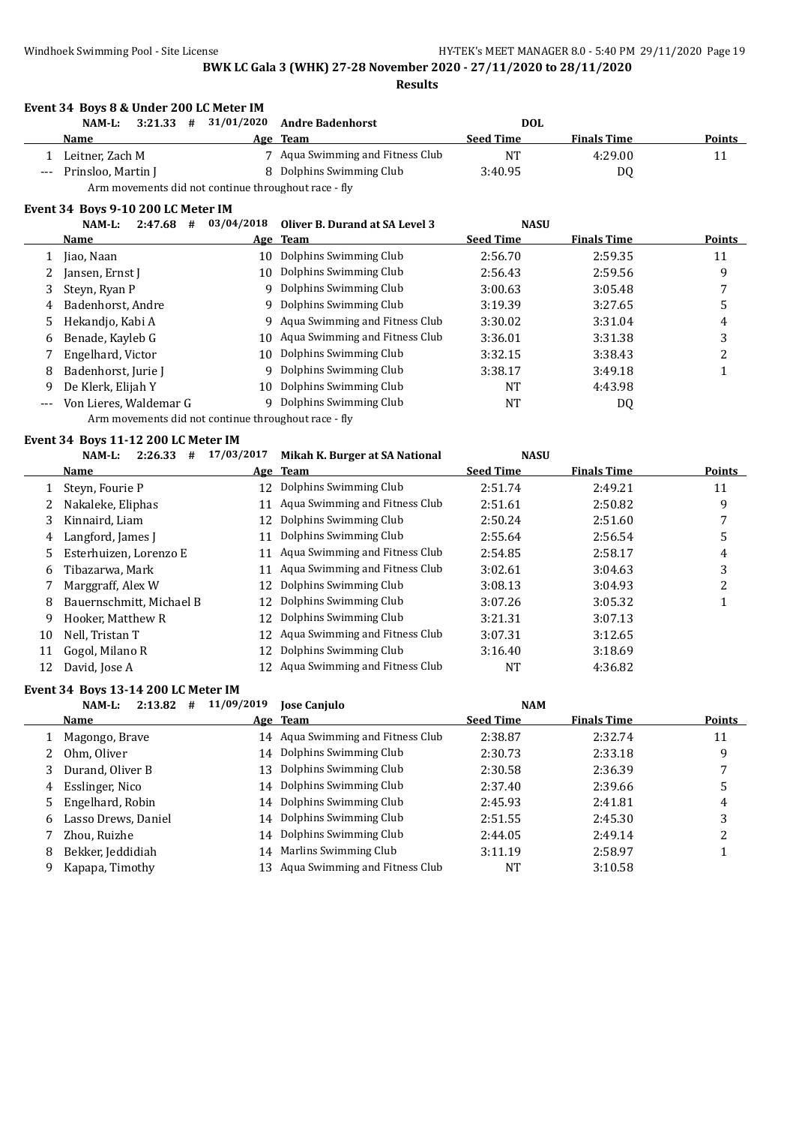**Event 34 Boys 8 & Under 200 LC Meter IM**

#### **BWK LC Gala 3 (WHK) 27-28 November 2020 - 27/11/2020 to 28/11/2020 Results**

**NAM-L: 3:21.33 # 31/01/2020 Andre Badenhorst DOL**

**Name Age Team Seed Time Finals Time Points** 1 Leitner, Zach M 7 Aqua Swimming and Fitness Club NT 4:29.00 11 Prinsloo, Martin J 8 Dolphins Swimming Club 3:40.95 DQ Arm movements did not continue throughout race - fly **Event 34 Boys 9-10 200 LC Meter IM NAM-L: 2:47.68 # 03/04/2018 Oliver B. Durand at SA Level 3 NASU Name Age Team Seed Time Finals Time Points** 1 Jiao, Naan 10 Dolphins Swimming Club 2:56.70 2:59.35 11 2 Jansen, Ernst J 10 Dolphins Swimming Club 2:56.43 2:59.56 9 3 Steyn, Ryan P 9 Dolphins Swimming Club 3:00.63 3:05.48 7 4 Badenhorst, Andre 9 Dolphins Swimming Club 3:19.39 3:27.65 5 5 Hekandio, Kabi A 9 Aqua Swimming and Fitness Club 3:30.02 3:31.04 4 6 Benade, Kayleb G 10 Aqua Swimming and Fitness Club 3:36.01 3:31.38 3 7 Engelhard, Victor 10 Dolphins Swimming Club 3:32.15 3:38.43 2 8 Badenhorst, Jurie J 9 Dolphins Swimming Club 3:38.17 3:49.18 1 9 De Klerk, Elijah Y 10 Dolphins Swimming Club NT 4:43.98 Von Lieres, Waldemar G 9 Dolphins Swimming Club NT NT DQ Arm movements did not continue throughout race - fly **Event 34 Boys 11-12 200 LC Meter IM NAM-L: 2:26.33 # 17/03/2017 Mikah K. Burger at SA National NASU Name Age Team Seed Time Finals Time Points** 1 Steyn, Fourie P 12 Dolphins Swimming Club 2:51.74 2:49.21 11 2 Nakaleke, Eliphas 11 Aqua Swimming and Fitness Club 2:51.61 2:50.82 9 3 Kinnaird, Liam 12 Dolphins Swimming Club 2:50.24 2:51.60 7 4 Langford, James J 11 Dolphins Swimming Club 2:55.64 2:56.54 2:56.54 5 5 Esterhuizen, Lorenzo E 11 Aqua Swimming and Fitness Club 2:54.85 2:58.17 4 6 Tibazarwa, Mark 11 Aqua Swimming and Fitness Club 3:02.61 3:04.63 3 7 Marggraff, Alex W 12 Dolphins Swimming Club 3:08.13 3:04.93 2 8 Bauernschmitt, Michael B 12 Dolphins Swimming Club 3:07.26 3:05.32 1 9 Hooker, Matthew R 12 Dolphins Swimming Club 3:21.31 3:07.13 10 Nell, Tristan T 12 Aqua Swimming and Fitness Club 3:07.31 3:12.65 11 Gogol, Milano R 12 Dolphins Swimming Club 3:16.40 3:18.69 12 David, Jose A 12 Aqua Swimming and Fitness Club NT 4:36.82 **Event 34 Boys 13-14 200 LC Meter IM NAM-L: 2:13.82 # 11/09/2019 Jose Canjulo NAM Name Age Team Seed Time Finals Time Points** 1 Magongo, Brave 14 Aqua Swimming and Fitness Club 2:38.87 2:32.74 11 2 Ohm, Oliver 14 Dolphins Swimming Club 2:30.73 2:33.18 9 3 Durand, Oliver B 13 Dolphins Swimming Club 2:30.58 2:36.39 7 4 Esslinger, Nico 14 Dolphins Swimming Club 2:37.40 2:39.66 5 5 Engelhard, Robin 14 Dolphins Swimming Club 2:45.93 2:41.81 4 6 Lasso Drews, Daniel 14 Dolphins Swimming Club 2:51.55 2:45.30 3 7 Zhou, Ruizhe 14 Dolphins Swimming Club 2:44.05 2:49.14 2 8 Bekker, Jeddidiah 14 Marlins Swimming Club 3:11.19 2:58.97 1 9 Kapapa, Timothy 13 Aqua Swimming and Fitness Club NT 3:10.58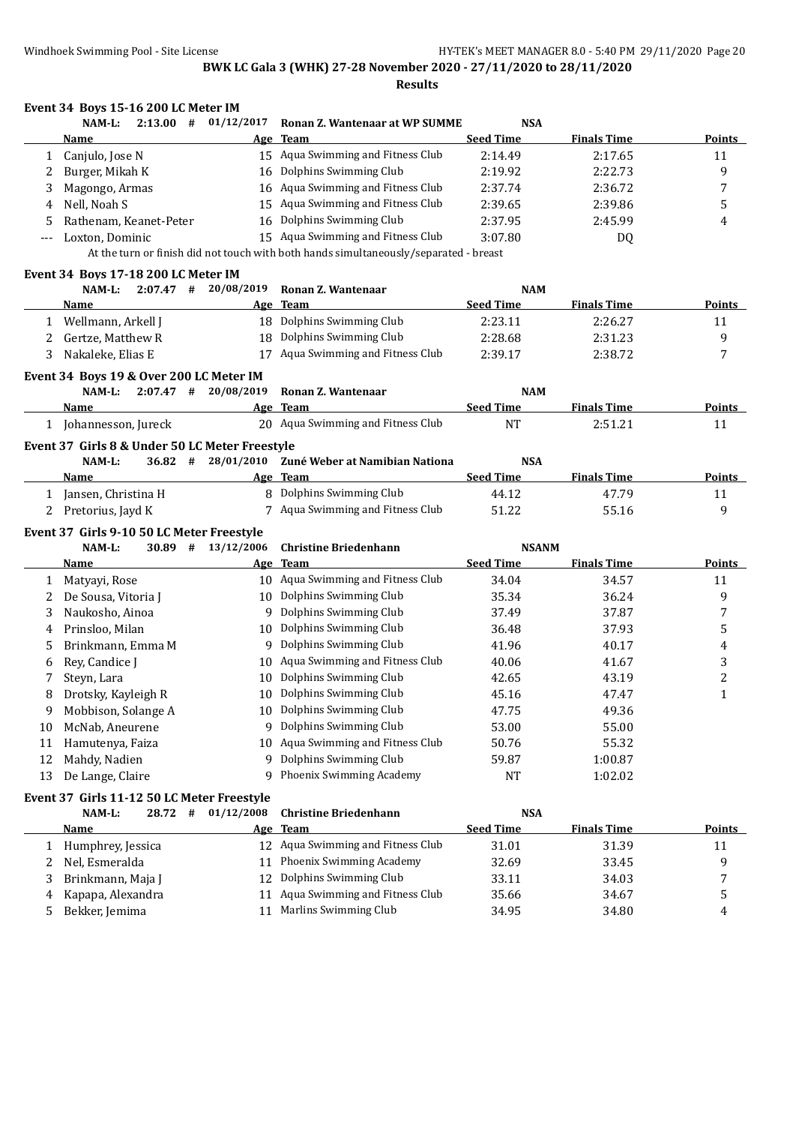|              | Event 34 Boys 15-16 200 LC Meter IM            |                        |                                                                                       |                  |                    |                |
|--------------|------------------------------------------------|------------------------|---------------------------------------------------------------------------------------|------------------|--------------------|----------------|
|              | $2:13.00$ #<br>NAM-L:                          | 01/12/2017             | Ronan Z. Wantenaar at WP SUMME                                                        | <b>NSA</b>       |                    |                |
|              | Name                                           |                        | Age Team                                                                              | <b>Seed Time</b> | <b>Finals Time</b> | Points         |
| $\mathbf{1}$ | Canjulo, Jose N                                |                        | 15 Aqua Swimming and Fitness Club                                                     | 2:14.49          | 2:17.65            | 11             |
| 2            | Burger, Mikah K                                |                        | 16 Dolphins Swimming Club                                                             | 2:19.92          | 2:22.73            | 9              |
| 3            | Magongo, Armas                                 |                        | 16 Aqua Swimming and Fitness Club                                                     | 2:37.74          | 2:36.72            | 7              |
| 4            | Nell, Noah S                                   | 15                     | Aqua Swimming and Fitness Club                                                        | 2:39.65          | 2:39.86            | 5              |
| 5            | Rathenam, Keanet-Peter                         | 16                     | Dolphins Swimming Club                                                                | 2:37.95          | 2:45.99            | 4              |
| ---          | Loxton, Dominic                                |                        | 15 Aqua Swimming and Fitness Club                                                     | 3:07.80          | <b>DQ</b>          |                |
|              |                                                |                        | At the turn or finish did not touch with both hands simultaneously/separated - breast |                  |                    |                |
|              | Event 34 Boys 17-18 200 LC Meter IM            |                        |                                                                                       |                  |                    |                |
|              | NAM-L:                                         | $2:07.47$ # 20/08/2019 | Ronan Z. Wantenaar                                                                    | <b>NAM</b>       |                    |                |
|              | Name                                           |                        | Age Team                                                                              | <b>Seed Time</b> | <b>Finals Time</b> | <b>Points</b>  |
|              | 1 Wellmann, Arkell J                           |                        | 18 Dolphins Swimming Club                                                             | 2:23.11          | 2:26.27            | 11             |
| 2            | Gertze, Matthew R                              |                        | 18 Dolphins Swimming Club                                                             | 2:28.68          | 2:31.23            | 9              |
| 3            | Nakaleke, Elias E                              |                        | 17 Aqua Swimming and Fitness Club                                                     | 2:39.17          | 2:38.72            | 7              |
|              | Event 34 Boys 19 & Over 200 LC Meter IM        |                        |                                                                                       |                  |                    |                |
|              | NAM-L:                                         | $2:07.47$ # 20/08/2019 | Ronan Z. Wantenaar                                                                    | <b>NAM</b>       |                    |                |
|              | Name                                           |                        | Age Team                                                                              | <b>Seed Time</b> | <b>Finals Time</b> | <b>Points</b>  |
|              | 1 Johannesson, Jureck                          |                        | 20 Aqua Swimming and Fitness Club                                                     | <b>NT</b>        | 2:51.21            | 11             |
|              | Event 37 Girls 8 & Under 50 LC Meter Freestyle |                        |                                                                                       |                  |                    |                |
|              | NAM-L:<br>36.82#                               | 28/01/2010             | Zuné Weber at Namibian Nationa                                                        | <b>NSA</b>       |                    |                |
|              | Name                                           |                        | Age Team                                                                              | <b>Seed Time</b> | <b>Finals Time</b> | Points         |
| $\mathbf{1}$ | Jansen, Christina H                            |                        | 8 Dolphins Swimming Club                                                              | 44.12            | 47.79              | 11             |
| 2            | Pretorius, Jayd K                              |                        | 7 Aqua Swimming and Fitness Club                                                      | 51.22            | 55.16              | 9              |
|              | Event 37 Girls 9-10 50 LC Meter Freestyle      |                        |                                                                                       |                  |                    |                |
|              | NAM-L:<br>30.89 #                              | 13/12/2006             | <b>Christine Briedenhann</b>                                                          | <b>NSANM</b>     |                    |                |
|              | Name                                           |                        | Age Team                                                                              | <b>Seed Time</b> | <b>Finals Time</b> | <b>Points</b>  |
|              | 1 Matyayi, Rose                                |                        | 10 Aqua Swimming and Fitness Club                                                     | 34.04            | 34.57              | 11             |
| 2            | De Sousa, Vitoria J                            |                        | 10 Dolphins Swimming Club                                                             | 35.34            | 36.24              | 9              |
| 3            | Naukosho, Ainoa                                |                        | 9 Dolphins Swimming Club                                                              | 37.49            | 37.87              | 7              |
| 4            | Prinsloo, Milan                                |                        | 10 Dolphins Swimming Club                                                             | 36.48            | 37.93              | 5              |
|              | Brinkmann, Emma M                              |                        | 9 Dolphins Swimming Club                                                              | 41.96            |                    |                |
| 5            | Rey, Candice J                                 |                        | 10 Aqua Swimming and Fitness Club                                                     | 40.06            | 40.17              | 4<br>3         |
| 6            |                                                |                        | Dolphins Swimming Club                                                                |                  | 41.67              | $\overline{c}$ |
|              | Steyn, Lara                                    | 10                     | 10 Dolphins Swimming Club                                                             | 42.65            | 43.19              | $\mathbf{1}$   |
| 8            | Drotsky, Kayleigh R                            |                        | 10 Dolphins Swimming Club                                                             | 45.16            | 47.47              |                |
| 9            | Mobbison, Solange A                            |                        | 9 Dolphins Swimming Club                                                              | 47.75            | 49.36              |                |
| 10           | McNab, Aneurene                                |                        |                                                                                       | 53.00            | 55.00              |                |
| 11           | Hamutenya, Faiza                               |                        | 10 Aqua Swimming and Fitness Club                                                     | 50.76            | 55.32              |                |
| 12           | Mahdy, Nadien                                  |                        | 9 Dolphins Swimming Club                                                              | 59.87            | 1:00.87            |                |
| 13           | De Lange, Claire                               |                        | 9 Phoenix Swimming Academy                                                            | NT               | 1:02.02            |                |
|              | Event 37 Girls 11-12 50 LC Meter Freestyle     |                        |                                                                                       |                  |                    |                |
|              | #<br>NAM-L:<br>28.72                           | 01/12/2008             | <b>Christine Briedenhann</b>                                                          | <b>NSA</b>       |                    |                |
|              | <u>Name</u>                                    |                        | Age Team                                                                              | <b>Seed Time</b> | <b>Finals Time</b> | <b>Points</b>  |
|              | 1 Humphrey, Jessica                            |                        | 12 Aqua Swimming and Fitness Club                                                     | 31.01            | 31.39              | 11             |
|              | 2 Nel. Esmeralda                               |                        | 11 Phoenix Swimming Academy                                                           | 32.69            | 33.45              | 9              |

| Humphrey, Jessica   | IZ Aqua Swimming and Fitness Club | 31.01 | 31.39 |   |
|---------------------|-----------------------------------|-------|-------|---|
| 2 Nel. Esmeralda    | 11 Phoenix Swimming Academy       | 32.69 | 33.45 |   |
| 3 Brinkmann, Maja J | 12 Dolphins Swimming Club         | 33.11 | 34.03 |   |
| 4 Kapapa, Alexandra | 11 Agua Swimming and Fitness Club | 35.66 | 34.67 |   |
| Bekker, Jemima      | 11 Marlins Swimming Club          | 34.95 | 34.80 | 4 |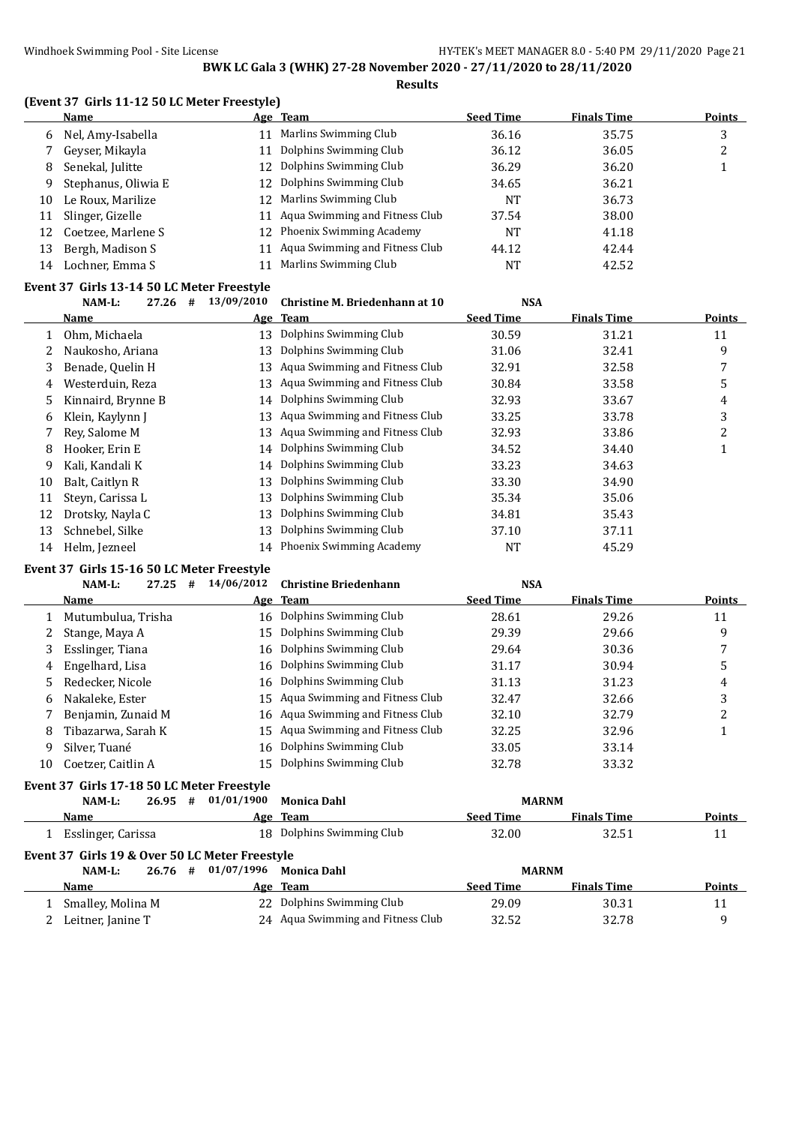|    | (Event 37 Girls 11-12 50 LC Meter Freestyle) |    |                                |                  |                    |               |  |  |  |  |
|----|----------------------------------------------|----|--------------------------------|------------------|--------------------|---------------|--|--|--|--|
|    | <b>Name</b>                                  |    | Age Team                       | <b>Seed Time</b> | <b>Finals Time</b> | <b>Points</b> |  |  |  |  |
| 6  | Nel, Amy-Isabella                            | 11 | Marlins Swimming Club          | 36.16            | 35.75              | 3             |  |  |  |  |
|    | Gevser, Mikayla                              | 11 | Dolphins Swimming Club         | 36.12            | 36.05              |               |  |  |  |  |
| 8  | Senekal, Julitte                             |    | 12 Dolphins Swimming Club      | 36.29            | 36.20              |               |  |  |  |  |
| 9  | Stephanus, Oliwia E                          |    | 12 Dolphins Swimming Club      | 34.65            | 36.21              |               |  |  |  |  |
| 10 | Le Roux, Marilize                            |    | 12 Marlins Swimming Club       | <b>NT</b>        | 36.73              |               |  |  |  |  |
| 11 | Slinger, Gizelle                             | 11 | Aqua Swimming and Fitness Club | 37.54            | 38.00              |               |  |  |  |  |
| 12 | Coetzee, Marlene S                           |    | 12 Phoenix Swimming Academy    | <b>NT</b>        | 41.18              |               |  |  |  |  |
| 13 | Bergh, Madison S                             | 11 | Aqua Swimming and Fitness Club | 44.12            | 42.44              |               |  |  |  |  |
| 14 | Lochner, Emma S                              |    | Marlins Swimming Club          | NT               | 42.52              |               |  |  |  |  |

#### **Event 37 Girls 13-14 50 LC Meter Freestyle**

|    | 27.26<br>#<br>$NAM-L$ : | 13/09/2010 | Christine M. Briedenhann at 10    | <b>NSA</b>       |                    |               |
|----|-------------------------|------------|-----------------------------------|------------------|--------------------|---------------|
|    | <b>Name</b>             |            | Age Team                          | <b>Seed Time</b> | <b>Finals Time</b> | <b>Points</b> |
|    | Ohm, Michaela           | 13         | Dolphins Swimming Club            | 30.59            | 31.21              | 11            |
|    | Naukosho, Ariana        | 13         | Dolphins Swimming Club            | 31.06            | 32.41              | 9             |
| 3  | Benade, Quelin H        |            | 13 Aqua Swimming and Fitness Club | 32.91            | 32.58              | 7             |
| 4  | Westerduin, Reza        | 13         | Aqua Swimming and Fitness Club    | 30.84            | 33.58              | 5             |
| 5  | Kinnaird, Brynne B      |            | 14 Dolphins Swimming Club         | 32.93            | 33.67              | 4             |
| 6  | Klein, Kaylynn J        |            | 13 Aqua Swimming and Fitness Club | 33.25            | 33.78              | 3             |
|    | Rev. Salome M           |            | 13 Aqua Swimming and Fitness Club | 32.93            | 33.86              | 2             |
| 8  | Hooker, Erin E          | 14         | Dolphins Swimming Club            | 34.52            | 34.40              |               |
| 9  | Kali, Kandali K         |            | 14 Dolphins Swimming Club         | 33.23            | 34.63              |               |
| 10 | Balt, Caitlyn R         | 13         | Dolphins Swimming Club            | 33.30            | 34.90              |               |
| 11 | Steyn, Carissa L        | 13         | Dolphins Swimming Club            | 35.34            | 35.06              |               |
| 12 | Drotsky, Nayla C        | 13         | Dolphins Swimming Club            | 34.81            | 35.43              |               |
| 13 | Schnebel, Silke         | 13         | Dolphins Swimming Club            | 37.10            | 37.11              |               |
| 14 | Helm, Jezneel           |            | 14 Phoenix Swimming Academy       | NT               | 45.29              |               |

#### **Event 37 Girls 15-16 50 LC Meter Freestyle**

|    | $NAM-L$ :          | 27.25 | # | 14/06/2012 | <b>Christine Briedenhann</b>      | <b>NSA</b>       |                    |        |
|----|--------------------|-------|---|------------|-----------------------------------|------------------|--------------------|--------|
|    | Name               |       |   |            | Age Team                          | <b>Seed Time</b> | <b>Finals Time</b> | Points |
|    | Mutumbulua, Trisha |       |   |            | 16 Dolphins Swimming Club         | 28.61            | 29.26              | 11     |
| 2  | Stange, Maya A     |       |   |            | 15 Dolphins Swimming Club         | 29.39            | 29.66              | 9      |
| 3  | Esslinger, Tiana   |       |   |            | 16 Dolphins Swimming Club         | 29.64            | 30.36              |        |
| 4  | Engelhard, Lisa    |       |   |            | 16 Dolphins Swimming Club         | 31.17            | 30.94              | 5      |
| 5. | Redecker, Nicole   |       |   |            | 16 Dolphins Swimming Club         | 31.13            | 31.23              | 4      |
| 6  | Nakaleke, Ester    |       |   |            | 15 Aqua Swimming and Fitness Club | 32.47            | 32.66              | 3      |
|    | Benjamin, Zunaid M |       |   |            | 16 Aqua Swimming and Fitness Club | 32.10            | 32.79              | າ      |
| 8  | Tibazarwa. Sarah K |       |   |            | 15 Aqua Swimming and Fitness Club | 32.25            | 32.96              |        |
| 9  | Silver. Tuané      |       |   | 16         | Dolphins Swimming Club            | 33.05            | 33.14              |        |
| 10 | Coetzer, Caitlin A |       |   | 15         | Dolphins Swimming Club            | 32.78            | 33.32              |        |
|    |                    |       |   |            |                                   |                  |                    |        |

# **Event 37 Girls 17-18 50 LC Meter Freestyle**

|                                                | NAM-L:             | 26.95 | 01/01/1900<br># | <b>Monica Dahl</b>        | <b>MARNM</b>     |                    |               |  |  |  |  |
|------------------------------------------------|--------------------|-------|-----------------|---------------------------|------------------|--------------------|---------------|--|--|--|--|
|                                                | <b>Name</b>        |       |                 | Age Team                  | <b>Seed Time</b> | <b>Finals Time</b> | <b>Points</b> |  |  |  |  |
|                                                | Esslinger, Carissa |       |                 | 18 Dolphins Swimming Club | 32.00            | 32.51              | 11            |  |  |  |  |
| Event 37 Girls 19 & Over 50 LC Meter Freestyle |                    |       |                 |                           |                  |                    |               |  |  |  |  |
|                                                |                    |       |                 |                           |                  |                    |               |  |  |  |  |
|                                                | NAM-L:             | 26.76 | 01/07/1996<br># | Monica Dahl               | <b>MARNM</b>     |                    |               |  |  |  |  |
|                                                | <b>Name</b>        |       |                 | Age Team                  | <b>Seed Time</b> | <b>Finals Time</b> | <b>Points</b> |  |  |  |  |
|                                                | Smalley, Molina M  |       |                 | 22 Dolphins Swimming Club | 29.09            | 30.31              | 11            |  |  |  |  |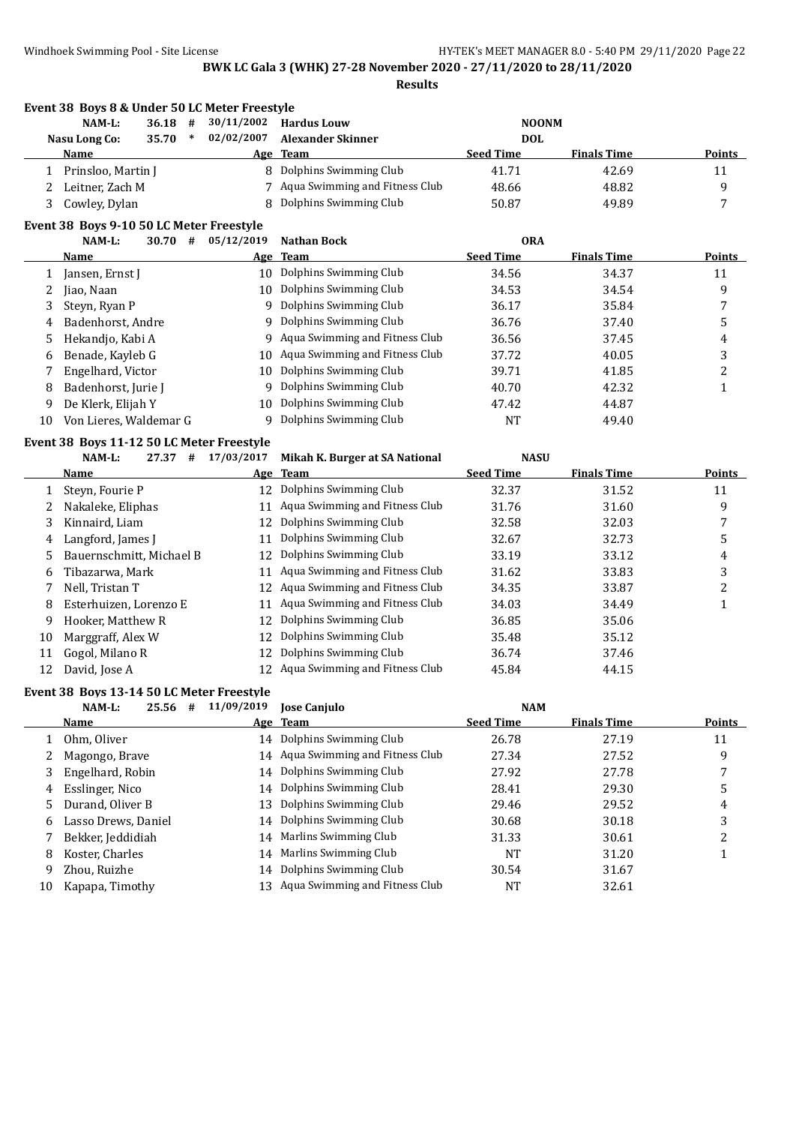|              | Event 38 Boys 8 & Under 50 LC Meter Freestyle |            |                                |                  |                    |                  |
|--------------|-----------------------------------------------|------------|--------------------------------|------------------|--------------------|------------------|
|              | NAM-L:<br>36.18<br>#                          | 30/11/2002 | <b>Hardus Louw</b>             | <b>NOONM</b>     |                    |                  |
|              | <b>Nasu Long Co:</b><br>35.70<br>$\ast$       | 02/02/2007 | <b>Alexander Skinner</b>       | <b>DOL</b>       |                    |                  |
|              | Name                                          |            | Age Team                       | <b>Seed Time</b> | <b>Finals Time</b> | <b>Points</b>    |
|              | 1 Prinsloo, Martin J                          |            | 8 Dolphins Swimming Club       | 41.71            | 42.69              | 11               |
| 2            | Leitner, Zach M                               |            | Aqua Swimming and Fitness Club | 48.66            | 48.82              | 9                |
| 3            | Cowley, Dylan                                 | 8          | Dolphins Swimming Club         | 50.87            | 49.89              | 7                |
|              | Event 38 Boys 9-10 50 LC Meter Freestyle      |            |                                |                  |                    |                  |
|              | 30.70#<br>NAM-L:                              | 05/12/2019 | <b>Nathan Bock</b>             | <b>ORA</b>       |                    |                  |
|              | Name                                          | <u>Age</u> | <b>Team</b>                    | <b>Seed Time</b> | <b>Finals Time</b> | <b>Points</b>    |
| 1            | Jansen, Ernst J                               | 10         | Dolphins Swimming Club         | 34.56            | 34.37              | 11               |
| 2            | Jiao, Naan                                    | 10         | Dolphins Swimming Club         | 34.53            | 34.54              | 9                |
| 3            | Steyn, Ryan P                                 | 9          | Dolphins Swimming Club         | 36.17            | 35.84              | 7                |
| 4            | Badenhorst, Andre                             | 9          | Dolphins Swimming Club         | 36.76            | 37.40              | 5                |
| 5            | Hekandjo, Kabi A                              | 9          | Aqua Swimming and Fitness Club | 36.56            | 37.45              | 4                |
| 6            | Benade, Kayleb G                              | 10         | Aqua Swimming and Fitness Club | 37.72            | 40.05              | 3                |
| 7            | Engelhard, Victor                             | 10         | Dolphins Swimming Club         | 39.71            | 41.85              | $\boldsymbol{2}$ |
| 8            | Badenhorst, Jurie J                           | 9          | Dolphins Swimming Club         | 40.70            | 42.32              | $\mathbf{1}$     |
| 9            | De Klerk, Elijah Y                            | 10         | Dolphins Swimming Club         | 47.42            | 44.87              |                  |
| 10           | Von Lieres, Waldemar G                        | 9          | Dolphins Swimming Club         | <b>NT</b>        | 49.40              |                  |
|              | Event 38 Boys 11-12 50 LC Meter Freestyle     |            |                                |                  |                    |                  |
|              | NAM-L:<br>#<br>27.37                          | 17/03/2017 | Mikah K. Burger at SA National | <b>NASU</b>      |                    |                  |
|              | Name                                          | Age        | <b>Team</b>                    | <b>Seed Time</b> | <b>Finals Time</b> | <b>Points</b>    |
| 1            | Steyn, Fourie P                               | 12         | Dolphins Swimming Club         | 32.37            | 31.52              | 11               |
| 2            | Nakaleke, Eliphas                             | 11         | Aqua Swimming and Fitness Club | 31.76            | 31.60              | 9                |
| 3            | Kinnaird, Liam                                | 12         | Dolphins Swimming Club         | 32.58            | 32.03              | 7                |
| 4            | Langford, James J                             | 11         | Dolphins Swimming Club         | 32.67            | 32.73              | 5                |
| 5            | Bauernschmitt, Michael B                      | 12         | Dolphins Swimming Club         | 33.19            | 33.12              | 4                |
| 6            | Tibazarwa, Mark                               | 11         | Aqua Swimming and Fitness Club | 31.62            | 33.83              | 3                |
| 7            | Nell, Tristan T                               | 12         | Aqua Swimming and Fitness Club | 34.35            | 33.87              | $\boldsymbol{2}$ |
| 8            | Esterhuizen, Lorenzo E                        | 11         | Aqua Swimming and Fitness Club | 34.03            | 34.49              | $\mathbf{1}$     |
| 9            | Hooker, Matthew R                             | 12         | Dolphins Swimming Club         | 36.85            | 35.06              |                  |
| 10           | Marggraff, Alex W                             | 12         | Dolphins Swimming Club         | 35.48            | 35.12              |                  |
| 11           | Gogol, Milano R                               | 12         | Dolphins Swimming Club         | 36.74            | 37.46              |                  |
| 12           | David, Jose A                                 | 12         | Aqua Swimming and Fitness Club | 45.84            | 44.15              |                  |
|              | Event 38 Boys 13-14 50 LC Meter Freestyle     |            |                                |                  |                    |                  |
|              | NAM-L:<br>25.56 #                             | 11/09/2019 | Jose Canjulo                   | <b>NAM</b>       |                    |                  |
|              | <b>Name</b>                                   |            | Age Team                       | <b>Seed Time</b> | <b>Finals Time</b> | <b>Points</b>    |
| $\mathbf{1}$ | Ohm, Oliver                                   | 14         | Dolphins Swimming Club         | 26.78            | 27.19              | 11               |
| 2            | Magongo, Brave                                | 14         | Aqua Swimming and Fitness Club | 27.34            | 27.52              | 9                |
| 3            | Engelhard, Robin                              | 14         | Dolphins Swimming Club         | 27.92            | 27.78              | 7                |
| 4            | Esslinger, Nico                               | 14         | Dolphins Swimming Club         | 28.41            | 29.30              | 5                |
| 5            | Durand, Oliver B                              | 13         | Dolphins Swimming Club         | 29.46            | 29.52              | 4                |
| 6            | Lasso Drews, Daniel                           | 14         | Dolphins Swimming Club         | 30.68            | 30.18              | 3                |
| 7            | Bekker, Jeddidiah                             | 14         | Marlins Swimming Club          | 31.33            | 30.61              | $\boldsymbol{2}$ |
| 8            | Koster, Charles                               | 14         | Marlins Swimming Club          | NT               | 31.20              | $\mathbf{1}$     |
| 9            | Zhou, Ruizhe                                  | 14         | Dolphins Swimming Club         | 30.54            | 31.67              |                  |
| 10           | Kapapa, Timothy                               | 13         | Aqua Swimming and Fitness Club | NT               | 32.61              |                  |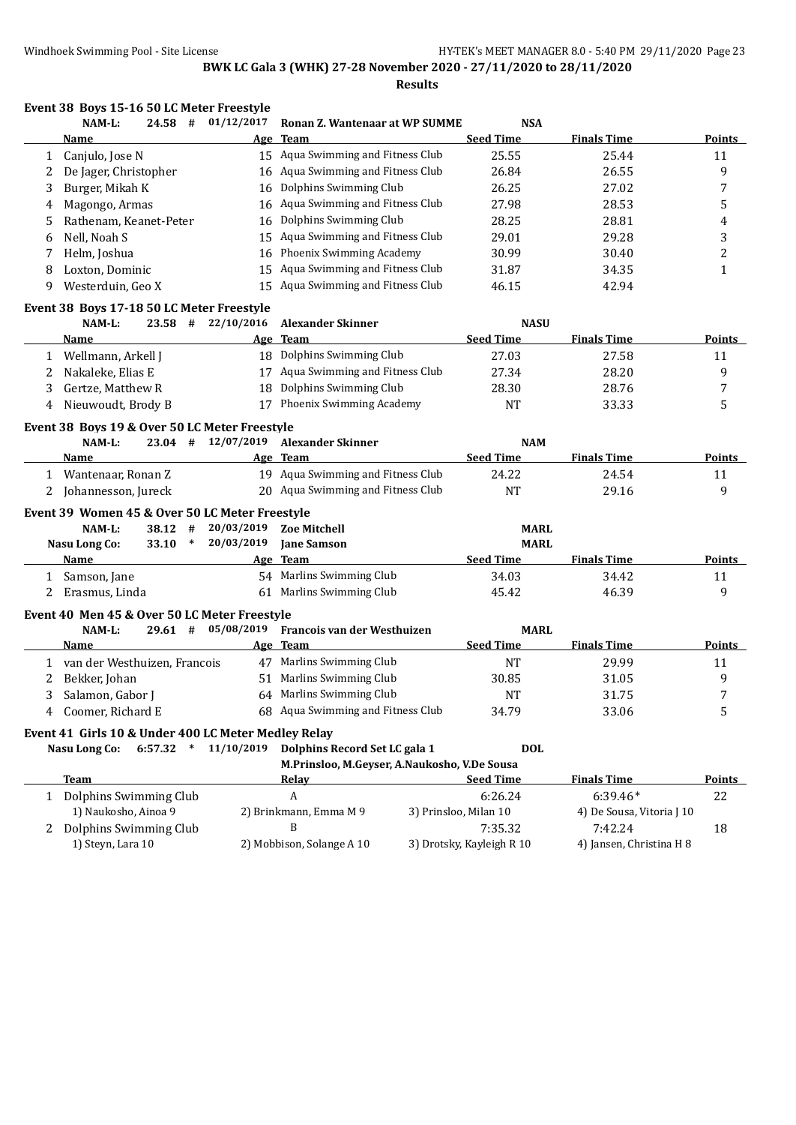|   | Event 38 Boys 15-16 50 LC Meter Freestyle           |                    |                                              |                            |                                     |                                      |
|---|-----------------------------------------------------|--------------------|----------------------------------------------|----------------------------|-------------------------------------|--------------------------------------|
|   | 24.58#<br>NAM-L:                                    | 01/12/2017         | Ronan Z. Wantenaar at WP SUMME               | <b>NSA</b>                 |                                     |                                      |
|   | Name                                                | Age                | <b>Team</b>                                  | <b>Seed Time</b>           | <b>Finals Time</b>                  | Points                               |
| 1 | Canjulo, Jose N                                     |                    | 15 Aqua Swimming and Fitness Club            | 25.55                      | 25.44                               | 11                                   |
| 2 | De Jager, Christopher                               | 16                 | Aqua Swimming and Fitness Club               | 26.84                      | 26.55                               | 9                                    |
| 3 | Burger, Mikah K                                     | 16                 | Dolphins Swimming Club                       | 26.25                      | 27.02                               | 7                                    |
| 4 | Magongo, Armas                                      | 16                 | Aqua Swimming and Fitness Club               | 27.98                      | 28.53                               | 5                                    |
| 5 | Rathenam, Keanet-Peter                              | 16                 | Dolphins Swimming Club                       | 28.25                      | 28.81                               | 4                                    |
| 6 | Nell, Noah S                                        | 15                 | Aqua Swimming and Fitness Club               | 29.01                      | 29.28                               | 3                                    |
| 7 | Helm, Joshua                                        | 16                 | Phoenix Swimming Academy                     | 30.99                      | 30.40                               | $\overline{c}$                       |
| 8 | Loxton, Dominic                                     | 15                 | Aqua Swimming and Fitness Club               | 31.87                      | 34.35                               | $\mathbf{1}$                         |
| 9 | Westerduin, Geo X                                   | 15                 | Aqua Swimming and Fitness Club               | 46.15                      | 42.94                               |                                      |
|   | Event 38 Boys 17-18 50 LC Meter Freestyle           |                    |                                              |                            |                                     |                                      |
|   | NAM-L:                                              | 23.58 # 22/10/2016 | <b>Alexander Skinner</b>                     | <b>NASU</b>                |                                     |                                      |
|   | Name                                                |                    | Age Team                                     | <b>Seed Time</b>           | <b>Finals Time</b>                  | <b>Points</b>                        |
| 1 | Wellmann, Arkell J                                  |                    | 18 Dolphins Swimming Club                    | 27.03                      | 27.58                               | 11                                   |
| 2 | Nakaleke, Elias E                                   | 17                 | Aqua Swimming and Fitness Club               | 27.34                      | 28.20                               | 9                                    |
| 3 | Gertze, Matthew R                                   | 18                 | Dolphins Swimming Club                       | 28.30                      | 28.76                               | 7                                    |
| 4 | Nieuwoudt, Brody B                                  | 17                 | Phoenix Swimming Academy                     | <b>NT</b>                  | 33.33                               | 5                                    |
|   | Event 38 Boys 19 & Over 50 LC Meter Freestyle       |                    |                                              |                            |                                     |                                      |
|   | $23.04$ #<br>NAM-L:                                 | 12/07/2019         | <b>Alexander Skinner</b>                     | <b>NAM</b>                 |                                     |                                      |
|   | Name                                                |                    | Age Team                                     | <b>Seed Time</b>           | <b>Finals Time</b>                  | <b>Points</b>                        |
|   | 1 Wantenaar, Ronan Z                                | 19                 | Aqua Swimming and Fitness Club               | 24.22                      | 24.54                               | 11                                   |
|   | 2 Johannesson, Jureck                               |                    | 20 Aqua Swimming and Fitness Club            | <b>NT</b>                  | 29.16                               | 9                                    |
|   |                                                     |                    |                                              |                            |                                     |                                      |
|   | Event 39 Women 45 & Over 50 LC Meter Freestyle      |                    |                                              |                            |                                     |                                      |
|   | NAM-L:<br>$38.12$ #                                 | 20/03/2019         | <b>Zoe Mitchell</b>                          | <b>MARL</b><br><b>MARL</b> |                                     |                                      |
|   | <b>Nasu Long Co:</b><br>$33.10*$<br>Name            | 20/03/2019         | <b>Jane Samson</b>                           | <b>Seed Time</b>           | <b>Finals Time</b>                  |                                      |
|   |                                                     |                    | Age Team                                     |                            |                                     | Points                               |
| 1 | Samson, Jane                                        |                    | 54 Marlins Swimming Club                     | 34.03<br>45.42             | 34.42                               | 11                                   |
|   | 2 Erasmus, Linda                                    |                    | 61 Marlins Swimming Club                     |                            | 46.39                               | 9                                    |
|   |                                                     |                    |                                              |                            |                                     |                                      |
|   | Event 40 Men 45 & Over 50 LC Meter Freestyle        |                    |                                              |                            |                                     |                                      |
|   | NAM-L:<br>$29.61$ #                                 | 05/08/2019         | Francois van der Westhuizen                  | <b>MARL</b>                |                                     |                                      |
|   | Name                                                |                    | Age Team                                     | <b>Seed Time</b>           | <b>Finals Time</b>                  |                                      |
|   | 1 van der Westhuizen, Francois                      |                    | 47 Marlins Swimming Club                     | <b>NT</b>                  | 29.99                               | 11                                   |
| 2 | Bekker, Johan                                       |                    | 51 Marlins Swimming Club                     | 30.85                      | 31.05                               | 9                                    |
| 3 | Salamon, Gabor J                                    |                    | 64 Marlins Swimming Club                     | <b>NT</b>                  | 31.75                               | 7                                    |
|   | 4 Coomer, Richard E                                 |                    | 68 Aqua Swimming and Fitness Club            | 34.79                      | 33.06                               | 5                                    |
|   | Event 41 Girls 10 & Under 400 LC Meter Medley Relay |                    |                                              |                            |                                     |                                      |
|   | <b>Nasu Long Co:</b><br>$\ast$<br>6:57.32           | 11/10/2019         | Dolphins Record Set LC gala 1                | <b>DOL</b>                 |                                     |                                      |
|   |                                                     |                    | M.Prinsloo, M.Geyser, A.Naukosho, V.De Sousa |                            |                                     |                                      |
|   | <b>Team</b>                                         |                    | Relay                                        | <b>Seed Time</b>           | <b>Finals Time</b>                  |                                      |
|   | 1 Dolphins Swimming Club                            |                    | А                                            | 6:26.24                    | $6:39.46*$                          | 22                                   |
|   | 1) Naukosho, Ainoa 9                                |                    | 2) Brinkmann, Emma M 9                       | 3) Prinsloo, Milan 10      | 4) De Sousa, Vitoria J 10           |                                      |
|   | 2 Dolphins Swimming Club<br>1) Steyn, Lara 10       |                    | B<br>2) Mobbison, Solange A 10               | 7:35.32                    | 7:42.24<br>4) Jansen, Christina H 8 | <b>Points</b><br><b>Points</b><br>18 |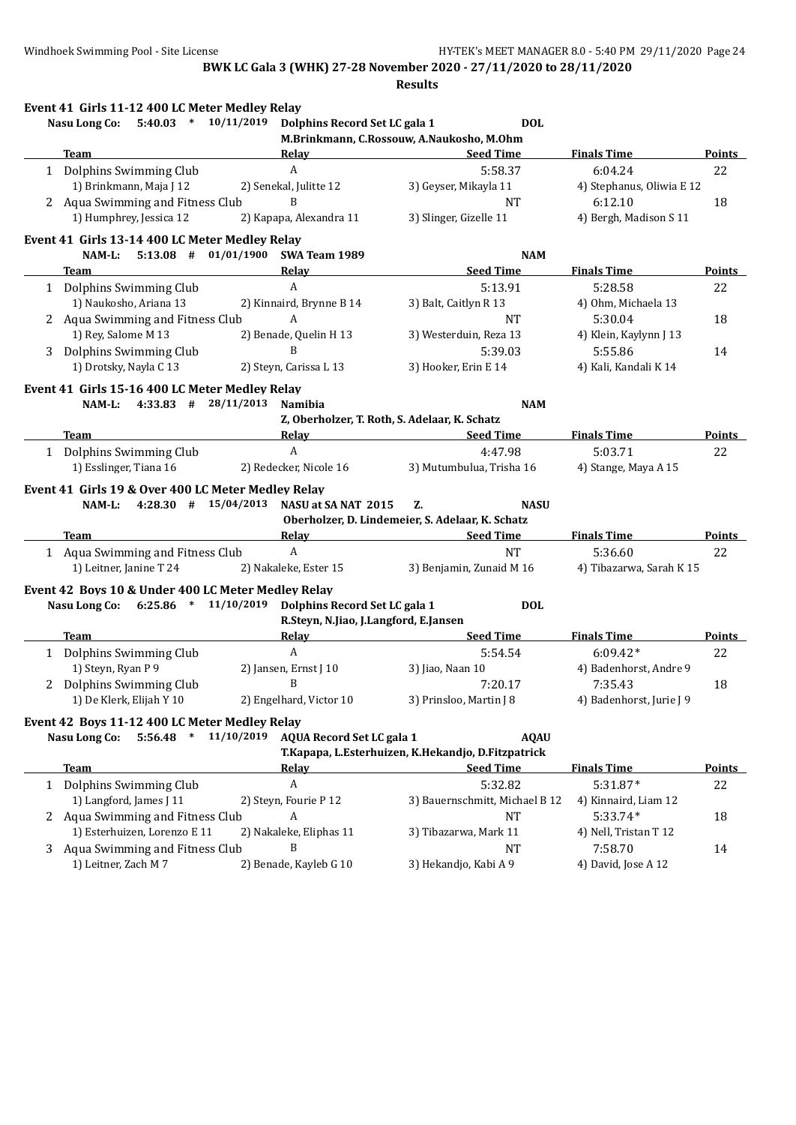|   | Event 41 Girls 11-12 400 LC Meter Medley Relay             |                                                                               |                                                                                           |                           |               |
|---|------------------------------------------------------------|-------------------------------------------------------------------------------|-------------------------------------------------------------------------------------------|---------------------------|---------------|
|   | $5:40.03$ * $10/11/2019$<br>Nasu Long Co:                  | Dolphins Record Set LC gala 1                                                 | <b>DOL</b>                                                                                |                           |               |
|   |                                                            |                                                                               | M.Brinkmann, C.Rossouw, A.Naukosho, M.Ohm                                                 |                           |               |
|   | Team                                                       | Relay                                                                         | <b>Seed Time</b><br>the control of the control of the control of the control of           | <b>Finals Time</b>        | <b>Points</b> |
|   | 1 Dolphins Swimming Club                                   | $\boldsymbol{A}$                                                              | 5:58.37                                                                                   | 6:04.24                   | 22            |
|   | 1) Brinkmann, Maja J 12                                    | 2) Senekal, Julitte 12                                                        | 3) Geyser, Mikayla 11                                                                     | 4) Stephanus, Oliwia E 12 |               |
|   | 2 Aqua Swimming and Fitness Club                           | B                                                                             | <b>NT</b>                                                                                 | 6:12.10                   | 18            |
|   | 1) Humphrey, Jessica 12                                    | 2) Kapapa, Alexandra 11                                                       | 3) Slinger, Gizelle 11                                                                    | 4) Bergh, Madison S 11    |               |
|   | Event 41 Girls 13-14 400 LC Meter Medley Relay             |                                                                               |                                                                                           |                           |               |
|   |                                                            | NAM-L: 5:13.08 # 01/01/1900 SWA Team 1989                                     | <b>NAM</b>                                                                                |                           |               |
|   | Team                                                       | Relay                                                                         | <b>Seed Time</b>                                                                          | <b>Finals Time</b>        | <b>Points</b> |
|   | 1 Dolphins Swimming Club                                   | A                                                                             | 5:13.91                                                                                   | 5:28.58                   | 22            |
|   | 1) Naukosho, Ariana 13                                     | 2) Kinnaird, Brynne B 14                                                      | 3) Balt, Caitlyn R 13                                                                     | 4) Ohm, Michaela 13       |               |
|   | 2 Aqua Swimming and Fitness Club                           | A                                                                             | <b>NT</b>                                                                                 | 5:30.04                   | 18            |
|   | 1) Rey, Salome M 13                                        | 2) Benade, Quelin H 13                                                        | 3) Westerduin, Reza 13                                                                    | 4) Klein, Kaylynn J 13    |               |
|   | 3 Dolphins Swimming Club                                   | B                                                                             | 5:39.03                                                                                   | 5:55.86                   | 14            |
|   | 1) Drotsky, Nayla C 13                                     | 2) Steyn, Carissa L 13                                                        | 3) Hooker, Erin E 14                                                                      | 4) Kali, Kandali K 14     |               |
|   | Event 41 Girls 15-16 400 LC Meter Medley Relay             |                                                                               |                                                                                           |                           |               |
|   | $4:33.83$ # $28/11/2013$<br>NAM-L:                         | <b>Namibia</b>                                                                | <b>NAM</b>                                                                                |                           |               |
|   |                                                            |                                                                               | Z, Oberholzer, T. Roth, S. Adelaar, K. Schatz                                             |                           |               |
|   | Team                                                       | Relay <b>Example 2018</b>                                                     | Seed Time                                                                                 | <b>Finals Time</b>        | <b>Points</b> |
|   | 1 Dolphins Swimming Club                                   | $\mathbf{A}$                                                                  | 4:47.98                                                                                   | 5:03.71                   | 22            |
|   | 1) Esslinger, Tiana 16                                     | 2) Redecker, Nicole 16                                                        | 3) Mutumbulua, Trisha 16                                                                  | 4) Stange, Maya A 15      |               |
|   | Event 41 Girls 19 & Over 400 LC Meter Medley Relay<br>Team | NAM-L: 4:28.30 # 15/04/2013 NASU at SA NAT 2015<br>Relay <b>Exercise 2018</b> | Z.<br><b>NASU</b><br>Oberholzer, D. Lindemeier, S. Adelaar, K. Schatz<br><b>Seed Time</b> | <b>Finals Time</b>        | Points        |
|   | 1 Aqua Swimming and Fitness Club                           | A                                                                             | <b>NT</b>                                                                                 | 5:36.60                   | 22            |
|   | 1) Leitner, Janine T 24                                    | 2) Nakaleke, Ester 15                                                         | 3) Benjamin, Zunaid M 16                                                                  | 4) Tibazarwa, Sarah K 15  |               |
|   | Event 42 Boys 10 & Under 400 LC Meter Medley Relay         |                                                                               |                                                                                           |                           |               |
|   |                                                            | Nasu Long Co: 6:25.86 * 11/10/2019 Dolphins Record Set LC gala 1              | <b>DOL</b>                                                                                |                           |               |
|   |                                                            | R.Steyn, N.Jiao, J.Langford, E.Jansen                                         |                                                                                           |                           |               |
|   | <b>Team</b>                                                | <b>Relay</b>                                                                  | <b>Seed Time</b>                                                                          | <b>Finals Time</b>        | <b>Points</b> |
|   | 1 Dolphins Swimming Club                                   | $\mathbf{A}$                                                                  | 5:54.54                                                                                   | $6:09.42*$                | 22            |
|   | 1) Steyn, Ryan P 9                                         | 2) Jansen, Ernst J 10                                                         | 3) Jiao, Naan 10                                                                          | 4) Badenhorst, Andre 9    |               |
|   | 2 Dolphins Swimming Club                                   | B                                                                             | 7:20.17                                                                                   | 7:35.43                   | 18            |
|   | 1) De Klerk, Elijah Y 10                                   | 2) Engelhard, Victor 10                                                       | 3) Prinsloo, Martin J 8                                                                   | 4) Badenhorst, Jurie J 9  |               |
|   |                                                            |                                                                               |                                                                                           |                           |               |
|   | Event 42 Boys 11-12 400 LC Meter Medley Relay              | <b>AQUA Record Set LC gala 1</b>                                              | <b>AOAU</b>                                                                               |                           |               |
|   | <b>Nasu Long Co:</b><br>$5:56.48$ * $11/10/2019$           |                                                                               |                                                                                           |                           |               |
|   |                                                            |                                                                               | T.Kapapa, L.Esterhuizen, K.Hekandjo, D.Fitzpatrick<br><b>Seed Time</b>                    |                           |               |
|   | Team                                                       | <b>Relay</b>                                                                  |                                                                                           | <b>Finals Time</b>        | <b>Points</b> |
| 1 | Dolphins Swimming Club                                     | A                                                                             | 5:32.82                                                                                   | $5:31.87*$                | 22            |
|   | 1) Langford, James J 11                                    | 2) Steyn, Fourie P 12                                                         | 3) Bauernschmitt, Michael B 12                                                            | 4) Kinnaird, Liam 12      |               |
|   | 2 Aqua Swimming and Fitness Club                           | A                                                                             | <b>NT</b>                                                                                 | $5:33.74*$                | 18            |
|   | 1) Esterhuizen, Lorenzo E 11                               | 2) Nakaleke, Eliphas 11                                                       | 3) Tibazarwa, Mark 11                                                                     | 4) Nell, Tristan T 12     |               |
|   | 3 Aqua Swimming and Fitness Club                           | B                                                                             | NT                                                                                        | 7:58.70                   | 14            |
|   | 1) Leitner, Zach M7                                        | 2) Benade, Kayleb G 10                                                        | 3) Hekandjo, Kabi A 9                                                                     | 4) David, Jose A 12       |               |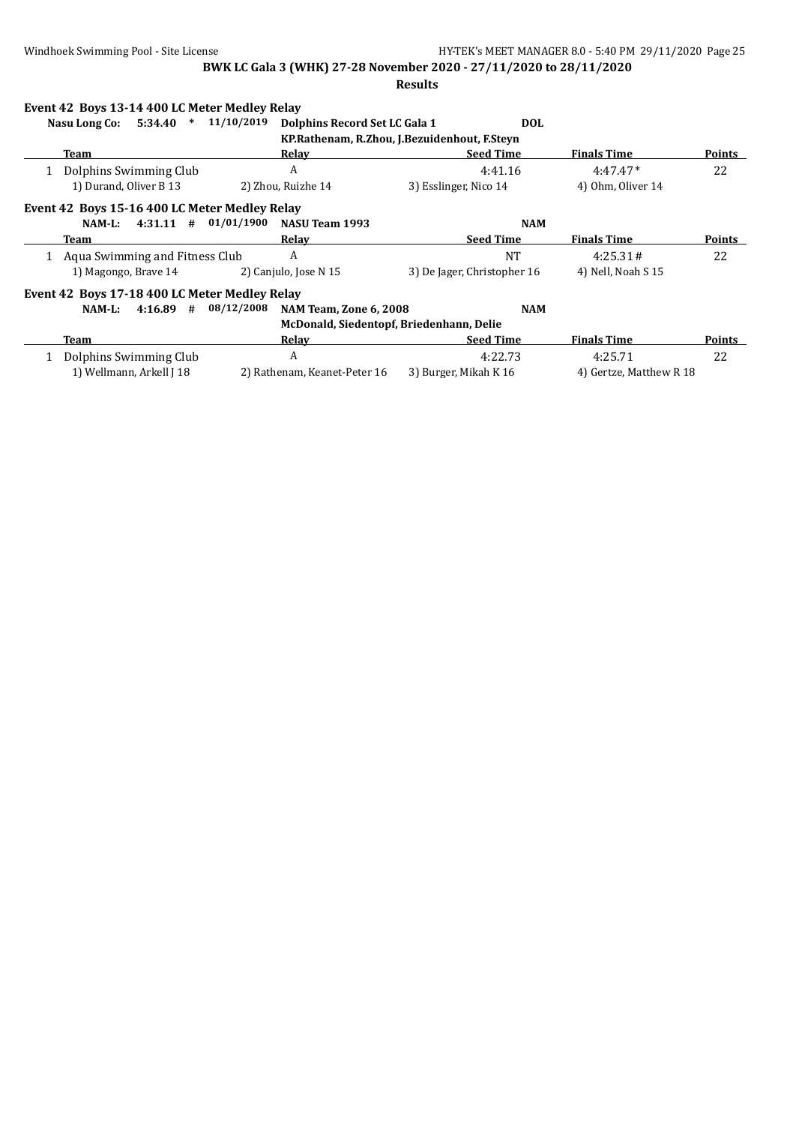| Event 42 Boys 13-14 400 LC Meter Medley Relay |            |                                          |                                              |                         |               |
|-----------------------------------------------|------------|------------------------------------------|----------------------------------------------|-------------------------|---------------|
| 5:34.40<br>Nasu Long Co:<br>$\ast$            | 11/10/2019 | Dolphins Record Set LC Gala 1            | <b>DOL</b>                                   |                         |               |
|                                               |            |                                          | KP.Rathenam, R.Zhou, J.Bezuidenhout, F.Steyn |                         |               |
| Team                                          |            | Relav                                    | <b>Seed Time</b>                             | <b>Finals Time</b>      | Points        |
| Dolphins Swimming Club                        |            | A                                        | 4:41.16                                      | $4:47.47*$              | 22            |
| 1) Durand, Oliver B 13                        |            | 2) Zhou, Ruizhe 14                       | 3) Esslinger, Nico 14                        | 4) Ohm, Oliver 14       |               |
| Event 42 Boys 15-16 400 LC Meter Medley Relay |            |                                          |                                              |                         |               |
| $4:31.11$ #<br>NAM-L:                         | 01/01/1900 | NASU Team 1993                           | <b>NAM</b>                                   |                         |               |
| Team                                          |            | Relav                                    | <b>Seed Time</b>                             | <b>Finals Time</b>      | Points        |
| Aqua Swimming and Fitness Club                |            | A                                        | <b>NT</b>                                    | 4:25.31#                | 22            |
| 1) Magongo, Brave 14                          |            | 2) Canjulo, Jose N 15                    | 3) De Jager, Christopher 16                  | 4) Nell, Noah S 15      |               |
| Event 42 Boys 17-18 400 LC Meter Medley Relay |            |                                          |                                              |                         |               |
| $4:16.89$ #<br>NAM-L:                         | 08/12/2008 | <b>NAM Team, Zone 6, 2008</b>            | <b>NAM</b>                                   |                         |               |
|                                               |            | McDonald, Siedentopf, Briedenhann, Delie |                                              |                         |               |
| Team                                          |            | Relay                                    | <b>Seed Time</b>                             | <b>Finals Time</b>      | <b>Points</b> |
| Dolphins Swimming Club                        |            | A                                        | 4:22.73                                      | 4:25.71                 | 22            |
| 1) Wellmann, Arkell J 18                      |            | 2) Rathenam, Keanet-Peter 16             | 3) Burger, Mikah K 16                        | 4) Gertze, Matthew R 18 |               |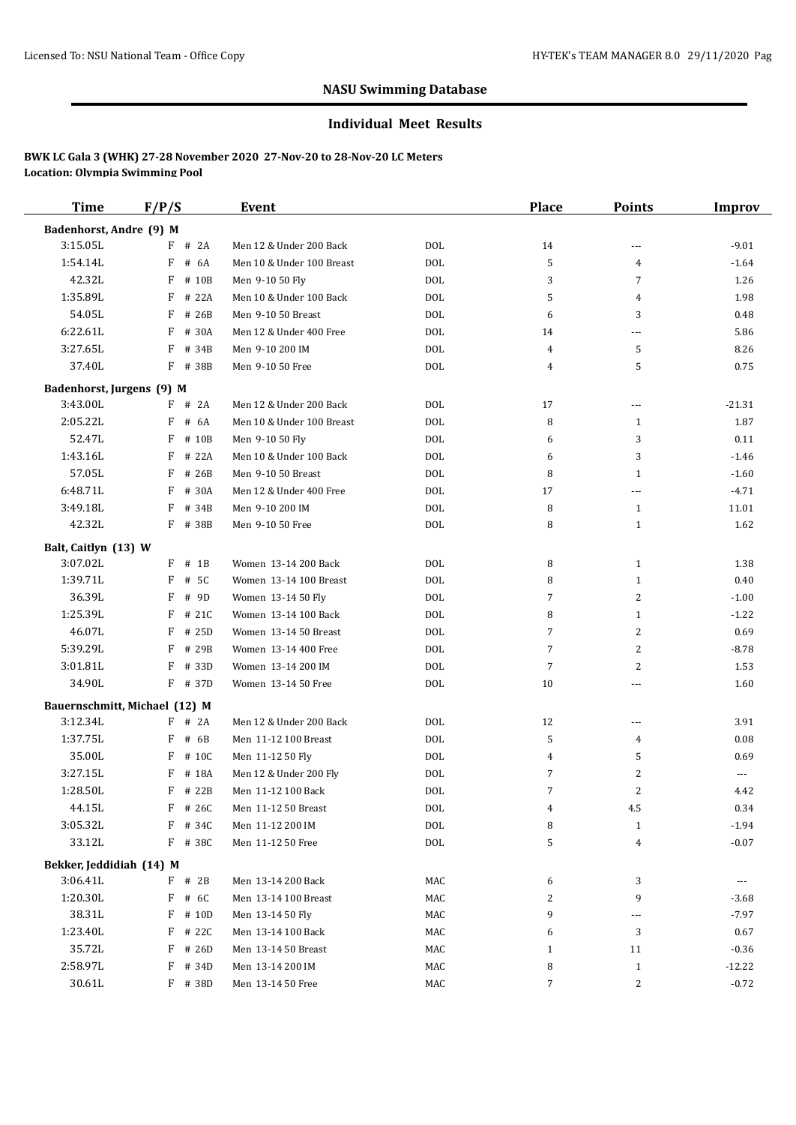#### **Individual Meet Results**

| <b>Time</b>               | F/P/S                         | Event                     |            | Place          | <b>Points</b>  | <b>Improv</b> |
|---------------------------|-------------------------------|---------------------------|------------|----------------|----------------|---------------|
| Badenhorst, Andre (9) M   |                               |                           |            |                |                |               |
| 3:15.05L                  | $F$ # 2A                      | Men 12 & Under 200 Back   | <b>DOL</b> | 14             | ---            | $-9.01$       |
| 1:54.14L                  | F<br># 6A                     | Men 10 & Under 100 Breast | <b>DOL</b> | 5              | $\overline{4}$ | $-1.64$       |
| 42.32L                    | F<br># 10B                    | Men 9-10 50 Fly           | <b>DOL</b> | 3              | $\overline{7}$ | 1.26          |
| 1:35.89L                  | F<br># 22A                    | Men 10 & Under 100 Back   | <b>DOL</b> | 5              | 4              | 1.98          |
| 54.05L                    | $F$ # 26B                     | Men 9-10 50 Breast        | <b>DOL</b> | 6              | 3              | 0.48          |
| 6:22.61L                  | F<br># 30A                    | Men 12 & Under 400 Free   | <b>DOL</b> | 14             | ---            | 5.86          |
| 3:27.65L                  | F<br># 34B                    | Men 9-10 200 IM           | <b>DOL</b> | 4              | 5              | 8.26          |
| 37.40L                    | $F$ # 38B                     | Men 9-10 50 Free          | <b>DOL</b> | 4              | 5              | 0.75          |
| Badenhorst, Jurgens (9) M |                               |                           |            |                |                |               |
| 3:43.00L                  | $F$ # 2A                      | Men 12 & Under 200 Back   | DOL        | 17             | $---$          | $-21.31$      |
| 2:05.22L                  | F<br># 6A                     | Men 10 & Under 100 Breast | <b>DOL</b> | 8              | 1              | 1.87          |
| 52.47L                    | F<br># 10B                    | Men 9-10 50 Fly           | <b>DOL</b> | 6              | 3              | 0.11          |
| 1:43.16L                  | F<br># 22A                    | Men 10 & Under 100 Back   | <b>DOL</b> | 6              | 3              | $-1.46$       |
| 57.05L                    | F<br># 26B                    | Men 9-10 50 Breast        | <b>DOL</b> | 8              | $\mathbf{1}$   | $-1.60$       |
| 6:48.71L                  | F<br># 30A                    | Men 12 & Under 400 Free   | <b>DOL</b> | 17             | ---            | $-4.71$       |
| 3:49.18L                  | F<br># 34B                    | Men 9-10 200 IM           | <b>DOL</b> | 8              | $\mathbf{1}$   | 11.01         |
| 42.32L                    | F # 38B                       | Men 9-10 50 Free          | <b>DOL</b> | 8              | 1              | 1.62          |
| Balt, Caitlyn (13) W      |                               |                           |            |                |                |               |
| 3:07.02L                  | $F$ # 1B                      | Women 13-14 200 Back      | <b>DOL</b> | 8              | $\mathbf{1}$   | 1.38          |
| 1:39.71L                  | F<br># 5C                     | Women 13-14 100 Breast    | <b>DOL</b> | 8              | 1              | 0.40          |
| 36.39L                    | F<br># 9D                     | Women 13-14 50 Fly        | <b>DOL</b> | 7              | $\overline{2}$ | $-1.00$       |
| 1:25.39L                  | F<br># 21C                    | Women 13-14 100 Back      | <b>DOL</b> | 8              | 1              | $-1.22$       |
| 46.07L                    | F<br># 25D                    | Women 13-14 50 Breast     | <b>DOL</b> | 7              | $\overline{2}$ | 0.69          |
| 5:39.29L                  | F<br># 29B                    | Women 13-14 400 Free      | <b>DOL</b> | $\overline{7}$ | $\overline{2}$ | $-8.78$       |
| 3:01.81L                  | F<br># 33D                    | Women 13-14 200 IM        | <b>DOL</b> | 7              | $\overline{2}$ | 1.53          |
| 34.90L                    | F # 37D                       | Women 13-14 50 Free       | <b>DOL</b> | 10             | ---            | 1.60          |
|                           | Bauernschmitt, Michael (12) M |                           |            |                |                |               |
| 3:12.34L                  | F<br># 2A                     | Men 12 & Under 200 Back   | <b>DOL</b> | 12             | $\overline{a}$ | 3.91          |
| 1:37.75L                  | # 6B<br>F                     | Men 11-12 100 Breast      | <b>DOL</b> | 5              | 4              | 0.08          |
| 35.00L                    | F<br># 10C                    | Men 11-12 50 Fly          | <b>DOL</b> | 4              | 5              | 0.69          |
| 3:27.15L                  | # 18A<br>F                    | Men 12 & Under 200 Fly    | <b>DOL</b> | 7              | 2              | ---           |
| 1:28.50L                  | F<br># 22B                    | Men 11-12 100 Back        | <b>DOL</b> | 7              | 2              | 4.42          |
| 44.15L                    | F # 26C                       | Men 11-12 50 Breast       | <b>DOL</b> | 4              | 4.5            | 0.34          |
| 3:05.32L                  | F # 34C                       | Men 11-12 200 IM          | $\rm DOL$  | 8              | $\mathbf{1}$   | $-1.94$       |
| 33.12L                    | F # 38C                       | Men 11-12 50 Free         | $\rm DOL$  | 5              | 4              | $-0.07$       |
| Bekker, Jeddidiah (14) M  |                               |                           |            |                |                |               |
| 3:06.41L                  | $F$ # 2B                      | Men 13-14 200 Back        | MAC        | 6              | 3              |               |
| 1:20.30L                  | F # 6C                        | Men 13-14 100 Breast      | MAC        | 2              | 9              | $-3.68$       |
| 38.31L                    | $F$ # 10D                     | Men 13-14 50 Fly          | MAC        | 9              | ---            | $-7.97$       |
| 1:23.40L                  | F # 22C                       | Men 13-14 100 Back        | MAC        | 6              | 3              | 0.67          |
| 35.72L                    | $F$ # 26D                     | Men 13-14 50 Breast       | MAC        | 1              | 11             | $-0.36$       |
| 2:58.97L                  | F # 34D                       | Men 13-14 200 IM          | MAC        | 8              | $\mathbf{1}$   | $-12.22$      |
| 30.61L                    | F # 38D                       | Men 13-14 50 Free         | MAC        | 7              | $\overline{c}$ | $-0.72$       |
|                           |                               |                           |            |                |                |               |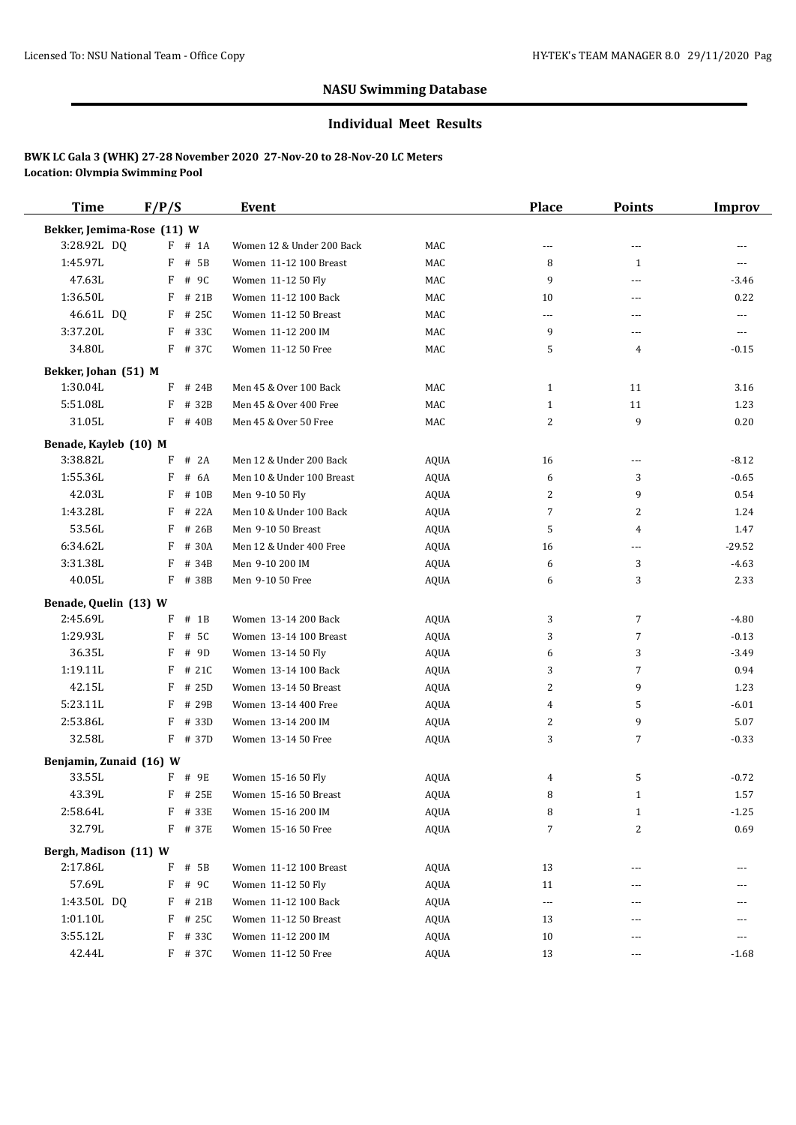#### **Individual Meet Results**

| <b>Time</b>                | F/P/S       | Event                     |             | <b>Place</b>   | <b>Points</b>  | <b>Improv</b> |
|----------------------------|-------------|---------------------------|-------------|----------------|----------------|---------------|
| Bekker, Jemima-Rose (11) W |             |                           |             |                |                |               |
| 3:28.92L DQ                | $F$ # 1A    | Women 12 & Under 200 Back | MAC         | $---$          | ---            |               |
| 1:45.97L                   | F<br># 5B   | Women 11-12 100 Breast    | MAC         | 8              | 1              | ---           |
| 47.63L                     | F<br># 9C   | Women 11-12 50 Fly        | MAC         | 9              | ---            | $-3.46$       |
| 1:36.50L                   | F<br># 21B  | Women 11-12 100 Back      | MAC         | 10             | ---            | 0.22          |
| 46.61L DQ                  | $F$ # 25C   | Women 11-12 50 Breast     | MAC         | $\overline{a}$ | ---            | $---$         |
| 3:37.20L                   | F # 33C     | Women 11-12 200 IM        | MAC         | 9              | ---            | ---           |
| 34.80L                     | F # 37C     | Women 11-12 50 Free       | MAC         | 5              | 4              | $-0.15$       |
| Bekker, Johan (51) M       |             |                           |             |                |                |               |
| 1:30.04L                   | $F$ # 24B   | Men 45 & Over 100 Back    | MAC         | $\mathbf{1}$   | 11             | 3.16          |
| 5:51.08L                   | F<br># 32B  | Men 45 & Over 400 Free    | MAC         | $\mathbf{1}$   | 11             | 1.23          |
| 31.05L                     | $F$ # 40B   | Men 45 & Over 50 Free     | MAC         | 2              | 9              | 0.20          |
| Benade, Kayleb (10) M      |             |                           |             |                |                |               |
| 3:38.82L                   | F<br># 2A   | Men 12 & Under 200 Back   | AQUA        | 16             | ---            | $-8.12$       |
| 1:55.36L                   | F<br># 6A   | Men 10 & Under 100 Breast | <b>AQUA</b> | 6              | 3              | $-0.65$       |
| 42.03L                     | F<br># 10B  | Men 9-10 50 Fly           | <b>AQUA</b> | 2              | 9              | 0.54          |
| 1:43.28L                   | F<br># 22A  | Men 10 & Under 100 Back   | AQUA        | 7              | 2              | 1.24          |
| 53.56L                     | F<br># 26B  | Men 9-10 50 Breast        | AQUA        | 5              | $\overline{4}$ | 1.47          |
| 6:34.62L                   | F<br># 30A  | Men 12 & Under 400 Free   | AQUA        | 16             | ---            | $-29.52$      |
| 3:31.38L                   | F<br># 34B  | Men 9-10 200 IM           | <b>AQUA</b> | 6              | 3              | $-4.63$       |
| 40.05L                     | F # 38B     | Men 9-10 50 Free          | AQUA        | 6              | 3              | 2.33          |
| Benade, Quelin (13) W      |             |                           |             |                |                |               |
| 2:45.69L                   | F<br>$#$ 1B | Women 13-14 200 Back      | AQUA        | 3              | 7              | $-4.80$       |
| 1:29.93L                   | F<br># 5C   | Women 13-14 100 Breast    | <b>AQUA</b> | 3              | $\overline{7}$ | $-0.13$       |
| 36.35L                     | F<br># 9D   | Women 13-14 50 Fly        | <b>AQUA</b> | 6              | 3              | $-3.49$       |
| 1:19.11L                   | F<br># 21C  | Women 13-14 100 Back      | AQUA        | 3              | $\overline{7}$ | 0.94          |
| 42.15L                     | F<br># 25D  | Women 13-14 50 Breast     | AQUA        | 2              | 9              | 1.23          |
| 5:23.11L                   | F<br># 29B  | Women 13-14 400 Free      | AQUA        | 4              | 5              | $-6.01$       |
| 2:53.86L                   | F<br># 33D  | Women 13-14 200 IM        | <b>AQUA</b> | 2              | 9              | 5.07          |
| 32.58L                     | $F$ # 37D   | Women 13-14 50 Free       | AQUA        | 3              | 7              | $-0.33$       |
| Benjamin, Zunaid (16) W    |             |                           |             |                |                |               |
| 33.55L                     | $F$ # 9E    | Women 15-16 50 Fly        | AQUA        | 4              | 5              | $-0.72$       |
| 43.39L                     | F # 25E     | Women 15-16 50 Breast     | <b>AQUA</b> | 8              | $\mathbf{1}$   | 1.57          |
| 2:58.64L                   | F<br># 33E  | Women 15-16 200 IM        | AQUA        | 8              | $\mathbf{1}$   | $-1.25$       |
| 32.79L                     | F # 37E     | Women 15-16 50 Free       | <b>AQUA</b> | 7              | 2              | 0.69          |
| Bergh, Madison (11) W      |             |                           |             |                |                |               |
| 2:17.86L                   | F<br># 5B   | Women 11-12 100 Breast    | AQUA        | 13             | ---            |               |
| 57.69L                     | F<br># 9C   | Women 11-12 50 Fly        | AQUA        | 11             | ---            | ---           |
| 1:43.50L DQ                | F # 21B     | Women 11-12 100 Back      | AQUA        | $\cdots$       | ---            |               |
| 1:01.10L                   | F # 25C     | Women 11-12 50 Breast     | AQUA        | 13             | ---            |               |
| 3:55.12L                   | F<br># 33C  | Women 11-12 200 IM        | AQUA        | 10             | ---            | ---           |
| 42.44L                     | F # 37C     | Women 11-12 50 Free       | AQUA        | 13             | ---            | -1.68         |
|                            |             |                           |             |                |                |               |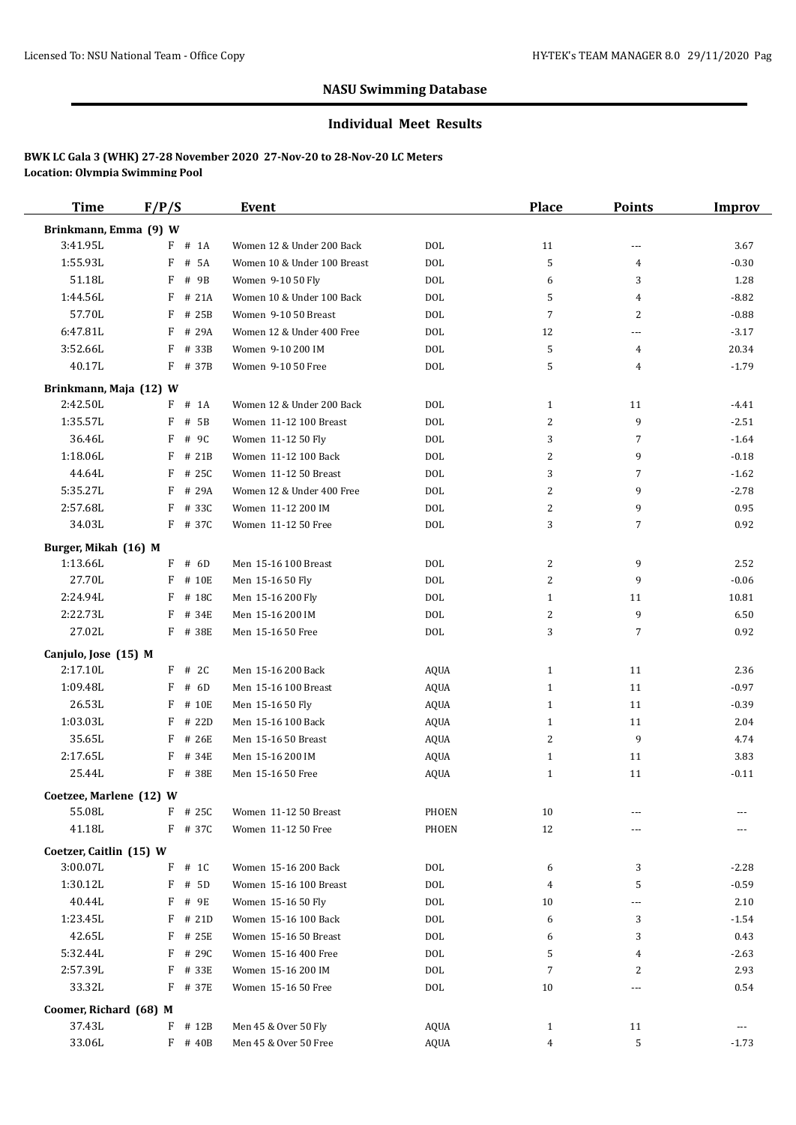#### **Individual Meet Results**

| <b>Time</b>             | F/P/S      | Event                       |             | <b>Place</b>   | <b>Points</b>            | <b>Improv</b> |
|-------------------------|------------|-----------------------------|-------------|----------------|--------------------------|---------------|
| Brinkmann, Emma (9) W   |            |                             |             |                |                          |               |
| 3:41.95L                | $F$ # 1A   | Women 12 & Under 200 Back   | <b>DOL</b>  | 11             | $\sim$ $\sim$            | 3.67          |
| 1:55.93L                | F<br># 5A  | Women 10 & Under 100 Breast | <b>DOL</b>  | 5              | 4                        | $-0.30$       |
| 51.18L                  | F<br># 9B  | Women 9-10 50 Fly           | <b>DOL</b>  | 6              | 3                        | 1.28          |
| 1:44.56L                | F<br># 21A | Women 10 & Under 100 Back   | <b>DOL</b>  | 5              | 4                        | $-8.82$       |
| 57.70L                  | F<br># 25B | Women 9-10 50 Breast        | <b>DOL</b>  | 7              | 2                        | $-0.88$       |
| 6:47.81L                | F<br># 29A | Women 12 & Under 400 Free   | <b>DOL</b>  | 12             | $\overline{a}$           | $-3.17$       |
| 3:52.66L                | F<br># 33B | Women 9-10 200 IM           | <b>DOL</b>  | 5              | 4                        | 20.34         |
| 40.17L                  | F # 37B    | Women 9-10 50 Free          | <b>DOL</b>  | 5              | 4                        | $-1.79$       |
| Brinkmann, Maja (12) W  |            |                             |             |                |                          |               |
| 2:42.50L                | $F$ # 1A   | Women 12 & Under 200 Back   | <b>DOL</b>  | 1              | 11                       | $-4.41$       |
| 1:35.57L                | F<br># 5B  | Women 11-12 100 Breast      | <b>DOL</b>  | 2              | 9                        | $-2.51$       |
| 36.46L                  | F<br># 9C  | Women 11-12 50 Fly          | <b>DOL</b>  | 3              | 7                        | $-1.64$       |
| 1:18.06L                | F<br># 21B | Women 11-12 100 Back        | <b>DOL</b>  | $\overline{c}$ | 9                        | $-0.18$       |
| 44.64L                  | F<br># 25C | Women 11-12 50 Breast       | <b>DOL</b>  | 3              | 7                        | $-1.62$       |
| 5:35.27L                | F<br># 29A | Women 12 & Under 400 Free   | <b>DOL</b>  | 2              | 9                        | $-2.78$       |
| 2:57.68L                | F<br># 33C | Women 11-12 200 IM          | <b>DOL</b>  | 2              | 9                        | 0.95          |
| 34.03L                  | F # 37C    | Women 11-12 50 Free         | <b>DOL</b>  | 3              | 7                        | 0.92          |
|                         |            |                             |             |                |                          |               |
| Burger, Mikah (16) M    |            |                             |             |                |                          |               |
| 1:13.66L                | $F$ # 6D   | Men 15-16 100 Breast        | <b>DOL</b>  | 2              | 9                        | 2.52          |
| 27.70L                  | F<br># 10E | Men 15-16 50 Fly            | <b>DOL</b>  | 2              | 9                        | $-0.06$       |
| 2:24.94L                | F<br># 18C | Men 15-16 200 Fly           | <b>DOL</b>  | $\mathbf{1}$   | 11                       | 10.81         |
| 2:22.73L                | F<br># 34E | Men 15-16 200 IM            | <b>DOL</b>  | 2              | 9                        | 6.50          |
| 27.02L                  | F # 38E    | Men 15-16 50 Free           | <b>DOL</b>  | 3              | 7                        | 0.92          |
| Canjulo, Jose (15) M    |            |                             |             |                |                          |               |
| 2:17.10L                | $F$ # 2C   | Men 15-16 200 Back          | AQUA        | 1              | 11                       | 2.36          |
| 1:09.48L                | F<br># 6D  | Men 15-16 100 Breast        | AQUA        | $\mathbf{1}$   | 11                       | $-0.97$       |
| 26.53L                  | F<br># 10E | Men 15-16 50 Fly            | AQUA        | $\mathbf{1}$   | 11                       | $-0.39$       |
| 1:03.03L                | F<br># 22D | Men 15-16 100 Back          | AQUA        | $\mathbf{1}$   | 11                       | 2.04          |
| 35.65L                  | F<br># 26E | Men 15-16 50 Breast         | AQUA        | 2              | 9                        | 4.74          |
| 2:17.65L                | # 34E<br>F | Men 15-16 200 IM            | AQUA        | $\mathbf{1}$   | 11                       | 3.83          |
| 25.44L                  | F # 38E    | Men 15-16 50 Free           | <b>AQUA</b> | $\mathbf{1}$   | 11                       | $-0.11$       |
| Coetzee, Marlene (12) W |            |                             |             |                |                          |               |
| 55.08L                  | $F$ # 25C  | Women 11-12 50 Breast       | PHOEN       | 10             | ---                      |               |
| 41.18L                  | F # 37C    | Women 11-12 50 Free         | PHOEN       | 12             |                          |               |
| Coetzer, Caitlin (15) W |            |                             |             |                |                          |               |
| 3:00.07L                | $F$ # 1C   | Women 15-16 200 Back        | <b>DOL</b>  | 6              | 3                        | $-2.28$       |
| 1:30.12L                | $F$ # 5D   | Women 15-16 100 Breast      | <b>DOL</b>  | 4              | 5                        | $-0.59$       |
| 40.44L                  | F # 9E     | Women 15-16 50 Fly          | <b>DOL</b>  | 10             | $\overline{a}$           | 2.10          |
|                         | $F$ # 21D  | Women 15-16 100 Back        | <b>DOL</b>  |                |                          |               |
| 1:23.45L<br>42.65L      | F # 25E    | Women 15-16 50 Breast       |             | 6              | 3                        | $-1.54$       |
|                         |            |                             | <b>DOL</b>  | 6              | 3                        | 0.43          |
| 5:32.44L                | F # 29C    | Women 15-16 400 Free        | DOL         | 5              | 4                        | $-2.63$       |
| 2:57.39L                | F # 33E    | Women 15-16 200 IM          | <b>DOL</b>  | 7              | 2                        | 2.93          |
| 33.32L                  | F # 37E    | Women 15-16 50 Free         | <b>DOL</b>  | 10             | $\overline{\phantom{a}}$ | 0.54          |
| Coomer, Richard (68) M  |            |                             |             |                |                          |               |
| 37.43L                  | F # 12B    | Men 45 & Over 50 Fly        | AQUA        | $\mathbf{1}$   | 11                       | ---           |
| 33.06L                  | F # 40B    | Men 45 & Over 50 Free       | <b>AQUA</b> | 4              | 5                        | $-1.73$       |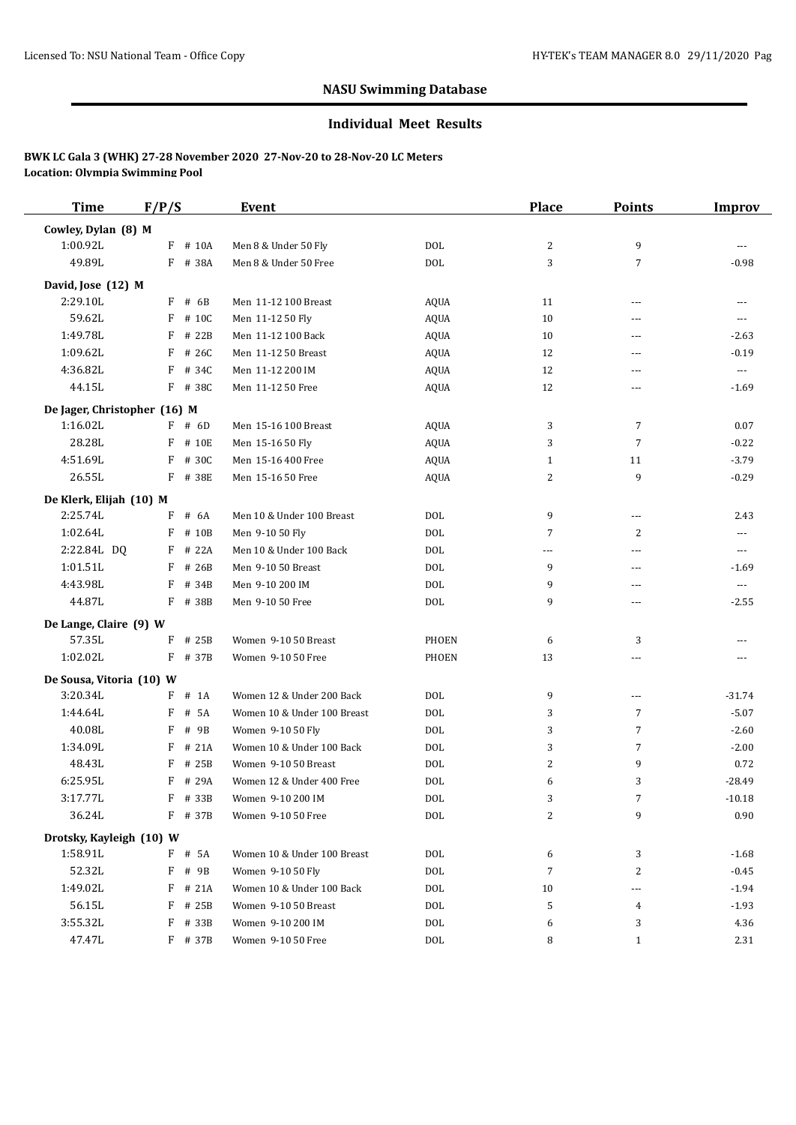#### **Individual Meet Results**

| <b>Time</b>                  | F/P/S |           | <b>Event</b>                |              | <b>Place</b> | <b>Points</b>            | <b>Improv</b>            |
|------------------------------|-------|-----------|-----------------------------|--------------|--------------|--------------------------|--------------------------|
| Cowley, Dylan (8) M          |       |           |                             |              |              |                          |                          |
| 1:00.92L                     |       | $F$ # 10A | Men 8 & Under 50 Fly        | <b>DOL</b>   | 2            | 9                        | $\cdots$                 |
| 49.89L                       |       | F # 38A   | Men 8 & Under 50 Free       | <b>DOL</b>   | 3            | $\overline{7}$           | $-0.98$                  |
| David, Jose (12) M           |       |           |                             |              |              |                          |                          |
| 2:29.10L                     |       | $F$ # 6B  | Men 11-12 100 Breast        | <b>AQUA</b>  | 11           | $---$                    | ---                      |
| 59.62L                       |       | $F$ # 10C | Men 11-12 50 Fly            | AQUA         | 10           | ---                      | $---$                    |
| 1:49.78L                     | F     | # 22B     | Men 11-12 100 Back          | AQUA         | 10           | $---$                    | $-2.63$                  |
| 1:09.62L                     | F     | # 26C     | Men 11-12 50 Breast         | <b>AQUA</b>  | 12           | ---                      | $-0.19$                  |
| 4:36.82L                     |       | F # 34C   | Men 11-12 200 IM            | AQUA         | 12           | $---$                    | $\scriptstyle\cdots$     |
| 44.15L                       |       | F # 38C   | Men 11-12 50 Free           | <b>AQUA</b>  | 12           | ---                      | $-1.69$                  |
| De Jager, Christopher (16) M |       |           |                             |              |              |                          |                          |
| 1:16.02L                     |       | $F$ # 6D  | Men 15-16 100 Breast        | AQUA         | 3            | $\overline{7}$           | 0.07                     |
| 28.28L                       |       | F # 10E   | Men 15-16 50 Fly            | AQUA         | 3            | $\overline{7}$           | $-0.22$                  |
| 4:51.69L                     |       | F # 30C   | Men 15-16 400 Free          | AQUA         | 1            | 11                       | $-3.79$                  |
| 26.55L                       |       | F # 38E   | Men 15-16 50 Free           | AQUA         | 2            | 9                        | $-0.29$                  |
| De Klerk, Elijah (10) M      |       |           |                             |              |              |                          |                          |
| 2:25.74L                     |       | $F$ # 6A  | Men 10 & Under 100 Breast   | <b>DOL</b>   | 9            | $---$                    | 2.43                     |
| 1:02.64L                     |       | F # 10B   | Men 9-10 50 Fly             | <b>DOL</b>   | 7            | 2                        | $\overline{\phantom{a}}$ |
| 2:22.84L DQ                  |       | $F$ # 22A | Men 10 & Under 100 Back     | <b>DOL</b>   | ---          | ---                      | $\overline{\phantom{a}}$ |
| 1:01.51L                     |       | $F$ # 26B | Men 9-10 50 Breast          | <b>DOL</b>   | 9            | $\overline{a}$           | $-1.69$                  |
| 4:43.98L                     | F     | # 34B     | Men 9-10 200 IM             | <b>DOL</b>   | 9            | $\overline{a}$           | $\cdots$                 |
| 44.87L                       |       | F # 38B   | Men 9-10 50 Free            | <b>DOL</b>   | 9            | ---                      | $-2.55$                  |
| De Lange, Claire (9) W       |       |           |                             |              |              |                          |                          |
| 57.35L                       |       | $F$ # 25B | Women 9-10 50 Breast        | <b>PHOEN</b> | 6            | 3                        |                          |
| 1:02.02L                     |       | F # 37B   | Women 9-10 50 Free          | <b>PHOEN</b> | 13           | ---                      | ---                      |
| De Sousa, Vitoria (10) W     |       |           |                             |              |              |                          |                          |
| 3:20.34L                     |       | $F$ # 1A  | Women 12 & Under 200 Back   | DOL          | 9            | $\overline{\phantom{a}}$ | $-31.74$                 |
| 1:44.64L                     | F     | # 5A      | Women 10 & Under 100 Breast | <b>DOL</b>   | 3            | $\overline{7}$           | $-5.07$                  |
| 40.08L                       | F     | # 9B      | Women 9-10 50 Fly           | <b>DOL</b>   | 3            | $\overline{7}$           | $-2.60$                  |
| 1:34.09L                     |       | $F$ # 21A | Women 10 & Under 100 Back   | <b>DOL</b>   | 3            | $\overline{7}$           | $-2.00$                  |
| 48.43L                       |       | F # 25B   | Women 9-10 50 Breast        | <b>DOL</b>   | 2            | 9                        | 0.72                     |
| 6:25.95L                     |       | F # 29A   | Women 12 & Under 400 Free   | <b>DOL</b>   | 6            | 3                        | $-28.49$                 |
| 3:17.77L                     |       | F # 33B   | Women 9-10 200 IM           | $\rm DOL$    | 3            | 7                        | $-10.18$                 |
| 36.24L                       |       | $F$ # 37B | Women 9-10 50 Free          | DOL          | 2            | 9                        | 0.90                     |
| Drotsky, Kayleigh (10) W     |       |           |                             |              |              |                          |                          |
| 1:58.91L                     |       | F # 5A    | Women 10 & Under 100 Breast | DOL          | 6            | 3                        | $-1.68$                  |
| 52.32L                       |       | F # 9B    | Women 9-10 50 Fly           | <b>DOL</b>   | 7            | 2                        | $-0.45$                  |
| 1:49.02L                     |       | $F$ # 21A | Women 10 & Under 100 Back   | <b>DOL</b>   | 10           | ---                      | $-1.94$                  |
| 56.15L                       |       | $F$ # 25B | Women 9-10 50 Breast        | DOL          | 5            | 4                        | $-1.93$                  |
| 3:55.32L                     | F     | # 33B     | Women 9-10 200 IM           | $\rm DOL$    | 6            | 3                        | 4.36                     |
| 47.47L                       |       | F # 37B   | Women 9-10 50 Free          | $\rm DOL$    | 8            | $\mathbf{1}$             | 2.31                     |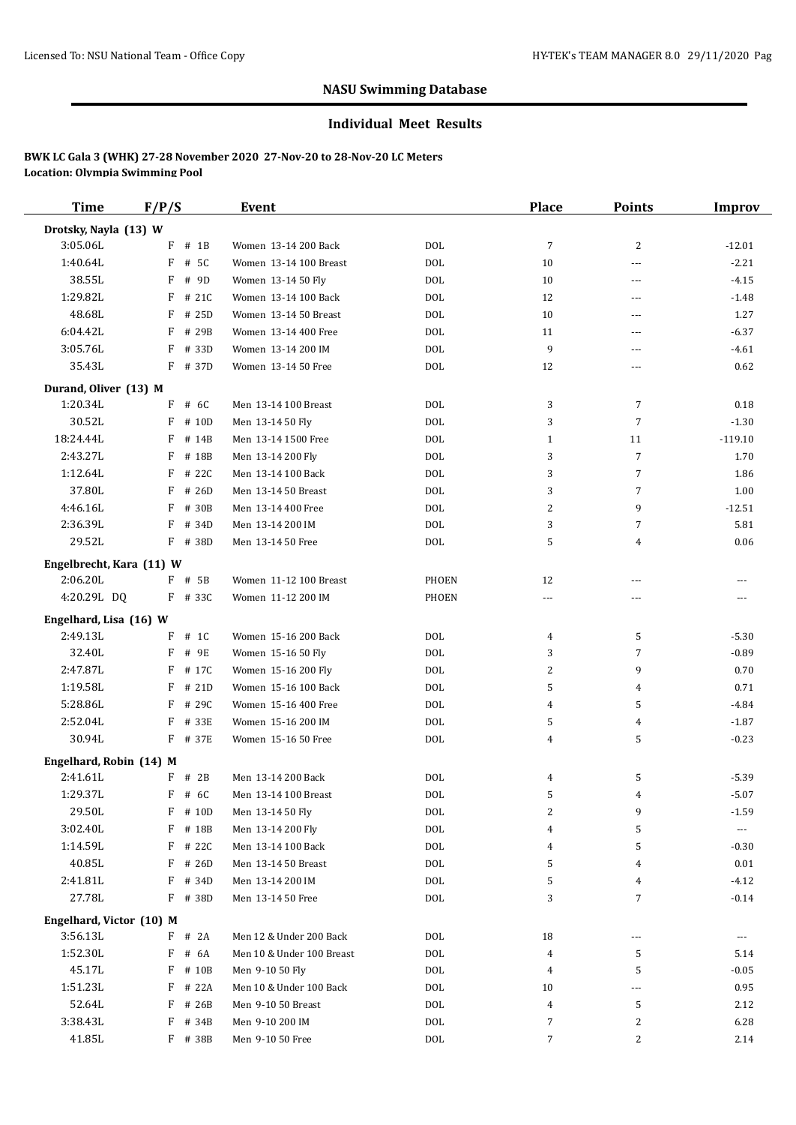#### **Individual Meet Results**

| <b>Time</b>                          | F/P/S                | Event                                  |            | Place          | <b>Points</b>  | Improv    |
|--------------------------------------|----------------------|----------------------------------------|------------|----------------|----------------|-----------|
| Drotsky, Nayla (13) W                |                      |                                        |            |                |                |           |
| 3:05.06L                             | $F$ # 1B             | Women 13-14 200 Back                   | <b>DOL</b> | $\overline{7}$ | 2              | $-12.01$  |
| 1:40.64L                             | F<br># 5C            | Women 13-14 100 Breast                 | <b>DOL</b> | 10             | ---            | $-2.21$   |
| 38.55L                               | F<br># 9D            | Women 13-14 50 Fly                     | <b>DOL</b> | 10             | ---            | $-4.15$   |
| 1:29.82L                             | F<br># 21C           | Women 13-14 100 Back                   | <b>DOL</b> | 12             | ---            | $-1.48$   |
| 48.68L                               | F<br># 25D           | Women 13-14 50 Breast                  | <b>DOL</b> | 10             | ---            | 1.27      |
| 6:04.42L                             | F<br># 29B           | Women 13-14 400 Free                   | <b>DOL</b> | 11             | ---            | $-6.37$   |
| 3:05.76L                             | F<br># 33D           | Women 13-14 200 IM                     | <b>DOL</b> | 9              | ---            | $-4.61$   |
| 35.43L                               | $F$ # 37D            | Women 13-14 50 Free                    | <b>DOL</b> | 12             | ---            | 0.62      |
| Durand, Oliver (13) M                |                      |                                        |            |                |                |           |
| 1:20.34L                             | $F$ # 6C             | Men 13-14 100 Breast                   | <b>DOL</b> | 3              | 7              | 0.18      |
| 30.52L                               | F<br># 10D           | Men 13-14 50 Fly                       | <b>DOL</b> | 3              | $\overline{7}$ | $-1.30$   |
| 18:24.44L                            | F<br># 14B           | Men 13-14 1500 Free                    | <b>DOL</b> | $\mathbf{1}$   | 11             | $-119.10$ |
| 2:43.27L                             | F<br># 18B           | Men 13-14 200 Fly                      | <b>DOL</b> | 3              | $\overline{7}$ | 1.70      |
| 1:12.64L                             | F<br># 22C           | Men 13-14 100 Back                     | <b>DOL</b> | 3              | $\overline{7}$ | 1.86      |
| 37.80L                               | $F$ # 26D            | Men 13-14 50 Breast                    | <b>DOL</b> | 3              | $\overline{7}$ | 1.00      |
| 4:46.16L                             | F<br># 30B           |                                        | <b>DOL</b> | 2              | 9              | $-12.51$  |
| 2:36.39L                             | F<br># 34D           | Men 13-14 400 Free<br>Men 13-14 200 IM | <b>DOL</b> | 3              | $\overline{7}$ | 5.81      |
| 29.52L                               | F # 38D              | Men 13-14 50 Free                      | <b>DOL</b> | 5              |                | 0.06      |
|                                      |                      |                                        |            |                | 4              |           |
| Engelbrecht, Kara (11) W             |                      |                                        |            |                |                |           |
| 2:06.20L                             | $F$ # 5B             | Women 11-12 100 Breast                 | PHOEN      | 12             | ---            |           |
| 4:20.29L DQ                          | F # 33C              | Women 11-12 200 IM                     | PHOEN      | ---            | ---            | ---       |
| Engelhard, Lisa (16) W               |                      |                                        |            |                |                |           |
| 2:49.13L                             | $F$ # 1C             | Women 15-16 200 Back                   | <b>DOL</b> | 4              | 5              | $-5.30$   |
| 32.40L                               | F<br># 9E            | Women 15-16 50 Fly                     | <b>DOL</b> | 3              | 7              | $-0.89$   |
| 2:47.87L                             | F<br># 17C           | Women 15-16 200 Fly                    | <b>DOL</b> | 2              | 9              | 0.70      |
| 1:19.58L                             | F<br># 21D           | Women 15-16 100 Back                   | <b>DOL</b> | 5              | 4              | 0.71      |
| 5:28.86L                             | F<br># 29C           | Women 15-16 400 Free                   | <b>DOL</b> | 4              | 5              | -4.84     |
| 2:52.04L                             | F<br># 33E           | Women 15-16 200 IM                     | <b>DOL</b> | 5              | 4              | $-1.87$   |
| 30.94L                               | F # 37E              | Women 15-16 50 Free                    | <b>DOL</b> | 4              | 5              | $-0.23$   |
| Engelhard, Robin (14) M              |                      |                                        |            |                |                |           |
| 2:41.61L                             | $F$ # 2B             | Men 13-14 200 Back                     | <b>DOL</b> | 4              | 5              | $-5.39$   |
| 1:29.37L                             | $F$ # 6C             | Men 13-14 100 Breast                   | <b>DOL</b> | 5              | 4              | $-5.07$   |
| 29.50L                               | F # 10D              | Men 13-14 50 Fly                       | $\rm DOL$  | 2              | 9              | $-1.59$   |
| 3:02.40L                             | F # 18B              | Men 13-14 200 Fly                      | $\rm DOL$  | 4              | 5              | ---       |
| 1:14.59L                             | F<br># 22C           | Men 13-14 100 Back                     | $\rm DOL$  | 4              | 5              | $-0.30$   |
| 40.85L                               | $F$ # 26D            | Men 13-14 50 Breast                    | <b>DOL</b> | 5              | 4              | 0.01      |
| 2:41.81L                             | F<br># 34D           | Men 13-14 200 IM                       | <b>DOL</b> | 5              | 4              | $-4.12$   |
| 27.78L                               | F # 38D              | Men 13-14 50 Free                      | $\rm DOL$  | 3              | $\sqrt{ }$     | $-0.14$   |
|                                      |                      |                                        |            |                |                |           |
| Engelhard, Victor (10) M<br>3:56.13L | $F$ # 2A             | Men 12 & Under 200 Back                | <b>DOL</b> | 18             | ---            |           |
| 1:52.30L                             | $F$ # 6A             | Men 10 & Under 100 Breast              | $\rm DOL$  | 4              | 5              | 5.14      |
| 45.17L                               | F                    |                                        |            |                |                |           |
| 1:51.23L                             | # 10B                | Men 9-10 50 Fly                        | $\rm DOL$  | 4              | 5              | $-0.05$   |
| 52.64L                               | F # 22A<br>$F$ # 26B | Men 10 & Under 100 Back                | $\rm DOL$  | 10             | ---            | 0.95      |
|                                      |                      | Men 9-10 50 Breast                     | $\rm DOL$  | 4              | 5              | 2.12      |
| 3:38.43L                             | $F$ # 34B            | Men 9-10 200 IM                        | <b>DOL</b> | 7              | 2              | 6.28      |
| 41.85L                               | F # 38B              | Men 9-10 50 Free                       | $\rm DOL$  | 7              | $\overline{c}$ | 2.14      |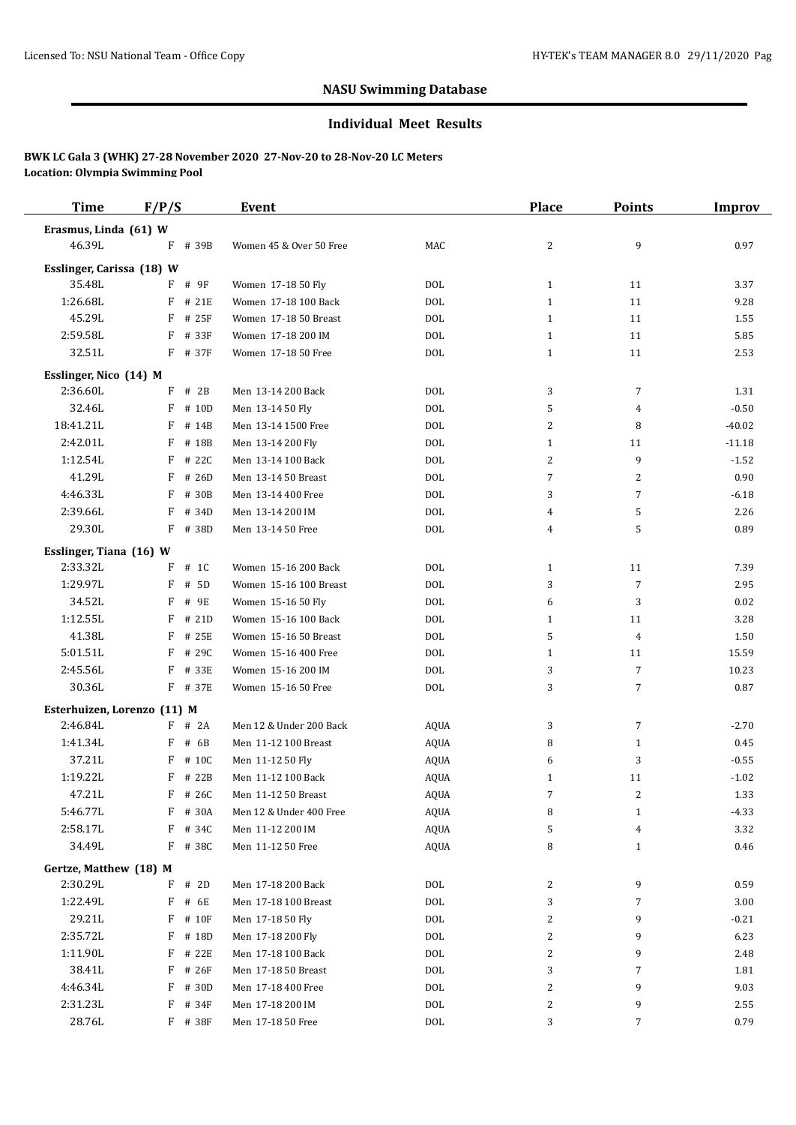#### **Individual Meet Results**

| <b>Time</b>                 | F/P/S      | <b>Event</b>            |             | <b>Place</b> | <b>Points</b>  | <b>Improv</b> |
|-----------------------------|------------|-------------------------|-------------|--------------|----------------|---------------|
| Erasmus, Linda (61) W       |            |                         |             |              |                |               |
| 46.39L                      | F # 39B    | Women 45 & Over 50 Free | MAC         | 2            | 9              | 0.97          |
| Esslinger, Carissa (18) W   |            |                         |             |              |                |               |
| 35.48L                      | F # 9F     | Women 17-18 50 Fly      | <b>DOL</b>  | $\mathbf{1}$ | 11             | 3.37          |
| 1:26.68L                    | $F$ # 21E  | Women 17-18 100 Back    | <b>DOL</b>  | $\mathbf{1}$ | 11             | 9.28          |
| 45.29L                      | F<br># 25F | Women 17-18 50 Breast   | <b>DOL</b>  | $\mathbf{1}$ | 11             | 1.55          |
| 2:59.58L                    | F<br># 33F | Women 17-18 200 IM      | <b>DOL</b>  | $\mathbf{1}$ | 11             | 5.85          |
| 32.51L                      | F # 37F    | Women 17-18 50 Free     | <b>DOL</b>  | $\mathbf{1}$ | 11             | 2.53          |
| Esslinger, Nico (14) M      |            |                         |             |              |                |               |
| 2:36.60L                    | # 2B<br>F  | Men 13-14 200 Back      | DOL         | 3            | $\overline{7}$ | 1.31          |
| 32.46L                      | # 10D<br>F | Men 13-14 50 Fly        | <b>DOL</b>  | 5            | 4              | $-0.50$       |
| 18:41.21L                   | F # 14B    | Men 13-14 1500 Free     | <b>DOL</b>  | 2            | 8              | $-40.02$      |
| 2:42.01L                    | F # 18B    | Men 13-14 200 Fly       | <b>DOL</b>  | $\mathbf{1}$ | 11             | $-11.18$      |
| 1:12.54L                    | $F$ # 22C  | Men 13-14 100 Back      | <b>DOL</b>  | 2            | 9              | $-1.52$       |
| 41.29L                      | F<br># 26D | Men 13-14 50 Breast     | <b>DOL</b>  | 7            | 2              | 0.90          |
| 4:46.33L                    | F<br># 30B | Men 13-14 400 Free      | <b>DOL</b>  | 3            | $\overline{7}$ | $-6.18$       |
| 2:39.66L                    | F<br># 34D | Men 13-14 200 IM        | <b>DOL</b>  | 4            | 5              | 2.26          |
| 29.30L                      | F # 38D    | Men 13-14 50 Free       | <b>DOL</b>  | 4            | 5              | 0.89          |
| Esslinger, Tiana (16) W     |            |                         |             |              |                |               |
| 2:33.32L                    | $F$ # 1C   | Women 15-16 200 Back    | <b>DOL</b>  | $\mathbf{1}$ | 11             | 7.39          |
| 1:29.97L                    | F<br># 5D  | Women 15-16 100 Breast  | <b>DOL</b>  | 3            | $\overline{7}$ | 2.95          |
| 34.52L                      | F<br># 9E  | Women 15-16 50 Fly      | <b>DOL</b>  | 6            | 3              | $0.02\,$      |
| 1:12.55L                    | F # 21D    | Women 15-16 100 Back    | <b>DOL</b>  | $\mathbf{1}$ | 11             | 3.28          |
| 41.38L                      | F # 25E    | Women 15-16 50 Breast   | <b>DOL</b>  | 5            | 4              | 1.50          |
| 5:01.51L                    | F<br># 29C | Women 15-16 400 Free    | <b>DOL</b>  | $\mathbf{1}$ | 11             | 15.59         |
| 2:45.56L                    | F # 33E    | Women 15-16 200 IM      | <b>DOL</b>  | 3            | $\overline{7}$ | 10.23         |
| 30.36L                      | F # 37E    | Women 15-16 50 Free     | <b>DOL</b>  | 3            | $\overline{7}$ | 0.87          |
| Esterhuizen, Lorenzo (11) M |            |                         |             |              |                |               |
| 2:46.84L                    | $F$ # 2A   | Men 12 & Under 200 Back | <b>AQUA</b> | 3            | $\overline{7}$ | $-2.70$       |
| 1:41.34L                    | $F$ # 6B   | Men 11-12 100 Breast    | <b>AQUA</b> | 8            | $\mathbf{1}$   | 0.45          |
| 37.21L                      | F # 10C    | Men 11-12 50 Fly        | <b>AQUA</b> | 6            | 3              | $-0.55$       |
| 1:19.22L                    | F # 22B    | Men 11-12 100 Back      | <b>AQUA</b> | 1            | 11             | $-1.02$       |
| 47.21L                      | $F$ # 26C  | Men 11-12 50 Breast     | <b>AQUA</b> | 7            | $\overline{2}$ | 1.33          |
| 5:46.77L                    | F # 30A    | Men 12 & Under 400 Free | AQUA        | 8            | $\mathbf{1}$   | $-4.33$       |
| 2:58.17L                    | F # 34C    | Men 11-12 200 IM        | AQUA        | 5            | $\overline{4}$ | 3.32          |
| 34.49L                      | $F$ # 380  | Men 11-12 50 Free       | <b>AQUA</b> | 8            | $\mathbf{1}$   | 0.46          |
| Gertze, Matthew (18) M      |            |                         |             |              |                |               |
| 2:30.29L                    | $F$ # 2D   | Men 17-18 200 Back      | DOL         | 2            | 9              | 0.59          |
| 1:22.49L                    | F<br># 6E  | Men 17-18 100 Breast    | DOL         | 3            | 7              | $3.00\,$      |
| 29.21L                      | F # 10F    | Men 17-18 50 Fly        | DOL         | 2            | 9              | $-0.21$       |
| 2:35.72L                    | F # 18D    | Men 17-18 200 Fly       | <b>DOL</b>  | 2            | 9              | 6.23          |
| 1:11.90L                    | F # 22E    | Men 17-18 100 Back      | <b>DOL</b>  | 2            | 9              | 2.48          |
| 38.41L                      | F # 26F    | Men 17-18 50 Breast     | $\rm DOL$   | 3            | 7              | 1.81          |
| 4:46.34L                    | F # 30D    | Men 17-18 400 Free      | $\rm DOL$   | 2            | 9              | 9.03          |
| 2:31.23L                    | $F$ # 34F  | Men 17-18 200 IM        | <b>DOL</b>  | 2            | 9              | 2.55          |
| 28.76L                      | F # 38F    | Men 17-18 50 Free       | <b>DOL</b>  | 3            | 7              | 0.79          |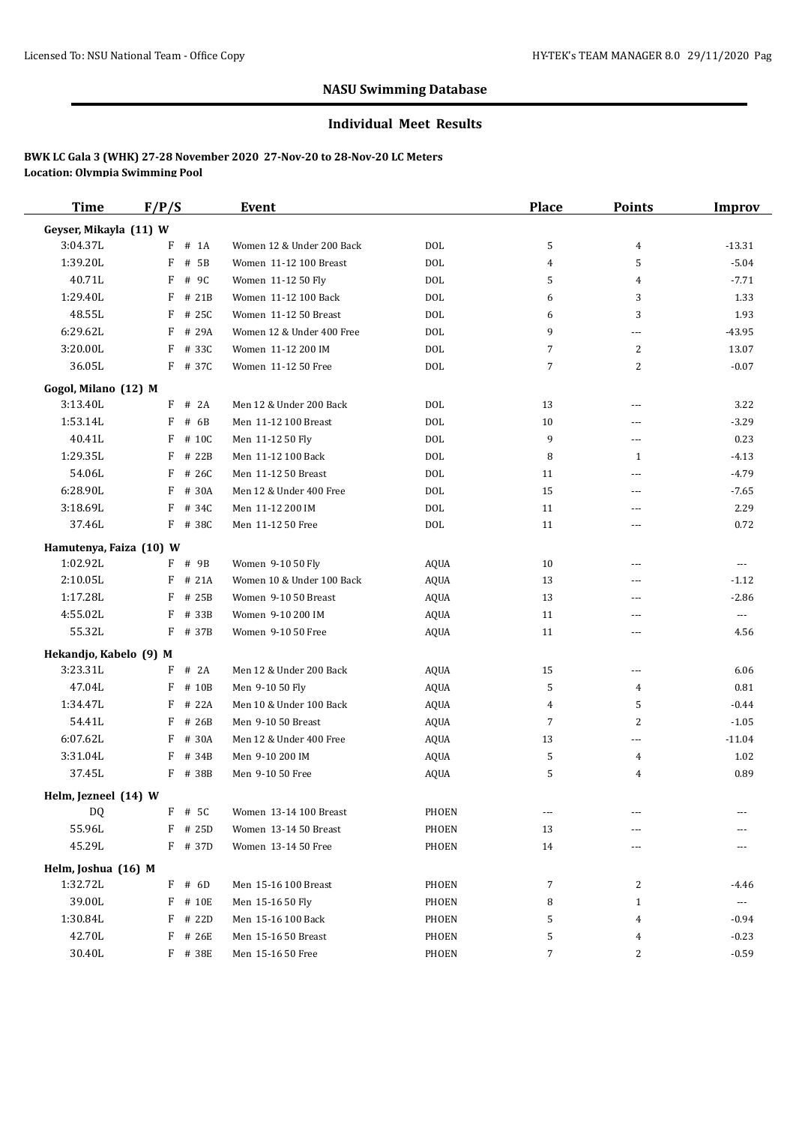#### **Individual Meet Results**

| <b>Time</b>             | F/P/S      | Event                     |              | <b>Place</b>   | <b>Points</b>  | <b>Improv</b> |
|-------------------------|------------|---------------------------|--------------|----------------|----------------|---------------|
| Geyser, Mikayla (11) W  |            |                           |              |                |                |               |
| 3:04.37L                | # 1A<br>F  | Women 12 & Under 200 Back | <b>DOL</b>   | 5              | 4              | $-13.31$      |
| 1:39.20L                | F<br># 5B  | Women 11-12 100 Breast    | <b>DOL</b>   | 4              | 5              | $-5.04$       |
| 40.71L                  | F<br># 9C  | Women 11-12 50 Fly        | <b>DOL</b>   | 5              | 4              | $-7.71$       |
| 1:29.40L                | F<br># 21B | Women 11-12 100 Back      | <b>DOL</b>   | 6              | 3              | 1.33          |
| 48.55L                  | F<br># 25C | Women 11-12 50 Breast     | <b>DOL</b>   | 6              | 3              | 1.93          |
| 6:29.62L                | F # 29A    | Women 12 & Under 400 Free | <b>DOL</b>   | 9              | ---            | $-43.95$      |
| 3:20.00L                | F<br># 33C | Women 11-12 200 IM        | <b>DOL</b>   | 7              | $\overline{2}$ | 13.07         |
| 36.05L                  | F # 37C    | Women 11-12 50 Free       | <b>DOL</b>   | 7              | 2              | $-0.07$       |
| Gogol, Milano (12) M    |            |                           |              |                |                |               |
| 3:13.40L                | $F$ # 2A   | Men 12 & Under 200 Back   | <b>DOL</b>   | 13             | ---            | 3.22          |
| 1:53.14L                | F<br># 6B  | Men 11-12 100 Breast      | <b>DOL</b>   | 10             | ---            | $-3.29$       |
| 40.41L                  | F<br># 10C | Men 11-12 50 Fly          | <b>DOL</b>   | 9              | ---            | 0.23          |
| 1:29.35L                | F<br># 22B | Men 11-12 100 Back        | <b>DOL</b>   | 8              | 1              | $-4.13$       |
| 54.06L                  | F<br># 26C | Men 11-12 50 Breast       | <b>DOL</b>   | 11             | ---            | $-4.79$       |
| 6:28.90L                | # 30A<br>F | Men 12 & Under 400 Free   | <b>DOL</b>   | 15             | ---            | $-7.65$       |
| 3:18.69L                | F<br># 34C | Men 11-12 200 IM          | <b>DOL</b>   | 11             | ---            | 2.29          |
| 37.46L                  | F # 38C    | Men 11-12 50 Free         | <b>DOL</b>   | 11             | ---            | 0.72          |
| Hamutenya, Faiza (10) W |            |                           |              |                |                |               |
| 1:02.92L                | F # 9B     | Women 9-10 50 Fly         | <b>AQUA</b>  | 10             | $\overline{a}$ | $---$         |
| 2:10.05L                | $F$ # 21A  | Women 10 & Under 100 Back | <b>AQUA</b>  | 13             | ---            | $-1.12$       |
| 1:17.28L                | F<br># 25B | Women 9-10 50 Breast      | <b>AQUA</b>  | 13             | ---            | $-2.86$       |
| 4:55.02L                | F<br># 33B | Women 9-10 200 IM         | <b>AQUA</b>  | 11             | ---            | $\cdots$      |
| 55.32L                  | $F$ # 37B  | Women 9-10 50 Free        | AQUA         | 11             | ---            | 4.56          |
| Hekandjo, Kabelo (9) M  |            |                           |              |                |                |               |
| 3:23.31L                | F<br># 2A  | Men 12 & Under 200 Back   | AQUA         | 15             | ---            | 6.06          |
| 47.04L                  | F<br># 10B | Men 9-10 50 Fly           | <b>AQUA</b>  | 5              | 4              | 0.81          |
| 1:34.47L                | F<br># 22A | Men 10 & Under 100 Back   | AQUA         | 4              | 5              | $-0.44$       |
| 54.41L                  | F<br># 26B | Men 9-10 50 Breast        | <b>AQUA</b>  | $\overline{7}$ | $\overline{2}$ | $-1.05$       |
| 6:07.62L                | F<br># 30A | Men 12 & Under 400 Free   | AQUA         | 13             | ---            | $-11.04$      |
| 3:31.04L                | # 34B<br>F | Men 9-10 200 IM           | <b>AQUA</b>  | 5              | 4              | 1.02          |
| 37.45L                  | F # 38B    | Men 9-10 50 Free          | <b>AQUA</b>  | 5              | 4              | 0.89          |
| Helm, Jezneel (14) W    |            |                           |              |                |                |               |
| DQ                      | F # 5C     | Women 13-14 100 Breast    | PHOEN        | $\cdots$       |                |               |
| 55.96L                  | F # 25D    | Women 13-14 50 Breast     | PHOEN        | 13             |                |               |
| 45.29L                  | $F$ # 37D  | Women 13-14 50 Free       | <b>PHOEN</b> | 14             | ---            |               |
| Helm, Joshua (16) M     |            |                           |              |                |                |               |
| 1:32.72L                | $F$ # 6D   | Men 15-16 100 Breast      | PHOEN        | 7              | 2              | -4.46         |
| 39.00L                  | F # 10E    | Men 15-16 50 Fly          | PHOEN        | 8              | $\mathbf{1}$   | $\cdots$      |
| 1:30.84L                | F # 22D    | Men 15-16 100 Back        | PHOEN        | 5              | 4              | $-0.94$       |
| 42.70L                  | F<br># 26E | Men 15-16 50 Breast       | PHOEN        | 5              | 4              | $-0.23$       |
| 30.40L                  | F # 38E    | Men 15-16 50 Free         | PHOEN        | 7              | 2              | $-0.59$       |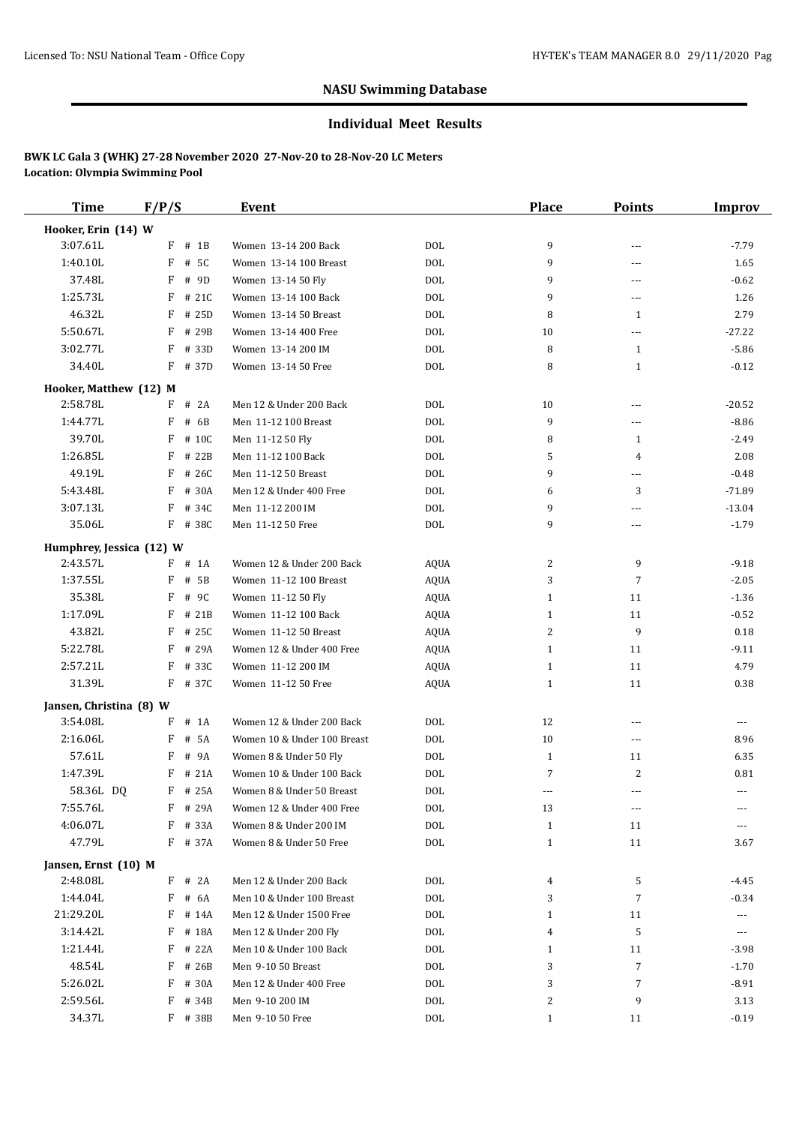#### **Individual Meet Results**

| <b>Time</b>              | F/P/S                    | Event                                           |             | Place                        | <b>Points</b>  | Improv          |
|--------------------------|--------------------------|-------------------------------------------------|-------------|------------------------------|----------------|-----------------|
| Hooker, Erin (14) W      |                          |                                                 |             |                              |                |                 |
| 3:07.61L                 | $F$ # 1B                 | Women 13-14 200 Back                            | <b>DOL</b>  | 9                            | ---            | $-7.79$         |
| 1:40.10L                 | F<br># 5C                | Women 13-14 100 Breast                          | <b>DOL</b>  | 9                            | ---            | 1.65            |
| 37.48L                   | F<br># 9D                | Women 13-14 50 Fly                              | <b>DOL</b>  | 9                            | ---            | $-0.62$         |
| 1:25.73L                 | F<br>#21C                | Women 13-14 100 Back                            | <b>DOL</b>  | 9                            | ---            | 1.26            |
| 46.32L                   | F<br># 25D               | Women 13-14 50 Breast                           | <b>DOL</b>  | 8                            | 1              | 2.79            |
| 5:50.67L                 | F<br># 29B               | Women 13-14 400 Free                            | <b>DOL</b>  | 10                           | ---            | $-27.22$        |
| 3:02.77L                 | F<br># 33D               | Women 13-14 200 IM                              | <b>DOL</b>  | 8                            | 1              | $-5.86$         |
| 34.40L                   | $F$ # 37D                | Women 13-14 50 Free                             | <b>DOL</b>  | 8                            | 1              | $-0.12$         |
| Hooker, Matthew (12) M   |                          |                                                 |             |                              |                |                 |
| 2:58.78L                 | $F$ # 2A                 | Men 12 & Under 200 Back                         | DOL         | 10                           | ---            | $-20.52$        |
| 1:44.77L                 | F<br># 6B                | Men 11-12 100 Breast                            | <b>DOL</b>  | 9                            | ---            | $-8.86$         |
| 39.70L                   | F<br># 10C               | Men 11-12 50 Fly                                | <b>DOL</b>  | 8                            | $\mathbf{1}$   | $-2.49$         |
| 1:26.85L                 | F<br># 22B               | Men 11-12 100 Back                              | <b>DOL</b>  | 5                            | $\overline{4}$ | 2.08            |
| 49.19L                   | F<br># 26C               | Men 11-12 50 Breast                             | <b>DOL</b>  | 9                            | ---            | $-0.48$         |
| 5:43.48L                 | F<br># 30A               | Men 12 & Under 400 Free                         | <b>DOL</b>  | 6                            | 3              | $-71.89$        |
| 3:07.13L                 | F<br># 34C               | Men 11-12 200 IM                                | <b>DOL</b>  | 9                            | ---            | $-13.04$        |
| 35.06L                   | F # 38C                  | Men 11-12 50 Free                               | <b>DOL</b>  | 9                            | ---            | $-1.79$         |
|                          |                          |                                                 |             |                              |                |                 |
| Humphrey, Jessica (12) W |                          |                                                 |             |                              |                |                 |
| 2:43.57L                 | $F$ # 1A                 | Women 12 & Under 200 Back                       | AQUA        | 2                            | 9              | $-9.18$         |
| 1:37.55L                 | F<br># 5B                | Women 11-12 100 Breast                          | <b>AQUA</b> | 3                            | $\overline{7}$ | $-2.05$         |
| 35.38L<br>1:17.09L       | F<br># 9C                | Women 11-12 50 Fly                              | <b>AQUA</b> | $\mathbf{1}$                 | 11             | $-1.36$         |
|                          | F<br># 21B               | Women 11-12 100 Back                            | AQUA        | $\mathbf{1}$                 | 11             | $-0.52$         |
| 43.82L                   | F<br># 25C               | Women 11-12 50 Breast                           | <b>AQUA</b> | 2                            | 9              | 0.18            |
| 5:22.78L<br>2:57.21L     | F<br># 29A<br>F<br># 33C | Women 12 & Under 400 Free<br>Women 11-12 200 IM | <b>AQUA</b> | $\mathbf{1}$                 | 11<br>11       | $-9.11$<br>4.79 |
| 31.39L                   | F # 37C                  | Women 11-12 50 Free                             | <b>AQUA</b> | $\mathbf{1}$<br>$\mathbf{1}$ | 11             |                 |
|                          |                          |                                                 | <b>AQUA</b> |                              |                | 0.38            |
| Jansen, Christina (8) W  |                          |                                                 |             |                              |                |                 |
| 3:54.08L                 | F<br>$#$ 1A              | Women 12 & Under 200 Back                       | <b>DOL</b>  | 12                           | $\overline{a}$ | ---             |
| 2:16.06L                 | F<br># 5A                | Women 10 & Under 100 Breast                     | <b>DOL</b>  | 10                           | $\cdots$       | 8.96            |
| 57.61L                   | F<br># 9A                | Women 8 & Under 50 Fly                          | <b>DOL</b>  | $\mathbf{1}$                 | 11             | 6.35            |
| 1:47.39L                 | # 21A<br>F               | Women 10 & Under 100 Back                       | <b>DOL</b>  | 7                            | $\overline{2}$ | 0.81            |
| 58.36L DQ                | F # 25A                  | Women 8 & Under 50 Breast                       | <b>DOL</b>  | $---$                        | ---            | $---$           |
| 7:55.76L                 | F # 29A                  | Women 12 & Under 400 Free                       | <b>DOL</b>  | 13                           | ---            |                 |
| 4:06.07L                 | F<br># 33A               | Women 8 & Under 200 IM                          | $\rm DOL$   | $\mathbf{1}$                 | 11             |                 |
| 47.79L                   | F # 37A                  | Women 8 & Under 50 Free                         | $\rm DOL$   | $\mathbf{1}$                 | 11             | 3.67            |
| Jansen, Ernst (10) M     |                          |                                                 |             |                              |                |                 |
| 2:48.08L                 | $F$ # 2A                 | Men 12 & Under 200 Back                         | <b>DOL</b>  | 4                            | 5              | -4.45           |
| 1:44.04L                 | F<br># 6A                | Men 10 & Under 100 Breast                       | <b>DOL</b>  | 3                            | $\overline{7}$ | -0.34           |
| 21:29.20L                | $F$ # 14A                | Men 12 & Under 1500 Free                        | $\rm DOL$   | 1                            | 11             | ---             |
| 3:14.42L                 | F # 18A                  | Men 12 & Under 200 Fly                          | <b>DOL</b>  | 4                            | 5              | ---             |
| 1:21.44L                 | $F$ # 22A                | Men 10 & Under 100 Back                         | <b>DOL</b>  | $\mathbf{1}$                 | 11             | -3.98           |
| 48.54L                   | F<br># 26B               | Men 9-10 50 Breast                              | <b>DOL</b>  | 3                            | $\overline{7}$ | $-1.70$         |
| 5:26.02L                 | F<br># 30A               | Men 12 & Under 400 Free                         | <b>DOL</b>  | 3                            | 7              | $-8.91$         |
| 2:59.56L                 | F<br># 34B               | Men 9-10 200 IM                                 | <b>DOL</b>  | 2                            | 9              | 3.13            |
| 34.37L                   | F # 38B                  | Men 9-10 50 Free                                | <b>DOL</b>  | $\mathbf{1}$                 | 11             | $-0.19$         |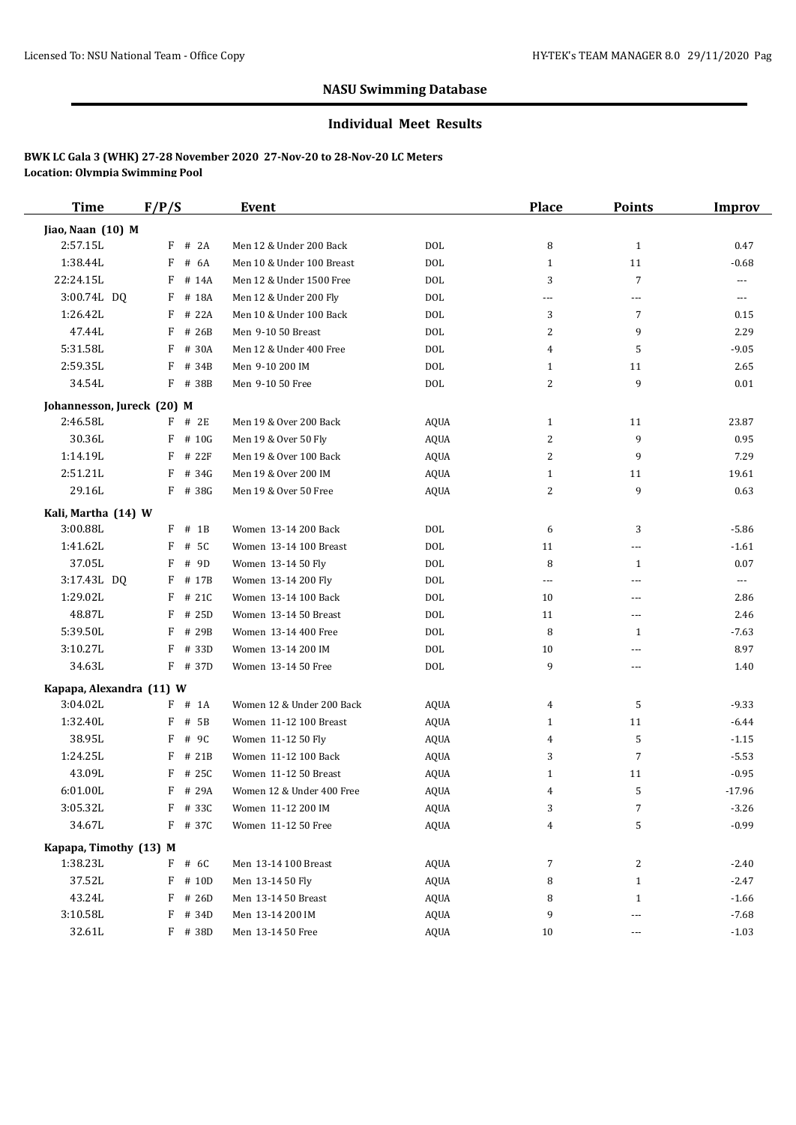#### **Individual Meet Results**

| <b>Time</b>                | F/P/S      | Event                     |             | <b>Place</b> | <b>Points</b>  | <b>Improv</b> |
|----------------------------|------------|---------------------------|-------------|--------------|----------------|---------------|
| Jiao, Naan (10) M          |            |                           |             |              |                |               |
| 2:57.15L                   | F<br># 2A  | Men 12 & Under 200 Back   | <b>DOL</b>  | 8            | $\mathbf{1}$   | 0.47          |
| 1:38.44L                   | F<br># 6A  | Men 10 & Under 100 Breast | <b>DOL</b>  | $\mathbf{1}$ | 11             | $-0.68$       |
| 22:24.15L                  | F<br># 14A | Men 12 & Under 1500 Free  | <b>DOL</b>  | 3            | $\overline{7}$ | ---           |
| 3:00.74L DQ                | F<br># 18A | Men 12 & Under 200 Fly    | <b>DOL</b>  | ---          | ---            | ---           |
| 1:26.42L                   | # 22A<br>F | Men 10 & Under 100 Back   | <b>DOL</b>  | 3            | $\overline{7}$ | 0.15          |
| 47.44L                     | $F$ # 26B  | Men 9-10 50 Breast        | <b>DOL</b>  | 2            | 9              | 2.29          |
| 5:31.58L                   | F<br># 30A | Men 12 & Under 400 Free   | <b>DOL</b>  | 4            | 5              | $-9.05$       |
| 2:59.35L                   | F<br># 34B | Men 9-10 200 IM           | <b>DOL</b>  | $\mathbf{1}$ | 11             | 2.65          |
| 34.54L                     | $F$ # 38B  | Men 9-10 50 Free          | <b>DOL</b>  | 2            | 9              | 0.01          |
| Johannesson, Jureck (20) M |            |                           |             |              |                |               |
| 2:46.58L                   | $F$ # 2E   | Men 19 & Over 200 Back    | <b>AQUA</b> | $\mathbf{1}$ | 11             | 23.87         |
| 30.36L                     | F<br># 10G | Men 19 & Over 50 Fly      | <b>AQUA</b> | 2            | 9              | 0.95          |
| 1:14.19L                   | F<br># 22F | Men 19 & Over 100 Back    | <b>AQUA</b> | 2            | 9              | 7.29          |
| 2:51.21L                   | F<br># 34G | Men 19 & Over 200 IM      | AQUA        | $\mathbf{1}$ | 11             | 19.61         |
| 29.16L                     | F # 38G    | Men 19 & Over 50 Free     | <b>AQUA</b> | 2            | 9              | 0.63          |
| Kali, Martha (14) W        |            |                           |             |              |                |               |
| 3:00.88L                   | $F$ # 1B   | Women 13-14 200 Back      | <b>DOL</b>  | 6            | 3              | $-5.86$       |
| 1:41.62L                   | F<br># 5C  | Women 13-14 100 Breast    | <b>DOL</b>  | 11           | ---            | $-1.61$       |
| 37.05L                     | # 9D<br>F  | Women 13-14 50 Fly        | <b>DOL</b>  | 8            | 1              | 0.07          |
| 3:17.43L DQ                | F # 17B    | Women 13-14 200 Fly       | <b>DOL</b>  | $\cdots$     | ---            | ---           |
| 1:29.02L                   | F<br># 21C | Women 13-14 100 Back      | <b>DOL</b>  | 10           | ---            | 2.86          |
| 48.87L                     | F<br># 25D | Women 13-14 50 Breast     | <b>DOL</b>  | 11           | ---            | 2.46          |
| 5:39.50L                   | F<br># 29B | Women 13-14 400 Free      | <b>DOL</b>  | 8            | 1              | $-7.63$       |
| 3:10.27L                   | F<br># 33D | Women 13-14 200 IM        | <b>DOL</b>  | 10           | ---            | 8.97          |
| 34.63L                     | F # 37D    | Women 13-14 50 Free       | <b>DOL</b>  | 9            | ---            | 1.40          |
| Kapapa, Alexandra (11) W   |            |                           |             |              |                |               |
| 3:04.02L                   | $F$ # 1A   | Women 12 & Under 200 Back | AQUA        | 4            | 5              | $-9.33$       |
| 1:32.40L                   | F<br># 5B  | Women 11-12 100 Breast    | AQUA        | $\mathbf{1}$ | 11             | $-6.44$       |
| 38.95L                     | F<br># 9C  | Women 11-12 50 Fly        | <b>AQUA</b> | 4            | 5              | $-1.15$       |
| 1:24.25L                   | F<br># 21B | Women 11-12 100 Back      | <b>AQUA</b> | 3            | $\overline{7}$ | $-5.53$       |
| 43.09L                     | F<br># 25C | Women 11-12 50 Breast     | <b>AQUA</b> | $\mathbf{1}$ | 11             | $-0.95$       |
| 6:01.00L                   | F # 29A    | Women 12 & Under 400 Free | <b>AQUA</b> | 4            | 5              | $-17.96$      |
| 3:05.32L                   | F # 33C    | Women 11-12 200 IM        | AQUA        | 3            | 7              | $-3.26$       |
| 34.67L                     | F # 37C    | Women 11-12 50 Free       | <b>AQUA</b> | 4            | 5              | $-0.99$       |
| Kapapa, Timothy (13) M     |            |                           |             |              |                |               |
| 1:38.23L                   | $F$ # 6C   | Men 13-14 100 Breast      | AQUA        | 7            | 2              | $-2.40$       |
| 37.52L                     | $F$ # 10D  | Men 13-14 50 Fly          | <b>AQUA</b> | 8            | $\mathbf{1}$   | $-2.47$       |
| 43.24L                     | F<br># 26D | Men 13-14 50 Breast       | <b>AQUA</b> | 8            | $\mathbf{1}$   | $-1.66$       |
| 3:10.58L                   | F<br># 34D | Men 13-14 200 IM          | AQUA        | 9            | ---            | $-7.68$       |
| 32.61L                     | F # 38D    | Men 13-14 50 Free         | <b>AQUA</b> | 10           | ---            | $-1.03$       |
|                            |            |                           |             |              |                |               |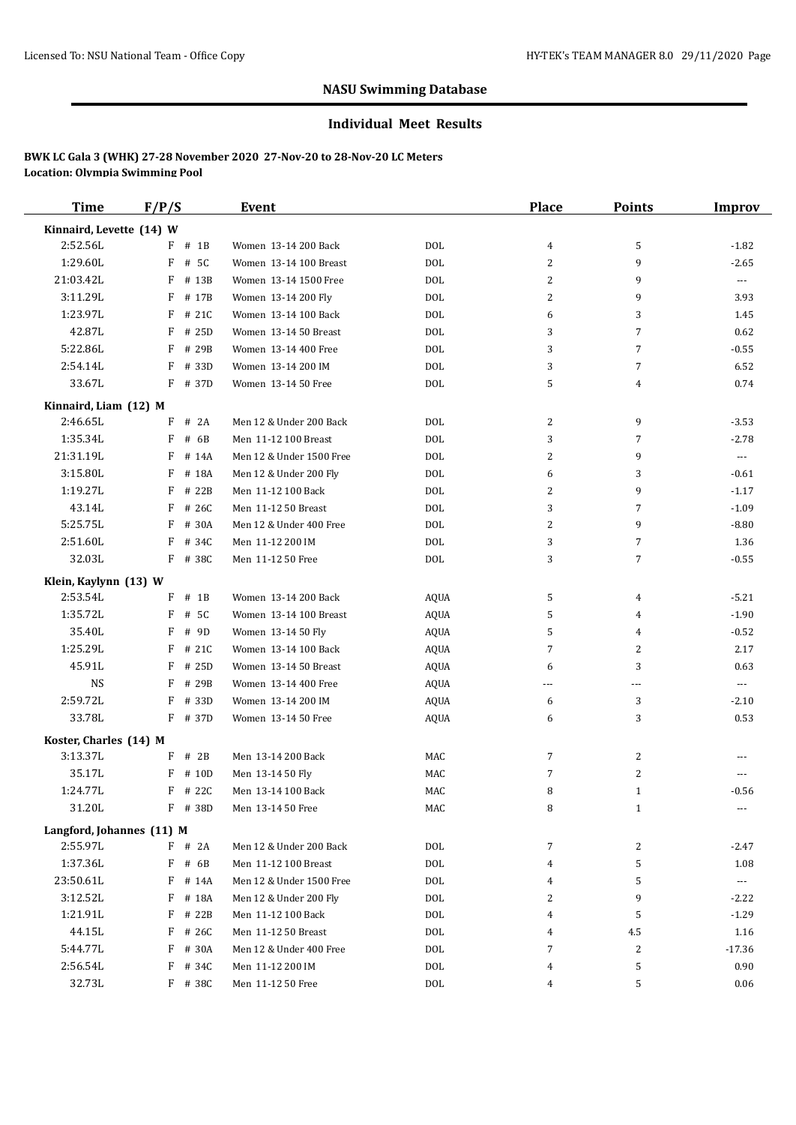#### **Individual Meet Results**

| Time                      | F/P/S      | Event                    |             | Place          | <b>Points</b>  | Improv                |
|---------------------------|------------|--------------------------|-------------|----------------|----------------|-----------------------|
| Kinnaird, Levette (14) W  |            |                          |             |                |                |                       |
| 2:52.56L                  | $F$ # 1B   | Women 13-14 200 Back     | <b>DOL</b>  | 4              | 5              | $-1.82$               |
| 1:29.60L                  | F<br># 5C  | Women 13-14 100 Breast   | <b>DOL</b>  | $\overline{c}$ | 9              | $-2.65$               |
| 21:03.42L                 | F<br># 13B | Women 13-14 1500 Free    | <b>DOL</b>  | 2              | 9              | ---                   |
| 3:11.29L                  | F<br># 17B | Women 13-14 200 Fly      | <b>DOL</b>  | 2              | 9              | 3.93                  |
| 1:23.97L                  | F<br># 21C | Women 13-14 100 Back     | <b>DOL</b>  | 6              | 3              | 1.45                  |
| 42.87L                    | F<br># 25D | Women 13-14 50 Breast    | <b>DOL</b>  | 3              | $\overline{7}$ | 0.62                  |
| 5:22.86L                  | F<br># 29B | Women 13-14 400 Free     | <b>DOL</b>  | 3              | $\overline{7}$ | $-0.55$               |
| 2:54.14L                  | F<br># 33D | Women 13-14 200 IM       | <b>DOL</b>  | 3              | $\overline{7}$ | 6.52                  |
| 33.67L                    | F # 37D    | Women 13-14 50 Free      | <b>DOL</b>  | 5              | 4              | 0.74                  |
| Kinnaird, Liam (12) M     |            |                          |             |                |                |                       |
| 2:46.65L                  | $F$ # 2A   | Men 12 & Under 200 Back  | <b>DOL</b>  | 2              | 9              | $-3.53$               |
| 1:35.34L                  | # 6B<br>F  | Men 11-12 100 Breast     | <b>DOL</b>  | 3              | 7              | $-2.78$               |
| 21:31.19L                 | F<br># 14A | Men 12 & Under 1500 Free | <b>DOL</b>  | 2              | 9              | $\scriptstyle\cdots$  |
| 3:15.80L                  | F<br># 18A | Men 12 & Under 200 Fly   | <b>DOL</b>  | 6              | 3              | $-0.61$               |
| 1:19.27L                  | F # 22B    | Men 11-12 100 Back       | <b>DOL</b>  | 2              | 9              | $-1.17$               |
| 43.14L                    | $F$ # 26C  | Men 11-12 50 Breast      | <b>DOL</b>  | 3              | $\overline{7}$ | $-1.09$               |
| 5:25.75L                  | F<br># 30A | Men 12 & Under 400 Free  | <b>DOL</b>  | 2              | 9              | $-8.80$               |
| 2:51.60L                  | F<br># 34C | Men 11-12 200 IM         | <b>DOL</b>  | 3              | 7              | 1.36                  |
| 32.03L                    | F # 38C    | Men 11-12 50 Free        | DOL         | 3              | 7              | $-0.55$               |
| Klein, Kaylynn (13) W     |            |                          |             |                |                |                       |
| 2:53.54L                  | $F$ # 1B   | Women 13-14 200 Back     | <b>AQUA</b> | 5              | 4              | $-5.21$               |
| 1:35.72L                  | F<br># 5C  | Women 13-14 100 Breast   | <b>AQUA</b> | 5              | 4              | $-1.90$               |
| 35.40L                    | F<br># 9D  | Women 13-14 50 Fly       | <b>AQUA</b> | 5              | 4              | $-0.52$               |
| 1:25.29L                  | F<br># 21C | Women 13-14 100 Back     | <b>AQUA</b> | 7              | $\overline{2}$ | 2.17                  |
| 45.91L                    | F<br># 25D | Women 13-14 50 Breast    | <b>AQUA</b> | 6              | 3              | 0.63                  |
| <b>NS</b>                 | F # 29B    | Women 13-14 400 Free     | <b>AQUA</b> | ---            | $---$          | ---                   |
| 2:59.72L                  | F<br># 33D | Women 13-14 200 IM       | <b>AQUA</b> | 6              | 3              | $-2.10$               |
| 33.78L                    | $F$ # 37D  | Women 13-14 50 Free      | <b>AQUA</b> | 6              | 3              | 0.53                  |
| Koster, Charles (14) M    |            |                          |             |                |                |                       |
| 3:13.37L                  | $F$ # 2B   | Men 13-14 200 Back       | MAC         | 7              | 2              |                       |
| 35.17L                    | F<br># 10D | Men 13-14 50 Fly         | MAC         | 7              | 2              |                       |
| 1:24.77L                  | F # 22C    | Men 13-14 100 Back       | MAC         | 8              | $\mathbf{1}$   | $-0.56$               |
| 31.20L                    | F # 38D    | Men 13-14 50 Free        | MAC         | 8              | $\mathbf{1}$   |                       |
| Langford, Johannes (11) M |            |                          |             |                |                |                       |
| 2:55.97L                  | $F$ # 2A   | Men 12 & Under 200 Back  | <b>DOL</b>  | 7              | 2              | $-2.47$               |
| 1:37.36L                  | $F$ # 6B   | Men 11-12 100 Breast     | <b>DOL</b>  | 4              | 5              | 1.08                  |
| 23:50.61L                 | $F$ # 14A  | Men 12 & Under 1500 Free | <b>DOL</b>  | 4              | 5              | $\scriptstyle \cdots$ |
| 3:12.52L                  | F # 18A    | Men 12 & Under 200 Fly   | DOL         | 2              | 9              | $-2.22$               |
| 1:21.91L                  | F # 22B    | Men 11-12 100 Back       | <b>DOL</b>  | 4              | 5              | $-1.29$               |
| 44.15L                    | $F$ # 26C  | Men 11-12 50 Breast      | <b>DOL</b>  | 4              | 4.5            | 1.16                  |
| 5:44.77L                  | F # 30A    | Men 12 & Under 400 Free  | <b>DOL</b>  | 7              | $\overline{2}$ | $-17.36$              |
| 2:56.54L                  | F<br># 34C | Men 11-12 200 IM         | DOL         | 4              | 5              | 0.90                  |
| 32.73L                    | $F$ # 38C  | Men 11-12 50 Free        | DOL         | 4              | 5              | 0.06                  |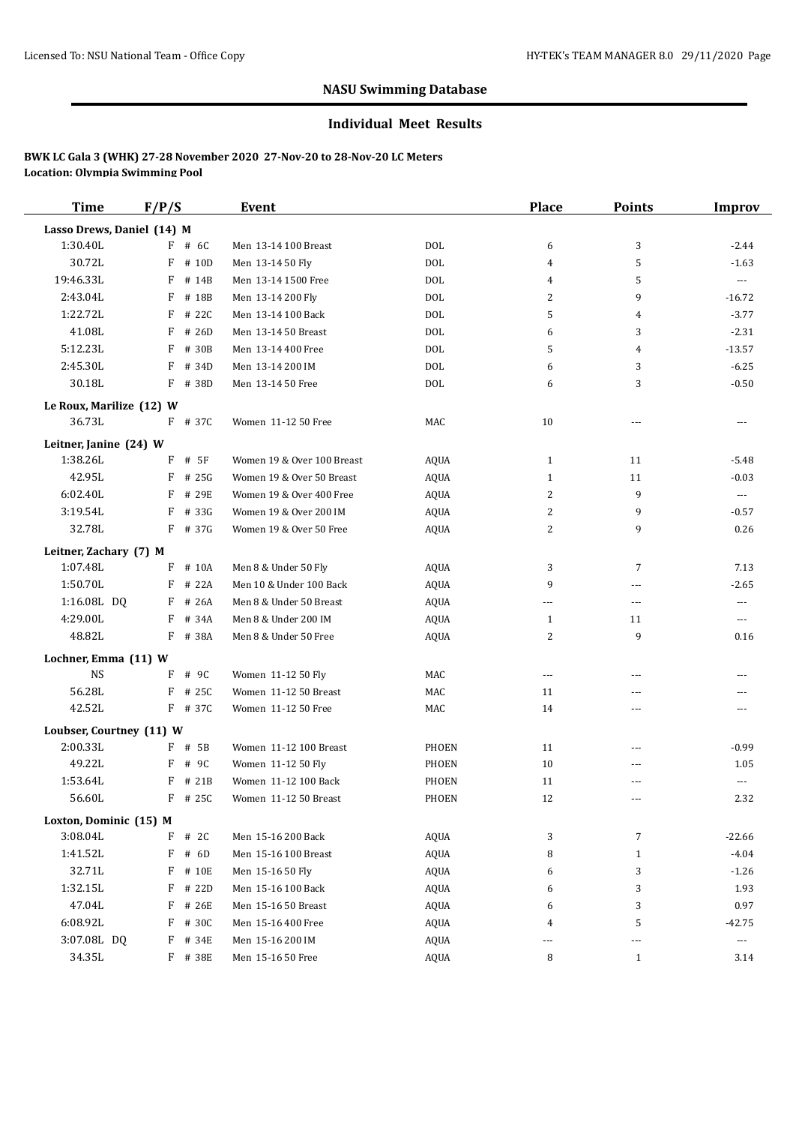#### **Individual Meet Results**

| <b>Time</b>                | F/P/S      | Event                      |              | <b>Place</b>   | <b>Points</b>  | <b>Improv</b>            |
|----------------------------|------------|----------------------------|--------------|----------------|----------------|--------------------------|
| Lasso Drews, Daniel (14) M |            |                            |              |                |                |                          |
| 1:30.40L                   | $F$ # 6C   | Men 13-14 100 Breast       | <b>DOL</b>   | 6              | 3              | $-2.44$                  |
| 30.72L                     | F<br># 10D | Men 13-14 50 Fly           | <b>DOL</b>   | 4              | 5              | $-1.63$                  |
| 19:46.33L                  | F<br># 14B | Men 13-14 1500 Free        | <b>DOL</b>   | 4              | 5              | $\overline{\phantom{a}}$ |
| 2:43.04L                   | F<br># 18B | Men 13-14 200 Fly          | <b>DOL</b>   | 2              | 9              | $-16.72$                 |
| 1:22.72L                   | # 22C<br>F | Men 13-14 100 Back         | <b>DOL</b>   | 5              | 4              | $-3.77$                  |
| 41.08L                     | F<br># 26D | Men 13-14 50 Breast        | <b>DOL</b>   | 6              | 3              | $-2.31$                  |
| 5:12.23L                   | F<br># 30B | Men 13-14 400 Free         | <b>DOL</b>   | 5              | $\overline{4}$ | $-13.57$                 |
| 2:45.30L                   | F<br># 34D | Men 13-14 200 IM           | <b>DOL</b>   | 6              | 3              | $-6.25$                  |
| 30.18L                     | $F$ # 38D  | Men 13-14 50 Free          | <b>DOL</b>   | 6              | 3              | $-0.50$                  |
| Le Roux, Marilize (12) W   |            |                            |              |                |                |                          |
| 36.73L                     | F # 37C    | Women 11-12 50 Free        | MAC          | 10             | ---            | ---                      |
| Leitner, Janine (24) W     |            |                            |              |                |                |                          |
| 1:38.26L                   | F<br># 5F  | Women 19 & Over 100 Breast | <b>AQUA</b>  | $\mathbf{1}$   | 11             | $-5.48$                  |
| 42.95L                     | F<br># 25G | Women 19 & Over 50 Breast  | <b>AQUA</b>  | $\mathbf{1}$   | 11             | $-0.03$                  |
| 6:02.40L                   | F<br># 29E | Women 19 & Over 400 Free   | <b>AQUA</b>  | 2              | 9              | $\cdots$                 |
| 3:19.54L                   | F<br># 33G | Women 19 & Over 200 IM     | <b>AQUA</b>  | 2              | 9              | $-0.57$                  |
| 32.78L                     | $F$ # 37G  | Women 19 & Over 50 Free    | <b>AQUA</b>  | 2              | 9              | 0.26                     |
| Leitner, Zachary (7) M     |            |                            |              |                |                |                          |
| 1:07.48L                   | $F$ # 10A  | Men 8 & Under 50 Fly       | <b>AQUA</b>  | 3              | 7              | 7.13                     |
| 1:50.70L                   | $F$ # 22A  | Men 10 & Under 100 Back    | AQUA         | 9              | ---            | $-2.65$                  |
| 1:16.08L DQ                | $F$ # 26A  | Men 8 & Under 50 Breast    | <b>AQUA</b>  | ---            | ---            | ---                      |
| 4:29.00L                   | F<br># 34A | Men 8 & Under 200 IM       | <b>AQUA</b>  | $\mathbf{1}$   | 11             | $---$                    |
| 48.82L                     | F # 38A    | Men 8 & Under 50 Free      | <b>AQUA</b>  | 2              | 9              | 0.16                     |
| Lochner, Emma (11) W       |            |                            |              |                |                |                          |
| <b>NS</b>                  | F<br># 9C  | Women 11-12 50 Fly         | MAC          | $\overline{a}$ | ---            | ---                      |
| 56.28L                     | F<br># 25C | Women 11-12 50 Breast      | MAC          | 11             | ---            |                          |
| 42.52L                     | F # 37C    | Women 11-12 50 Free        | MAC          | 14             | ---            | $---$                    |
| Loubser, Courtney (11) W   |            |                            |              |                |                |                          |
| 2:00.33L                   | F # 5B     | Women 11-12 100 Breast     | PHOEN        | 11             | ---            | $-0.99$                  |
| 49.22L                     | F<br># 9C  | Women 11-12 50 Fly         | PHOEN        | 10             | ---            | 1.05                     |
| 1:53.64L                   | F # 21B    | Women 11-12 100 Back       | PHOEN        | 11             | ---            | ---                      |
| 56.60L                     | $F$ # 25C  | Women 11-12 50 Breast      | <b>PHOEN</b> | 12             | ---            | 2.32                     |
| Loxton, Dominic (15) M     |            |                            |              |                |                |                          |
| 3:08.04L                   | $F$ # 2C   | Men 15-16 200 Back         | <b>AQUA</b>  | 3              | $\overline{7}$ | $-22.66$                 |
| 1:41.52L                   | F<br># 6D  | Men 15-16 100 Breast       | <b>AQUA</b>  | 8              | $\mathbf{1}$   | $-4.04$                  |
| 32.71L                     | F # 10E    | Men 15-16 50 Fly           | AQUA         | 6              | 3              | $-1.26$                  |
| 1:32.15L                   | F<br># 22D | Men 15-16 100 Back         | <b>AQUA</b>  | 6              | 3              | 1.93                     |
| 47.04L                     | F<br># 26E | Men 15-16 50 Breast        | <b>AQUA</b>  | 6              | 3              | 0.97                     |
| 6:08.92L                   | F<br># 30C | Men 15-16 400 Free         | <b>AQUA</b>  | 4              | 5              | $-42.75$                 |
| 3:07.08L DQ                | # 34E<br>F | Men 15-16 200 IM           | AQUA         |                | ---            | ---                      |
| 34.35L                     | F # 38E    | Men 15-16 50 Free          | AQUA         | 8              | $\mathbf{1}$   | 3.14                     |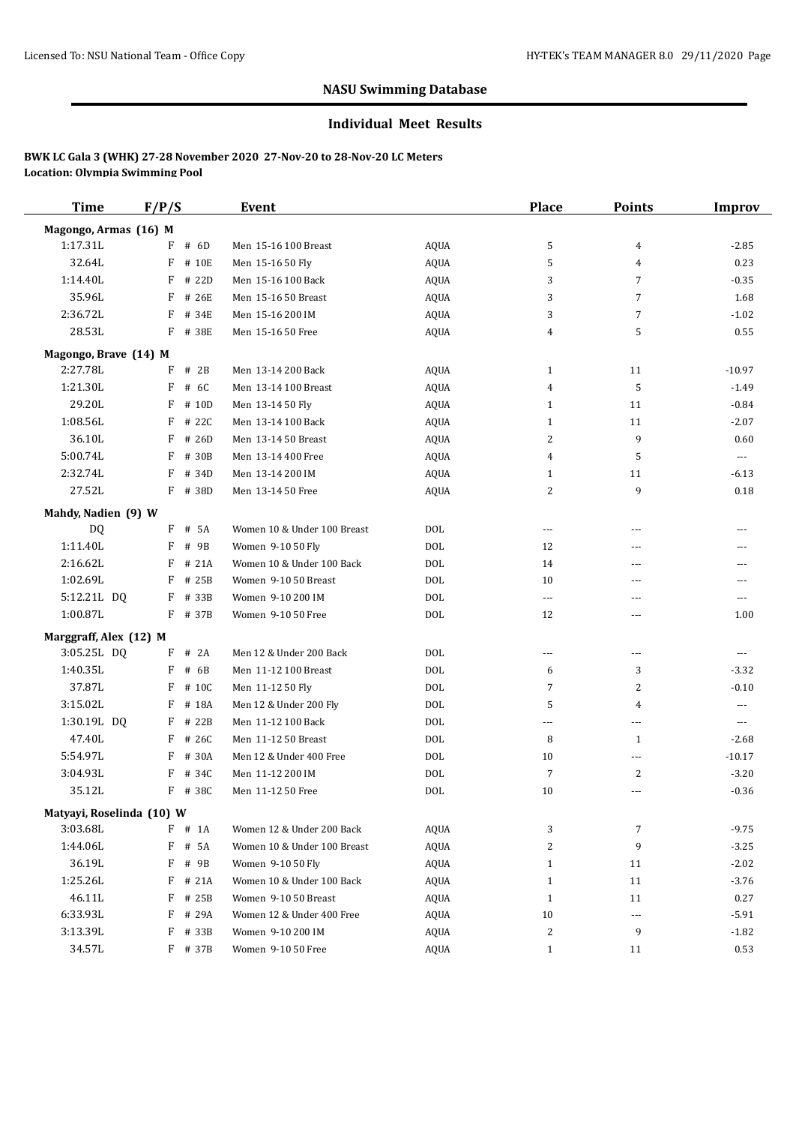#### **Individual Meet Results**

| <b>Time</b>               | F/P/S      | Event                       |             | <b>Place</b>             | <b>Points</b>  | Improv                   |
|---------------------------|------------|-----------------------------|-------------|--------------------------|----------------|--------------------------|
| Magongo, Armas (16) M     |            |                             |             |                          |                |                          |
| 1:17.31L                  | $F$ # 6D   | Men 15-16 100 Breast        | <b>AQUA</b> | 5                        | 4              | $-2.85$                  |
| 32.64L                    | F<br># 10E | Men 15-16 50 Fly            | <b>AQUA</b> | 5                        | 4              | 0.23                     |
| 1:14.40L                  | F<br># 22D | Men 15-16 100 Back          | <b>AQUA</b> | 3                        | $\overline{7}$ | $-0.35$                  |
| 35.96L                    | F<br># 26E | Men 15-16 50 Breast         | <b>AQUA</b> | 3                        | 7              | 1.68                     |
| 2:36.72L                  | # 34E<br>F | Men 15-16 200 IM            | <b>AQUA</b> | 3                        | $\overline{7}$ | $-1.02$                  |
| 28.53L                    | F # 38E    | Men 15-16 50 Free           | <b>AQUA</b> | 4                        | 5              | 0.55                     |
| Magongo, Brave (14) M     |            |                             |             |                          |                |                          |
| 2:27.78L                  | # 2B<br>F  | Men 13-14 200 Back          | AQUA        | $\mathbf{1}$             | 11             | $-10.97$                 |
| 1:21.30L                  | F<br># 6C  | Men 13-14 100 Breast        | <b>AQUA</b> | 4                        | 5              | $-1.49$                  |
| 29.20L                    | F<br># 10D | Men 13-14 50 Fly            | <b>AQUA</b> | $\mathbf{1}$             | 11             | $-0.84$                  |
| 1:08.56L                  | F<br># 22C | Men 13-14 100 Back          | <b>AQUA</b> | $\mathbf{1}$             | 11             | $-2.07$                  |
| 36.10L                    | F<br># 26D | Men 13-14 50 Breast         | <b>AQUA</b> | 2                        | 9              | 0.60                     |
| 5:00.74L                  | F<br># 30B | Men 13-14 400 Free          | <b>AQUA</b> | 4                        | 5              | $\overline{\phantom{a}}$ |
| 2:32.74L                  | F<br># 34D | Men 13-14 200 IM            | <b>AQUA</b> | $\mathbf{1}$             | 11             | $-6.13$                  |
| 27.52L                    | F # 38D    | Men 13-14 50 Free           | <b>AQUA</b> | 2                        | 9              | 0.18                     |
| Mahdy, Nadien (9) W       |            |                             |             |                          |                |                          |
| <b>DQ</b>                 | F # 5A     | Women 10 & Under 100 Breast | <b>DOL</b>  | $\overline{\phantom{a}}$ | ---            | ---                      |
| 1:11.40L                  | F<br># 9B  | Women 9-10 50 Fly           | <b>DOL</b>  | 12                       | ---            |                          |
| 2:16.62L                  | # 21A<br>F | Women 10 & Under 100 Back   | <b>DOL</b>  | 14                       | ---            | $---$                    |
| 1:02.69L                  | F # 25B    | Women 9-10 50 Breast        | <b>DOL</b>  | 10                       | ---            |                          |
| 5:12.21L DQ               | F # 33B    | Women 9-10 200 IM           | <b>DOL</b>  | $\ldots$ .               | ---            | $- - -$                  |
| 1:00.87L                  | F # 37B    | Women 9-10 50 Free          | <b>DOL</b>  | 12                       | ---            | 1.00                     |
| Marggraff, Alex (12) M    |            |                             |             |                          |                |                          |
| 3:05.25L DQ               | F<br># 2A  | Men 12 & Under 200 Back     | <b>DOL</b>  | $\cdots$                 | ---            | $---$                    |
| 1:40.35L                  | F<br># 6B  | Men 11-12 100 Breast        | <b>DOL</b>  | 6                        | 3              | $-3.32$                  |
| 37.87L                    | F<br># 10C | Men 11-12 50 Fly            | <b>DOL</b>  | 7                        | 2              | $-0.10$                  |
| 3:15.02L                  | F<br># 18A | Men 12 & Under 200 Fly      | <b>DOL</b>  | 5                        | 4              | ---                      |
| 1:30.19L DQ               | F<br># 22B | Men 11-12 100 Back          | <b>DOL</b>  | $\overline{a}$           | ---            | $---$                    |
| 47.40L                    | F<br># 26C | Men 11-12 50 Breast         | <b>DOL</b>  | 8                        | 1              | $-2.68$                  |
| 5:54.97L                  | F<br># 30A | Men 12 & Under 400 Free     | <b>DOL</b>  | 10                       | ---            | $-10.17$                 |
| 3:04.93L                  | F<br># 34C | Men 11-12 200 IM            | <b>DOL</b>  | 7                        | $\overline{c}$ | $-3.20$                  |
| 35.12L                    | F # 38C    | Men 11-12 50 Free           | <b>DOL</b>  | 10                       | ---            | $-0.36$                  |
| Matyayi, Roselinda (10) W |            |                             |             |                          |                |                          |
| 3:03.68L                  | $F$ # 1A   | Women 12 & Under 200 Back   | AQUA        | 3                        | 7              | $-9.75$                  |
| 1:44.06L                  | F # 5A     | Women 10 & Under 100 Breast | <b>AQUA</b> | 2                        | 9              | $-3.25$                  |
| 36.19L                    | F<br># 9B  | Women 9-10 50 Fly           | AQUA        | $\mathbf{1}$             | 11             | $-2.02$                  |
| 1:25.26L                  | $F$ # 21A  | Women 10 & Under 100 Back   | <b>AQUA</b> | $\mathbf{1}$             | 11             | $-3.76$                  |
| 46.11L                    | F<br># 25B | Women 9-10 50 Breast        | AQUA        | $\mathbf{1}$             | 11             | 0.27                     |
| 6:33.93L                  | F<br># 29A | Women 12 & Under 400 Free   | AQUA        | 10                       | $\cdots$       | $-5.91$                  |
| 3:13.39L                  | F<br># 33B | Women 9-10 200 IM           | AQUA        | 2                        | 9              | $-1.82$                  |
| 34.57L                    | F # 37B    | Women 9-10 50 Free          | AQUA        | $\mathbf{1}$             | 11             | 0.53                     |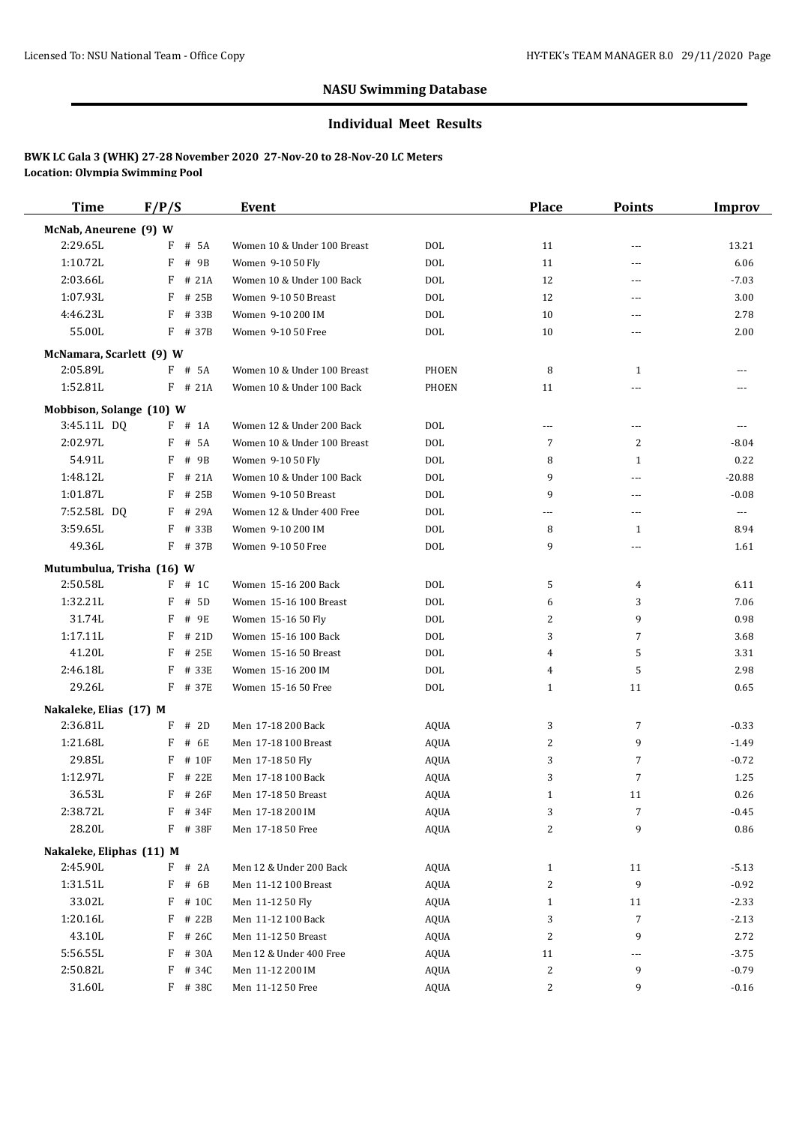#### **Individual Meet Results**

| <b>Time</b>               | F/P/S      | Event                       |              | <b>Place</b> | <b>Points</b>  | Improv   |
|---------------------------|------------|-----------------------------|--------------|--------------|----------------|----------|
| McNab, Aneurene (9) W     |            |                             |              |              |                |          |
| 2:29.65L                  | F<br># 5A  | Women 10 & Under 100 Breast | <b>DOL</b>   | 11           | ---            | 13.21    |
| 1:10.72L                  | F # 9B     | Women 9-10 50 Fly           | <b>DOL</b>   | 11           | ---            | 6.06     |
| 2:03.66L                  | F<br># 21A | Women 10 & Under 100 Back   | <b>DOL</b>   | 12           | ---            | $-7.03$  |
| 1:07.93L                  | F<br># 25B | Women 9-10 50 Breast        | <b>DOL</b>   | 12           | ---            | 3.00     |
| 4:46.23L                  | F<br># 33B | Women 9-10 200 IM           | <b>DOL</b>   | 10           | ---            | 2.78     |
| 55.00L                    | F # 37B    | Women 9-10 50 Free          | <b>DOL</b>   | 10           | ---            | 2.00     |
| McNamara, Scarlett (9) W  |            |                             |              |              |                |          |
| 2:05.89L                  | $F$ # 5A   | Women 10 & Under 100 Breast | PHOEN        | 8            | 1              |          |
| 1:52.81L                  | $F$ # 21A  | Women 10 & Under 100 Back   | <b>PHOEN</b> | 11           | ---            |          |
| Mobbison, Solange (10) W  |            |                             |              |              |                |          |
| 3:45.11L DQ               | $F$ # 1A   | Women 12 & Under 200 Back   | <b>DOL</b>   | $---$        | ---            | $---$    |
| 2:02.97L                  | F<br># 5A  | Women 10 & Under 100 Breast | <b>DOL</b>   | 7            | $\overline{2}$ | $-8.04$  |
| 54.91L                    | F<br># 9B  | Women 9-10 50 Fly           | <b>DOL</b>   | 8            | 1              | 0.22     |
| 1:48.12L                  | F<br># 21A | Women 10 & Under 100 Back   | <b>DOL</b>   | 9            | ---            | $-20.88$ |
| 1:01.87L                  | F<br># 25B | Women 9-10 50 Breast        | <b>DOL</b>   | 9            | ---            | $-0.08$  |
| 7:52.58L DO               | $F$ # 29A  | Women 12 & Under 400 Free   | <b>DOL</b>   | ---          | ---            | ---      |
| 3:59.65L                  | F<br># 33B | Women 9-10 200 IM           | <b>DOL</b>   | 8            | 1              | 8.94     |
| 49.36L                    | $F$ # 37B  | Women 9-10 50 Free          | <b>DOL</b>   | 9            | ---            | 1.61     |
| Mutumbulua, Trisha (16) W |            |                             |              |              |                |          |
| 2:50.58L                  | $F$ # 1C   | Women 15-16 200 Back        | <b>DOL</b>   | 5            | 4              | 6.11     |
| 1:32.21L                  | F<br># 5D  | Women 15-16 100 Breast      | <b>DOL</b>   | 6            | 3              | 7.06     |
| 31.74L                    | F<br># 9E  | Women 15-16 50 Fly          | <b>DOL</b>   | 2            | 9              | 0.98     |
| 1:17.11L                  | $F$ # 21D  | Women 15-16 100 Back        | <b>DOL</b>   | 3            | 7              | 3.68     |
| 41.20L                    | F<br># 25E | Women 15-16 50 Breast       | <b>DOL</b>   | 4            | 5              | 3.31     |
| 2:46.18L                  | F<br># 33E | Women 15-16 200 IM          | <b>DOL</b>   | 4            | 5              | 2.98     |
| 29.26L                    | F # 37E    | Women 15-16 50 Free         | <b>DOL</b>   | 1            | 11             | 0.65     |
| Nakaleke, Elias (17) M    |            |                             |              |              |                |          |
| 2:36.81L                  | $F$ # 2D   | Men 17-18 200 Back          | <b>AQUA</b>  | 3            | 7              | $-0.33$  |
| 1:21.68L                  | F<br># 6E  | Men 17-18 100 Breast        | <b>AQUA</b>  | 2            | 9              | $-1.49$  |
| 29.85L                    | F<br># 10F | Men 17-18 50 Fly            | <b>AQUA</b>  | 3            | $\overline{7}$ | $-0.72$  |
| 1:12.97L                  | F<br># 22E | Men 17-18 100 Back          | <b>AQUA</b>  | 3            | $\overline{7}$ | 1.25     |
| 36.53L                    | $F$ # 26F  | Men 17-18 50 Breast         | <b>AQUA</b>  | $\mathbf{1}$ | 11             | 0.26     |
| 2:38.72L                  | F # 34F    | Men 17-18 200 IM            | AQUA         | 3            | $\overline{7}$ | $-0.45$  |
| 28.20L                    | F # 38F    | Men 17-18 50 Free           | AQUA         | 2            | 9              | 0.86     |
| Nakaleke, Eliphas (11) M  |            |                             |              |              |                |          |
| 2:45.90L                  | $F$ # 2A   | Men 12 & Under 200 Back     | AQUA         | $\mathbf{1}$ | 11             | $-5.13$  |
| 1:31.51L                  | F<br># 6B  | Men 11-12 100 Breast        | AQUA         | 2            | 9              | $-0.92$  |
| 33.02L                    | F # 10C    | Men 11-12 50 Fly            | AQUA         | $\mathbf{1}$ | 11             | $-2.33$  |
| 1:20.16L                  | F # 22B    | Men 11-12 100 Back          | AQUA         | 3            | $\overline{7}$ | $-2.13$  |
| 43.10L                    | F # 26C    | Men 11-12 50 Breast         | <b>AQUA</b>  | 2            | 9              | 2.72     |
| 5:56.55L                  | F # 30A    | Men 12 & Under 400 Free     | AQUA         | 11           | ---            | $-3.75$  |
| 2:50.82L                  | F<br># 34C | Men 11-12 200 IM            | AQUA         | 2            | 9              | $-0.79$  |
| 31.60L                    | F # 38C    | Men 11-12 50 Free           | AQUA         | 2            | 9              | $-0.16$  |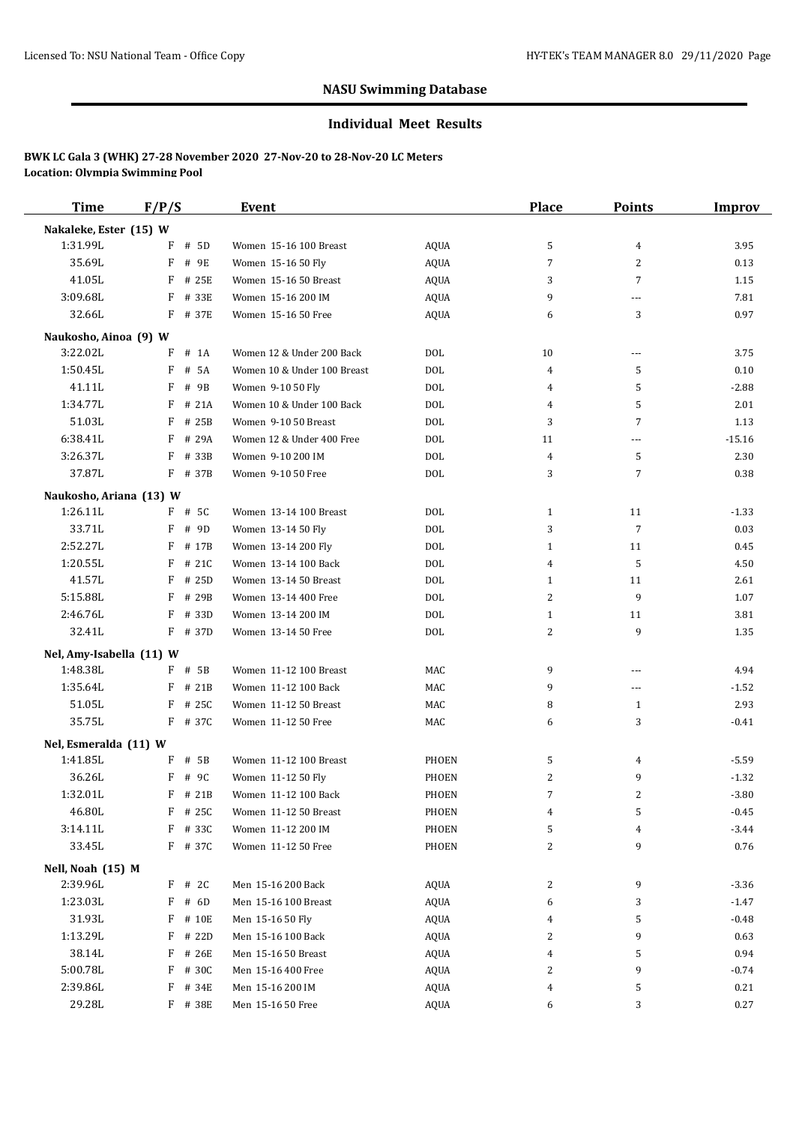#### **Individual Meet Results**

| <b>Time</b>                         | F/P/S              | Event                                       |                   | Place             | <b>Points</b>  | Improv          |
|-------------------------------------|--------------------|---------------------------------------------|-------------------|-------------------|----------------|-----------------|
| Nakaleke, Ester (15) W              |                    |                                             |                   |                   |                |                 |
| 1:31.99L                            | $F$ # 5D           | Women 15-16 100 Breast                      | <b>AQUA</b>       | 5                 | 4              | 3.95            |
| 35.69L                              | F<br># 9E          | Women 15-16 50 Fly                          | AQUA              | 7                 | $\overline{2}$ | 0.13            |
| 41.05L                              | F<br># 25E         | Women 15-16 50 Breast                       | <b>AQUA</b>       | 3                 | $\overline{7}$ | 1.15            |
| 3:09.68L                            | F<br># 33E         | Women 15-16 200 IM                          | <b>AQUA</b>       | 9                 | ---            | 7.81            |
| 32.66L                              | F # 37E            | Women 15-16 50 Free                         | <b>AQUA</b>       | 6                 | 3              | 0.97            |
| Naukosho, Ainoa (9) W               |                    |                                             |                   |                   |                |                 |
| 3:22.02L                            | $#$ 1A<br>F        | Women 12 & Under 200 Back                   | <b>DOL</b>        | 10                | ---            | 3.75            |
| 1:50.45L                            | # 5A<br>F          | Women 10 & Under 100 Breast                 | <b>DOL</b>        | 4                 | 5              | 0.10            |
| 41.11L                              | F<br># 9B          | Women 9-10 50 Fly                           | <b>DOL</b>        | 4                 | 5              | $-2.88$         |
| 1:34.77L                            | F<br># 21A         | Women 10 & Under 100 Back                   | <b>DOL</b>        | 4                 | 5              | 2.01            |
| 51.03L                              | F<br># 25B         | Women 9-10 50 Breast                        | <b>DOL</b>        | 3                 | $\overline{7}$ | 1.13            |
| 6:38.41L                            | F<br># 29A         | Women 12 & Under 400 Free                   | <b>DOL</b>        | 11                | ---            | $-15.16$        |
| 3:26.37L                            | F<br># 33B         | Women 9-10 200 IM                           | <b>DOL</b>        | 4                 | 5              | 2.30            |
| 37.87L                              | F # 37B            | Women 9-10 50 Free                          | <b>DOL</b>        | 3                 | $\overline{7}$ | 0.38            |
|                                     |                    |                                             |                   |                   |                |                 |
| Naukosho, Ariana (13) W<br>1:26.11L | F # 5C             | Women 13-14 100 Breast                      |                   |                   |                |                 |
| 33.71L                              | F<br># 9D          |                                             | DOL<br><b>DOL</b> | $\mathbf{1}$<br>3 | 11<br>7        | $-1.33$<br>0.03 |
| 2:52.27L                            | F<br># 17B         | Women 13-14 50 Fly                          | <b>DOL</b>        | $\mathbf{1}$      |                |                 |
| 1:20.55L                            | # 21C<br>F         | Women 13-14 200 Fly<br>Women 13-14 100 Back | <b>DOL</b>        | 4                 | 11<br>5        | 0.45            |
| 41.57L                              | F<br># 25D         | Women 13-14 50 Breast                       | <b>DOL</b>        |                   |                | 4.50            |
| 5:15.88L                            | F<br># 29B         | Women 13-14 400 Free                        | <b>DOL</b>        | $\mathbf{1}$<br>2 | 11<br>9        | 2.61            |
| 2:46.76L                            | F                  |                                             | <b>DOL</b>        | $\mathbf{1}$      | 11             | 1.07            |
| 32.41L                              | # 33D<br>$F$ # 37D | Women 13-14 200 IM<br>Women 13-14 50 Free   | <b>DOL</b>        |                   | 9              | 3.81            |
|                                     |                    |                                             |                   | 2                 |                | 1.35            |
| Nel, Amy-Isabella (11) W            |                    |                                             |                   |                   |                |                 |
| 1:48.38L                            | F # 5B             | Women 11-12 100 Breast                      | MAC               | 9                 | ---            | 4.94            |
| 1:35.64L                            | $F$ # 21B          | Women 11-12 100 Back                        | MAC               | 9                 | ---            | $-1.52$         |
| 51.05L                              | F<br># 25C         | Women 11-12 50 Breast                       | MAC               | 8                 | 1              | 2.93            |
| 35.75L                              | F # 37C            | Women 11-12 50 Free                         | MAC               | 6                 | 3              | $-0.41$         |
| Nel, Esmeralda (11) W               |                    |                                             |                   |                   |                |                 |
| 1:41.85L                            | F<br># 5B          | Women 11-12 100 Breast                      | PHOEN             | 5                 | 4              | $-5.59$         |
| 36.26L                              | F<br># 9C          | Women 11-12 50 Fly                          | PHOEN             | 2                 | 9              | $-1.32$         |
| 1:32.01L                            | F # 21B            | Women 11-12 100 Back                        | PHOEN             | $\overline{7}$    | $\overline{2}$ | $-3.80$         |
| 46.80L                              | $F$ # 25C          | Women 11-12 50 Breast                       | PHOEN             | 4                 | 5              | $-0.45$         |
| 3:14.11L                            | F # 33C            | Women 11-12 200 IM                          | PHOEN             | 5                 | 4              | $-3.44$         |
| 33.45L                              | F # 37C            | Women 11-12 50 Free                         | PHOEN             | 2                 | 9              | 0.76            |
| Nell, Noah (15) M                   |                    |                                             |                   |                   |                |                 |
| 2:39.96L                            | F # 2C             | Men 15-16 200 Back                          | AQUA              | 2                 | 9              | $-3.36$         |
| 1:23.03L                            | $F$ # 6D           | Men 15-16 100 Breast                        | <b>AQUA</b>       | 6                 | 3              | $-1.47$         |
| 31.93L                              | F # 10E            | Men 15-16 50 Fly                            | AQUA              | 4                 | 5              | $-0.48$         |
| 1:13.29L                            | F # 22D            | Men 15-16 100 Back                          | AQUA              | 2                 | 9              | 0.63            |
| 38.14L                              | F # 26E            | Men 15-16 50 Breast                         | <b>AQUA</b>       | 4                 | 5              | 0.94            |
| 5:00.78L                            | F<br># 30C         | Men 15-16 400 Free                          | <b>AQUA</b>       | 2                 | 9              | $-0.74$         |
| 2:39.86L                            | F<br># 34E         | Men 15-16 200 IM                            | AQUA              | 4                 | 5              | 0.21            |
| 29.28L                              | F # 38E            | Men 15-16 50 Free                           | AQUA              | 6                 | 3              | 0.27            |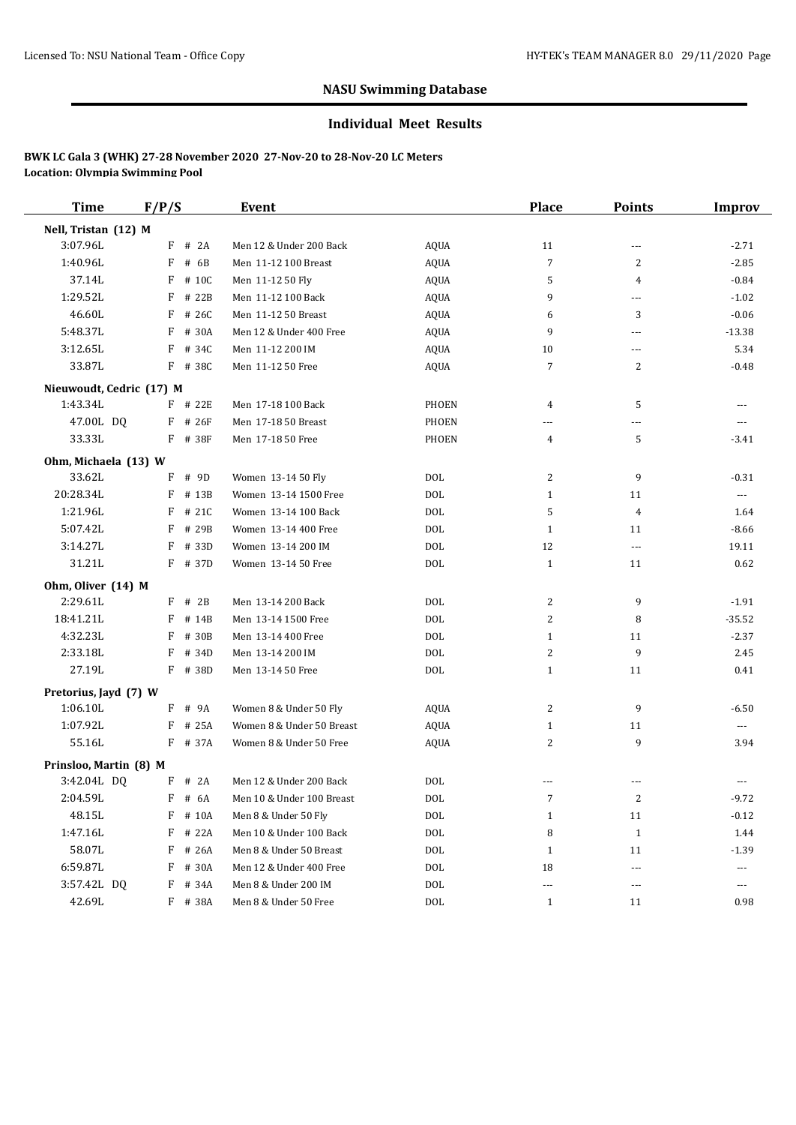#### **Individual Meet Results**

| <b>Time</b>            | F/P/S                    |           | Event                     |              | <b>Place</b>   | <b>Points</b>        | Improv   |
|------------------------|--------------------------|-----------|---------------------------|--------------|----------------|----------------------|----------|
| Nell, Tristan (12) M   |                          |           |                           |              |                |                      |          |
| 3:07.96L               | F                        | $#$ 2A    | Men 12 & Under 200 Back   | <b>AQUA</b>  | 11             | ---                  | $-2.71$  |
| 1:40.96L               | F                        | # 6B      | Men 11-12 100 Breast      | <b>AQUA</b>  | $\overline{7}$ | $\overline{2}$       | $-2.85$  |
| 37.14L                 | F                        | # 10C     | Men 11-12 50 Fly          | AQUA         | 5              | $\overline{4}$       | $-0.84$  |
| 1:29.52L               | F                        | # 22B     | Men 11-12 100 Back        | <b>AQUA</b>  | 9              | ---                  | $-1.02$  |
| 46.60L                 | F                        | # 26C     | Men 11-12 50 Breast       | <b>AQUA</b>  | 6              | 3                    | $-0.06$  |
| 5:48.37L               |                          | F # 30A   | Men 12 & Under 400 Free   | <b>AQUA</b>  | 9              | ---                  | $-13.38$ |
| 3:12.65L               | F                        | # 34C     | Men 11-12 200 IM          | <b>AQUA</b>  | 10             | ---                  | 5.34     |
| 33.87L                 |                          | F # 38C   | Men 11-12 50 Free         | <b>AQUA</b>  | 7              | $\overline{2}$       | $-0.48$  |
|                        | Nieuwoudt, Cedric (17) M |           |                           |              |                |                      |          |
| 1:43.34L               |                          | F # 22E   | Men 17-18 100 Back        | PHOEN        | 4              | 5                    |          |
| 47.00L DQ              |                          | $F$ # 26F | Men 17-18 50 Breast       | <b>PHOEN</b> | ---            | ---                  | ---      |
| 33.33L                 |                          | F # 38F   | Men 17-18 50 Free         | PHOEN        | 4              | 5                    | -3.41    |
| Ohm, Michaela (13) W   |                          |           |                           |              |                |                      |          |
| 33.62L                 |                          | F # 9D    | Women 13-14 50 Fly        | <b>DOL</b>   | 2              | 9                    | $-0.31$  |
| 20:28.34L              |                          | F # 13B   | Women 13-14 1500 Free     | <b>DOL</b>   | $\mathbf{1}$   | 11                   | ---      |
| 1:21.96L               | F                        | # 21C     | Women 13-14 100 Back      | <b>DOL</b>   | 5              | 4                    | 1.64     |
| 5:07.42L               | F                        | # 29B     | Women 13-14 400 Free      | <b>DOL</b>   | $\mathbf{1}$   | 11                   | $-8.66$  |
| 3:14.27L               | F                        | # 33D     | Women 13-14 200 IM        | <b>DOL</b>   | 12             | $---$                | 19.11    |
| 31.21L                 |                          | F # 37D   | Women 13-14 50 Free       | <b>DOL</b>   | $\mathbf{1}$   | 11                   | 0.62     |
| Ohm, Oliver (14) M     |                          |           |                           |              |                |                      |          |
| 2:29.61L               |                          | $F$ # 2B  | Men 13-14 200 Back        | <b>DOL</b>   | 2              | 9                    | $-1.91$  |
| 18:41.21L              | F                        | # 14B     | Men 13-14 1500 Free       | <b>DOL</b>   | 2              | 8                    | $-35.52$ |
| 4:32.23L               | F                        | # 30B     | Men 13-14 400 Free        | <b>DOL</b>   | $\mathbf{1}$   | 11                   | $-2.37$  |
| 2:33.18L               | F                        | # 34D     | Men 13-14 200 IM          | <b>DOL</b>   | 2              | 9                    | 2.45     |
| 27.19L                 |                          | F # 38D   | Men 13-14 50 Free         | <b>DOL</b>   | $\mathbf{1}$   | 11                   | 0.41     |
| Pretorius, Jayd (7) W  |                          |           |                           |              |                |                      |          |
| 1:06.10L               |                          | $F$ # 9A  | Women 8 & Under 50 Fly    | AQUA         | 2              | 9                    | $-6.50$  |
| 1:07.92L               |                          | $F$ # 25A | Women 8 & Under 50 Breast | <b>AQUA</b>  | $\mathbf{1}$   | 11                   | $---$    |
| 55.16L                 |                          | F # 37A   | Women 8 & Under 50 Free   | <b>AQUA</b>  | 2              | 9                    | 3.94     |
| Prinsloo, Martin (8) M |                          |           |                           |              |                |                      |          |
| 3:42.04L DQ            |                          | $F$ # 2A  | Men 12 & Under 200 Back   | <b>DOL</b>   |                |                      |          |
| 2:04.59L               |                          | $F$ # 6A  | Men 10 & Under 100 Breast | DOL          | 7              | 2                    | $-9.72$  |
| 48.15L                 |                          | $F$ # 10A | Men 8 & Under 50 Fly      | <b>DOL</b>   | $\mathbf{1}$   | 11                   | $-0.12$  |
| 1:47.16L               |                          | F # 22A   | Men 10 & Under 100 Back   | $\rm DOL$    | 8              | $\mathbf{1}$         | 1.44     |
| 58.07L                 |                          | $F$ # 26A | Men 8 & Under 50 Breast   | <b>DOL</b>   | $\mathbf{1}$   | 11                   | $-1.39$  |
| 6:59.87L               | F                        | # 30A     | Men 12 & Under 400 Free   | $\rm DOL$    | 18             | ---                  | ---      |
| 3:57.42L DQ            |                          | F # 34A   | Men 8 & Under 200 IM      | $\rm DOL$    | $\cdots$       | $\sim$ $\sim$ $\sim$ | ---      |
| 42.69L                 |                          | F # 38A   | Men 8 & Under 50 Free     | $\rm DOL$    | $\mathbf{1}$   | 11                   | 0.98     |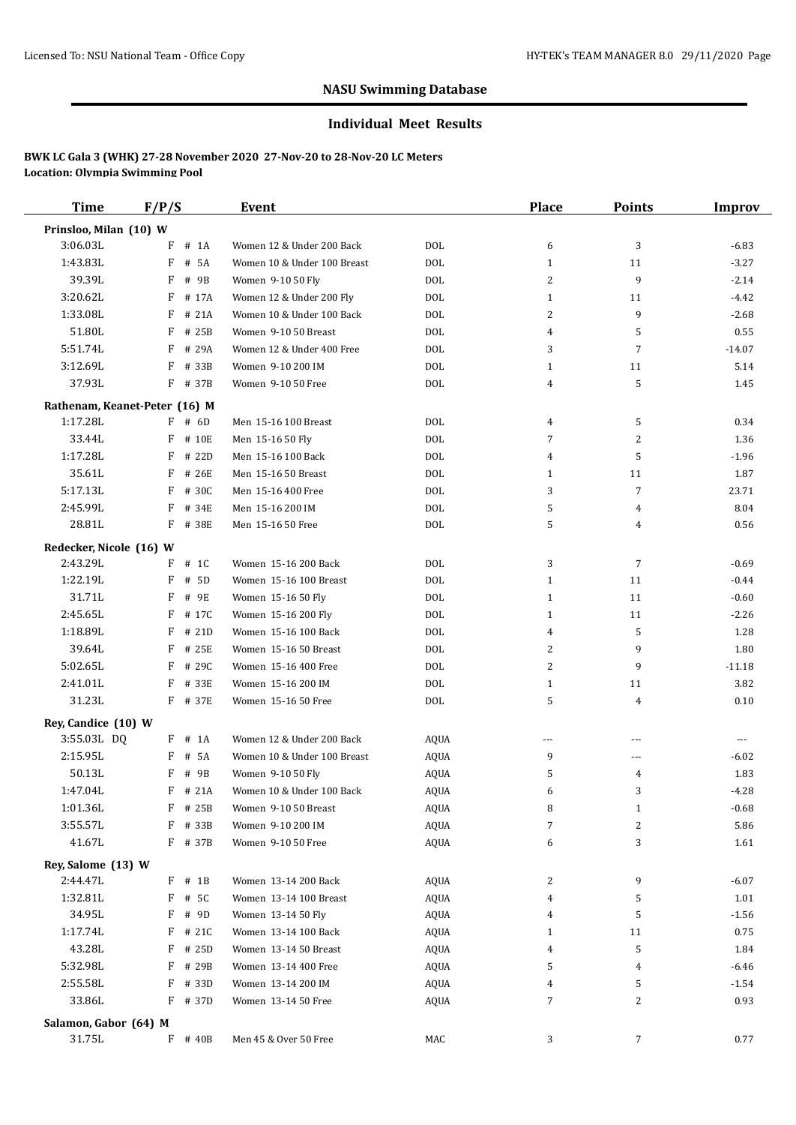#### **Individual Meet Results**

| Time                          | F/P/S       | Event                       |             | Place          | <b>Points</b>  | Improv   |
|-------------------------------|-------------|-----------------------------|-------------|----------------|----------------|----------|
| Prinsloo, Milan (10) W        |             |                             |             |                |                |          |
| 3:06.03L                      | $#$ 1A<br>F | Women 12 & Under 200 Back   | <b>DOL</b>  | 6              | 3              | $-6.83$  |
| 1:43.83L                      | F<br># 5A   | Women 10 & Under 100 Breast | <b>DOL</b>  | $\mathbf{1}$   | 11             | $-3.27$  |
| 39.39L                        | F<br># 9B   | Women 9-10 50 Fly           | <b>DOL</b>  | 2              | 9              | $-2.14$  |
| 3:20.62L                      | F<br># 17A  | Women 12 & Under 200 Fly    | <b>DOL</b>  | $\mathbf{1}$   | 11             | $-4.42$  |
| 1:33.08L                      | F<br># 21A  | Women 10 & Under 100 Back   | <b>DOL</b>  | 2              | 9              | $-2.68$  |
| 51.80L                        | F<br># 25B  | Women 9-10 50 Breast        | <b>DOL</b>  | 4              | 5              | 0.55     |
| 5:51.74L                      | F<br># 29A  | Women 12 & Under 400 Free   | <b>DOL</b>  | 3              | $\overline{7}$ | $-14.07$ |
| 3:12.69L                      | F<br># 33B  | Women 9-10 200 IM           | <b>DOL</b>  | $\mathbf{1}$   | 11             | 5.14     |
| 37.93L                        | $F$ # 37B   | Women 9-10 50 Free          | <b>DOL</b>  | 4              | 5              | 1.45     |
| Rathenam, Keanet-Peter (16) M |             |                             |             |                |                |          |
| 1:17.28L                      | $F$ # 6D    | Men 15-16 100 Breast        | DOL         | 4              | 5              | 0.34     |
| 33.44L                        | # 10E<br>F  | Men 15-16 50 Fly            | <b>DOL</b>  | 7              | 2              | 1.36     |
| 1:17.28L                      | F<br># 22D  | Men 15-16 100 Back          | <b>DOL</b>  | 4              | 5              | $-1.96$  |
| 35.61L                        | F<br># 26E  | Men 15-16 50 Breast         | <b>DOL</b>  | $\mathbf{1}$   | 11             | 1.87     |
| 5:17.13L                      | F # 30C     | Men 15-16 400 Free          | <b>DOL</b>  | 3              | $\overline{7}$ | 23.71    |
| 2:45.99L                      | F<br># 34E  | Men 15-16 200 IM            | <b>DOL</b>  | 5              | 4              | 8.04     |
| 28.81L                        | F # 38E     | Men 15-16 50 Free           | <b>DOL</b>  | 5              | 4              | 0.56     |
|                               |             |                             |             |                |                |          |
| Redecker, Nicole (16) W       |             |                             |             |                |                |          |
| 2:43.29L                      | $F$ # 1C    | Women 15-16 200 Back        | <b>DOL</b>  | 3              | 7              | $-0.69$  |
| 1:22.19L                      | F<br># 5D   | Women 15-16 100 Breast      | <b>DOL</b>  | $\mathbf{1}$   | 11             | $-0.44$  |
| 31.71L                        | F<br># 9E   | Women 15-16 50 Fly          | <b>DOL</b>  | $\mathbf{1}$   | 11             | $-0.60$  |
| 2:45.65L                      | F<br># 17C  | Women 15-16 200 Fly         | <b>DOL</b>  | $\mathbf{1}$   | 11             | $-2.26$  |
| 1:18.89L                      | F<br># 21D  | Women 15-16 100 Back        | <b>DOL</b>  | 4              | 5              | 1.28     |
| 39.64L                        | F<br># 25E  | Women 15-16 50 Breast       | <b>DOL</b>  | 2              | 9              | 1.80     |
| 5:02.65L                      | F<br># 29C  | Women 15-16 400 Free        | <b>DOL</b>  | $\overline{2}$ | 9              | $-11.18$ |
| 2:41.01L                      | F # 33E     | Women 15-16 200 IM          | <b>DOL</b>  | $\mathbf{1}$   | 11             | 3.82     |
| 31.23L                        | F # 37E     | Women 15-16 50 Free         | <b>DOL</b>  | 5              | 4              | 0.10     |
| Rey, Candice (10) W           |             |                             |             |                |                |          |
| 3:55.03L DQ                   | $F$ # 1A    | Women 12 & Under 200 Back   | <b>AQUA</b> | $\cdots$       | ---            | $- - -$  |
| 2:15.95L                      | F<br># 5A   | Women 10 & Under 100 Breast | <b>AQUA</b> | 9              | ---            | $-6.02$  |
| 50.13L                        | F<br># 9B   | Women 9-10 50 Fly           | <b>AQUA</b> | 5              | 4              | 1.83     |
| 1:47.04L                      | F # 21A     | Women 10 & Under 100 Back   | <b>AQUA</b> | 6              | 3              | $-4.28$  |
| 1:01.36L                      | F # 25B     | Women 9-10 50 Breast        | AQUA        | 8              | $\mathbf{1}$   | $-0.68$  |
| 3:55.57L                      | F<br># 33B  | Women 9-10 200 IM           | AQUA        | 7              | 2              | 5.86     |
| 41.67L                        | F # 37B     | Women 9-10 50 Free          | <b>AQUA</b> | 6              | 3              | 1.61     |
| Rey, Salome (13) W            |             |                             |             |                |                |          |
| 2:44.47L                      | $F$ # 1B    | Women 13-14 200 Back        | AQUA        | 2              | 9              | $-6.07$  |
| 1:32.81L                      | F<br># 5C   | Women 13-14 100 Breast      | AQUA        | 4              | 5              | 1.01     |
| 34.95L                        | F # 9D      | Women 13-14 50 Fly          | AQUA        | 4              | 5              | $-1.56$  |
| 1:17.74L                      | $F$ # 21C   | Women 13-14 100 Back        | AQUA        | 1              | 11             | 0.75     |
| 43.28L                        | $F$ # 25D   | Women 13-14 50 Breast       | AQUA        | 4              | 5              | 1.84     |
| 5:32.98L                      | F<br># 29B  | Women 13-14 400 Free        | AQUA        | 5              | 4              | $-6.46$  |
| 2:55.58L                      | F<br># 33D  | Women 13-14 200 IM          | AQUA        | 4              | 5              | $-1.54$  |
| 33.86L                        | $F$ # 37D   | Women 13-14 50 Free         | AQUA        | 7              | 2              | 0.93     |
|                               |             |                             |             |                |                |          |
| Salamon, Gabor (64) M         |             |                             |             |                |                |          |
| 31.75L                        | $F$ # 40B   | Men 45 & Over 50 Free       | MAC         | 3              | $\overline{7}$ | 0.77     |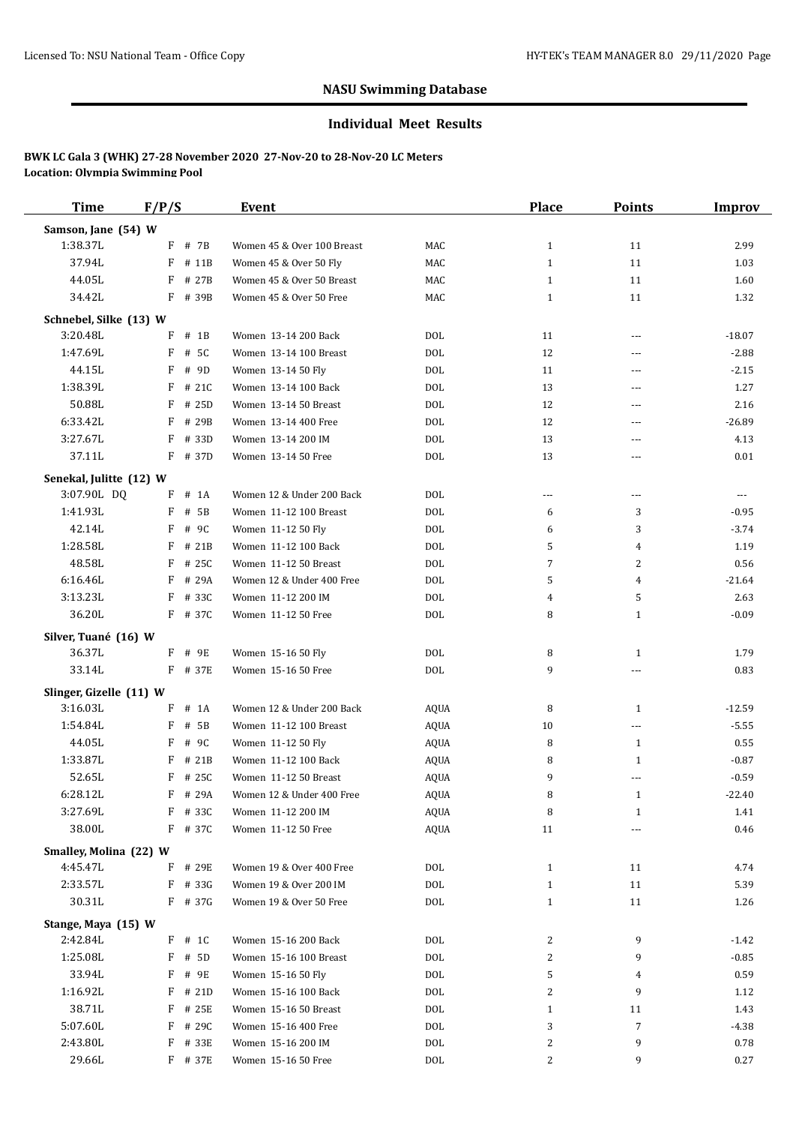#### **Individual Meet Results**

| <b>Time</b>             | F/P/S       | Event                      |             | Place        | <b>Points</b>  | <b>Improv</b> |
|-------------------------|-------------|----------------------------|-------------|--------------|----------------|---------------|
| Samson, Jane (54) W     |             |                            |             |              |                |               |
| 1:38.37L                | $F$ # 7B    | Women 45 & Over 100 Breast | MAC         | $\mathbf{1}$ | 11             | 2.99          |
| 37.94L                  | F<br># 11B  | Women 45 & Over 50 Fly     | MAC         | $\mathbf{1}$ | 11             | 1.03          |
| 44.05L                  | F<br># 27B  | Women 45 & Over 50 Breast  | MAC         | $\mathbf{1}$ | 11             | 1.60          |
| 34.42L                  | F # 39B     | Women 45 & Over 50 Free    | MAC         | $\mathbf{1}$ | 11             | 1.32          |
| Schnebel, Silke (13) W  |             |                            |             |              |                |               |
| 3:20.48L                | $#$ 1B<br>F | Women 13-14 200 Back       | <b>DOL</b>  | 11           | $\overline{a}$ | $-18.07$      |
| 1:47.69L                | F<br># 5C   | Women 13-14 100 Breast     | <b>DOL</b>  | 12           | ---            | $-2.88$       |
| 44.15L                  | $F$ # 9D    | Women 13-14 50 Fly         | <b>DOL</b>  | 11           | ---            | $-2.15$       |
| 1:38.39L                | F<br># 21C  | Women 13-14 100 Back       | <b>DOL</b>  | 13           | ---            | 1.27          |
| 50.88L                  | F<br># 25D  | Women 13-14 50 Breast      | <b>DOL</b>  | 12           | ---            | 2.16          |
| 6:33.42L                | F<br># 29B  | Women 13-14 400 Free       | <b>DOL</b>  | 12           | ---            | $-26.89$      |
| 3:27.67L                | F<br># 33D  | Women 13-14 200 IM         | <b>DOL</b>  | 13           | ---            | 4.13          |
| 37.11L                  | F # 37D     | Women 13-14 50 Free        | <b>DOL</b>  | 13           | ---            | 0.01          |
|                         |             |                            |             |              |                |               |
| Senekal, Julitte (12) W |             |                            |             |              |                |               |
| 3:07.90L DQ             | F<br># 1A   | Women 12 & Under 200 Back  | <b>DOL</b>  | ---          | ---            | ---           |
| 1:41.93L                | F<br># 5B   | Women 11-12 100 Breast     | <b>DOL</b>  | 6            | 3              | $-0.95$       |
| 42.14L                  | # 9C<br>F   | Women 11-12 50 Fly         | <b>DOL</b>  | 6            | 3              | $-3.74$       |
| 1:28.58L                | F # 21B     | Women 11-12 100 Back       | <b>DOL</b>  | 5            | 4              | 1.19          |
| 48.58L                  | F<br># 25C  | Women 11-12 50 Breast      | <b>DOL</b>  | 7            | $\overline{2}$ | 0.56          |
| 6:16.46L                | F<br># 29A  | Women 12 & Under 400 Free  | <b>DOL</b>  | 5            | 4              | $-21.64$      |
| 3:13.23L                | F<br># 33C  | Women 11-12 200 IM         | <b>DOL</b>  | 4            | 5              | 2.63          |
| 36.20L                  | F # 37C     | Women 11-12 50 Free        | <b>DOL</b>  | 8            | $\mathbf{1}$   | $-0.09$       |
| Silver, Tuané (16) W    |             |                            |             |              |                |               |
| 36.37L                  | F # 9E      | Women 15-16 50 Fly         | <b>DOL</b>  | 8            | 1              | 1.79          |
| 33.14L                  | F # 37E     | Women 15-16 50 Free        | <b>DOL</b>  | 9            | ---            | 0.83          |
| Slinger, Gizelle (11) W |             |                            |             |              |                |               |
| 3:16.03L                | F # 1A      | Women 12 & Under 200 Back  | AQUA        | 8            | 1              | $-12.59$      |
| 1:54.84L                | F<br># 5B   | Women 11-12 100 Breast     | <b>AQUA</b> | 10           | ---            | $-5.55$       |
| 44.05L                  | F<br># 9C   | Women 11-12 50 Fly         | <b>AQUA</b> | 8            | $\mathbf{1}$   | 0.55          |
| 1:33.87L                | F<br># 21B  | Women 11-12 100 Back       | AQUA        | 8            | $\mathbf{1}$   | $-0.87$       |
| 52.65L                  | $F$ # 25C   | Women 11-12 50 Breast      | <b>AQUA</b> | 9            | ---            | $-0.59$       |
| 6:28.12L                | F # 29A     | Women 12 & Under 400 Free  | AQUA        | 8            | $\mathbf{1}$   | $-22.40$      |
| 3:27.69L                | $F$ # 330   | Women 11-12 200 IM         | <b>AQUA</b> | 8            | $\mathbf{1}$   | 1.41          |
| 38.00L                  | F # 37C     | Women 11-12 50 Free        | <b>AQUA</b> | 11           | ---            | 0.46          |
| Smalley, Molina (22) W  |             |                            |             |              |                |               |
| 4:45.47L                | F # 29E     | Women 19 & Over 400 Free   | <b>DOL</b>  | $\mathbf{1}$ | 11             | 4.74          |
| 2:33.57L                | F<br># 33G  | Women 19 & Over 200 IM     | <b>DOL</b>  | $\mathbf{1}$ | 11             | 5.39          |
| 30.31L                  | F # 37G     | Women 19 & Over 50 Free    | <b>DOL</b>  | $\mathbf{1}$ | 11             | 1.26          |
| Stange, Maya (15) W     |             |                            |             |              |                |               |
| 2:42.84L                | $F$ # 1C    | Women 15-16 200 Back       | DOL         | 2            | 9              | -1.42         |
| 1:25.08L                | $F$ # 5D    | Women 15-16 100 Breast     | <b>DOL</b>  | 2            | 9              | $-0.85$       |
| 33.94L                  | F<br># 9E   | Women 15-16 50 Fly         | <b>DOL</b>  | 5            | 4              | 0.59          |
| 1:16.92L                | $F$ # 21D   | Women 15-16 100 Back       | <b>DOL</b>  | 2            | 9              | 1.12          |
| 38.71L                  | F<br># 25E  | Women 15-16 50 Breast      | <b>DOL</b>  | $\mathbf{1}$ | 11             | 1.43          |
| 5:07.60L                | F<br># 29C  | Women 15-16 400 Free       | <b>DOL</b>  | 3            | 7              | $-4.38$       |
| 2:43.80L                | F # 33E     | Women 15-16 200 IM         | <b>DOL</b>  | 2            | 9              | 0.78          |
| 29.66L                  | F # 37E     | Women 15-16 50 Free        | <b>DOL</b>  | 2            | 9              | 0.27          |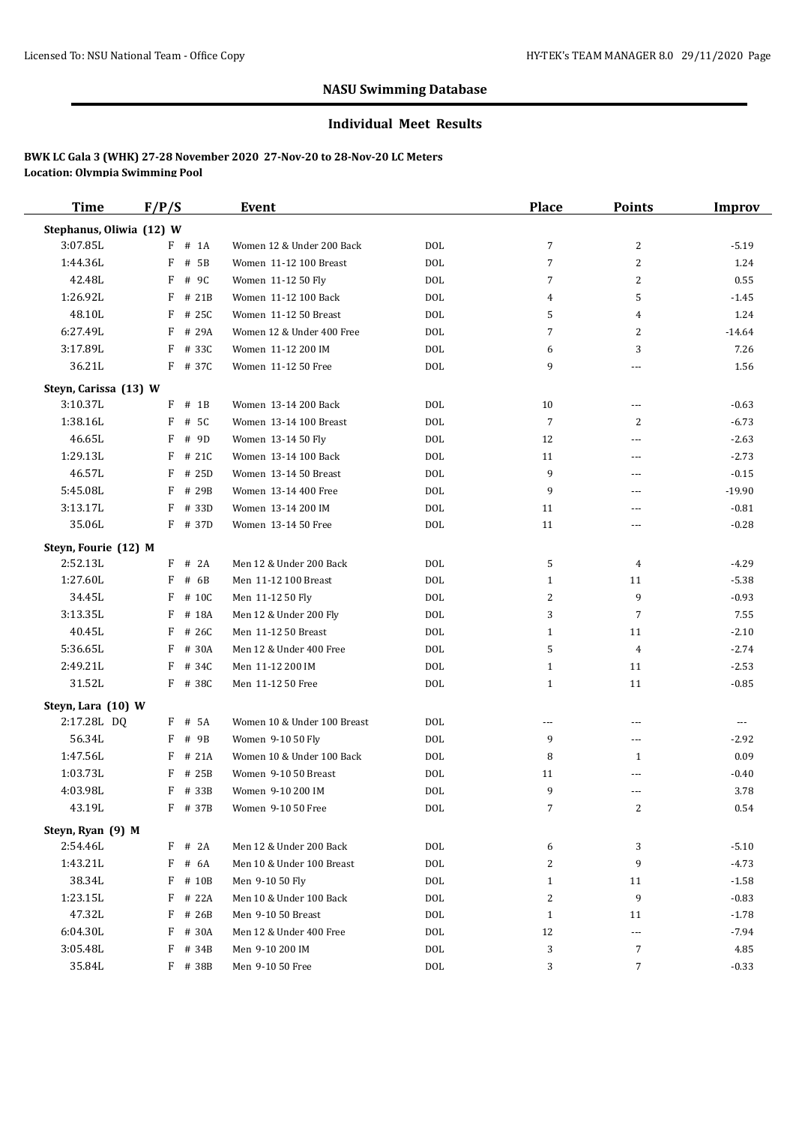#### **Individual Meet Results**

| <b>Time</b>              | F/P/S      | Event                       |            | <b>Place</b>   | <b>Points</b>            | <b>Improv</b> |
|--------------------------|------------|-----------------------------|------------|----------------|--------------------------|---------------|
| Stephanus, Oliwia (12) W |            |                             |            |                |                          |               |
| 3:07.85L                 | $F$ # 1A   | Women 12 & Under 200 Back   | <b>DOL</b> | 7              | $\overline{c}$           | $-5.19$       |
| 1:44.36L                 | $F$ # 5B   | Women 11-12 100 Breast      | <b>DOL</b> | 7              | 2                        | 1.24          |
| 42.48L                   | F<br># 9C  | Women 11-12 50 Fly          | <b>DOL</b> | 7              | $\overline{2}$           | 0.55          |
| 1:26.92L                 | F<br># 21B | Women 11-12 100 Back        | <b>DOL</b> | 4              | 5                        | $-1.45$       |
| 48.10L                   | F<br># 25C | Women 11-12 50 Breast       | <b>DOL</b> | 5              | 4                        | 1.24          |
| 6:27.49L                 | F<br># 29A | Women 12 & Under 400 Free   | <b>DOL</b> | 7              | 2                        | $-14.64$      |
| 3:17.89L                 | F<br># 33C | Women 11-12 200 IM          | <b>DOL</b> | 6              | 3                        | 7.26          |
| 36.21L                   | F # 37C    | Women 11-12 50 Free         | <b>DOL</b> | 9              | ---                      | 1.56          |
| Steyn, Carissa (13) W    |            |                             |            |                |                          |               |
| 3:10.37L                 | $F$ # 1B   | Women 13-14 200 Back        | DOL        | 10             | ---                      | $-0.63$       |
| 1:38.16L                 | F<br># 5C  | Women 13-14 100 Breast      | <b>DOL</b> | 7              | 2                        | $-6.73$       |
| 46.65L                   | F<br># 9D  | Women 13-14 50 Fly          | <b>DOL</b> | 12             | ---                      | $-2.63$       |
| 1:29.13L                 | F<br># 21C | Women 13-14 100 Back        | <b>DOL</b> | 11             | ---                      | $-2.73$       |
| 46.57L                   | F<br># 25D | Women 13-14 50 Breast       | <b>DOL</b> | 9              | ---                      | $-0.15$       |
| 5:45.08L                 | F<br># 29B | Women 13-14 400 Free        | <b>DOL</b> | 9              | ---                      | $-19.90$      |
| 3:13.17L                 | F<br># 33D | Women 13-14 200 IM          | <b>DOL</b> | 11             | ---                      | $-0.81$       |
| 35.06L                   | F # 37D    | Women 13-14 50 Free         | <b>DOL</b> | 11             | ---                      | $-0.28$       |
| Steyn, Fourie (12) M     |            |                             |            |                |                          |               |
| 2:52.13L                 | $F$ # 2A   | Men 12 & Under 200 Back     | <b>DOL</b> | 5              | 4                        | $-4.29$       |
| 1:27.60L                 | F<br># 6B  | Men 11-12 100 Breast        | <b>DOL</b> | $\mathbf{1}$   | 11                       | $-5.38$       |
| 34.45L                   | F<br># 10C | Men 11-12 50 Fly            | <b>DOL</b> | 2              | 9                        | $-0.93$       |
| 3:13.35L                 | F<br># 18A | Men 12 & Under 200 Fly      | <b>DOL</b> | 3              | 7                        | 7.55          |
| 40.45L                   | F<br># 26C | Men 11-12 50 Breast         | <b>DOL</b> | $\mathbf{1}$   | 11                       | $-2.10$       |
| 5:36.65L                 | F<br># 30A | Men 12 & Under 400 Free     | <b>DOL</b> | 5              | $\overline{4}$           | $-2.74$       |
| 2:49.21L                 | F<br># 34C | Men 11-12 200 IM            | <b>DOL</b> | $\mathbf{1}$   | 11                       | $-2.53$       |
| 31.52L                   | F # 38C    | Men 11-12 50 Free           | <b>DOL</b> | $\mathbf{1}$   | 11                       | $-0.85$       |
| Steyn, Lara (10) W       |            |                             |            |                |                          |               |
| 2:17.28L DQ              | F # 5A     | Women 10 & Under 100 Breast | <b>DOL</b> | $\cdots$       | $\overline{\phantom{a}}$ | $---$         |
| 56.34L                   | # 9B<br>F  | Women 9-10 50 Fly           | <b>DOL</b> | 9              | ---                      | $-2.92$       |
| 1:47.56L                 | F<br># 21A | Women 10 & Under 100 Back   | <b>DOL</b> | 8              | 1                        | 0.09          |
| 1:03.73L                 | F<br>#25B  | Women 9-10 50 Breast        | <b>DOL</b> | 11             | ---                      | $-0.40$       |
| 4:03.98L                 | F # 33B    | Women 9-10 200 IM           | <b>DOL</b> | 9              | ---                      | 3.78          |
| 43.19L                   | F # 37B    | Women 9-10 50 Free          | <b>DOL</b> | $\overline{7}$ | 2                        | 0.54          |
| Steyn, Ryan (9) M        |            |                             |            |                |                          |               |
| 2:54.46L                 | $F$ # 2A   | Men 12 & Under 200 Back     | $\rm DOL$  | 6              | 3                        | $-5.10$       |
| 1:43.21L                 | F<br># 6A  | Men 10 & Under 100 Breast   | $\rm DOL$  | 2              | 9                        | -4.73         |
| 38.34L                   | $F$ # 10B  | Men 9-10 50 Fly             | <b>DOL</b> | $\mathbf{1}$   | 11                       | $-1.58$       |
| 1:23.15L                 | F<br># 22A | Men 10 & Under 100 Back     | <b>DOL</b> | 2              | 9                        | $-0.83$       |
| 47.32L                   | F<br># 26B | Men 9-10 50 Breast          | <b>DOL</b> | $\mathbf{1}$   | 11                       | $-1.78$       |
| 6:04.30L                 | F # 30A    | Men 12 & Under 400 Free     | $\rm DOL$  | 12             | ---                      | $-7.94$       |
| 3:05.48L                 | F # 34B    | Men 9-10 200 IM             | $\rm DOL$  | 3              | $\overline{7}$           | 4.85          |
| 35.84L                   | F # 38B    | Men 9-10 50 Free            | DOL        | 3              | 7                        | $-0.33$       |
|                          |            |                             |            |                |                          |               |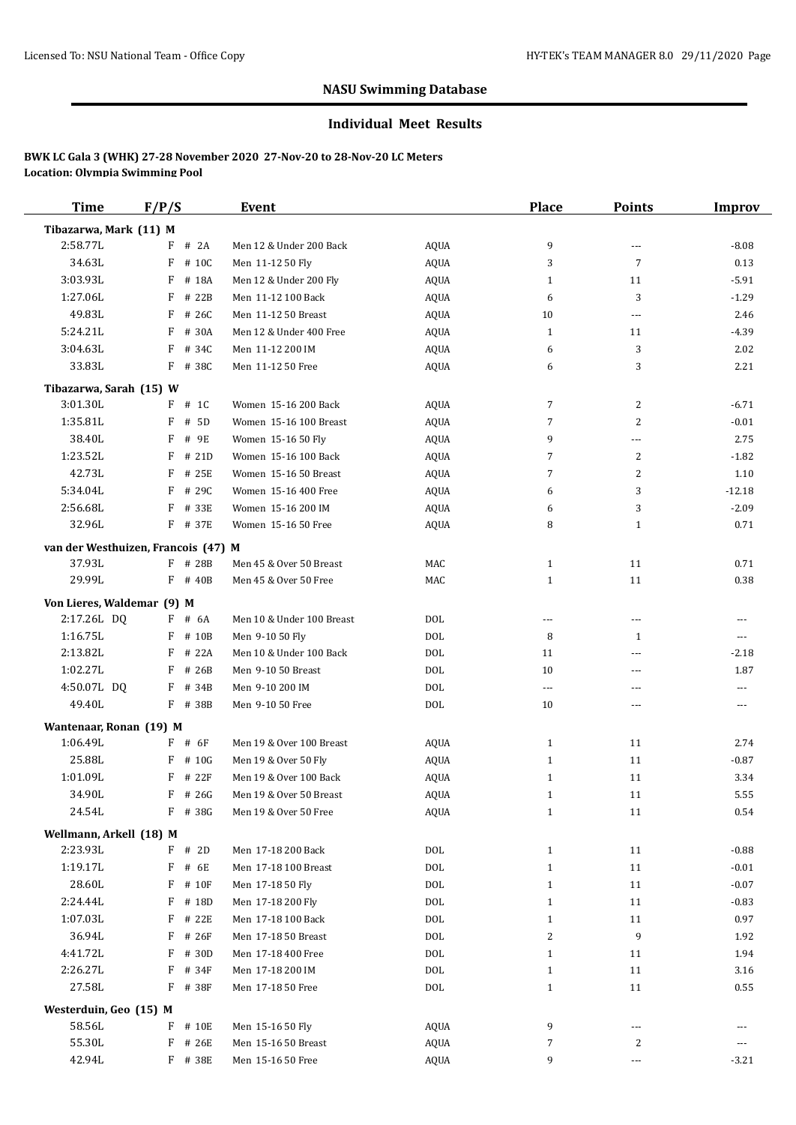#### **Individual Meet Results**

| <b>Time</b>                         | F/P/S      | Event                     |             | Place        | <b>Points</b>  | Improv   |
|-------------------------------------|------------|---------------------------|-------------|--------------|----------------|----------|
| Tibazarwa, Mark (11) M              |            |                           |             |              |                |          |
| 2:58.77L                            | $F$ # 2A   | Men 12 & Under 200 Back   | <b>AQUA</b> | 9            | ---            | $-8.08$  |
| 34.63L                              | F<br># 10C | Men 11-12 50 Fly          | AQUA        | 3            | $\overline{7}$ | 0.13     |
| 3:03.93L                            | F<br># 18A | Men 12 & Under 200 Fly    | <b>AQUA</b> | $\mathbf{1}$ | 11             | $-5.91$  |
| 1:27.06L                            | F<br># 22B | Men 11-12 100 Back        | <b>AQUA</b> | 6            | 3              | $-1.29$  |
| 49.83L                              | F<br># 26C | Men 11-12 50 Breast       | <b>AQUA</b> | 10           | ---            | 2.46     |
| 5:24.21L                            | F<br># 30A | Men 12 & Under 400 Free   | <b>AQUA</b> | $\mathbf{1}$ | 11             | $-4.39$  |
| 3:04.63L                            | F<br># 34C | Men 11-12 200 IM          | <b>AQUA</b> | 6            | 3              | 2.02     |
| 33.83L                              | $F$ # 38C  | Men 11-12 50 Free         | AQUA        | 6            | 3              | 2.21     |
| Tibazarwa, Sarah (15) W             |            |                           |             |              |                |          |
| 3:01.30L                            | $F$ # 1C   | Women 15-16 200 Back      | AQUA        | 7            | 2              | $-6.71$  |
| 1:35.81L                            | F<br># 5D  | Women 15-16 100 Breast    | AQUA        | 7            | $\overline{2}$ | $-0.01$  |
| 38.40L                              | F<br># 9E  | Women 15-16 50 Fly        | AQUA        | 9            | ---            | 2.75     |
| 1:23.52L                            | F<br># 21D | Women 15-16 100 Back      | AQUA        | 7            | $\overline{2}$ | $-1.82$  |
| 42.73L                              | F<br># 25E | Women 15-16 50 Breast     | <b>AQUA</b> | 7            | 2              | 1.10     |
| 5:34.04L                            | F # 29C    | Women 15-16 400 Free      | <b>AQUA</b> | 6            | 3              | $-12.18$ |
| 2:56.68L                            | F # 33E    | Women 15-16 200 IM        | <b>AQUA</b> | 6            | 3              | $-2.09$  |
| 32.96L                              | F # 37E    | Women 15-16 50 Free       | <b>AQUA</b> | 8            | 1              | 0.71     |
| van der Westhuizen, Francois (47) M |            |                           |             |              |                |          |
| 37.93L                              | $F$ # 28B  | Men 45 & Over 50 Breast   | MAC         | $\mathbf{1}$ | 11             | 0.71     |
| 29.99L                              | $F$ # 40B  | Men 45 & Over 50 Free     | MAC         | $\mathbf{1}$ | 11             | 0.38     |
| Von Lieres, Waldemar (9) M          |            |                           |             |              |                |          |
| 2:17.26L DQ                         | $F$ # 6A   | Men 10 & Under 100 Breast | <b>DOL</b>  | ---          | ---            | ---      |
| 1:16.75L                            | $F$ # 10B  | Men 9-10 50 Fly           | <b>DOL</b>  | 8            | 1              | $\cdots$ |
| 2:13.82L                            | F<br># 22A | Men 10 & Under 100 Back   | <b>DOL</b>  | 11           | ---            | $-2.18$  |
| 1:02.27L                            | F<br># 26B | Men 9-10 50 Breast        | <b>DOL</b>  | 10           | ---            | 1.87     |
| 4:50.07L DQ                         | F # 34B    | Men 9-10 200 IM           | <b>DOL</b>  | $\cdots$     | ---            | ---      |
| 49.40L                              | F # 38B    | Men 9-10 50 Free          | <b>DOL</b>  | 10           | ---            | ---      |
| Wantenaar, Ronan (19) M             |            |                           |             |              |                |          |
| 1:06.49L                            | $F$ # 6F   | Men 19 & Over 100 Breast  | AQUA        | $\mathbf{1}$ | 11             | 2.74     |
| 25.88L                              | # 10G<br>F | Men 19 & Over 50 Fly      | <b>AQUA</b> | $\mathbf{1}$ | 11             | $-0.87$  |
| 1:01.09L                            | F<br># 22F | Men 19 & Over 100 Back    | <b>AQUA</b> | $\mathbf{1}$ | 11             | 3.34     |
| 34.90L                              | $F$ # 26G  | Men 19 & Over 50 Breast   | <b>AQUA</b> | 1            | 11             | 5.55     |
| 24.54L                              | F # 38G    | Men 19 & Over 50 Free     | <b>AQUA</b> | $\mathbf{1}$ | 11             | 0.54     |
| Wellmann, Arkell (18) M             |            |                           |             |              |                |          |
| 2:23.93L                            | $F$ # 2D   | Men 17-18 200 Back        | <b>DOL</b>  | $\mathbf{1}$ | 11             | $-0.88$  |
| 1:19.17L                            | F<br># 6E  | Men 17-18 100 Breast      | <b>DOL</b>  | $\mathbf{1}$ | 11             | $-0.01$  |
| 28.60L                              | $F$ # 10F  | Men 17-18 50 Fly          | $\rm DOL$   | $\mathbf{1}$ | 11             | $-0.07$  |
| 2:24.44L                            | F # 18D    | Men 17-18 200 Fly         | <b>DOL</b>  | $\mathbf{1}$ | 11             | $-0.83$  |
| 1:07.03L                            | $F$ # 22E  | Men 17-18 100 Back        | <b>DOL</b>  | $\mathbf{1}$ | 11             | 0.97     |
| 36.94L                              | $F$ # 26F  | Men 17-18 50 Breast       | <b>DOL</b>  | 2            | 9              | 1.92     |
| 4:41.72L                            | F # 30D    | Men 17-18 400 Free        | $\rm DOL$   | $\mathbf{1}$ | 11             | 1.94     |
| 2:26.27L                            | F<br># 34F | Men 17-18 200 IM          | $\rm DOL$   | $\mathbf{1}$ | 11             | 3.16     |
| 27.58L                              | F # 38F    | Men 17-18 50 Free         | <b>DOL</b>  | $\mathbf{1}$ | 11             | 0.55     |
| Westerduin, Geo (15) M              |            |                           |             |              |                |          |
| 58.56L                              | # 10E<br>F | Men 15-16 50 Fly          | AQUA        | 9            | ---            |          |
| 55.30L                              | F<br># 26E | Men 15-16 50 Breast       | AQUA        | 7            | $\overline{c}$ | ---      |
| 42.94L                              | F # 38E    | Men 15-16 50 Free         | AQUA        | 9            | ---            | $-3.21$  |
|                                     |            |                           |             |              |                |          |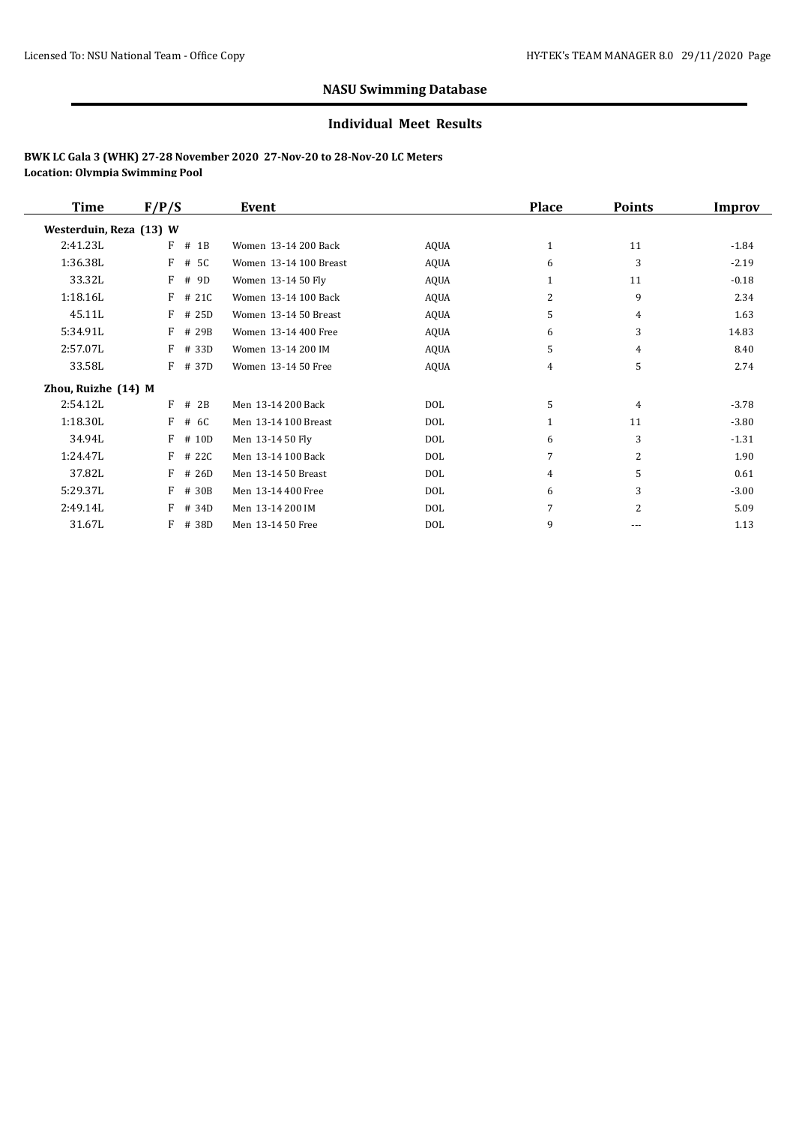#### **Individual Meet Results**

| Time                    | F/P/S |           | Event                  |             | <b>Place</b>   | <b>Points</b>  | Improv  |
|-------------------------|-------|-----------|------------------------|-------------|----------------|----------------|---------|
| Westerduin, Reza (13) W |       |           |                        |             |                |                |         |
| 2:41.23L                | F     | $#$ 1B    | Women 13-14 200 Back   | <b>AQUA</b> | 1              | 11             | $-1.84$ |
| 1:36.38L                | F     | # 5C      | Women 13-14 100 Breast | <b>AQUA</b> | 6              | 3              | $-2.19$ |
| 33.32L                  | F     | #<br>9D   | Women 13-14 50 Fly     | AQUA        |                | 11             | $-0.18$ |
| 1:18.16L                | F     | # 21C     | Women 13-14 100 Back   | <b>AQUA</b> | 2              | 9              | 2.34    |
| 45.11L                  | F     | # 25D     | Women 13-14 50 Breast  | AQUA        | 5              | 4              | 1.63    |
| 5:34.91L                | F     | # 29B     | Women 13-14 400 Free   | AQUA        | 6              | 3              | 14.83   |
| 2:57.07L                | F     | # 33D     | Women 13-14 200 IM     | <b>AQUA</b> | 5              | 4              | 8.40    |
| 33.58L                  |       | $F$ # 37D | Women 13-14 50 Free    | <b>AQUA</b> | 4              | 5              | 2.74    |
| Zhou, Ruizhe (14) M     |       |           |                        |             |                |                |         |
| 2:54.12L                |       | $F$ # 2B  | Men 13-14 200 Back     | DOL         | 5              | $\overline{4}$ | $-3.78$ |
| 1:18.30L                | F     | # 6C      | Men 13-14 100 Breast   | DOL         | 1              | 11             | $-3.80$ |
| 34.94L                  | F     | # 10D     | Men 13-14 50 Fly       | DOL         | 6              | 3              | $-1.31$ |
| 1:24.47L                | F     | # 22C     | Men 13-14 100 Back     | DOL         | 7              | 2              | 1.90    |
| 37.82L                  | F     | # 26D     | Men 13-14 50 Breast    | DOL         | $\overline{4}$ | 5              | 0.61    |
| 5:29.37L                | F     | # 30B     | Men 13-14 400 Free     | DOL         | 6              | 3              | $-3.00$ |
| 2:49.14L                | F     | # 34D     | Men 13-14 200 IM       | DOL         |                | $\overline{2}$ | 5.09    |
| 31.67L                  | F     | # 38D     | Men 13-14 50 Free      | DOL         | 9              | ---            | 1.13    |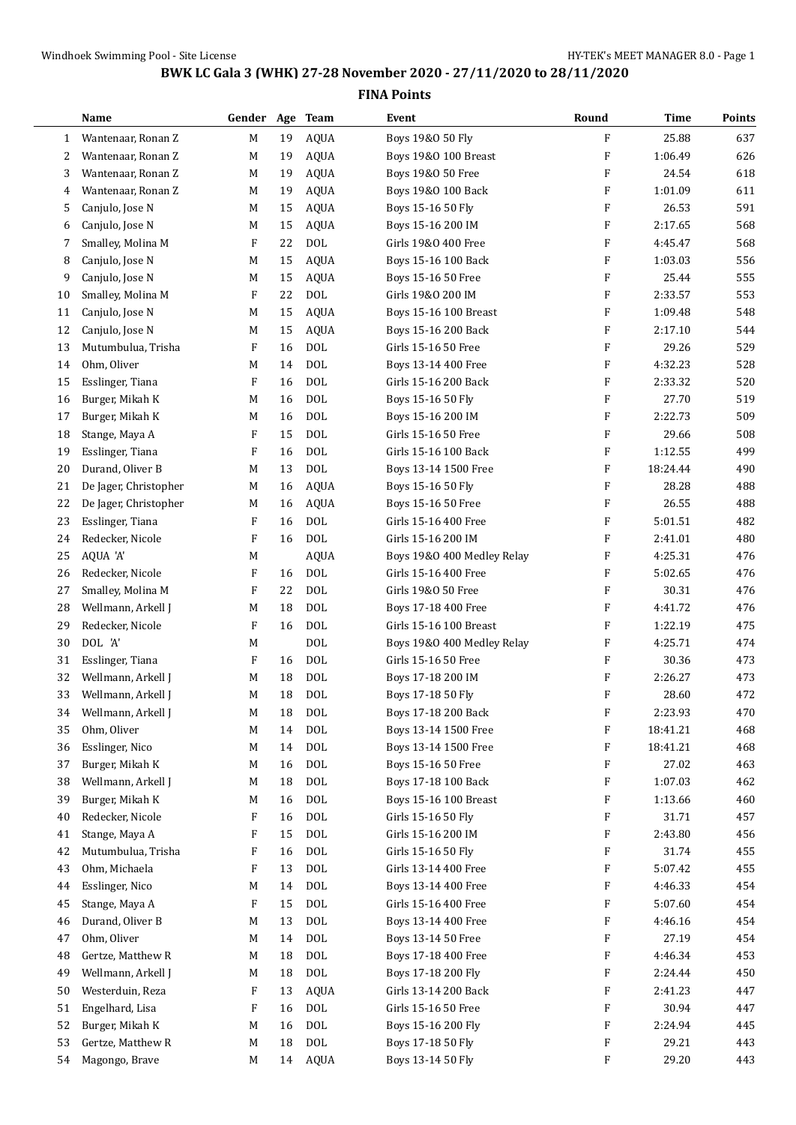|    | Name                  | Gender                    | Age | Team         | Event                      | Round                     | Time     | Points |
|----|-----------------------|---------------------------|-----|--------------|----------------------------|---------------------------|----------|--------|
| 1  | Wantenaar, Ronan Z    | M                         | 19  | <b>AQUA</b>  | Boys 19&0 50 Fly           | $\mathbf{F}$              | 25.88    | 637    |
| 2  | Wantenaar, Ronan Z    | M                         | 19  | <b>AQUA</b>  | Boys 19&0 100 Breast       | $\boldsymbol{\mathrm{F}}$ | 1:06.49  | 626    |
| 3  | Wantenaar, Ronan Z    | M                         | 19  | <b>AQUA</b>  | Boys 19&0 50 Free          | F                         | 24.54    | 618    |
| 4  | Wantenaar, Ronan Z    | М                         | 19  | <b>AQUA</b>  | Boys 19&0 100 Back         | F                         | 1:01.09  | 611    |
| 5  | Canjulo, Jose N       | M                         | 15  | <b>AQUA</b>  | Boys 15-16 50 Fly          | F                         | 26.53    | 591    |
| 6  | Canjulo, Jose N       | M                         | 15  | <b>AQUA</b>  | Boys 15-16 200 IM          | F                         | 2:17.65  | 568    |
| 7  | Smalley, Molina M     | $\mathbf{F}$              | 22  | <b>DOL</b>   | Girls 19&0 400 Free        | F                         | 4:45.47  | 568    |
| 8  | Canjulo, Jose N       | М                         | 15  | <b>AQUA</b>  | Boys 15-16 100 Back        | F                         | 1:03.03  | 556    |
| 9  | Canjulo, Jose N       | М                         | 15  | AQUA         | Boys 15-16 50 Free         | F                         | 25.44    | 555    |
| 10 | Smalley, Molina M     | F                         | 22  | <b>DOL</b>   | Girls 19&0 200 IM          | F                         | 2:33.57  | 553    |
| 11 | Canjulo, Jose N       | М                         | 15  | <b>AQUA</b>  | Boys 15-16 100 Breast      | F                         | 1:09.48  | 548    |
| 12 | Canjulo, Jose N       | M                         | 15  | <b>AQUA</b>  | Boys 15-16 200 Back        | F                         | 2:17.10  | 544    |
| 13 | Mutumbulua, Trisha    | $\rm F$                   | 16  | <b>DOL</b>   | Girls 15-16 50 Free        | F                         | 29.26    | 529    |
| 14 | Ohm, Oliver           | М                         | 14  | <b>DOL</b>   | Boys 13-14 400 Free        | F                         | 4:32.23  | 528    |
| 15 | Esslinger, Tiana      | $\rm F$                   | 16  | <b>DOL</b>   | Girls 15-16 200 Back       | F                         | 2:33.32  | 520    |
| 16 | Burger, Mikah K       | М                         | 16  | <b>DOL</b>   | Boys 15-16 50 Fly          | F                         | 27.70    | 519    |
| 17 | Burger, Mikah K       | М                         | 16  | <b>DOL</b>   | Boys 15-16 200 IM          | F                         | 2:22.73  | 509    |
| 18 | Stange, Maya A        | $\rm F$                   | 15  | <b>DOL</b>   | Girls 15-16 50 Free        | F                         | 29.66    | 508    |
| 19 | Esslinger, Tiana      | $\rm F$                   | 16  | <b>DOL</b>   | Girls 15-16 100 Back       | F                         | 1:12.55  | 499    |
| 20 | Durand, Oliver B      | M                         | 13  | <b>DOL</b>   | Boys 13-14 1500 Free       | F                         | 18:24.44 | 490    |
| 21 | De Jager, Christopher | M                         | 16  | <b>AQUA</b>  | Boys 15-16 50 Fly          | F                         | 28.28    | 488    |
| 22 | De Jager, Christopher | М                         | 16  | <b>AQUA</b>  | Boys 15-16 50 Free         | F                         | 26.55    | 488    |
| 23 | Esslinger, Tiana      | F                         | 16  | <b>DOL</b>   | Girls 15-16 400 Free       | F                         | 5:01.51  | 482    |
| 24 | Redecker, Nicole      | $\boldsymbol{\mathrm{F}}$ | 16  | <b>DOL</b>   | Girls 15-16 200 IM         | F                         | 2:41.01  | 480    |
| 25 | AQUA 'A'              | M                         |     | <b>AQUA</b>  | Boys 19&0 400 Medley Relay | F                         | 4:25.31  | 476    |
| 26 | Redecker, Nicole      | F                         | 16  | <b>DOL</b>   | Girls 15-16 400 Free       | F                         | 5:02.65  | 476    |
| 27 | Smalley, Molina M     | $\boldsymbol{\mathrm{F}}$ | 22  | <b>DOL</b>   | Girls 19&0 50 Free         | F                         | 30.31    | 476    |
| 28 | Wellmann, Arkell J    | М                         | 18  | <b>DOL</b>   | Boys 17-18 400 Free        | F                         | 4:41.72  | 476    |
| 29 | Redecker, Nicole      | F                         | 16  | <b>DOL</b>   | Girls 15-16 100 Breast     | F                         | 1:22.19  | 475    |
| 30 | DOL 'A'               | M                         |     | <b>DOL</b>   | Boys 19&0 400 Medley Relay | F                         | 4:25.71  | 474    |
| 31 | Esslinger, Tiana      | $\rm F$                   | 16  | <b>DOL</b>   | Girls 15-16 50 Free        | F                         | 30.36    | 473    |
| 32 | Wellmann, Arkell J    | M                         | 18  | <b>DOL</b>   | Boys 17-18 200 IM          | F                         | 2:26.27  | 473    |
| 33 | Wellmann, Arkell J    | M                         | 18  | <b>DOL</b>   | Boys 17-18 50 Fly          | F                         | 28.60    | 472    |
| 34 | Wellmann, Arkell J    | $\mathbf M$               | 18  | <b>DOL</b>   | Boys 17-18 200 Back        | F                         | 2:23.93  | 470    |
| 35 | Ohm, Oliver           | M                         | 14  | <b>DOL</b>   | Boys 13-14 1500 Free       | F                         | 18:41.21 | 468    |
| 36 | Esslinger, Nico       | M                         | 14  | <b>DOL</b>   | Boys 13-14 1500 Free       | F                         | 18:41.21 | 468    |
| 37 | Burger, Mikah K       | M                         | 16  | <b>DOL</b>   | Boys 15-16 50 Free         | F                         | 27.02    | 463    |
| 38 | Wellmann, Arkell J    | M                         | 18  | <b>DOL</b>   | Boys 17-18 100 Back        | F                         | 1:07.03  | 462    |
| 39 | Burger, Mikah K       | М                         | 16  | <b>DOL</b>   | Boys 15-16 100 Breast      | F                         | 1:13.66  | 460    |
| 40 | Redecker, Nicole      | F                         | 16  | <b>DOL</b>   | Girls 15-16 50 Fly         | F                         | 31.71    | 457    |
| 41 | Stange, Maya A        | F                         | 15  | <b>DOL</b>   | Girls 15-16 200 IM         | F                         | 2:43.80  | 456    |
| 42 | Mutumbulua, Trisha    | F                         | 16  | <b>DOL</b>   | Girls 15-16 50 Fly         | F                         | 31.74    | 455    |
| 43 | Ohm, Michaela         | F                         | 13  | <b>DOL</b>   | Girls 13-14 400 Free       | F                         | 5:07.42  | 455    |
| 44 | Esslinger, Nico       | M                         | 14  | <b>DOL</b>   | Boys 13-14 400 Free        | F                         | 4:46.33  | 454    |
| 45 | Stange, Maya A        | F                         | 15  | <b>DOL</b>   | Girls 15-16 400 Free       | F                         | 5:07.60  | 454    |
| 46 | Durand, Oliver B      | М                         | 13  | <b>DOL</b>   | Boys 13-14 400 Free        | F                         | 4:46.16  | 454    |
| 47 | Ohm, Oliver           | M                         | 14  | <b>DOL</b>   | Boys 13-14 50 Free         | F                         | 27.19    | 454    |
| 48 | Gertze, Matthew R     | М                         | 18  | <b>DOL</b>   | Boys 17-18 400 Free        | F                         | 4:46.34  | 453    |
| 49 | Wellmann, Arkell J    | M                         | 18  | <b>DOL</b>   | Boys 17-18 200 Fly         | F                         | 2:24.44  | 450    |
| 50 | Westerduin, Reza      | F                         | 13  | <b>AQUA</b>  | Girls 13-14 200 Back       | F                         | 2:41.23  | 447    |
| 51 | Engelhard, Lisa       | F                         | 16  | <b>DOL</b>   | Girls 15-16 50 Free        | F                         | 30.94    | 447    |
| 52 | Burger, Mikah K       | M                         | 16  | $\text{DOL}$ | Boys 15-16 200 Fly         | F                         | 2:24.94  | 445    |
| 53 | Gertze, Matthew R     | M                         | 18  | $\text{DOL}$ | Boys 17-18 50 Fly          | F                         | 29.21    | 443    |
| 54 | Magongo, Brave        | M                         |     | 14 AQUA      | Boys 13-14 50 Fly          | F                         | 29.20    | 443    |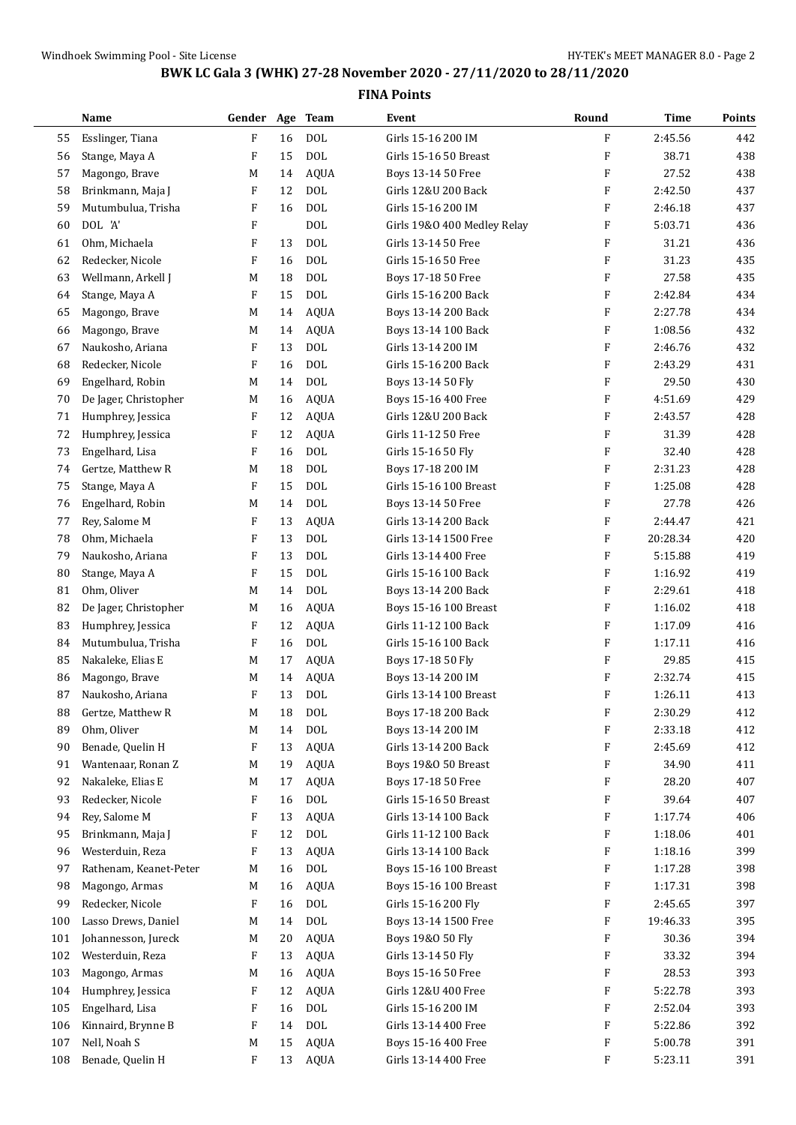## **BWK LC Gala 3 (WHK) 27-28 November 2020 - 27/11/2020 to 28/11/2020**

|     | Name                   | Gender       |    | Age Team     | Event                       | Round                     | <b>Time</b> | Points |
|-----|------------------------|--------------|----|--------------|-----------------------------|---------------------------|-------------|--------|
| 55  | Esslinger, Tiana       | F            | 16 | <b>DOL</b>   | Girls 15-16 200 IM          | F                         | 2:45.56     | 442    |
| 56  | Stange, Maya A         | F            | 15 | <b>DOL</b>   | Girls 15-16 50 Breast       | $\boldsymbol{\mathrm{F}}$ | 38.71       | 438    |
| 57  | Magongo, Brave         | M            | 14 | <b>AQUA</b>  | Boys 13-14 50 Free          | $\boldsymbol{\mathrm{F}}$ | 27.52       | 438    |
| 58  | Brinkmann, Maja J      | F            | 12 | <b>DOL</b>   | Girls 12&U 200 Back         | F                         | 2:42.50     | 437    |
| 59  | Mutumbulua, Trisha     | F            | 16 | <b>DOL</b>   | Girls 15-16 200 IM          | F                         | 2:46.18     | 437    |
| 60  | DOL 'A'                | $\mathbf{F}$ |    | <b>DOL</b>   | Girls 19&0 400 Medley Relay | F                         | 5:03.71     | 436    |
| 61  | Ohm, Michaela          | F            | 13 | <b>DOL</b>   | Girls 13-14 50 Free         | F                         | 31.21       | 436    |
| 62  | Redecker, Nicole       | F            | 16 | <b>DOL</b>   | Girls 15-16 50 Free         | F                         | 31.23       | 435    |
| 63  | Wellmann, Arkell J     | М            | 18 | <b>DOL</b>   | Boys 17-18 50 Free          | F                         | 27.58       | 435    |
| 64  | Stange, Maya A         | F            | 15 | <b>DOL</b>   | Girls 15-16 200 Back        | $\boldsymbol{\mathrm{F}}$ | 2:42.84     | 434    |
| 65  | Magongo, Brave         | M            | 14 | <b>AQUA</b>  | Boys 13-14 200 Back         | F                         | 2:27.78     | 434    |
| 66  | Magongo, Brave         | М            | 14 | <b>AQUA</b>  | Boys 13-14 100 Back         | $\boldsymbol{\mathrm{F}}$ | 1:08.56     | 432    |
| 67  | Naukosho, Ariana       | F            | 13 | <b>DOL</b>   | Girls 13-14 200 IM          | $\boldsymbol{\mathrm{F}}$ | 2:46.76     | 432    |
| 68  | Redecker, Nicole       | F            | 16 | <b>DOL</b>   | Girls 15-16 200 Back        | F                         | 2:43.29     | 431    |
| 69  | Engelhard, Robin       | М            | 14 | <b>DOL</b>   | Boys 13-14 50 Fly           | F                         | 29.50       | 430    |
| 70  | De Jager, Christopher  | М            | 16 | <b>AQUA</b>  | Boys 15-16 400 Free         | F                         | 4:51.69     | 429    |
| 71  | Humphrey, Jessica      | F            | 12 | <b>AQUA</b>  | Girls 12&U 200 Back         | F                         | 2:43.57     | 428    |
| 72  | Humphrey, Jessica      | F            | 12 | <b>AQUA</b>  | Girls 11-12 50 Free         | $\boldsymbol{\mathrm{F}}$ | 31.39       | 428    |
| 73  | Engelhard, Lisa        | F            | 16 | <b>DOL</b>   | Girls 15-16 50 Fly          | F                         | 32.40       | 428    |
| 74  | Gertze, Matthew R      | M            | 18 | <b>DOL</b>   | Boys 17-18 200 IM           | F                         | 2:31.23     | 428    |
| 75  | Stange, Maya A         | F            | 15 | <b>DOL</b>   | Girls 15-16 100 Breast      | F                         | 1:25.08     | 428    |
| 76  | Engelhard, Robin       | M            | 14 | <b>DOL</b>   | Boys 13-14 50 Free          | F                         | 27.78       | 426    |
| 77  | Rey, Salome M          | F            | 13 | <b>AQUA</b>  | Girls 13-14 200 Back        | F                         | 2:44.47     | 421    |
| 78  | Ohm, Michaela          | F            | 13 | <b>DOL</b>   | Girls 13-14 1500 Free       | $\boldsymbol{\mathrm{F}}$ | 20:28.34    | 420    |
| 79  | Naukosho, Ariana       | F            | 13 | <b>DOL</b>   | Girls 13-14 400 Free        | $\boldsymbol{\mathrm{F}}$ | 5:15.88     | 419    |
| 80  | Stange, Maya A         | F            | 15 | <b>DOL</b>   | Girls 15-16 100 Back        | F                         | 1:16.92     | 419    |
| 81  | Ohm, Oliver            | M            | 14 | <b>DOL</b>   | Boys 13-14 200 Back         | F                         | 2:29.61     | 418    |
| 82  | De Jager, Christopher  | M            | 16 | <b>AQUA</b>  | Boys 15-16 100 Breast       | F                         | 1:16.02     | 418    |
| 83  | Humphrey, Jessica      | F            | 12 | <b>AQUA</b>  | Girls 11-12 100 Back        | F                         | 1:17.09     | 416    |
| 84  | Mutumbulua, Trisha     | F            | 16 | <b>DOL</b>   | Girls 15-16 100 Back        | F                         | 1:17.11     | 416    |
| 85  | Nakaleke, Elias E      | M            | 17 | <b>AQUA</b>  | Boys 17-18 50 Fly           | F                         | 29.85       | 415    |
| 86  | Magongo, Brave         | M            | 14 | <b>AQUA</b>  | Boys 13-14 200 IM           | F                         | 2:32.74     | 415    |
| 87  | Naukosho, Ariana       | F            | 13 | DOL          | Girls 13-14 100 Breast      | F                         | 1:26.11     | 413    |
| 88  | Gertze, Matthew R      | M            | 18 | $\text{DOL}$ | Boys 17-18 200 Back         | $\boldsymbol{\mathrm{F}}$ | 2:30.29     | 412    |
| 89  | Ohm, Oliver            | M            | 14 | <b>DOL</b>   | Boys 13-14 200 IM           | F                         | 2:33.18     | 412    |
| 90  | Benade, Quelin H       | F            | 13 | <b>AQUA</b>  | Girls 13-14 200 Back        | F                         | 2:45.69     | 412    |
| 91  | Wantenaar, Ronan Z     | M            | 19 | AQUA         | Boys 19&0 50 Breast         | F                         | 34.90       | 411    |
| 92  | Nakaleke, Elias E      | M            | 17 | AQUA         | Boys 17-18 50 Free          | F                         | 28.20       | 407    |
| 93  | Redecker, Nicole       | F            | 16 | DOL          | Girls 15-16 50 Breast       | F                         | 39.64       | 407    |
| 94  | Rey, Salome M          | F            | 13 | <b>AQUA</b>  | Girls 13-14 100 Back        | F                         | 1:17.74     | 406    |
| 95  | Brinkmann, Maja J      | F            | 12 | $\text{DOL}$ | Girls 11-12 100 Back        | F                         | 1:18.06     | 401    |
| 96  | Westerduin, Reza       | F            | 13 | <b>AQUA</b>  | Girls 13-14 100 Back        | F                         | 1:18.16     | 399    |
| 97  | Rathenam, Keanet-Peter | M            | 16 | $\rm DOL$    | Boys 15-16 100 Breast       | F                         | 1:17.28     | 398    |
| 98  | Magongo, Armas         | M            | 16 | AQUA         | Boys 15-16 100 Breast       | F                         | 1:17.31     | 398    |
| 99  | Redecker, Nicole       | F            | 16 | DOL          | Girls 15-16 200 Fly         | F                         | 2:45.65     | 397    |
| 100 | Lasso Drews, Daniel    | M            | 14 | DOL          | Boys 13-14 1500 Free        | F                         | 19:46.33    | 395    |
| 101 | Johannesson, Jureck    | M            | 20 | AQUA         | Boys 19&0 50 Fly            | F                         | 30.36       | 394    |
| 102 | Westerduin, Reza       | F            | 13 | AQUA         | Girls 13-14 50 Fly          | F                         | 33.32       | 394    |
| 103 | Magongo, Armas         | M            | 16 | AQUA         | Boys 15-16 50 Free          | F                         | 28.53       | 393    |
| 104 | Humphrey, Jessica      | F            | 12 | AQUA         | Girls 12&U 400 Free         | F                         | 5:22.78     | 393    |
| 105 | Engelhard, Lisa        | F            | 16 | DOL          | Girls 15-16 200 IM          | F                         | 2:52.04     | 393    |
| 106 | Kinnaird, Brynne B     | F            | 14 | $\text{DOL}$ | Girls 13-14 400 Free        | F                         | 5:22.86     | 392    |
| 107 | Nell, Noah S           | M            | 15 | <b>AQUA</b>  | Boys 15-16 400 Free         | F                         | 5:00.78     | 391    |
| 108 | Benade, Quelin H       | F            | 13 | AQUA         | Girls 13-14 400 Free        | F                         | 5:23.11     | 391    |
|     |                        |              |    |              |                             |                           |             |        |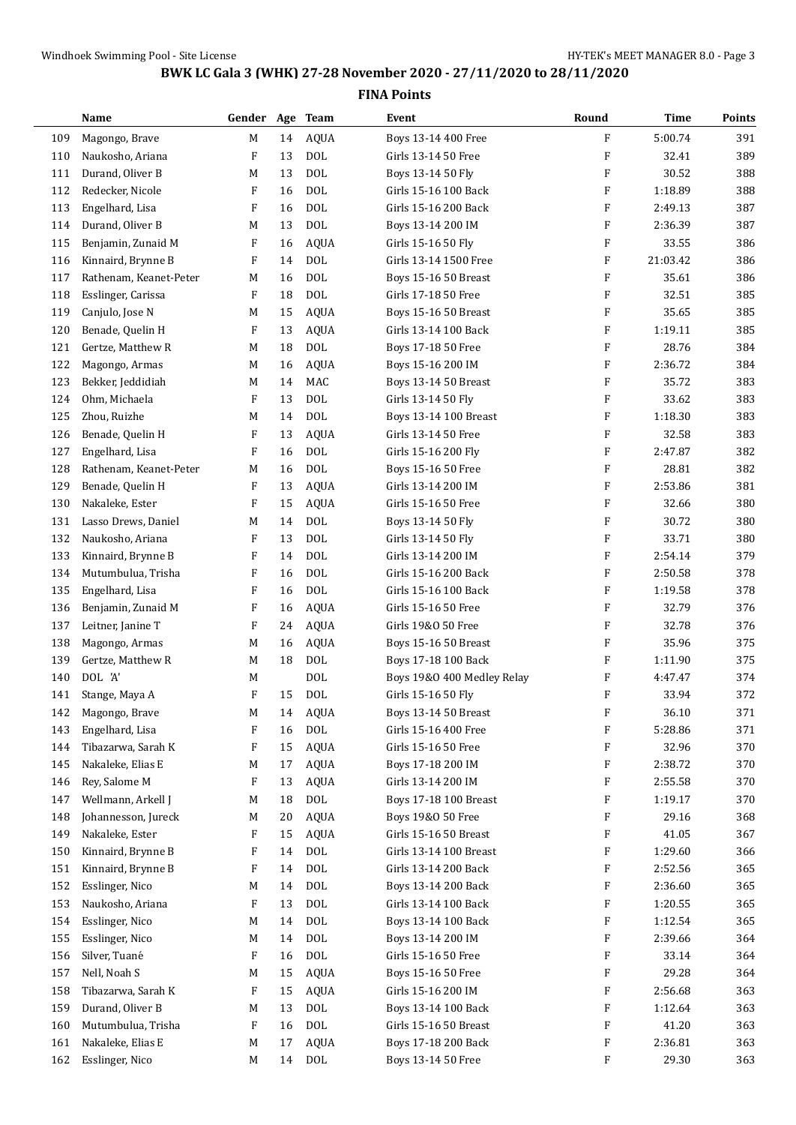| Name                   |                                                                                                                                                                                                                                                                                                                                                                                                                                                                                                                                                                                                                                                                                                                                                                                                                                                                                                               |                                                                                                            |                                                                                                                                                          | Event                                                                                                                                                                                                                                                                                                                                                                                                                                                                                                                                                                                                                   | Round                                                                                                                                                                                                                                                                                                                                                                                                                                                                                                                                                                                                                                                                                                                                                                                                                                                                                                                                                          | Time                                                                                                                                                                                                                                                                                                                                                                                             | Points                                                                                                                                                                                                                                                                                                                                                                                                                                |
|------------------------|---------------------------------------------------------------------------------------------------------------------------------------------------------------------------------------------------------------------------------------------------------------------------------------------------------------------------------------------------------------------------------------------------------------------------------------------------------------------------------------------------------------------------------------------------------------------------------------------------------------------------------------------------------------------------------------------------------------------------------------------------------------------------------------------------------------------------------------------------------------------------------------------------------------|------------------------------------------------------------------------------------------------------------|----------------------------------------------------------------------------------------------------------------------------------------------------------|-------------------------------------------------------------------------------------------------------------------------------------------------------------------------------------------------------------------------------------------------------------------------------------------------------------------------------------------------------------------------------------------------------------------------------------------------------------------------------------------------------------------------------------------------------------------------------------------------------------------------|----------------------------------------------------------------------------------------------------------------------------------------------------------------------------------------------------------------------------------------------------------------------------------------------------------------------------------------------------------------------------------------------------------------------------------------------------------------------------------------------------------------------------------------------------------------------------------------------------------------------------------------------------------------------------------------------------------------------------------------------------------------------------------------------------------------------------------------------------------------------------------------------------------------------------------------------------------------|--------------------------------------------------------------------------------------------------------------------------------------------------------------------------------------------------------------------------------------------------------------------------------------------------------------------------------------------------------------------------------------------------|---------------------------------------------------------------------------------------------------------------------------------------------------------------------------------------------------------------------------------------------------------------------------------------------------------------------------------------------------------------------------------------------------------------------------------------|
|                        | M                                                                                                                                                                                                                                                                                                                                                                                                                                                                                                                                                                                                                                                                                                                                                                                                                                                                                                             | 14                                                                                                         |                                                                                                                                                          | Boys 13-14 400 Free                                                                                                                                                                                                                                                                                                                                                                                                                                                                                                                                                                                                     | F                                                                                                                                                                                                                                                                                                                                                                                                                                                                                                                                                                                                                                                                                                                                                                                                                                                                                                                                                              | 5:00.74                                                                                                                                                                                                                                                                                                                                                                                          | 391                                                                                                                                                                                                                                                                                                                                                                                                                                   |
| Naukosho, Ariana       | F                                                                                                                                                                                                                                                                                                                                                                                                                                                                                                                                                                                                                                                                                                                                                                                                                                                                                                             | 13                                                                                                         | <b>DOL</b>                                                                                                                                               | Girls 13-14 50 Free                                                                                                                                                                                                                                                                                                                                                                                                                                                                                                                                                                                                     | $\boldsymbol{\mathrm{F}}$                                                                                                                                                                                                                                                                                                                                                                                                                                                                                                                                                                                                                                                                                                                                                                                                                                                                                                                                      | 32.41                                                                                                                                                                                                                                                                                                                                                                                            | 389                                                                                                                                                                                                                                                                                                                                                                                                                                   |
| Durand, Oliver B       | M                                                                                                                                                                                                                                                                                                                                                                                                                                                                                                                                                                                                                                                                                                                                                                                                                                                                                                             | 13                                                                                                         | <b>DOL</b>                                                                                                                                               | Boys 13-14 50 Fly                                                                                                                                                                                                                                                                                                                                                                                                                                                                                                                                                                                                       | F                                                                                                                                                                                                                                                                                                                                                                                                                                                                                                                                                                                                                                                                                                                                                                                                                                                                                                                                                              | 30.52                                                                                                                                                                                                                                                                                                                                                                                            | 388                                                                                                                                                                                                                                                                                                                                                                                                                                   |
| Redecker, Nicole       | F                                                                                                                                                                                                                                                                                                                                                                                                                                                                                                                                                                                                                                                                                                                                                                                                                                                                                                             | 16                                                                                                         | <b>DOL</b>                                                                                                                                               | Girls 15-16 100 Back                                                                                                                                                                                                                                                                                                                                                                                                                                                                                                                                                                                                    | F                                                                                                                                                                                                                                                                                                                                                                                                                                                                                                                                                                                                                                                                                                                                                                                                                                                                                                                                                              | 1:18.89                                                                                                                                                                                                                                                                                                                                                                                          | 388                                                                                                                                                                                                                                                                                                                                                                                                                                   |
|                        | F                                                                                                                                                                                                                                                                                                                                                                                                                                                                                                                                                                                                                                                                                                                                                                                                                                                                                                             | 16                                                                                                         | <b>DOL</b>                                                                                                                                               | Girls 15-16 200 Back                                                                                                                                                                                                                                                                                                                                                                                                                                                                                                                                                                                                    | F                                                                                                                                                                                                                                                                                                                                                                                                                                                                                                                                                                                                                                                                                                                                                                                                                                                                                                                                                              | 2:49.13                                                                                                                                                                                                                                                                                                                                                                                          | 387                                                                                                                                                                                                                                                                                                                                                                                                                                   |
|                        | M                                                                                                                                                                                                                                                                                                                                                                                                                                                                                                                                                                                                                                                                                                                                                                                                                                                                                                             | 13                                                                                                         | <b>DOL</b>                                                                                                                                               | Boys 13-14 200 IM                                                                                                                                                                                                                                                                                                                                                                                                                                                                                                                                                                                                       | F                                                                                                                                                                                                                                                                                                                                                                                                                                                                                                                                                                                                                                                                                                                                                                                                                                                                                                                                                              |                                                                                                                                                                                                                                                                                                                                                                                                  | 387                                                                                                                                                                                                                                                                                                                                                                                                                                   |
|                        | F                                                                                                                                                                                                                                                                                                                                                                                                                                                                                                                                                                                                                                                                                                                                                                                                                                                                                                             | 16                                                                                                         |                                                                                                                                                          |                                                                                                                                                                                                                                                                                                                                                                                                                                                                                                                                                                                                                         | $\boldsymbol{\mathrm{F}}$                                                                                                                                                                                                                                                                                                                                                                                                                                                                                                                                                                                                                                                                                                                                                                                                                                                                                                                                      |                                                                                                                                                                                                                                                                                                                                                                                                  | 386                                                                                                                                                                                                                                                                                                                                                                                                                                   |
|                        | F                                                                                                                                                                                                                                                                                                                                                                                                                                                                                                                                                                                                                                                                                                                                                                                                                                                                                                             | 14                                                                                                         |                                                                                                                                                          | Girls 13-14 1500 Free                                                                                                                                                                                                                                                                                                                                                                                                                                                                                                                                                                                                   | $\boldsymbol{\mathrm{F}}$                                                                                                                                                                                                                                                                                                                                                                                                                                                                                                                                                                                                                                                                                                                                                                                                                                                                                                                                      |                                                                                                                                                                                                                                                                                                                                                                                                  | 386                                                                                                                                                                                                                                                                                                                                                                                                                                   |
| Rathenam, Keanet-Peter | M                                                                                                                                                                                                                                                                                                                                                                                                                                                                                                                                                                                                                                                                                                                                                                                                                                                                                                             |                                                                                                            |                                                                                                                                                          |                                                                                                                                                                                                                                                                                                                                                                                                                                                                                                                                                                                                                         | F                                                                                                                                                                                                                                                                                                                                                                                                                                                                                                                                                                                                                                                                                                                                                                                                                                                                                                                                                              |                                                                                                                                                                                                                                                                                                                                                                                                  | 386                                                                                                                                                                                                                                                                                                                                                                                                                                   |
|                        | F                                                                                                                                                                                                                                                                                                                                                                                                                                                                                                                                                                                                                                                                                                                                                                                                                                                                                                             | 18                                                                                                         |                                                                                                                                                          |                                                                                                                                                                                                                                                                                                                                                                                                                                                                                                                                                                                                                         | F                                                                                                                                                                                                                                                                                                                                                                                                                                                                                                                                                                                                                                                                                                                                                                                                                                                                                                                                                              |                                                                                                                                                                                                                                                                                                                                                                                                  | 385                                                                                                                                                                                                                                                                                                                                                                                                                                   |
|                        | M                                                                                                                                                                                                                                                                                                                                                                                                                                                                                                                                                                                                                                                                                                                                                                                                                                                                                                             | 15                                                                                                         |                                                                                                                                                          |                                                                                                                                                                                                                                                                                                                                                                                                                                                                                                                                                                                                                         | $\boldsymbol{\mathrm{F}}$                                                                                                                                                                                                                                                                                                                                                                                                                                                                                                                                                                                                                                                                                                                                                                                                                                                                                                                                      |                                                                                                                                                                                                                                                                                                                                                                                                  | 385                                                                                                                                                                                                                                                                                                                                                                                                                                   |
|                        | F                                                                                                                                                                                                                                                                                                                                                                                                                                                                                                                                                                                                                                                                                                                                                                                                                                                                                                             | 13                                                                                                         |                                                                                                                                                          |                                                                                                                                                                                                                                                                                                                                                                                                                                                                                                                                                                                                                         | F                                                                                                                                                                                                                                                                                                                                                                                                                                                                                                                                                                                                                                                                                                                                                                                                                                                                                                                                                              |                                                                                                                                                                                                                                                                                                                                                                                                  | 385                                                                                                                                                                                                                                                                                                                                                                                                                                   |
|                        | M                                                                                                                                                                                                                                                                                                                                                                                                                                                                                                                                                                                                                                                                                                                                                                                                                                                                                                             | 18                                                                                                         |                                                                                                                                                          |                                                                                                                                                                                                                                                                                                                                                                                                                                                                                                                                                                                                                         | $\boldsymbol{\mathrm{F}}$                                                                                                                                                                                                                                                                                                                                                                                                                                                                                                                                                                                                                                                                                                                                                                                                                                                                                                                                      | 28.76                                                                                                                                                                                                                                                                                                                                                                                            | 384                                                                                                                                                                                                                                                                                                                                                                                                                                   |
|                        | M                                                                                                                                                                                                                                                                                                                                                                                                                                                                                                                                                                                                                                                                                                                                                                                                                                                                                                             | 16                                                                                                         |                                                                                                                                                          |                                                                                                                                                                                                                                                                                                                                                                                                                                                                                                                                                                                                                         |                                                                                                                                                                                                                                                                                                                                                                                                                                                                                                                                                                                                                                                                                                                                                                                                                                                                                                                                                                |                                                                                                                                                                                                                                                                                                                                                                                                  | 384                                                                                                                                                                                                                                                                                                                                                                                                                                   |
|                        |                                                                                                                                                                                                                                                                                                                                                                                                                                                                                                                                                                                                                                                                                                                                                                                                                                                                                                               |                                                                                                            |                                                                                                                                                          |                                                                                                                                                                                                                                                                                                                                                                                                                                                                                                                                                                                                                         | F                                                                                                                                                                                                                                                                                                                                                                                                                                                                                                                                                                                                                                                                                                                                                                                                                                                                                                                                                              |                                                                                                                                                                                                                                                                                                                                                                                                  | 383                                                                                                                                                                                                                                                                                                                                                                                                                                   |
|                        | F                                                                                                                                                                                                                                                                                                                                                                                                                                                                                                                                                                                                                                                                                                                                                                                                                                                                                                             |                                                                                                            |                                                                                                                                                          |                                                                                                                                                                                                                                                                                                                                                                                                                                                                                                                                                                                                                         | $\boldsymbol{\mathrm{F}}$                                                                                                                                                                                                                                                                                                                                                                                                                                                                                                                                                                                                                                                                                                                                                                                                                                                                                                                                      |                                                                                                                                                                                                                                                                                                                                                                                                  | 383                                                                                                                                                                                                                                                                                                                                                                                                                                   |
|                        |                                                                                                                                                                                                                                                                                                                                                                                                                                                                                                                                                                                                                                                                                                                                                                                                                                                                                                               |                                                                                                            |                                                                                                                                                          |                                                                                                                                                                                                                                                                                                                                                                                                                                                                                                                                                                                                                         |                                                                                                                                                                                                                                                                                                                                                                                                                                                                                                                                                                                                                                                                                                                                                                                                                                                                                                                                                                |                                                                                                                                                                                                                                                                                                                                                                                                  | 383                                                                                                                                                                                                                                                                                                                                                                                                                                   |
|                        | F                                                                                                                                                                                                                                                                                                                                                                                                                                                                                                                                                                                                                                                                                                                                                                                                                                                                                                             |                                                                                                            |                                                                                                                                                          |                                                                                                                                                                                                                                                                                                                                                                                                                                                                                                                                                                                                                         | F                                                                                                                                                                                                                                                                                                                                                                                                                                                                                                                                                                                                                                                                                                                                                                                                                                                                                                                                                              |                                                                                                                                                                                                                                                                                                                                                                                                  | 383                                                                                                                                                                                                                                                                                                                                                                                                                                   |
|                        |                                                                                                                                                                                                                                                                                                                                                                                                                                                                                                                                                                                                                                                                                                                                                                                                                                                                                                               |                                                                                                            |                                                                                                                                                          |                                                                                                                                                                                                                                                                                                                                                                                                                                                                                                                                                                                                                         |                                                                                                                                                                                                                                                                                                                                                                                                                                                                                                                                                                                                                                                                                                                                                                                                                                                                                                                                                                |                                                                                                                                                                                                                                                                                                                                                                                                  | 382                                                                                                                                                                                                                                                                                                                                                                                                                                   |
|                        |                                                                                                                                                                                                                                                                                                                                                                                                                                                                                                                                                                                                                                                                                                                                                                                                                                                                                                               |                                                                                                            |                                                                                                                                                          |                                                                                                                                                                                                                                                                                                                                                                                                                                                                                                                                                                                                                         |                                                                                                                                                                                                                                                                                                                                                                                                                                                                                                                                                                                                                                                                                                                                                                                                                                                                                                                                                                |                                                                                                                                                                                                                                                                                                                                                                                                  | 382                                                                                                                                                                                                                                                                                                                                                                                                                                   |
|                        | F                                                                                                                                                                                                                                                                                                                                                                                                                                                                                                                                                                                                                                                                                                                                                                                                                                                                                                             |                                                                                                            |                                                                                                                                                          |                                                                                                                                                                                                                                                                                                                                                                                                                                                                                                                                                                                                                         | F                                                                                                                                                                                                                                                                                                                                                                                                                                                                                                                                                                                                                                                                                                                                                                                                                                                                                                                                                              |                                                                                                                                                                                                                                                                                                                                                                                                  | 381                                                                                                                                                                                                                                                                                                                                                                                                                                   |
|                        | F                                                                                                                                                                                                                                                                                                                                                                                                                                                                                                                                                                                                                                                                                                                                                                                                                                                                                                             | 15                                                                                                         |                                                                                                                                                          |                                                                                                                                                                                                                                                                                                                                                                                                                                                                                                                                                                                                                         | F                                                                                                                                                                                                                                                                                                                                                                                                                                                                                                                                                                                                                                                                                                                                                                                                                                                                                                                                                              |                                                                                                                                                                                                                                                                                                                                                                                                  | 380                                                                                                                                                                                                                                                                                                                                                                                                                                   |
|                        |                                                                                                                                                                                                                                                                                                                                                                                                                                                                                                                                                                                                                                                                                                                                                                                                                                                                                                               |                                                                                                            |                                                                                                                                                          |                                                                                                                                                                                                                                                                                                                                                                                                                                                                                                                                                                                                                         |                                                                                                                                                                                                                                                                                                                                                                                                                                                                                                                                                                                                                                                                                                                                                                                                                                                                                                                                                                |                                                                                                                                                                                                                                                                                                                                                                                                  | 380                                                                                                                                                                                                                                                                                                                                                                                                                                   |
|                        | F                                                                                                                                                                                                                                                                                                                                                                                                                                                                                                                                                                                                                                                                                                                                                                                                                                                                                                             | 13                                                                                                         |                                                                                                                                                          |                                                                                                                                                                                                                                                                                                                                                                                                                                                                                                                                                                                                                         | F                                                                                                                                                                                                                                                                                                                                                                                                                                                                                                                                                                                                                                                                                                                                                                                                                                                                                                                                                              |                                                                                                                                                                                                                                                                                                                                                                                                  | 380                                                                                                                                                                                                                                                                                                                                                                                                                                   |
|                        |                                                                                                                                                                                                                                                                                                                                                                                                                                                                                                                                                                                                                                                                                                                                                                                                                                                                                                               |                                                                                                            |                                                                                                                                                          |                                                                                                                                                                                                                                                                                                                                                                                                                                                                                                                                                                                                                         |                                                                                                                                                                                                                                                                                                                                                                                                                                                                                                                                                                                                                                                                                                                                                                                                                                                                                                                                                                |                                                                                                                                                                                                                                                                                                                                                                                                  | 379                                                                                                                                                                                                                                                                                                                                                                                                                                   |
|                        |                                                                                                                                                                                                                                                                                                                                                                                                                                                                                                                                                                                                                                                                                                                                                                                                                                                                                                               |                                                                                                            |                                                                                                                                                          |                                                                                                                                                                                                                                                                                                                                                                                                                                                                                                                                                                                                                         |                                                                                                                                                                                                                                                                                                                                                                                                                                                                                                                                                                                                                                                                                                                                                                                                                                                                                                                                                                |                                                                                                                                                                                                                                                                                                                                                                                                  | 378                                                                                                                                                                                                                                                                                                                                                                                                                                   |
|                        |                                                                                                                                                                                                                                                                                                                                                                                                                                                                                                                                                                                                                                                                                                                                                                                                                                                                                                               |                                                                                                            |                                                                                                                                                          |                                                                                                                                                                                                                                                                                                                                                                                                                                                                                                                                                                                                                         |                                                                                                                                                                                                                                                                                                                                                                                                                                                                                                                                                                                                                                                                                                                                                                                                                                                                                                                                                                |                                                                                                                                                                                                                                                                                                                                                                                                  | 378                                                                                                                                                                                                                                                                                                                                                                                                                                   |
|                        |                                                                                                                                                                                                                                                                                                                                                                                                                                                                                                                                                                                                                                                                                                                                                                                                                                                                                                               |                                                                                                            |                                                                                                                                                          |                                                                                                                                                                                                                                                                                                                                                                                                                                                                                                                                                                                                                         |                                                                                                                                                                                                                                                                                                                                                                                                                                                                                                                                                                                                                                                                                                                                                                                                                                                                                                                                                                |                                                                                                                                                                                                                                                                                                                                                                                                  | 376                                                                                                                                                                                                                                                                                                                                                                                                                                   |
|                        |                                                                                                                                                                                                                                                                                                                                                                                                                                                                                                                                                                                                                                                                                                                                                                                                                                                                                                               |                                                                                                            |                                                                                                                                                          |                                                                                                                                                                                                                                                                                                                                                                                                                                                                                                                                                                                                                         |                                                                                                                                                                                                                                                                                                                                                                                                                                                                                                                                                                                                                                                                                                                                                                                                                                                                                                                                                                |                                                                                                                                                                                                                                                                                                                                                                                                  | 376                                                                                                                                                                                                                                                                                                                                                                                                                                   |
|                        |                                                                                                                                                                                                                                                                                                                                                                                                                                                                                                                                                                                                                                                                                                                                                                                                                                                                                                               |                                                                                                            |                                                                                                                                                          |                                                                                                                                                                                                                                                                                                                                                                                                                                                                                                                                                                                                                         |                                                                                                                                                                                                                                                                                                                                                                                                                                                                                                                                                                                                                                                                                                                                                                                                                                                                                                                                                                |                                                                                                                                                                                                                                                                                                                                                                                                  | 375                                                                                                                                                                                                                                                                                                                                                                                                                                   |
|                        |                                                                                                                                                                                                                                                                                                                                                                                                                                                                                                                                                                                                                                                                                                                                                                                                                                                                                                               |                                                                                                            |                                                                                                                                                          |                                                                                                                                                                                                                                                                                                                                                                                                                                                                                                                                                                                                                         |                                                                                                                                                                                                                                                                                                                                                                                                                                                                                                                                                                                                                                                                                                                                                                                                                                                                                                                                                                |                                                                                                                                                                                                                                                                                                                                                                                                  | 375                                                                                                                                                                                                                                                                                                                                                                                                                                   |
|                        |                                                                                                                                                                                                                                                                                                                                                                                                                                                                                                                                                                                                                                                                                                                                                                                                                                                                                                               |                                                                                                            |                                                                                                                                                          |                                                                                                                                                                                                                                                                                                                                                                                                                                                                                                                                                                                                                         |                                                                                                                                                                                                                                                                                                                                                                                                                                                                                                                                                                                                                                                                                                                                                                                                                                                                                                                                                                |                                                                                                                                                                                                                                                                                                                                                                                                  | 374                                                                                                                                                                                                                                                                                                                                                                                                                                   |
|                        |                                                                                                                                                                                                                                                                                                                                                                                                                                                                                                                                                                                                                                                                                                                                                                                                                                                                                                               |                                                                                                            |                                                                                                                                                          |                                                                                                                                                                                                                                                                                                                                                                                                                                                                                                                                                                                                                         |                                                                                                                                                                                                                                                                                                                                                                                                                                                                                                                                                                                                                                                                                                                                                                                                                                                                                                                                                                |                                                                                                                                                                                                                                                                                                                                                                                                  | 372                                                                                                                                                                                                                                                                                                                                                                                                                                   |
|                        |                                                                                                                                                                                                                                                                                                                                                                                                                                                                                                                                                                                                                                                                                                                                                                                                                                                                                                               |                                                                                                            |                                                                                                                                                          |                                                                                                                                                                                                                                                                                                                                                                                                                                                                                                                                                                                                                         |                                                                                                                                                                                                                                                                                                                                                                                                                                                                                                                                                                                                                                                                                                                                                                                                                                                                                                                                                                |                                                                                                                                                                                                                                                                                                                                                                                                  | 371                                                                                                                                                                                                                                                                                                                                                                                                                                   |
|                        | F                                                                                                                                                                                                                                                                                                                                                                                                                                                                                                                                                                                                                                                                                                                                                                                                                                                                                                             |                                                                                                            |                                                                                                                                                          |                                                                                                                                                                                                                                                                                                                                                                                                                                                                                                                                                                                                                         | F                                                                                                                                                                                                                                                                                                                                                                                                                                                                                                                                                                                                                                                                                                                                                                                                                                                                                                                                                              |                                                                                                                                                                                                                                                                                                                                                                                                  | 371                                                                                                                                                                                                                                                                                                                                                                                                                                   |
|                        |                                                                                                                                                                                                                                                                                                                                                                                                                                                                                                                                                                                                                                                                                                                                                                                                                                                                                                               |                                                                                                            |                                                                                                                                                          |                                                                                                                                                                                                                                                                                                                                                                                                                                                                                                                                                                                                                         |                                                                                                                                                                                                                                                                                                                                                                                                                                                                                                                                                                                                                                                                                                                                                                                                                                                                                                                                                                |                                                                                                                                                                                                                                                                                                                                                                                                  | 370                                                                                                                                                                                                                                                                                                                                                                                                                                   |
|                        |                                                                                                                                                                                                                                                                                                                                                                                                                                                                                                                                                                                                                                                                                                                                                                                                                                                                                                               |                                                                                                            |                                                                                                                                                          |                                                                                                                                                                                                                                                                                                                                                                                                                                                                                                                                                                                                                         | F                                                                                                                                                                                                                                                                                                                                                                                                                                                                                                                                                                                                                                                                                                                                                                                                                                                                                                                                                              |                                                                                                                                                                                                                                                                                                                                                                                                  | 370                                                                                                                                                                                                                                                                                                                                                                                                                                   |
|                        | F                                                                                                                                                                                                                                                                                                                                                                                                                                                                                                                                                                                                                                                                                                                                                                                                                                                                                                             |                                                                                                            |                                                                                                                                                          |                                                                                                                                                                                                                                                                                                                                                                                                                                                                                                                                                                                                                         |                                                                                                                                                                                                                                                                                                                                                                                                                                                                                                                                                                                                                                                                                                                                                                                                                                                                                                                                                                |                                                                                                                                                                                                                                                                                                                                                                                                  | 370                                                                                                                                                                                                                                                                                                                                                                                                                                   |
|                        |                                                                                                                                                                                                                                                                                                                                                                                                                                                                                                                                                                                                                                                                                                                                                                                                                                                                                                               | 18                                                                                                         |                                                                                                                                                          |                                                                                                                                                                                                                                                                                                                                                                                                                                                                                                                                                                                                                         |                                                                                                                                                                                                                                                                                                                                                                                                                                                                                                                                                                                                                                                                                                                                                                                                                                                                                                                                                                |                                                                                                                                                                                                                                                                                                                                                                                                  | 370                                                                                                                                                                                                                                                                                                                                                                                                                                   |
|                        |                                                                                                                                                                                                                                                                                                                                                                                                                                                                                                                                                                                                                                                                                                                                                                                                                                                                                                               |                                                                                                            |                                                                                                                                                          |                                                                                                                                                                                                                                                                                                                                                                                                                                                                                                                                                                                                                         | F                                                                                                                                                                                                                                                                                                                                                                                                                                                                                                                                                                                                                                                                                                                                                                                                                                                                                                                                                              |                                                                                                                                                                                                                                                                                                                                                                                                  | 368                                                                                                                                                                                                                                                                                                                                                                                                                                   |
| Nakaleke, Ester        | F                                                                                                                                                                                                                                                                                                                                                                                                                                                                                                                                                                                                                                                                                                                                                                                                                                                                                                             | 15                                                                                                         |                                                                                                                                                          | Girls 15-16 50 Breast                                                                                                                                                                                                                                                                                                                                                                                                                                                                                                                                                                                                   | F                                                                                                                                                                                                                                                                                                                                                                                                                                                                                                                                                                                                                                                                                                                                                                                                                                                                                                                                                              |                                                                                                                                                                                                                                                                                                                                                                                                  | 367                                                                                                                                                                                                                                                                                                                                                                                                                                   |
|                        |                                                                                                                                                                                                                                                                                                                                                                                                                                                                                                                                                                                                                                                                                                                                                                                                                                                                                                               | 14                                                                                                         |                                                                                                                                                          |                                                                                                                                                                                                                                                                                                                                                                                                                                                                                                                                                                                                                         | F                                                                                                                                                                                                                                                                                                                                                                                                                                                                                                                                                                                                                                                                                                                                                                                                                                                                                                                                                              |                                                                                                                                                                                                                                                                                                                                                                                                  | 366                                                                                                                                                                                                                                                                                                                                                                                                                                   |
|                        | F                                                                                                                                                                                                                                                                                                                                                                                                                                                                                                                                                                                                                                                                                                                                                                                                                                                                                                             | 14                                                                                                         |                                                                                                                                                          | Girls 13-14 200 Back                                                                                                                                                                                                                                                                                                                                                                                                                                                                                                                                                                                                    | F                                                                                                                                                                                                                                                                                                                                                                                                                                                                                                                                                                                                                                                                                                                                                                                                                                                                                                                                                              |                                                                                                                                                                                                                                                                                                                                                                                                  | 365                                                                                                                                                                                                                                                                                                                                                                                                                                   |
|                        | M                                                                                                                                                                                                                                                                                                                                                                                                                                                                                                                                                                                                                                                                                                                                                                                                                                                                                                             | 14                                                                                                         |                                                                                                                                                          |                                                                                                                                                                                                                                                                                                                                                                                                                                                                                                                                                                                                                         | F                                                                                                                                                                                                                                                                                                                                                                                                                                                                                                                                                                                                                                                                                                                                                                                                                                                                                                                                                              |                                                                                                                                                                                                                                                                                                                                                                                                  | 365                                                                                                                                                                                                                                                                                                                                                                                                                                   |
|                        |                                                                                                                                                                                                                                                                                                                                                                                                                                                                                                                                                                                                                                                                                                                                                                                                                                                                                                               |                                                                                                            |                                                                                                                                                          |                                                                                                                                                                                                                                                                                                                                                                                                                                                                                                                                                                                                                         |                                                                                                                                                                                                                                                                                                                                                                                                                                                                                                                                                                                                                                                                                                                                                                                                                                                                                                                                                                |                                                                                                                                                                                                                                                                                                                                                                                                  | 365                                                                                                                                                                                                                                                                                                                                                                                                                                   |
|                        | M                                                                                                                                                                                                                                                                                                                                                                                                                                                                                                                                                                                                                                                                                                                                                                                                                                                                                                             | 14                                                                                                         |                                                                                                                                                          |                                                                                                                                                                                                                                                                                                                                                                                                                                                                                                                                                                                                                         | F                                                                                                                                                                                                                                                                                                                                                                                                                                                                                                                                                                                                                                                                                                                                                                                                                                                                                                                                                              |                                                                                                                                                                                                                                                                                                                                                                                                  | 365                                                                                                                                                                                                                                                                                                                                                                                                                                   |
|                        |                                                                                                                                                                                                                                                                                                                                                                                                                                                                                                                                                                                                                                                                                                                                                                                                                                                                                                               |                                                                                                            |                                                                                                                                                          |                                                                                                                                                                                                                                                                                                                                                                                                                                                                                                                                                                                                                         |                                                                                                                                                                                                                                                                                                                                                                                                                                                                                                                                                                                                                                                                                                                                                                                                                                                                                                                                                                |                                                                                                                                                                                                                                                                                                                                                                                                  | 364                                                                                                                                                                                                                                                                                                                                                                                                                                   |
| Silver, Tuané          | F                                                                                                                                                                                                                                                                                                                                                                                                                                                                                                                                                                                                                                                                                                                                                                                                                                                                                                             | 16                                                                                                         | <b>DOL</b>                                                                                                                                               | Girls 15-16 50 Free                                                                                                                                                                                                                                                                                                                                                                                                                                                                                                                                                                                                     | F                                                                                                                                                                                                                                                                                                                                                                                                                                                                                                                                                                                                                                                                                                                                                                                                                                                                                                                                                              | 33.14                                                                                                                                                                                                                                                                                                                                                                                            | 364                                                                                                                                                                                                                                                                                                                                                                                                                                   |
| Nell, Noah S           | M                                                                                                                                                                                                                                                                                                                                                                                                                                                                                                                                                                                                                                                                                                                                                                                                                                                                                                             | 15                                                                                                         |                                                                                                                                                          |                                                                                                                                                                                                                                                                                                                                                                                                                                                                                                                                                                                                                         | F                                                                                                                                                                                                                                                                                                                                                                                                                                                                                                                                                                                                                                                                                                                                                                                                                                                                                                                                                              | 29.28                                                                                                                                                                                                                                                                                                                                                                                            | 364                                                                                                                                                                                                                                                                                                                                                                                                                                   |
|                        | F                                                                                                                                                                                                                                                                                                                                                                                                                                                                                                                                                                                                                                                                                                                                                                                                                                                                                                             | 15                                                                                                         |                                                                                                                                                          | Girls 15-16 200 IM                                                                                                                                                                                                                                                                                                                                                                                                                                                                                                                                                                                                      | F                                                                                                                                                                                                                                                                                                                                                                                                                                                                                                                                                                                                                                                                                                                                                                                                                                                                                                                                                              | 2:56.68                                                                                                                                                                                                                                                                                                                                                                                          | 363                                                                                                                                                                                                                                                                                                                                                                                                                                   |
|                        | M                                                                                                                                                                                                                                                                                                                                                                                                                                                                                                                                                                                                                                                                                                                                                                                                                                                                                                             |                                                                                                            |                                                                                                                                                          |                                                                                                                                                                                                                                                                                                                                                                                                                                                                                                                                                                                                                         | F                                                                                                                                                                                                                                                                                                                                                                                                                                                                                                                                                                                                                                                                                                                                                                                                                                                                                                                                                              |                                                                                                                                                                                                                                                                                                                                                                                                  | 363                                                                                                                                                                                                                                                                                                                                                                                                                                   |
| Mutumbulua, Trisha     | F                                                                                                                                                                                                                                                                                                                                                                                                                                                                                                                                                                                                                                                                                                                                                                                                                                                                                                             | 16                                                                                                         | $\text{DOL}$                                                                                                                                             | Girls 15-16 50 Breast                                                                                                                                                                                                                                                                                                                                                                                                                                                                                                                                                                                                   | F                                                                                                                                                                                                                                                                                                                                                                                                                                                                                                                                                                                                                                                                                                                                                                                                                                                                                                                                                              | 41.20                                                                                                                                                                                                                                                                                                                                                                                            | 363                                                                                                                                                                                                                                                                                                                                                                                                                                   |
| Nakaleke, Elias E      | M                                                                                                                                                                                                                                                                                                                                                                                                                                                                                                                                                                                                                                                                                                                                                                                                                                                                                                             | 17                                                                                                         | <b>AQUA</b>                                                                                                                                              | Boys 17-18 200 Back                                                                                                                                                                                                                                                                                                                                                                                                                                                                                                                                                                                                     | F                                                                                                                                                                                                                                                                                                                                                                                                                                                                                                                                                                                                                                                                                                                                                                                                                                                                                                                                                              | 2:36.81                                                                                                                                                                                                                                                                                                                                                                                          | 363                                                                                                                                                                                                                                                                                                                                                                                                                                   |
| Esslinger, Nico        | M                                                                                                                                                                                                                                                                                                                                                                                                                                                                                                                                                                                                                                                                                                                                                                                                                                                                                                             | 14                                                                                                         | <b>DOL</b>                                                                                                                                               | Boys 13-14 50 Free                                                                                                                                                                                                                                                                                                                                                                                                                                                                                                                                                                                                      | F                                                                                                                                                                                                                                                                                                                                                                                                                                                                                                                                                                                                                                                                                                                                                                                                                                                                                                                                                              | 29.30                                                                                                                                                                                                                                                                                                                                                                                            | 363                                                                                                                                                                                                                                                                                                                                                                                                                                   |
|                        | Magongo, Brave<br>Engelhard, Lisa<br>Durand, Oliver B<br>Benjamin, Zunaid M<br>Kinnaird, Brynne B<br>Esslinger, Carissa<br>Canjulo, Jose N<br>Benade, Quelin H<br>Gertze, Matthew R<br>Magongo, Armas<br>Bekker, Jeddidiah<br>Ohm, Michaela<br>Zhou, Ruizhe<br>Benade, Quelin H<br>Engelhard, Lisa<br>Rathenam, Keanet-Peter<br>Benade, Quelin H<br>Nakaleke, Ester<br>Lasso Drews, Daniel<br>Naukosho, Ariana<br>Kinnaird, Brynne B<br>Mutumbulua, Trisha<br>Engelhard, Lisa<br>Benjamin, Zunaid M<br>Leitner, Janine T<br>Magongo, Armas<br>Gertze, Matthew R<br>DOL 'A'<br>Stange, Maya A<br>Magongo, Brave<br>Engelhard, Lisa<br>Tibazarwa, Sarah K<br>Nakaleke, Elias E<br>Rey, Salome M<br>Wellmann, Arkell J<br>Johannesson, Jureck<br>Kinnaird, Brynne B<br>Kinnaird, Brynne B<br>Esslinger, Nico<br>Naukosho, Ariana<br>Esslinger, Nico<br>Esslinger, Nico<br>Tibazarwa, Sarah K<br>Durand, Oliver B | M<br>M<br>F<br>M<br>M<br>F<br>F<br>F<br>F<br>F<br>M<br>M<br>M<br>F<br>M<br>F<br>M<br>M<br>M<br>F<br>F<br>M | 16<br>14<br>13<br>14<br>13<br>16<br>16<br>13<br>14<br>14<br>16<br>16<br>16<br>24<br>16<br>18<br>15<br>14<br>16<br>15<br>17<br>13<br>20<br>13<br>14<br>13 | Gender Age Team<br><b>AQUA</b><br>AQUA<br><b>DOL</b><br><b>DOL</b><br><b>DOL</b><br><b>AQUA</b><br><b>AQUA</b><br><b>DOL</b><br><b>AQUA</b><br>MAC<br><b>DOL</b><br><b>DOL</b><br>AQUA<br><b>DOL</b><br><b>DOL</b><br><b>AQUA</b><br><b>AQUA</b><br><b>DOL</b><br><b>DOL</b><br><b>DOL</b><br><b>DOL</b><br><b>DOL</b><br><b>AQUA</b><br>AQUA<br><b>AQUA</b><br><b>DOL</b><br><b>DOL</b><br><b>DOL</b><br>AQUA<br>$\rm DOL$<br>AQUA<br>AQUA<br>AQUA<br>$\rm DOL$<br><b>AQUA</b><br><b>AQUA</b><br><b>DOL</b><br><b>DOL</b><br><b>DOL</b><br><b>DOL</b><br><b>DOL</b><br><b>DOL</b><br><b>AQUA</b><br>AQUA<br><b>DOL</b> | Girls 15-16 50 Fly<br>Boys 15-16 50 Breast<br>Girls 17-18 50 Free<br>Boys 15-16 50 Breast<br>Girls 13-14 100 Back<br>Boys 17-18 50 Free<br>Boys 15-16 200 IM<br>Boys 13-14 50 Breast<br>Girls 13-14 50 Fly<br>Boys 13-14 100 Breast<br>Girls 13-14 50 Free<br>Girls 15-16 200 Fly<br>Boys 15-16 50 Free<br>Girls 13-14 200 IM<br>Girls 15-16 50 Free<br>Boys 13-14 50 Fly<br>Girls 13-14 50 Fly<br>Girls 13-14 200 IM<br>Girls 15-16 200 Back<br>Girls 15-16 100 Back<br>Girls 15-16 50 Free<br>Girls 19&0 50 Free<br>Boys 15-16 50 Breast<br>Boys 17-18 100 Back<br>Boys 19&0 400 Medley Relay<br>Girls 15-16 50 Fly<br>Boys 13-14 50 Breast<br>Girls 15-16 400 Free<br>Girls 15-16 50 Free<br>Boys 17-18 200 IM<br>Girls 13-14 200 IM<br><b>Boys 17-18 100 Breast</b><br>Boys 19&0 50 Free<br>Girls 13-14 100 Breast<br>Boys 13-14 200 Back<br>Girls 13-14 100 Back<br>Boys 13-14 100 Back<br>Boys 13-14 200 IM<br>Boys 15-16 50 Free<br>Boys 13-14 100 Back | $\boldsymbol{\mathrm{F}}$<br>$\boldsymbol{\mathrm{F}}$<br>$\boldsymbol{\mathrm{F}}$<br>$\boldsymbol{\mathrm{F}}$<br>$\boldsymbol{\mathrm{F}}$<br>$\boldsymbol{\mathrm{F}}$<br>$\boldsymbol{\mathrm{F}}$<br>$\boldsymbol{\mathrm{F}}$<br>F<br>F<br>$\boldsymbol{\mathrm{F}}$<br>$\boldsymbol{\mathrm{F}}$<br>F<br>$\boldsymbol{\mathrm{F}}$<br>F<br>$\boldsymbol{\mathrm{F}}$<br>F<br>F<br>F<br>F | 2:36.39<br>33.55<br>21:03.42<br>35.61<br>32.51<br>35.65<br>1:19.11<br>2:36.72<br>35.72<br>33.62<br>1:18.30<br>32.58<br>2:47.87<br>28.81<br>2:53.86<br>32.66<br>30.72<br>33.71<br>2:54.14<br>2:50.58<br>1:19.58<br>32.79<br>32.78<br>35.96<br>1:11.90<br>4:47.47<br>33.94<br>36.10<br>5:28.86<br>32.96<br>2:38.72<br>2:55.58<br>1:19.17<br>29.16<br>41.05<br>1:29.60<br>2:52.56<br>2:36.60<br>1:20.55<br>1:12.54<br>2:39.66<br>1:12.64 |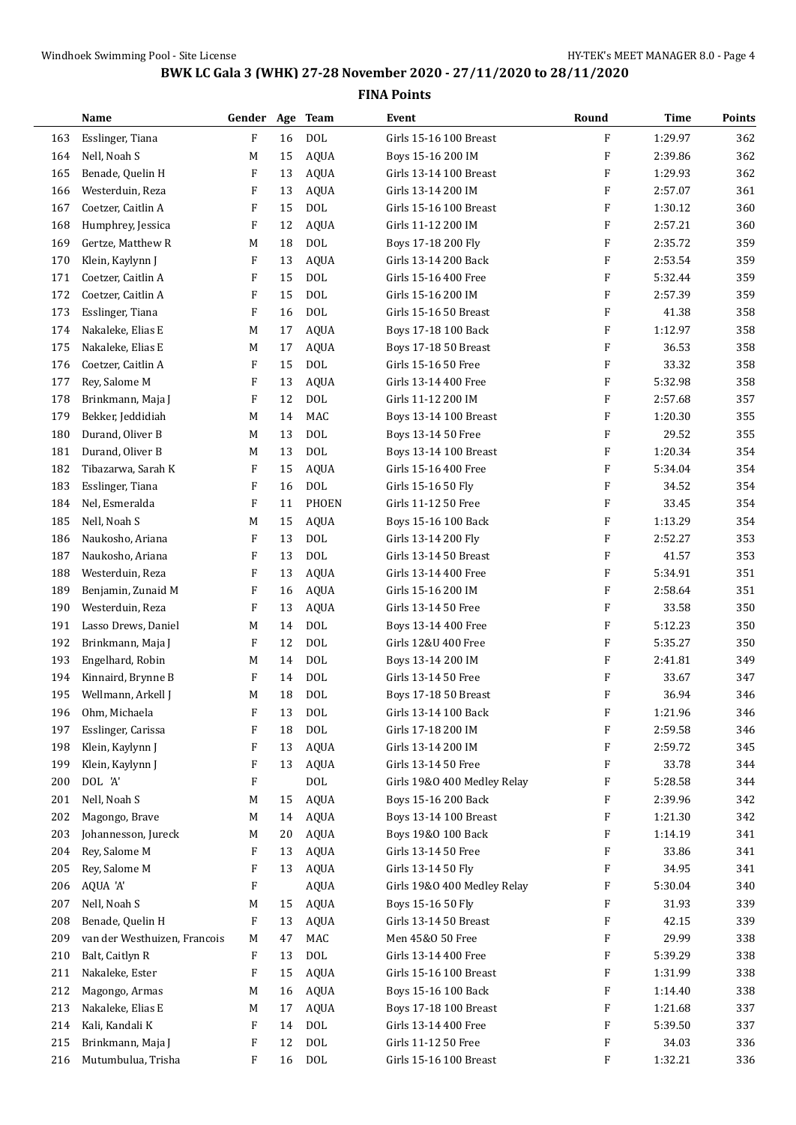|     | Name                         | Gender Age Team |    |              | Event                       | Round                     | <b>Time</b> | Points     |
|-----|------------------------------|-----------------|----|--------------|-----------------------------|---------------------------|-------------|------------|
| 163 | Esslinger, Tiana             | F               | 16 | <b>DOL</b>   | Girls 15-16 100 Breast      | $\mathbf{F}$              | 1:29.97     | 362        |
| 164 | Nell, Noah S                 | M               | 15 | <b>AQUA</b>  | Boys 15-16 200 IM           | $\boldsymbol{\mathrm{F}}$ | 2:39.86     | 362        |
| 165 | Benade, Quelin H             | F               | 13 | <b>AQUA</b>  | Girls 13-14 100 Breast      | F                         | 1:29.93     | 362        |
| 166 | Westerduin, Reza             | F               | 13 | <b>AQUA</b>  | Girls 13-14 200 IM          | $\boldsymbol{\mathrm{F}}$ | 2:57.07     | 361        |
| 167 | Coetzer, Caitlin A           | F               | 15 | <b>DOL</b>   | Girls 15-16 100 Breast      | $\boldsymbol{\mathrm{F}}$ | 1:30.12     | 360        |
| 168 | Humphrey, Jessica            | F               | 12 | <b>AQUA</b>  | Girls 11-12 200 IM          | F                         | 2:57.21     | 360        |
| 169 | Gertze, Matthew R            | M               | 18 | <b>DOL</b>   | Boys 17-18 200 Fly          | F                         | 2:35.72     | 359        |
| 170 | Klein, Kaylynn J             | F               | 13 | <b>AQUA</b>  | Girls 13-14 200 Back        | $\boldsymbol{\mathrm{F}}$ | 2:53.54     | 359        |
| 171 | Coetzer, Caitlin A           | F               | 15 | <b>DOL</b>   | Girls 15-16 400 Free        | F                         | 5:32.44     | 359        |
| 172 | Coetzer, Caitlin A           | F               | 15 | <b>DOL</b>   | Girls 15-16 200 IM          | $\boldsymbol{\mathrm{F}}$ | 2:57.39     | 359        |
| 173 | Esslinger, Tiana             | F               | 16 | <b>DOL</b>   | Girls 15-16 50 Breast       | $\boldsymbol{\mathrm{F}}$ | 41.38       | 358        |
| 174 | Nakaleke, Elias E            | M               | 17 | AQUA         | Boys 17-18 100 Back         | F                         | 1:12.97     | 358        |
| 175 | Nakaleke, Elias E            | M               | 17 | <b>AQUA</b>  | Boys 17-18 50 Breast        | F                         | 36.53       | 358        |
| 176 | Coetzer, Caitlin A           | F               | 15 | <b>DOL</b>   | Girls 15-16 50 Free         | F                         | 33.32       | 358        |
| 177 | Rey, Salome M                | F               | 13 | <b>AQUA</b>  | Girls 13-14 400 Free        | F                         | 5:32.98     | 358        |
| 178 | Brinkmann, Maja J            | F               | 12 | <b>DOL</b>   | Girls 11-12 200 IM          | F                         | 2:57.68     | 357        |
| 179 | Bekker, Jeddidiah            | M               | 14 | MAC          | Boys 13-14 100 Breast       | $\boldsymbol{\mathrm{F}}$ | 1:20.30     | 355        |
| 180 | Durand, Oliver B             | M               | 13 | <b>DOL</b>   | Boys 13-14 50 Free          | F                         | 29.52       | 355        |
| 181 | Durand, Oliver B             | M               | 13 | <b>DOL</b>   | Boys 13-14 100 Breast       | F                         | 1:20.34     | 354        |
| 182 | Tibazarwa, Sarah K           | F               | 15 | <b>AQUA</b>  | Girls 15-16 400 Free        | F                         | 5:34.04     | 354        |
| 183 | Esslinger, Tiana             | F               | 16 | <b>DOL</b>   | Girls 15-16 50 Fly          | F                         | 34.52       | 354        |
| 184 | Nel, Esmeralda               | F               | 11 | <b>PHOEN</b> | Girls 11-12 50 Free         | F                         | 33.45       | 354        |
| 185 | Nell, Noah S                 | M               | 15 | <b>AQUA</b>  | Boys 15-16 100 Back         | F                         | 1:13.29     | 354        |
| 186 | Naukosho, Ariana             | F               | 13 | <b>DOL</b>   | Girls 13-14 200 Fly         | F                         | 2:52.27     | 353        |
| 187 | Naukosho, Ariana             | F               | 13 | <b>DOL</b>   | Girls 13-14 50 Breast       | F                         | 41.57       | 353        |
| 188 | Westerduin, Reza             | F               | 13 | <b>AQUA</b>  | Girls 13-14 400 Free        | $\boldsymbol{\mathrm{F}}$ | 5:34.91     | 351        |
|     |                              |                 |    |              |                             | $\boldsymbol{\mathrm{F}}$ |             |            |
| 189 | Benjamin, Zunaid M           | F<br>F          | 16 | <b>AQUA</b>  | Girls 15-16 200 IM          | $\boldsymbol{\mathrm{F}}$ | 2:58.64     | 351<br>350 |
| 190 | Westerduin, Reza             |                 | 13 | <b>AQUA</b>  | Girls 13-14 50 Free         |                           | 33.58       |            |
| 191 | Lasso Drews, Daniel          | M               | 14 | <b>DOL</b>   | Boys 13-14 400 Free         | F                         | 5:12.23     | 350        |
| 192 | Brinkmann, Maja J            | F               | 12 | <b>DOL</b>   | Girls 12&U 400 Free         | $\boldsymbol{\mathrm{F}}$ | 5:35.27     | 350        |
| 193 | Engelhard, Robin             | M               | 14 | <b>DOL</b>   | Boys 13-14 200 IM           | F                         | 2:41.81     | 349        |
| 194 | Kinnaird, Brynne B           | F               | 14 | <b>DOL</b>   | Girls 13-14 50 Free         | $\boldsymbol{\mathrm{F}}$ | 33.67       | 347        |
| 195 | Wellmann, Arkell J           | M               | 18 | <b>DOL</b>   | <b>Boys 17-18 50 Breast</b> | $\boldsymbol{\mathrm{F}}$ | 36.94       | 346        |
| 196 | Ohm, Michaela                | F               | 13 | <b>DOL</b>   | Girls 13-14 100 Back        | F                         | 1:21.96     | 346        |
| 197 | Esslinger, Carissa           | F               | 18 | <b>DOL</b>   | Girls 17-18 200 IM          | $\boldsymbol{\mathrm{F}}$ | 2:59.58     | 346        |
| 198 | Klein, Kaylynn J             | F               | 13 | <b>AQUA</b>  | Girls 13-14 200 IM          | F                         | 2:59.72     | 345        |
| 199 | Klein, Kaylynn J             | F               | 13 | AQUA         | Girls 13-14 50 Free         | F                         | 33.78       | 344        |
| 200 | DOL 'A'                      | F               |    | $\rm DOL$    | Girls 19&0 400 Medley Relay | F                         | 5:28.58     | 344        |
| 201 | Nell, Noah S                 | M               | 15 | <b>AQUA</b>  | Boys 15-16 200 Back         | F                         | 2:39.96     | 342        |
| 202 | Magongo, Brave               | M               | 14 | AQUA         | Boys 13-14 100 Breast       | F                         | 1:21.30     | 342        |
| 203 | Johannesson, Jureck          | M               | 20 | AQUA         | Boys 19&0 100 Back          | F                         | 1:14.19     | 341        |
| 204 | Rey, Salome M                | F               | 13 | AQUA         | Girls 13-14 50 Free         | F                         | 33.86       | 341        |
| 205 | Rey, Salome M                | F               | 13 | AQUA         | Girls 13-14 50 Fly          | F                         | 34.95       | 341        |
| 206 | AQUA 'A'                     | F               |    | AQUA         | Girls 19&0 400 Medley Relay | F                         | 5:30.04     | 340        |
| 207 | Nell, Noah S                 | M               | 15 | <b>AQUA</b>  | Boys 15-16 50 Fly           | F                         | 31.93       | 339        |
| 208 | Benade, Quelin H             | F               | 13 | <b>AQUA</b>  | Girls 13-14 50 Breast       | F                         | 42.15       | 339        |
| 209 | van der Westhuizen, Francois | M               | 47 | MAC          | Men 45&0 50 Free            | F                         | 29.99       | 338        |
| 210 | Balt, Caitlyn R              | F               | 13 | <b>DOL</b>   | Girls 13-14 400 Free        | F                         | 5:39.29     | 338        |
| 211 | Nakaleke, Ester              | F               | 15 | AQUA         | Girls 15-16 100 Breast      | F                         | 1:31.99     | 338        |
| 212 | Magongo, Armas               | M               | 16 | <b>AQUA</b>  | Boys 15-16 100 Back         | F                         | 1:14.40     | 338        |
| 213 | Nakaleke, Elias E            | M               | 17 | <b>AQUA</b>  | Boys 17-18 100 Breast       | F                         | 1:21.68     | 337        |
| 214 | Kali, Kandali K              | F               | 14 | <b>DOL</b>   | Girls 13-14 400 Free        | F                         | 5:39.50     | 337        |
| 215 | Brinkmann, Maja J            | F               | 12 | <b>DOL</b>   | Girls 11-12 50 Free         | F                         | 34.03       | 336        |
| 216 | Mutumbulua, Trisha           | F               | 16 | DOL          | Girls 15-16 100 Breast      | F                         | 1:32.21     | 336        |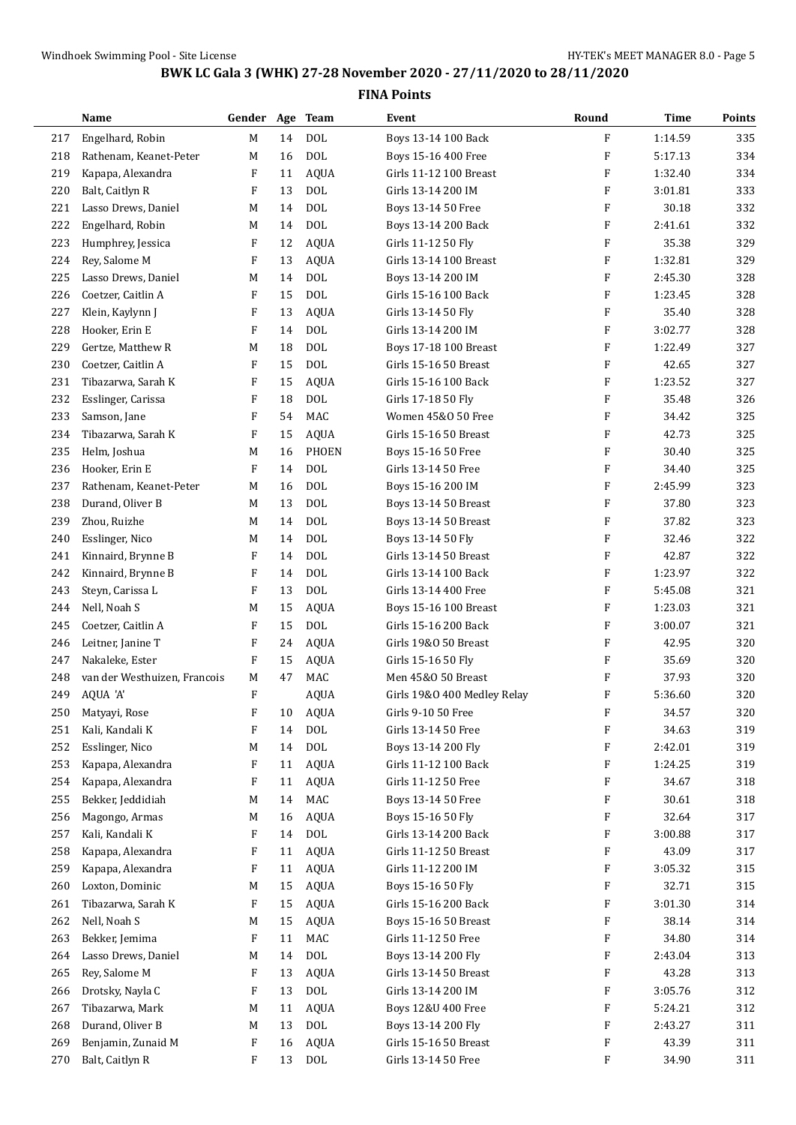|     | Name                         | Gender Age Team           |        |              | Event                       | Round                     | <b>Time</b> | Points |
|-----|------------------------------|---------------------------|--------|--------------|-----------------------------|---------------------------|-------------|--------|
| 217 | Engelhard, Robin             | М                         | 14     | <b>DOL</b>   | Boys 13-14 100 Back         | F                         | 1:14.59     | 335    |
| 218 | Rathenam, Keanet-Peter       | M                         | 16     | <b>DOL</b>   | Boys 15-16 400 Free         | F                         | 5:17.13     | 334    |
| 219 | Kapapa, Alexandra            | F                         | 11     | <b>AQUA</b>  | Girls 11-12 100 Breast      | F                         | 1:32.40     | 334    |
| 220 | Balt, Caitlyn R              | F                         | 13     | <b>DOL</b>   | Girls 13-14 200 IM          | F                         | 3:01.81     | 333    |
| 221 | Lasso Drews, Daniel          | M                         | 14     | <b>DOL</b>   | Boys 13-14 50 Free          | F                         | 30.18       | 332    |
| 222 | Engelhard, Robin             | M                         | 14     | <b>DOL</b>   | Boys 13-14 200 Back         | F                         | 2:41.61     | 332    |
| 223 | Humphrey, Jessica            | F                         | 12     | <b>AQUA</b>  | Girls 11-12 50 Fly          | F                         | 35.38       | 329    |
| 224 | Rey, Salome M                | F                         | 13     | <b>AQUA</b>  | Girls 13-14 100 Breast      | F                         | 1:32.81     | 329    |
| 225 | Lasso Drews, Daniel          | M                         | 14     | <b>DOL</b>   | Boys 13-14 200 IM           | F                         | 2:45.30     | 328    |
| 226 | Coetzer, Caitlin A           | F                         | 15     | <b>DOL</b>   | Girls 15-16 100 Back        | F                         | 1:23.45     | 328    |
| 227 | Klein, Kaylynn J             | F                         | 13     | <b>AQUA</b>  | Girls 13-14 50 Fly          | F                         | 35.40       | 328    |
| 228 | Hooker, Erin E               | $\boldsymbol{\mathrm{F}}$ | 14     | <b>DOL</b>   | Girls 13-14 200 IM          | F                         | 3:02.77     | 328    |
| 229 | Gertze, Matthew R            | M                         | 18     | <b>DOL</b>   | Boys 17-18 100 Breast       | F                         | 1:22.49     | 327    |
| 230 | Coetzer, Caitlin A           | F                         | 15     | <b>DOL</b>   | Girls 15-16 50 Breast       | F                         | 42.65       | 327    |
| 231 | Tibazarwa, Sarah K           | F                         | 15     | <b>AQUA</b>  | Girls 15-16 100 Back        | F                         | 1:23.52     | 327    |
| 232 | Esslinger, Carissa           | F                         | 18     | <b>DOL</b>   | Girls 17-18 50 Fly          | F                         | 35.48       | 326    |
| 233 | Samson, Jane                 | F                         | 54     | MAC          | Women 45&0 50 Free          | F                         | 34.42       | 325    |
| 234 | Tibazarwa, Sarah K           | $\boldsymbol{\mathrm{F}}$ | 15     | <b>AQUA</b>  | Girls 15-16 50 Breast       | F                         | 42.73       | 325    |
| 235 | Helm, Joshua                 | M                         | 16     | <b>PHOEN</b> | Boys 15-16 50 Free          | F                         | 30.40       | 325    |
| 236 | Hooker, Erin E               | F                         | 14     | <b>DOL</b>   | Girls 13-14 50 Free         | F                         | 34.40       | 325    |
| 237 | Rathenam, Keanet-Peter       | M                         | 16     | <b>DOL</b>   | Boys 15-16 200 IM           | F                         | 2:45.99     | 323    |
| 238 | Durand, Oliver B             | М                         | 13     | <b>DOL</b>   | Boys 13-14 50 Breast        | F                         | 37.80       | 323    |
| 239 | Zhou, Ruizhe                 | M                         | 14     | <b>DOL</b>   | Boys 13-14 50 Breast        | F                         | 37.82       | 323    |
| 240 | Esslinger, Nico              | M                         | 14     | <b>DOL</b>   | Boys 13-14 50 Fly           | F                         | 32.46       | 322    |
| 241 | Kinnaird, Brynne B           | F                         | 14     | <b>DOL</b>   | Girls 13-14 50 Breast       | F                         | 42.87       | 322    |
| 242 | Kinnaird, Brynne B           | F                         | 14     | <b>DOL</b>   | Girls 13-14 100 Back        | F                         | 1:23.97     | 322    |
| 243 | Steyn, Carissa L             | F                         | 13     | <b>DOL</b>   | Girls 13-14 400 Free        | $\boldsymbol{\mathrm{F}}$ | 5:45.08     | 321    |
| 244 | Nell, Noah S                 | M                         | 15     | <b>AQUA</b>  | Boys 15-16 100 Breast       | F                         | 1:23.03     | 321    |
| 245 | Coetzer, Caitlin A           | F                         | 15     | <b>DOL</b>   | Girls 15-16 200 Back        | F                         | 3:00.07     | 321    |
| 246 | Leitner, Janine T            | F                         | 24     | <b>AQUA</b>  | Girls 19&0 50 Breast        | $\boldsymbol{\mathrm{F}}$ | 42.95       | 320    |
| 247 | Nakaleke, Ester              | F                         | 15     | <b>AQUA</b>  | Girls 15-16 50 Fly          | F                         | 35.69       | 320    |
| 248 | van der Westhuizen, Francois | M                         | 47     | MAC          | Men 45&0 50 Breast          | F                         | 37.93       | 320    |
| 249 | AQUA 'A'                     | F                         |        | <b>AQUA</b>  | Girls 19&0 400 Medley Relay | F                         | 5:36.60     | 320    |
| 250 | Matyayi, Rose                | F                         | $10\,$ | <b>AQUA</b>  | Girls 9-10 50 Free          | F                         | 34.57       | 320    |
| 251 | Kali, Kandali K              | F                         | 14     | $\text{DOL}$ | Girls 13-14 50 Free         | F                         | 34.63       | 319    |
| 252 | Esslinger, Nico              | М                         | 14     | $\text{DOL}$ | Boys 13-14 200 Fly          | F                         | 2:42.01     | 319    |
| 253 | Kapapa, Alexandra            | F                         | 11     | <b>AQUA</b>  | Girls 11-12 100 Back        | F                         | 1:24.25     | 319    |
| 254 | Kapapa, Alexandra            | F                         | 11     | AQUA         | Girls 11-12 50 Free         | F                         | 34.67       | 318    |
| 255 | Bekker, Jeddidiah            | М                         | 14     | MAC          | Boys 13-14 50 Free          | F                         | 30.61       | 318    |
| 256 | Magongo, Armas               | M                         | 16     | <b>AQUA</b>  | Boys 15-16 50 Fly           | F                         | 32.64       | 317    |
| 257 | Kali, Kandali K              | F                         | 14     | $\rm DOL$    | Girls 13-14 200 Back        | F                         | 3:00.88     | 317    |
| 258 | Kapapa, Alexandra            | F                         | 11     | AQUA         | Girls 11-12 50 Breast       | F                         | 43.09       | 317    |
| 259 | Kapapa, Alexandra            | F                         | 11     | <b>AQUA</b>  | Girls 11-12 200 IM          | F                         | 3:05.32     | 315    |
| 260 | Loxton, Dominic              | M                         | 15     | <b>AQUA</b>  | Boys 15-16 50 Fly           | F                         | 32.71       | 315    |
| 261 | Tibazarwa, Sarah K           | F                         | 15     | <b>AQUA</b>  | Girls 15-16 200 Back        | F                         | 3:01.30     | 314    |
| 262 | Nell, Noah S                 | M                         | 15     | <b>AQUA</b>  | Boys 15-16 50 Breast        | F                         | 38.14       | 314    |
| 263 | Bekker, Jemima               | F                         | 11     | MAC          | Girls 11-12 50 Free         | F                         | 34.80       | 314    |
| 264 | Lasso Drews, Daniel          | М                         | 14     | $\text{DOL}$ | Boys 13-14 200 Fly          | F                         | 2:43.04     | 313    |
| 265 | Rey, Salome M                | F                         | 13     | <b>AQUA</b>  | Girls 13-14 50 Breast       | F                         | 43.28       | 313    |
| 266 | Drotsky, Nayla C             | F                         | 13     | $\rm DOL$    | Girls 13-14 200 IM          | F                         | 3:05.76     | 312    |
| 267 | Tibazarwa, Mark              | М                         | 11     | <b>AQUA</b>  | Boys 12&U 400 Free          | F                         | 5:24.21     | 312    |
| 268 | Durand, Oliver B             | M                         | 13     | $\rm DOL$    | Boys 13-14 200 Fly          | F                         | 2:43.27     | 311    |
| 269 | Benjamin, Zunaid M           | F                         | 16     | <b>AQUA</b>  | Girls 15-16 50 Breast       | F                         | 43.39       | 311    |
| 270 | Balt, Caitlyn R              | F                         | 13     | $\rm DOL$    | Girls 13-14 50 Free         | F                         | 34.90       | 311    |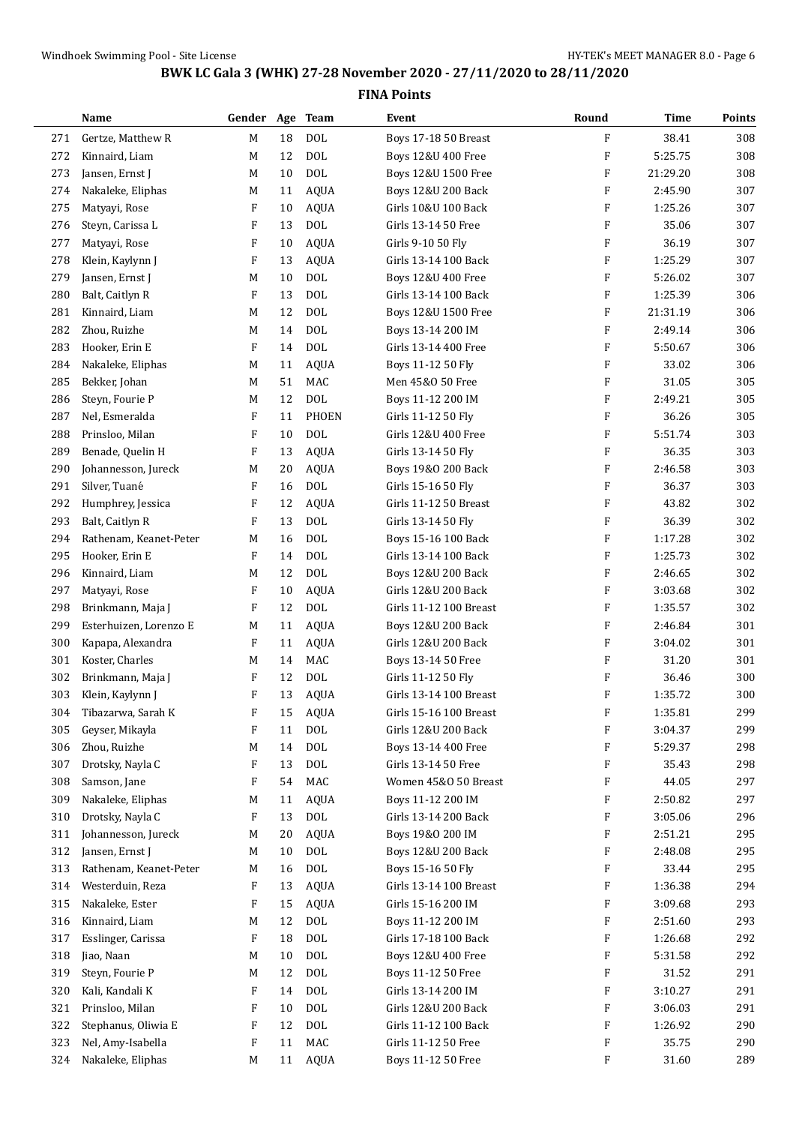|     | Name                   | Gender Age Team |    |              | Event                         | Round                     | <b>Time</b> | Points |
|-----|------------------------|-----------------|----|--------------|-------------------------------|---------------------------|-------------|--------|
| 271 | Gertze, Matthew R      | М               | 18 | <b>DOL</b>   | Boys 17-18 50 Breast          | F                         | 38.41       | 308    |
| 272 | Kinnaird, Liam         | М               | 12 | <b>DOL</b>   | Boys 12&U 400 Free            | F                         | 5:25.75     | 308    |
| 273 | Jansen, Ernst J        | М               | 10 | <b>DOL</b>   | Boys 12&U 1500 Free           | F                         | 21:29.20    | 308    |
| 274 | Nakaleke, Eliphas      | М               | 11 | <b>AQUA</b>  | Boys 12&U 200 Back            | F                         | 2:45.90     | 307    |
| 275 | Matyayi, Rose          | F               | 10 | <b>AQUA</b>  | Girls 10&U 100 Back           | F                         | 1:25.26     | 307    |
| 276 | Steyn, Carissa L       | F               | 13 | <b>DOL</b>   | Girls 13-14 50 Free           | F                         | 35.06       | 307    |
| 277 | Matyayi, Rose          | F               | 10 | <b>AQUA</b>  | Girls 9-10 50 Fly             | F                         | 36.19       | 307    |
| 278 | Klein, Kaylynn J       | F               | 13 | <b>AQUA</b>  | Girls 13-14 100 Back          | F                         | 1:25.29     | 307    |
| 279 | Jansen, Ernst J        | М               | 10 | <b>DOL</b>   | Boys 12&U 400 Free            | $\boldsymbol{\mathrm{F}}$ | 5:26.02     | 307    |
| 280 | Balt, Caitlyn R        | F               | 13 | <b>DOL</b>   | Girls 13-14 100 Back          | F                         | 1:25.39     | 306    |
| 281 | Kinnaird, Liam         | M               | 12 | <b>DOL</b>   | Boys 12&U 1500 Free           | F                         | 21:31.19    | 306    |
| 282 | Zhou, Ruizhe           | М               | 14 | <b>DOL</b>   | Boys 13-14 200 IM             | F                         | 2:49.14     | 306    |
| 283 | Hooker, Erin E         | F               | 14 | <b>DOL</b>   | Girls 13-14 400 Free          | F                         | 5:50.67     | 306    |
| 284 | Nakaleke, Eliphas      | M               | 11 | <b>AQUA</b>  | Boys 11-12 50 Fly             | F                         | 33.02       | 306    |
| 285 | Bekker, Johan          | М               | 51 | MAC          | Men 45&0 50 Free              | F                         | 31.05       | 305    |
| 286 | Steyn, Fourie P        | М               | 12 | <b>DOL</b>   | Boys 11-12 200 IM             | F                         | 2:49.21     | 305    |
| 287 | Nel, Esmeralda         | F               | 11 | <b>PHOEN</b> | Girls 11-12 50 Fly            | F                         | 36.26       | 305    |
| 288 | Prinsloo, Milan        | F               | 10 | <b>DOL</b>   | Girls 12&U 400 Free           | F                         | 5:51.74     | 303    |
| 289 | Benade, Quelin H       | F               | 13 | <b>AQUA</b>  | Girls 13-14 50 Fly            | F                         | 36.35       | 303    |
| 290 | Johannesson, Jureck    | M               | 20 | <b>AQUA</b>  | Boys 19&0 200 Back            | $\boldsymbol{\mathrm{F}}$ | 2:46.58     | 303    |
| 291 | Silver, Tuané          | F               | 16 | <b>DOL</b>   | Girls 15-16 50 Fly            | F                         | 36.37       | 303    |
| 292 | Humphrey, Jessica      | F               | 12 | <b>AQUA</b>  | Girls 11-12 50 Breast         | F                         | 43.82       | 302    |
| 293 | Balt, Caitlyn R        | F               | 13 | <b>DOL</b>   | Girls 13-14 50 Fly            | F                         | 36.39       | 302    |
| 294 | Rathenam, Keanet-Peter | М               | 16 | <b>DOL</b>   | Boys 15-16 100 Back           | F                         | 1:17.28     | 302    |
| 295 | Hooker, Erin E         | F               | 14 | <b>DOL</b>   | Girls 13-14 100 Back          | F                         | 1:25.73     | 302    |
| 296 | Kinnaird, Liam         | M               | 12 | <b>DOL</b>   | Boys 12&U 200 Back            | $\boldsymbol{\mathrm{F}}$ | 2:46.65     | 302    |
| 297 | Matyayi, Rose          | F               | 10 | <b>AQUA</b>  | Girls 12&U 200 Back           | $\boldsymbol{\mathrm{F}}$ | 3:03.68     | 302    |
| 298 | Brinkmann, Maja J      | F               | 12 | <b>DOL</b>   | Girls 11-12 100 Breast        | F                         | 1:35.57     | 302    |
| 299 | Esterhuizen, Lorenzo E | M               | 11 | <b>AQUA</b>  | <b>Boys 12&amp;U 200 Back</b> | $\boldsymbol{\mathrm{F}}$ | 2:46.84     | 301    |
| 300 | Kapapa, Alexandra      | F               | 11 | <b>AQUA</b>  | Girls 12&U 200 Back           | F                         | 3:04.02     | 301    |
| 301 | Koster, Charles        | M               | 14 | MAC          | Boys 13-14 50 Free            | F                         | 31.20       | 301    |
| 302 | Brinkmann, Maja J      | F               | 12 | <b>DOL</b>   | Girls 11-12 50 Fly            | F                         | 36.46       | 300    |
| 303 | Klein, Kaylynn J       | F               | 13 | <b>AQUA</b>  | Girls 13-14 100 Breast        | F                         | 1:35.72     | 300    |
| 304 | Tibazarwa, Sarah K     | F               | 15 | <b>AQUA</b>  | Girls 15-16 100 Breast        | F                         | 1:35.81     | 299    |
| 305 | Geyser, Mikayla        | F               | 11 | <b>DOL</b>   | Girls 12&U 200 Back           | F                         | 3:04.37     | 299    |
| 306 | Zhou, Ruizhe           | M               | 14 | <b>DOL</b>   | Boys 13-14 400 Free           | F                         | 5:29.37     | 298    |
| 307 | Drotsky, Nayla C       | F               | 13 | $\text{DOL}$ | Girls 13-14 50 Free           | F                         | 35.43       | 298    |
| 308 | Samson, Jane           | F               | 54 | MAC          | Women 45&0 50 Breast          | F                         | 44.05       | 297    |
| 309 | Nakaleke, Eliphas      | M               | 11 | <b>AQUA</b>  | Boys 11-12 200 IM             | F                         | 2:50.82     | 297    |
| 310 | Drotsky, Nayla C       | F               | 13 | $\rm DOL$    | Girls 13-14 200 Back          | F                         | 3:05.06     | 296    |
| 311 | Johannesson, Jureck    | M               | 20 | <b>AQUA</b>  | Boys 19&0 200 IM              | F                         | 2:51.21     | 295    |
| 312 | Jansen, Ernst J        | M               | 10 | <b>DOL</b>   | <b>Boys 12&amp;U 200 Back</b> | F                         | 2:48.08     | 295    |
| 313 | Rathenam, Keanet-Peter | M               | 16 | $\rm DOL$    | Boys 15-16 50 Fly             | F                         | 33.44       | 295    |
| 314 | Westerduin, Reza       | F               | 13 | <b>AQUA</b>  | Girls 13-14 100 Breast        | F                         | 1:36.38     | 294    |
| 315 | Nakaleke, Ester        | F               | 15 | <b>AQUA</b>  | Girls 15-16 200 IM            | F                         | 3:09.68     | 293    |
| 316 | Kinnaird, Liam         | M               | 12 | $\rm DOL$    | Boys 11-12 200 IM             | F                         | 2:51.60     | 293    |
| 317 | Esslinger, Carissa     | F               | 18 | <b>DOL</b>   | Girls 17-18 100 Back          | F                         | 1:26.68     | 292    |
| 318 | Jiao, Naan             | М               | 10 | <b>DOL</b>   | Boys 12&U 400 Free            | F                         | 5:31.58     | 292    |
| 319 | Steyn, Fourie P        | M               | 12 | <b>DOL</b>   | Boys 11-12 50 Free            | F                         | 31.52       | 291    |
| 320 | Kali, Kandali K        | F               | 14 | <b>DOL</b>   | Girls 13-14 200 IM            | F                         | 3:10.27     | 291    |
| 321 | Prinsloo, Milan        | F               | 10 | $\text{DOL}$ | Girls 12&U 200 Back           | F                         | 3:06.03     | 291    |
| 322 | Stephanus, Oliwia E    | F               | 12 | $\rm DOL$    | Girls 11-12 100 Back          | F                         | 1:26.92     | 290    |
| 323 | Nel, Amy-Isabella      | F               | 11 | MAC          | Girls 11-12 50 Free           | F                         | 35.75       | 290    |
| 324 | Nakaleke, Eliphas      | M               | 11 | AQUA         | Boys 11-12 50 Free            | F                         | 31.60       | 289    |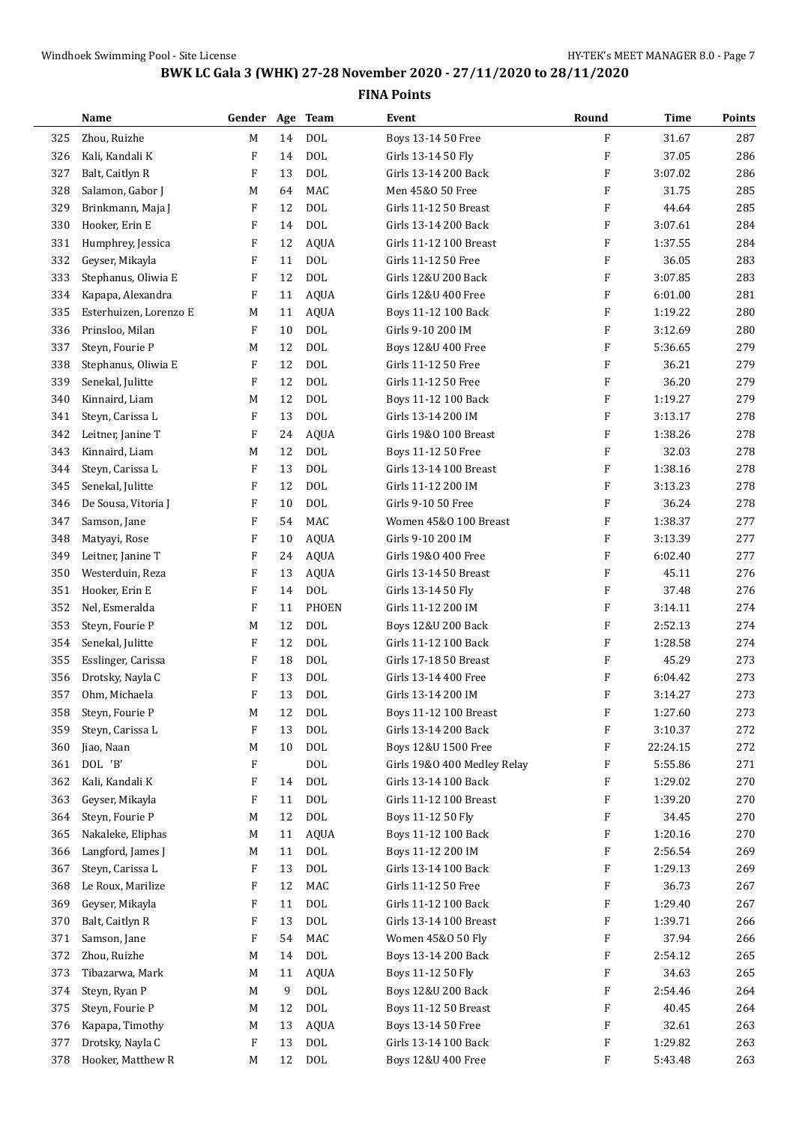|     | Name                   | Gender Age Team |    |              | Event                        | Round                     | <b>Time</b> | Points |
|-----|------------------------|-----------------|----|--------------|------------------------------|---------------------------|-------------|--------|
| 325 | Zhou, Ruizhe           | M               | 14 | <b>DOL</b>   | Boys 13-14 50 Free           | F                         | 31.67       | 287    |
| 326 | Kali, Kandali K        | F               | 14 | <b>DOL</b>   | Girls 13-14 50 Fly           | F                         | 37.05       | 286    |
| 327 | Balt, Caitlyn R        | F               | 13 | <b>DOL</b>   | Girls 13-14 200 Back         | $\boldsymbol{\mathrm{F}}$ | 3:07.02     | 286    |
| 328 | Salamon, Gabor J       | M               | 64 | MAC          | Men 45&0 50 Free             | F                         | 31.75       | 285    |
| 329 | Brinkmann, Maja J      | F               | 12 | <b>DOL</b>   | Girls 11-12 50 Breast        | F                         | 44.64       | 285    |
| 330 | Hooker, Erin E         | F               | 14 | <b>DOL</b>   | Girls 13-14 200 Back         | F                         | 3:07.61     | 284    |
| 331 | Humphrey, Jessica      | F               | 12 | <b>AQUA</b>  | Girls 11-12 100 Breast       | F                         | 1:37.55     | 284    |
| 332 | Geyser, Mikayla        | F               | 11 | <b>DOL</b>   | Girls 11-12 50 Free          | F                         | 36.05       | 283    |
| 333 | Stephanus, Oliwia E    | F               | 12 | <b>DOL</b>   | Girls 12&U 200 Back          | F                         | 3:07.85     | 283    |
| 334 | Kapapa, Alexandra      | F               | 11 | <b>AQUA</b>  | Girls 12&U 400 Free          | F                         | 6:01.00     | 281    |
| 335 | Esterhuizen, Lorenzo E | М               | 11 | <b>AQUA</b>  | Boys 11-12 100 Back          | F                         | 1:19.22     | 280    |
| 336 | Prinsloo, Milan        | F               | 10 | <b>DOL</b>   | Girls 9-10 200 IM            | F                         | 3:12.69     | 280    |
| 337 | Steyn, Fourie P        | M               | 12 | <b>DOL</b>   | Boys 12&U 400 Free           | F                         | 5:36.65     | 279    |
| 338 | Stephanus, Oliwia E    | F               | 12 | <b>DOL</b>   | Girls 11-12 50 Free          | F                         | 36.21       | 279    |
| 339 | Senekal, Julitte       | F               | 12 | <b>DOL</b>   | Girls 11-12 50 Free          | F                         | 36.20       | 279    |
| 340 | Kinnaird, Liam         | M               | 12 | <b>DOL</b>   | Boys 11-12 100 Back          | F                         | 1:19.27     | 279    |
| 341 | Steyn, Carissa L       | F               | 13 | <b>DOL</b>   | Girls 13-14 200 IM           | F                         | 3:13.17     | 278    |
| 342 | Leitner, Janine T      | F               | 24 | <b>AQUA</b>  | Girls 19&0 100 Breast        | F                         | 1:38.26     | 278    |
| 343 | Kinnaird, Liam         | M               | 12 | <b>DOL</b>   | Boys 11-12 50 Free           | F                         | 32.03       | 278    |
| 344 | Steyn, Carissa L       | F               | 13 | <b>DOL</b>   | Girls 13-14 100 Breast       | F                         | 1:38.16     | 278    |
| 345 | Senekal, Julitte       | F               | 12 | <b>DOL</b>   | Girls 11-12 200 IM           | $\boldsymbol{\mathrm{F}}$ | 3:13.23     | 278    |
| 346 | De Sousa, Vitoria J    | F               | 10 | <b>DOL</b>   | Girls 9-10 50 Free           | F                         | 36.24       | 278    |
| 347 | Samson, Jane           | F               | 54 | MAC          | Women 45&0 100 Breast        | F                         | 1:38.37     | 277    |
| 348 | Matyayi, Rose          | F               | 10 | <b>AQUA</b>  | Girls 9-10 200 IM            | F                         | 3:13.39     | 277    |
| 349 | Leitner, Janine T      | F               | 24 | <b>AQUA</b>  | Girls 19&0 400 Free          | F                         | 6:02.40     | 277    |
| 350 | Westerduin, Reza       | F               | 13 | <b>AQUA</b>  | Girls 13-14 50 Breast        | $\boldsymbol{\mathrm{F}}$ | 45.11       | 276    |
| 351 | Hooker, Erin E         | F               | 14 | <b>DOL</b>   | Girls 13-14 50 Fly           | F                         | 37.48       | 276    |
| 352 | Nel, Esmeralda         | F               | 11 | <b>PHOEN</b> | Girls 11-12 200 IM           | F                         | 3:14.11     | 274    |
| 353 | Steyn, Fourie P        | M               | 12 | <b>DOL</b>   | Boys 12&U 200 Back           | $\boldsymbol{\mathrm{F}}$ | 2:52.13     | 274    |
| 354 | Senekal, Julitte       | F               | 12 | <b>DOL</b>   | Girls 11-12 100 Back         | F                         | 1:28.58     | 274    |
| 355 | Esslinger, Carissa     | F               | 18 | <b>DOL</b>   | Girls 17-18 50 Breast        | F                         | 45.29       | 273    |
| 356 | Drotsky, Nayla C       | F               | 13 | <b>DOL</b>   | Girls 13-14 400 Free         | $\boldsymbol{\mathrm{F}}$ | 6:04.42     | 273    |
| 357 | Ohm, Michaela          | F               | 13 | <b>DOL</b>   | Girls 13-14 200 IM           | F                         | 3:14.27     | 273    |
| 358 | Steyn, Fourie P        | M               | 12 | <b>DOL</b>   | <b>Boys 11-12 100 Breast</b> | F                         | 1:27.60     | 273    |
| 359 | Steyn, Carissa L       | F               | 13 | <b>DOL</b>   | Girls 13-14 200 Back         | F                         | 3:10.37     | 272    |
| 360 | Jiao, Naan             | M               | 10 | <b>DOL</b>   | Boys 12&U 1500 Free          | F                         | 22:24.15    | 272    |
| 361 | DOL 'B'                | F               |    | $\rm DOL$    | Girls 19&0 400 Medley Relay  | F                         | 5:55.86     | 271    |
| 362 | Kali, Kandali K        | F               | 14 | <b>DOL</b>   | Girls 13-14 100 Back         | F                         | 1:29.02     | 270    |
| 363 | Geyser, Mikayla        | F               | 11 | $\text{DOL}$ | Girls 11-12 100 Breast       | F                         | 1:39.20     | 270    |
| 364 | Steyn, Fourie P        | M               | 12 | $\rm DOL$    | Boys 11-12 50 Fly            | F                         | 34.45       | 270    |
| 365 | Nakaleke, Eliphas      | M               | 11 | <b>AQUA</b>  | Boys 11-12 100 Back          | F                         | 1:20.16     | 270    |
| 366 | Langford, James J      | M               | 11 | <b>DOL</b>   | Boys 11-12 200 IM            | F                         | 2:56.54     | 269    |
| 367 | Steyn, Carissa L       | F               | 13 | <b>DOL</b>   | Girls 13-14 100 Back         | F                         | 1:29.13     | 269    |
| 368 | Le Roux, Marilize      | F               | 12 | MAC          | Girls 11-12 50 Free          | F                         | 36.73       | 267    |
| 369 | Geyser, Mikayla        | F               | 11 | $\text{DOL}$ | Girls 11-12 100 Back         | F                         | 1:29.40     | 267    |
| 370 | Balt, Caitlyn R        | F               | 13 | $\rm DOL$    | Girls 13-14 100 Breast       | F                         | 1:39.71     | 266    |
| 371 | Samson, Jane           | F               | 54 | MAC          | Women 45&0 50 Fly            | F                         | 37.94       | 266    |
| 372 | Zhou, Ruizhe           | M               | 14 | $\text{DOL}$ | Boys 13-14 200 Back          | F                         | 2:54.12     | 265    |
| 373 | Tibazarwa, Mark        | M               | 11 | <b>AQUA</b>  | Boys 11-12 50 Fly            | F                         | 34.63       | 265    |
| 374 | Steyn, Ryan P          | M               | 9  | $\rm DOL$    | Boys 12&U 200 Back           | F                         | 2:54.46     | 264    |
| 375 | Steyn, Fourie P        | M               | 12 | $\rm DOL$    | Boys 11-12 50 Breast         | F                         | 40.45       | 264    |
| 376 | Kapapa, Timothy        | M               | 13 | <b>AQUA</b>  | Boys 13-14 50 Free           | F                         | 32.61       | 263    |
| 377 | Drotsky, Nayla C       | F               | 13 | $\rm DOL$    | Girls 13-14 100 Back         | F                         | 1:29.82     | 263    |
| 378 | Hooker, Matthew R      | M               | 12 | DOL          | Boys 12&U 400 Free           | F                         | 5:43.48     | 263    |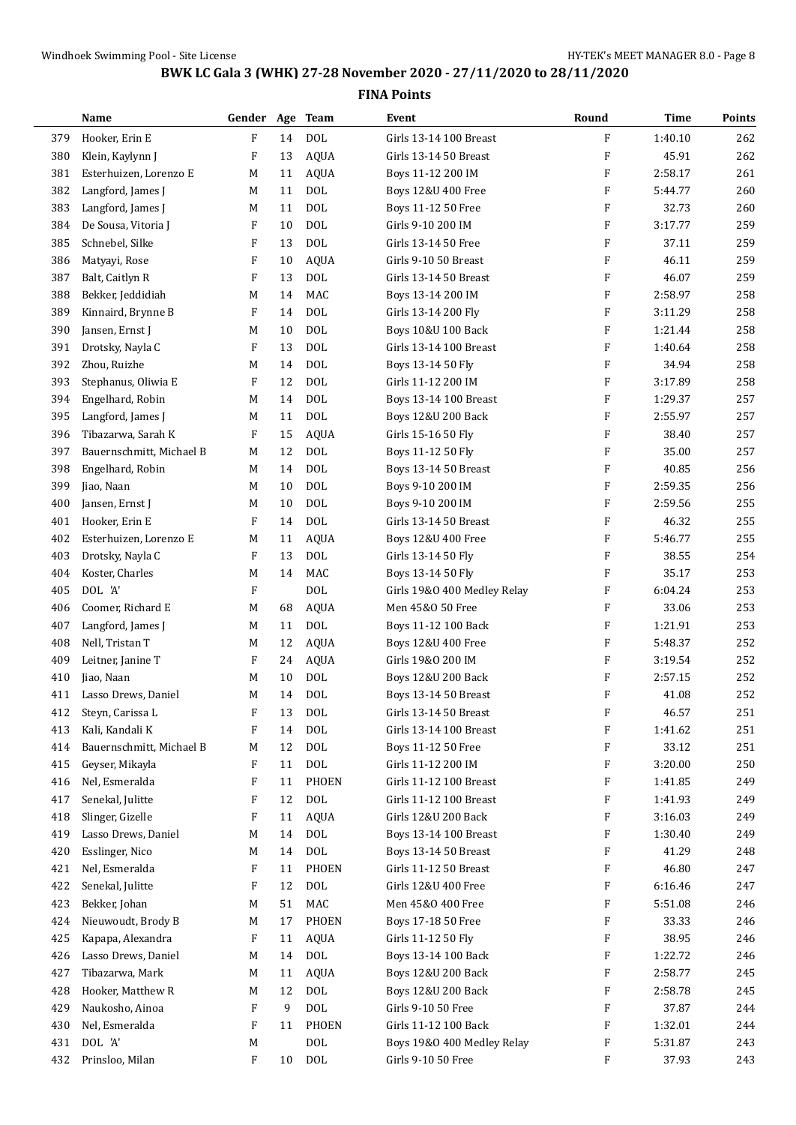|     | Name                     | Gender Age Team |    |             | Event                         | Round                     | <b>Time</b> | Points |
|-----|--------------------------|-----------------|----|-------------|-------------------------------|---------------------------|-------------|--------|
| 379 | Hooker, Erin E           | F               | 14 | <b>DOL</b>  | Girls 13-14 100 Breast        | F                         | 1:40.10     | 262    |
| 380 | Klein, Kaylynn J         | F               | 13 | <b>AQUA</b> | Girls 13-14 50 Breast         | $\boldsymbol{\mathrm{F}}$ | 45.91       | 262    |
| 381 | Esterhuizen, Lorenzo E   | M               | 11 | <b>AQUA</b> | Boys 11-12 200 IM             | $\boldsymbol{\mathrm{F}}$ | 2:58.17     | 261    |
| 382 | Langford, James J        | M               | 11 | <b>DOL</b>  | Boys 12&U 400 Free            | F                         | 5:44.77     | 260    |
| 383 | Langford, James J        | M               | 11 | <b>DOL</b>  | Boys 11-12 50 Free            | F                         | 32.73       | 260    |
| 384 | De Sousa, Vitoria J      | F               | 10 | <b>DOL</b>  | Girls 9-10 200 IM             | $\boldsymbol{\mathrm{F}}$ | 3:17.77     | 259    |
| 385 | Schnebel, Silke          | F               | 13 | <b>DOL</b>  | Girls 13-14 50 Free           | $\boldsymbol{\mathrm{F}}$ | 37.11       | 259    |
| 386 | Matyayi, Rose            | F               | 10 | <b>AQUA</b> | Girls 9-10 50 Breast          | $\boldsymbol{\mathrm{F}}$ | 46.11       | 259    |
| 387 | Balt, Caitlyn R          | F               | 13 | <b>DOL</b>  | Girls 13-14 50 Breast         | $\boldsymbol{\mathrm{F}}$ | 46.07       | 259    |
| 388 | Bekker, Jeddidiah        | M               | 14 | <b>MAC</b>  | Boys 13-14 200 IM             | $\boldsymbol{\mathrm{F}}$ | 2:58.97     | 258    |
| 389 | Kinnaird, Brynne B       | F               | 14 | <b>DOL</b>  | Girls 13-14 200 Fly           | F                         | 3:11.29     | 258    |
| 390 | Jansen, Ernst J          | M               | 10 | <b>DOL</b>  | Boys 10&U 100 Back            | $\boldsymbol{\mathrm{F}}$ | 1:21.44     | 258    |
| 391 | Drotsky, Nayla C         | F               | 13 | <b>DOL</b>  | Girls 13-14 100 Breast        | $\boldsymbol{\mathrm{F}}$ | 1:40.64     | 258    |
| 392 | Zhou, Ruizhe             | M               | 14 | <b>DOL</b>  | Boys 13-14 50 Fly             | $\boldsymbol{\mathrm{F}}$ | 34.94       | 258    |
| 393 | Stephanus, Oliwia E      | F               | 12 | <b>DOL</b>  | Girls 11-12 200 IM            | $\boldsymbol{\mathrm{F}}$ | 3:17.89     | 258    |
| 394 | Engelhard, Robin         | M               | 14 | <b>DOL</b>  | Boys 13-14 100 Breast         | F                         | 1:29.37     | 257    |
| 395 | Langford, James J        | M               | 11 | <b>DOL</b>  | <b>Boys 12&amp;U 200 Back</b> | F                         | 2:55.97     | 257    |
| 396 | Tibazarwa, Sarah K       | F               | 15 | <b>AQUA</b> | Girls 15-16 50 Fly            | $\boldsymbol{\mathrm{F}}$ | 38.40       | 257    |
| 397 | Bauernschmitt, Michael B | M               | 12 | <b>DOL</b>  | Boys 11-12 50 Fly             | $\boldsymbol{\mathrm{F}}$ | 35.00       | 257    |
| 398 | Engelhard, Robin         | M               | 14 | <b>DOL</b>  | <b>Boys 13-14 50 Breast</b>   | $\boldsymbol{\mathrm{F}}$ | 40.85       | 256    |
| 399 | Jiao, Naan               | M               | 10 | <b>DOL</b>  | Boys 9-10 200 IM              | $\boldsymbol{\mathrm{F}}$ | 2:59.35     | 256    |
| 400 | Jansen, Ernst J          | M               | 10 | <b>DOL</b>  | Boys 9-10 200 IM              | F                         | 2:59.56     | 255    |
| 401 | Hooker, Erin E           | F               | 14 | <b>DOL</b>  | Girls 13-14 50 Breast         | F                         | 46.32       | 255    |
| 402 | Esterhuizen, Lorenzo E   | M               | 11 | <b>AQUA</b> | Boys 12&U 400 Free            | $\boldsymbol{\mathrm{F}}$ | 5:46.77     | 255    |
| 403 | Drotsky, Nayla C         | F               | 13 | <b>DOL</b>  | Girls 13-14 50 Fly            | $\boldsymbol{\mathrm{F}}$ | 38.55       | 254    |
| 404 | Koster, Charles          | M               | 14 | <b>MAC</b>  | Boys 13-14 50 Fly             | $\boldsymbol{\mathrm{F}}$ | 35.17       | 253    |
| 405 | DOL 'A'                  | F               |    | <b>DOL</b>  | Girls 19&0 400 Medley Relay   | F                         | 6:04.24     | 253    |
| 406 | Coomer, Richard E        | M               | 68 | AQUA        | Men 45&0 50 Free              | $\boldsymbol{\mathrm{F}}$ | 33.06       | 253    |
| 407 | Langford, James J        | M               | 11 | <b>DOL</b>  | Boys 11-12 100 Back           | F                         | 1:21.91     | 253    |
| 408 | Nell, Tristan T          | M               | 12 | <b>AQUA</b> | Boys 12&U 400 Free            | $\rm F$                   | 5:48.37     | 252    |
| 409 | Leitner, Janine T        | F               | 24 | AQUA        | Girls 19&0 200 IM             | $\boldsymbol{\mathrm{F}}$ | 3:19.54     | 252    |
| 410 | Jiao, Naan               | M               | 10 | <b>DOL</b>  | <b>Boys 12&amp;U 200 Back</b> | F                         | 2:57.15     | 252    |
| 411 | Lasso Drews, Daniel      | M               | 14 | <b>DOL</b>  | Boys 13-14 50 Breast          | F                         | 41.08       | 252    |
| 412 | Steyn, Carissa L         | F               | 13 | <b>DOL</b>  | Girls 13-14 50 Breast         | F                         | 46.57       | 251    |
| 413 | Kali, Kandali K          | F               | 14 | <b>DOL</b>  | Girls 13-14 100 Breast        | F                         | 1:41.62     | 251    |
| 414 | Bauernschmitt, Michael B | M               | 12 | <b>DOL</b>  | Boys 11-12 50 Free            | $\boldsymbol{\mathrm{F}}$ | 33.12       | 251    |
| 415 | Geyser, Mikayla          | F               | 11 | <b>DOL</b>  | Girls 11-12 200 IM            | F                         | 3:20.00     | 250    |
| 416 | Nel, Esmeralda           | F               | 11 | PHOEN       | Girls 11-12 100 Breast        | F                         | 1:41.85     | 249    |
| 417 | Senekal, Julitte         | F               | 12 | <b>DOL</b>  | Girls 11-12 100 Breast        | F                         | 1:41.93     | 249    |
| 418 | Slinger, Gizelle         | F               | 11 | AQUA        | Girls 12&U 200 Back           | F                         | 3:16.03     | 249    |
| 419 | Lasso Drews, Daniel      | M               | 14 | <b>DOL</b>  | Boys 13-14 100 Breast         | F                         | 1:30.40     | 249    |
| 420 | Esslinger, Nico          | M               | 14 | <b>DOL</b>  | <b>Boys 13-14 50 Breast</b>   | F                         | 41.29       | 248    |
| 421 | Nel, Esmeralda           | F               | 11 | PHOEN       | Girls 11-12 50 Breast         | F                         | 46.80       | 247    |
| 422 | Senekal, Julitte         | F               | 12 | <b>DOL</b>  | Girls 12&U 400 Free           | F                         | 6:16.46     | 247    |
| 423 | Bekker, Johan            | M               | 51 | MAC         | Men 45&0 400 Free             | F                         | 5:51.08     | 246    |
| 424 | Nieuwoudt, Brody B       | M               | 17 | PHOEN       | Boys 17-18 50 Free            | F                         | 33.33       | 246    |
| 425 | Kapapa, Alexandra        | F               | 11 | <b>AQUA</b> | Girls 11-12 50 Fly            | F                         | 38.95       | 246    |
| 426 | Lasso Drews, Daniel      | M               | 14 | <b>DOL</b>  | Boys 13-14 100 Back           | F                         | 1:22.72     | 246    |
| 427 | Tibazarwa, Mark          | M               | 11 | <b>AQUA</b> | Boys 12&U 200 Back            | F                         | 2:58.77     | 245    |
| 428 | Hooker, Matthew R        | M               | 12 | <b>DOL</b>  | Boys 12&U 200 Back            | F                         | 2:58.78     | 245    |
| 429 | Naukosho, Ainoa          | F               | 9  | <b>DOL</b>  | Girls 9-10 50 Free            | F                         | 37.87       | 244    |
| 430 | Nel, Esmeralda           | F               | 11 | PHOEN       | Girls 11-12 100 Back          | F                         | 1:32.01     | 244    |
| 431 | DOL 'A'                  | M               |    | <b>DOL</b>  | Boys 19&0 400 Medley Relay    | F                         | 5:31.87     | 243    |
| 432 | Prinsloo, Milan          | F               | 10 | <b>DOL</b>  | Girls 9-10 50 Free            | F                         | 37.93       | 243    |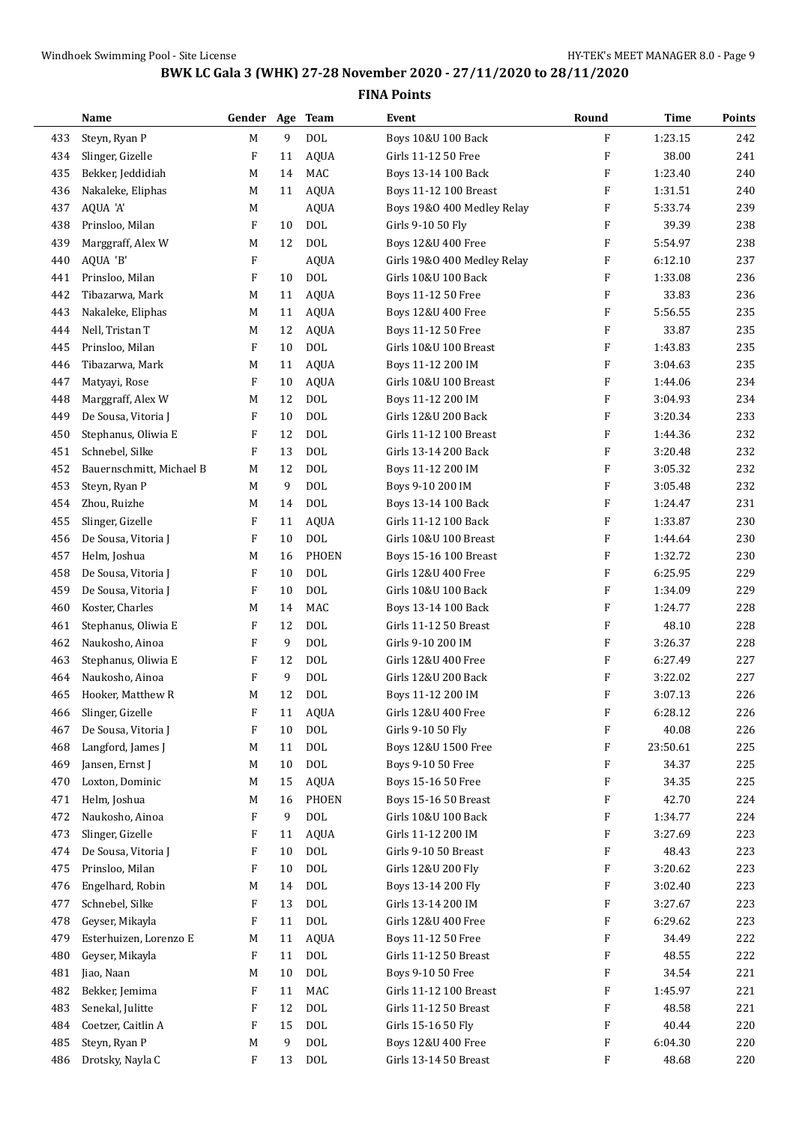|     | Name                     | Gender Age Team |    |              | Event                       | Round                     | <b>Time</b> | Points |
|-----|--------------------------|-----------------|----|--------------|-----------------------------|---------------------------|-------------|--------|
| 433 | Steyn, Ryan P            | $\mathbf M$     | 9  | <b>DOL</b>   | Boys 10&U 100 Back          | F                         | 1:23.15     | 242    |
| 434 | Slinger, Gizelle         | F               | 11 | AQUA         | Girls 11-12 50 Free         | $\boldsymbol{\mathrm{F}}$ | 38.00       | 241    |
| 435 | Bekker, Jeddidiah        | M               | 14 | MAC          | Boys 13-14 100 Back         | $\boldsymbol{\mathrm{F}}$ | 1:23.40     | 240    |
| 436 | Nakaleke, Eliphas        | M               | 11 | AQUA         | Boys 11-12 100 Breast       | $\boldsymbol{\mathrm{F}}$ | 1:31.51     | 240    |
| 437 | AQUA 'A'                 | M               |    | <b>AQUA</b>  | Boys 19&0 400 Medley Relay  | F                         | 5:33.74     | 239    |
| 438 | Prinsloo, Milan          | F               | 10 | <b>DOL</b>   | Girls 9-10 50 Fly           | $\boldsymbol{\mathrm{F}}$ | 39.39       | 238    |
| 439 | Marggraff, Alex W        | M               | 12 | <b>DOL</b>   | Boys 12&U 400 Free          | $\boldsymbol{\mathrm{F}}$ | 5:54.97     | 238    |
| 440 | AQUA 'B'                 | F               |    | <b>AQUA</b>  | Girls 19&0 400 Medley Relay | $\boldsymbol{\mathrm{F}}$ | 6:12.10     | 237    |
| 441 | Prinsloo, Milan          | F               | 10 | <b>DOL</b>   | Girls 10&U 100 Back         | F                         | 1:33.08     | 236    |
| 442 | Tibazarwa, Mark          | M               | 11 | <b>AQUA</b>  | Boys 11-12 50 Free          | $\boldsymbol{\mathrm{F}}$ | 33.83       | 236    |
| 443 | Nakaleke, Eliphas        | M               | 11 | <b>AQUA</b>  | Boys 12&U 400 Free          | F                         | 5:56.55     | 235    |
| 444 | Nell, Tristan T          | M               | 12 | <b>AQUA</b>  | Boys 11-12 50 Free          | F                         | 33.87       | 235    |
| 445 | Prinsloo, Milan          | F               | 10 | <b>DOL</b>   | Girls 10&U 100 Breast       | $\boldsymbol{\mathrm{F}}$ | 1:43.83     | 235    |
| 446 | Tibazarwa, Mark          | M               | 11 | <b>AQUA</b>  | Boys 11-12 200 IM           | $\boldsymbol{\mathrm{F}}$ | 3:04.63     | 235    |
| 447 | Matyayi, Rose            | F               | 10 | AQUA         | Girls 10&U 100 Breast       | $\boldsymbol{\mathrm{F}}$ | 1:44.06     | 234    |
| 448 | Marggraff, Alex W        | M               | 12 | <b>DOL</b>   | Boys 11-12 200 IM           | $\boldsymbol{\mathrm{F}}$ | 3:04.93     | 234    |
| 449 | De Sousa, Vitoria J      | F               | 10 | <b>DOL</b>   | Girls 12&U 200 Back         | $\boldsymbol{\mathrm{F}}$ | 3:20.34     | 233    |
| 450 | Stephanus, Oliwia E      | F               | 12 | <b>DOL</b>   | Girls 11-12 100 Breast      | $\boldsymbol{\mathrm{F}}$ | 1:44.36     | 232    |
| 451 | Schnebel, Silke          | F               | 13 | <b>DOL</b>   | Girls 13-14 200 Back        | $\boldsymbol{\mathrm{F}}$ | 3:20.48     | 232    |
| 452 | Bauernschmitt, Michael B | M               | 12 | <b>DOL</b>   | Boys 11-12 200 IM           | $\boldsymbol{\mathrm{F}}$ | 3:05.32     | 232    |
| 453 | Steyn, Ryan P            | M               | 9  | <b>DOL</b>   | Boys 9-10 200 IM            | $\boldsymbol{\mathrm{F}}$ | 3:05.48     | 232    |
| 454 | Zhou, Ruizhe             | M               | 14 | <b>DOL</b>   | Boys 13-14 100 Back         | $\boldsymbol{\mathrm{F}}$ | 1:24.47     | 231    |
| 455 | Slinger, Gizelle         | F               | 11 | <b>AQUA</b>  | Girls 11-12 100 Back        | F                         | 1:33.87     | 230    |
| 456 | De Sousa, Vitoria J      | F               | 10 | <b>DOL</b>   | Girls 10&U 100 Breast       | F                         | 1:44.64     | 230    |
| 457 | Helm, Joshua             | M               | 16 | <b>PHOEN</b> | Boys 15-16 100 Breast       | $\boldsymbol{\mathrm{F}}$ | 1:32.72     | 230    |
|     |                          |                 | 10 | <b>DOL</b>   |                             | $\boldsymbol{\mathrm{F}}$ | 6:25.95     | 229    |
| 458 | De Sousa, Vitoria J      | F               |    |              | Girls 12&U 400 Free         |                           |             |        |
| 459 | De Sousa, Vitoria J      | F               | 10 | <b>DOL</b>   | Girls 10&U 100 Back         | $\boldsymbol{\mathrm{F}}$ | 1:34.09     | 229    |
| 460 | Koster, Charles          | M               | 14 | MAC          | Boys 13-14 100 Back         | $\boldsymbol{\mathrm{F}}$ | 1:24.77     | 228    |
| 461 | Stephanus, Oliwia E      | F               | 12 | <b>DOL</b>   | Girls 11-12 50 Breast       | $\boldsymbol{\mathrm{F}}$ | 48.10       | 228    |
| 462 | Naukosho, Ainoa          | F               | 9  | <b>DOL</b>   | Girls 9-10 200 IM           | $\boldsymbol{\mathrm{F}}$ | 3:26.37     | 228    |
| 463 | Stephanus, Oliwia E      | F               | 12 | <b>DOL</b>   | Girls 12&U 400 Free         | $\boldsymbol{\mathrm{F}}$ | 6:27.49     | 227    |
| 464 | Naukosho, Ainoa          | F               | 9  | <b>DOL</b>   | Girls 12&U 200 Back         | F                         | 3:22.02     | 227    |
| 465 | Hooker, Matthew R        | M               | 12 | <b>DOL</b>   | Boys 11-12 200 IM           | $\boldsymbol{\mathrm{F}}$ | 3:07.13     | 226    |
| 466 | Slinger, Gizelle         | F               | 11 | AQUA         | Girls 12&U 400 Free         | F                         | 6:28.12     | 226    |
| 467 | De Sousa, Vitoria J      | F               | 10 | <b>DOL</b>   | Girls 9-10 50 Fly           | F                         | 40.08       | 226    |
| 468 | Langford, James J        | M               | 11 | <b>DOL</b>   | Boys 12&U 1500 Free         | F                         | 23:50.61    | 225    |
| 469 | Jansen, Ernst J          | M               | 10 | <b>DOL</b>   | Boys 9-10 50 Free           | F                         | 34.37       | 225    |
| 470 | Loxton, Dominic          | M               | 15 | <b>AQUA</b>  | Boys 15-16 50 Free          | F                         | 34.35       | 225    |
| 471 | Helm, Joshua             | M               | 16 | <b>PHOEN</b> | Boys 15-16 50 Breast        | F                         | 42.70       | 224    |
| 472 | Naukosho, Ainoa          | F               | 9  | <b>DOL</b>   | Girls 10&U 100 Back         | F                         | 1:34.77     | 224    |
| 473 | Slinger, Gizelle         | F               | 11 | <b>AQUA</b>  | Girls 11-12 200 IM          | F                         | 3:27.69     | 223    |
| 474 | De Sousa, Vitoria J      | F               | 10 | <b>DOL</b>   | Girls 9-10 50 Breast        | F                         | 48.43       | 223    |
| 475 | Prinsloo, Milan          | F               | 10 | <b>DOL</b>   | Girls 12&U 200 Fly          | F                         | 3:20.62     | 223    |
| 476 | Engelhard, Robin         | M               | 14 | <b>DOL</b>   | Boys 13-14 200 Fly          | F                         | 3:02.40     | 223    |
| 477 | Schnebel, Silke          | F               | 13 | <b>DOL</b>   | Girls 13-14 200 IM          | F                         | 3:27.67     | 223    |
| 478 | Geyser, Mikayla          | F               | 11 | <b>DOL</b>   | Girls 12&U 400 Free         | F                         | 6:29.62     | 223    |
| 479 | Esterhuizen, Lorenzo E   | M               | 11 | <b>AQUA</b>  | Boys 11-12 50 Free          | F                         | 34.49       | 222    |
| 480 | Geyser, Mikayla          | F               | 11 | <b>DOL</b>   | Girls 11-12 50 Breast       | F                         | 48.55       | 222    |
| 481 | Jiao, Naan               | M               | 10 | <b>DOL</b>   | Boys 9-10 50 Free           | F                         | 34.54       | 221    |
| 482 | Bekker, Jemima           | F               | 11 | MAC          | Girls 11-12 100 Breast      | F                         | 1:45.97     | 221    |
| 483 | Senekal, Julitte         | F               | 12 | <b>DOL</b>   | Girls 11-12 50 Breast       | F                         | 48.58       | 221    |
| 484 | Coetzer, Caitlin A       | F               | 15 | <b>DOL</b>   | Girls 15-16 50 Fly          | F                         | 40.44       | 220    |
| 485 | Steyn, Ryan P            | M               | 9  | <b>DOL</b>   | Boys 12&U 400 Free          | F                         | 6:04.30     | 220    |
| 486 | Drotsky, Nayla C         | F               | 13 | $\rm DOL$    | Girls 13-14 50 Breast       | F                         | 48.68       | 220    |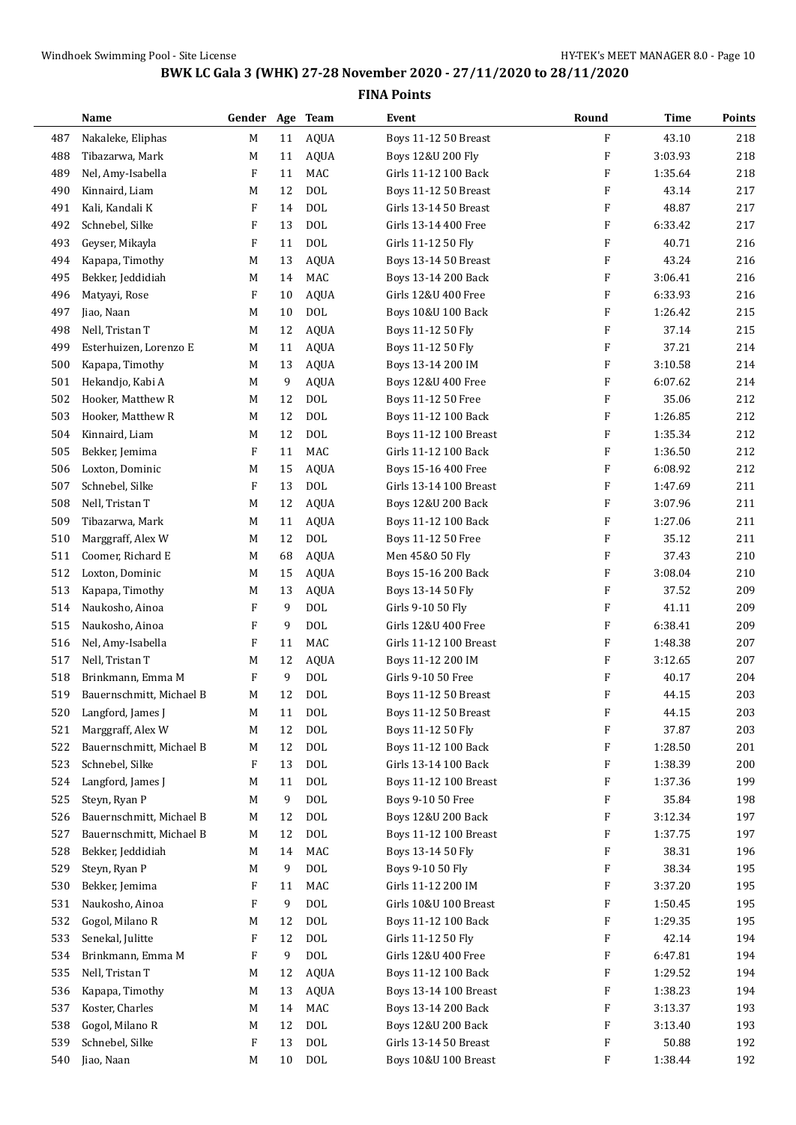|            | Name                              | Gender Age Team |         |                  | Event                                        | Round                     | <b>Time</b>        | Points     |
|------------|-----------------------------------|-----------------|---------|------------------|----------------------------------------------|---------------------------|--------------------|------------|
| 487        | Nakaleke, Eliphas                 | M               | 11      | <b>AQUA</b>      | Boys 11-12 50 Breast                         | F                         | 43.10              | 218        |
| 488        | Tibazarwa, Mark                   | M               | 11      | <b>AQUA</b>      | Boys 12&U 200 Fly                            | F                         | 3:03.93            | 218        |
| 489        | Nel, Amy-Isabella                 | F               | 11      | MAC              | Girls 11-12 100 Back                         | F                         | 1:35.64            | 218        |
| 490        | Kinnaird, Liam                    | M               | 12      | <b>DOL</b>       | <b>Boys 11-12 50 Breast</b>                  | F                         | 43.14              | 217        |
| 491        | Kali, Kandali K                   | F               | 14      | <b>DOL</b>       | Girls 13-14 50 Breast                        | F                         | 48.87              | 217        |
| 492        | Schnebel, Silke                   | F               | 13      | <b>DOL</b>       | Girls 13-14 400 Free                         | F                         | 6:33.42            | 217        |
| 493        | Geyser, Mikayla                   | F               | 11      | <b>DOL</b>       | Girls 11-12 50 Fly                           | F                         | 40.71              | 216        |
| 494        | Kapapa, Timothy                   | M               | 13      | <b>AQUA</b>      | Boys 13-14 50 Breast                         | F                         | 43.24              | 216        |
| 495        | Bekker, Jeddidiah                 | M               | 14      | MAC              | Boys 13-14 200 Back                          | F                         | 3:06.41            | 216        |
| 496        | Matyayi, Rose                     | F               | 10      | <b>AQUA</b>      | Girls 12&U 400 Free                          | F                         | 6:33.93            | 216        |
| 497        | Jiao, Naan                        | M               | 10      | <b>DOL</b>       | Boys 10&U 100 Back                           | F                         | 1:26.42            | 215        |
| 498        | Nell, Tristan T                   | M               | 12      | <b>AQUA</b>      | Boys 11-12 50 Fly                            | F                         | 37.14              | 215        |
| 499        | Esterhuizen, Lorenzo E            | M               | 11      | <b>AQUA</b>      | Boys 11-12 50 Fly                            | F                         | 37.21              | 214        |
| 500        | Kapapa, Timothy                   | M               | 13      | <b>AQUA</b>      | Boys 13-14 200 IM                            | $\boldsymbol{\mathrm{F}}$ | 3:10.58            | 214        |
| 501        | Hekandjo, Kabi A                  | M               | 9       | <b>AQUA</b>      | Boys 12&U 400 Free                           | F                         | 6:07.62            | 214        |
| 502        | Hooker, Matthew R                 | M               | 12      | <b>DOL</b>       | Boys 11-12 50 Free                           | F                         | 35.06              | 212        |
| 503        | Hooker, Matthew R                 | M               | 12      | <b>DOL</b>       | Boys 11-12 100 Back                          | F                         | 1:26.85            | 212        |
| 504        | Kinnaird, Liam                    | M               | 12      | <b>DOL</b>       | Boys 11-12 100 Breast                        | F                         | 1:35.34            | 212        |
| 505        | Bekker, Jemima                    | F               | 11      | MAC              | Girls 11-12 100 Back                         | F                         | 1:36.50            | 212        |
| 506        | Loxton, Dominic                   | M               | 15      | <b>AQUA</b>      | Boys 15-16 400 Free                          | F                         | 6:08.92            | 212        |
| 507        | Schnebel, Silke                   | F               | 13      | <b>DOL</b>       | Girls 13-14 100 Breast                       | F                         | 1:47.69            | 211        |
| 508        | Nell, Tristan T                   | M               | 12      | <b>AQUA</b>      | Boys 12&U 200 Back                           | F                         | 3:07.96            | 211        |
| 509        | Tibazarwa, Mark                   | M               | 11      | <b>AQUA</b>      | Boys 11-12 100 Back                          | F                         | 1:27.06            | 211        |
| 510        | Marggraff, Alex W                 | M               | 12      | <b>DOL</b>       | Boys 11-12 50 Free                           | F                         | 35.12              | 211        |
| 511        | Coomer, Richard E                 | М               | 68      | <b>AQUA</b>      | Men 45&0 50 Fly                              | F                         | 37.43              | 210        |
| 512        | Loxton, Dominic                   | M               | 15      | <b>AQUA</b>      | Boys 15-16 200 Back                          | $\boldsymbol{\mathrm{F}}$ | 3:08.04            | 210        |
| 513        | Kapapa, Timothy                   | M               | 13      | <b>AQUA</b>      | Boys 13-14 50 Fly                            | F                         | 37.52              | 209        |
| 514        | Naukosho, Ainoa                   | F               | 9       | <b>DOL</b>       | Girls 9-10 50 Fly                            | F                         | 41.11              | 209        |
| 515        | Naukosho, Ainoa                   | F               | 9       | <b>DOL</b>       | Girls 12&U 400 Free                          | F                         | 6:38.41            | 209        |
| 516        | Nel, Amy-Isabella                 | F               | 11      | MAC              | Girls 11-12 100 Breast                       | F                         | 1:48.38            | 207        |
| 517        | Nell, Tristan T                   | M               | 12      | <b>AQUA</b>      | Boys 11-12 200 IM                            | F                         | 3:12.65            | 207        |
| 518        | Brinkmann, Emma M                 | F               | 9       | <b>DOL</b>       | Girls 9-10 50 Free                           | F                         | 40.17              | 204        |
| 519        | Bauernschmitt, Michael B          | М               | 12      | <b>DOL</b>       | <b>Boys 11-12 50 Breast</b>                  | F                         | 44.15              | 203        |
| 520        | Langford, James J                 | M               | 11      | $\rm DOL$        | <b>Boys 11-12 50 Breast</b>                  | F                         | 44.15              | 203        |
| 521        | Marggraff, Alex W                 | M               | 12      | <b>DOL</b>       | Boys 11-12 50 Fly                            | F                         | 37.87              | 203        |
| 522        | Bauernschmitt, Michael B          | M               | 12      | <b>DOL</b>       | Boys 11-12 100 Back                          | F                         | 1:28.50            | 201        |
| 523        | Schnebel, Silke                   | F               | 13      | <b>DOL</b>       | Girls 13-14 100 Back                         | F                         | 1:38.39            | 200        |
| 524        | Langford, James J                 | M               | 11      | <b>DOL</b>       | Boys 11-12 100 Breast                        | F                         | 1:37.36            | 199        |
| 525        | Steyn, Ryan P                     | M               | 9       | $\rm DOL$        | Boys 9-10 50 Free                            | F                         | 35.84              | 198        |
| 526        | Bauernschmitt, Michael B          | M               | 12      | $\rm DOL$        | Boys 12&U 200 Back                           | F                         | 3:12.34            | 197        |
| 527        | Bauernschmitt, Michael B          | M               | 12      | $\rm DOL$        | Boys 11-12 100 Breast                        | F                         | 1:37.75            | 197        |
| 528        | Bekker, Jeddidiah                 | M               | 14      | MAC              | Boys 13-14 50 Fly                            | F                         | 38.31              | 196        |
| 529        | Steyn, Ryan P                     | M               | 9       | $\rm DOL$        | Boys 9-10 50 Fly                             | F                         | 38.34              | 195<br>195 |
| 530        | Bekker, Jemima<br>Naukosho, Ainoa | F<br>F          | 11      | MAC<br>$\rm DOL$ | Girls 11-12 200 IM                           | F<br>F                    | 3:37.20            | 195        |
| 531<br>532 | Gogol, Milano R                   | M               | 9<br>12 | $\rm DOL$        | Girls 10&U 100 Breast<br>Boys 11-12 100 Back | F                         | 1:50.45<br>1:29.35 | 195        |
| 533        | Senekal, Julitte                  | F               | 12      | <b>DOL</b>       | Girls 11-12 50 Fly                           | F                         | 42.14              | 194        |
| 534        | Brinkmann, Emma M                 | F               | 9       | <b>DOL</b>       | Girls 12&U 400 Free                          | F                         | 6:47.81            | 194        |
| 535        | Nell, Tristan T                   | M               | 12      | <b>AQUA</b>      | Boys 11-12 100 Back                          | F                         | 1:29.52            | 194        |
| 536        | Kapapa, Timothy                   | M               | 13      | <b>AQUA</b>      | Boys 13-14 100 Breast                        | F                         | 1:38.23            | 194        |
| 537        | Koster, Charles                   | M               | 14      | MAC              | Boys 13-14 200 Back                          | F                         | 3:13.37            | 193        |
| 538        | Gogol, Milano R                   | M               | 12      | $\rm DOL$        | Boys 12&U 200 Back                           | F                         | 3:13.40            | 193        |
| 539        | Schnebel, Silke                   | F               | 13      | $\rm DOL$        | Girls 13-14 50 Breast                        | F                         | 50.88              | 192        |
| 540        | Jiao, Naan                        | M               | 10      | <b>DOL</b>       | Boys 10&U 100 Breast                         | F                         | 1:38.44            | 192        |
|            |                                   |                 |         |                  |                                              |                           |                    |            |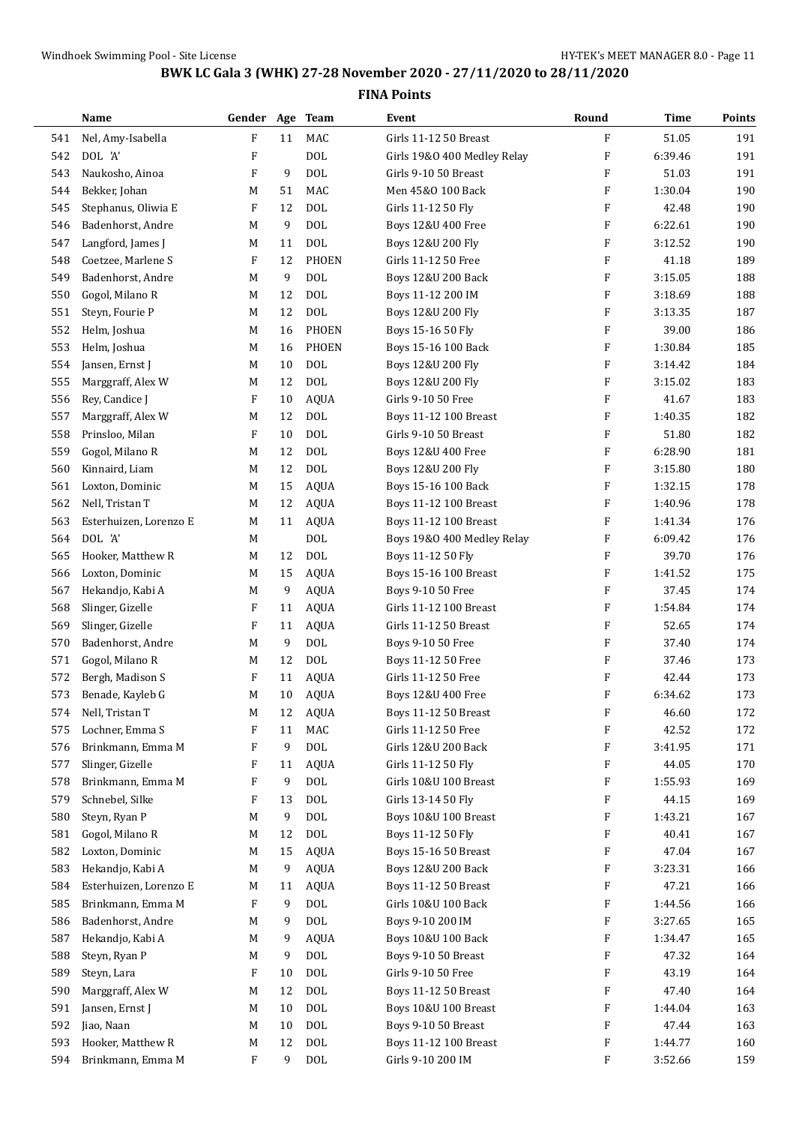|     | Name                   | Gender Age Team |    |              | Event                                       | Round                     | Time    | Points |
|-----|------------------------|-----------------|----|--------------|---------------------------------------------|---------------------------|---------|--------|
| 541 | Nel, Amy-Isabella      | F               | 11 | MAC          | Girls 11-12 50 Breast                       | F                         | 51.05   | 191    |
| 542 | DOL 'A'                | F               |    | <b>DOL</b>   | Girls 19&0 400 Medley Relay                 | $\boldsymbol{\mathrm{F}}$ | 6:39.46 | 191    |
| 543 | Naukosho, Ainoa        | F               | 9  | <b>DOL</b>   | Girls 9-10 50 Breast                        | F                         | 51.03   | 191    |
| 544 | Bekker, Johan          | M               | 51 | <b>MAC</b>   | Men 45&0 100 Back                           | F                         | 1:30.04 | 190    |
| 545 | Stephanus, Oliwia E    | F               | 12 | <b>DOL</b>   | Girls 11-12 50 Fly                          | $\boldsymbol{\mathrm{F}}$ | 42.48   | 190    |
| 546 | Badenhorst, Andre      | M               | 9  | <b>DOL</b>   | Boys 12&U 400 Free                          | $\boldsymbol{\mathrm{F}}$ | 6:22.61 | 190    |
| 547 | Langford, James J      | M               | 11 | <b>DOL</b>   | Boys 12&U 200 Fly                           | F                         | 3:12.52 | 190    |
| 548 | Coetzee, Marlene S     | F               | 12 | <b>PHOEN</b> | Girls 11-12 50 Free                         | $\boldsymbol{\mathrm{F}}$ | 41.18   | 189    |
| 549 | Badenhorst, Andre      | M               | 9  | <b>DOL</b>   | Boys 12&U 200 Back                          | $\boldsymbol{\mathrm{F}}$ | 3:15.05 | 188    |
| 550 | Gogol, Milano R        | M               | 12 | <b>DOL</b>   | Boys 11-12 200 IM                           | F                         | 3:18.69 | 188    |
| 551 | Steyn, Fourie P        | M               | 12 | <b>DOL</b>   | Boys 12&U 200 Fly                           | $\boldsymbol{\mathrm{F}}$ | 3:13.35 | 187    |
| 552 | Helm, Joshua           | M               | 16 | <b>PHOEN</b> | Boys 15-16 50 Fly                           | F                         | 39.00   | 186    |
| 553 | Helm, Joshua           | M               | 16 | <b>PHOEN</b> | Boys 15-16 100 Back                         | $\boldsymbol{\mathrm{F}}$ | 1:30.84 | 185    |
| 554 | Jansen, Ernst J        | M               | 10 | <b>DOL</b>   | Boys 12&U 200 Fly                           | $\boldsymbol{\mathrm{F}}$ | 3:14.42 | 184    |
| 555 | Marggraff, Alex W      | M               | 12 | <b>DOL</b>   | Boys 12&U 200 Fly                           | $\boldsymbol{\mathrm{F}}$ | 3:15.02 | 183    |
| 556 | Rey, Candice J         | F               | 10 | <b>AQUA</b>  | Girls 9-10 50 Free                          | F                         | 41.67   | 183    |
| 557 | Marggraff, Alex W      | M               | 12 | <b>DOL</b>   | <b>Boys 11-12 100 Breast</b>                | $\boldsymbol{\mathrm{F}}$ | 1:40.35 | 182    |
| 558 | Prinsloo, Milan        | F               | 10 | <b>DOL</b>   | Girls 9-10 50 Breast                        | $\boldsymbol{\mathrm{F}}$ | 51.80   | 182    |
| 559 | Gogol, Milano R        | M               | 12 | <b>DOL</b>   | Boys 12&U 400 Free                          | F                         | 6:28.90 | 181    |
| 560 | Kinnaird, Liam         | M               | 12 | <b>DOL</b>   | Boys 12&U 200 Fly                           | $\boldsymbol{\mathrm{F}}$ | 3:15.80 | 180    |
| 561 | Loxton, Dominic        | M               | 15 | <b>AQUA</b>  | Boys 15-16 100 Back                         | F                         | 1:32.15 | 178    |
| 562 | Nell, Tristan T        | M               | 12 | <b>AQUA</b>  | <b>Boys 11-12 100 Breast</b>                | F                         | 1:40.96 | 178    |
| 563 | Esterhuizen, Lorenzo E | M               | 11 | <b>AQUA</b>  | Boys 11-12 100 Breast                       | F                         | 1:41.34 | 176    |
| 564 | DOL 'A'                | M               |    | <b>DOL</b>   | Boys 19&0 400 Medley Relay                  | F                         | 6:09.42 | 176    |
| 565 | Hooker, Matthew R      | M               | 12 | <b>DOL</b>   | Boys 11-12 50 Fly                           | $\boldsymbol{\mathrm{F}}$ | 39.70   | 176    |
|     | Loxton, Dominic        |                 | 15 | <b>AQUA</b>  |                                             | $\boldsymbol{\mathrm{F}}$ | 1:41.52 | 175    |
| 566 |                        | M               |    |              | Boys 15-16 100 Breast                       | $\boldsymbol{\mathrm{F}}$ |         | 174    |
| 567 | Hekandjo, Kabi A       | M               | 9  | <b>AQUA</b>  | Boys 9-10 50 Free<br>Girls 11-12 100 Breast |                           | 37.45   | 174    |
| 568 | Slinger, Gizelle       | F               | 11 | <b>AQUA</b>  |                                             | F                         | 1:54.84 |        |
| 569 | Slinger, Gizelle       | F               | 11 | <b>AQUA</b>  | Girls 11-12 50 Breast                       | $\boldsymbol{\mathrm{F}}$ | 52.65   | 174    |
| 570 | Badenhorst, Andre      | M               | 9  | <b>DOL</b>   | Boys 9-10 50 Free                           | F                         | 37.40   | 174    |
| 571 | Gogol, Milano R        | M               | 12 | <b>DOL</b>   | Boys 11-12 50 Free                          | $\boldsymbol{\mathrm{F}}$ | 37.46   | 173    |
| 572 | Bergh, Madison S       | F               | 11 | <b>AQUA</b>  | Girls 11-12 50 Free                         | $\boldsymbol{\mathrm{F}}$ | 42.44   | 173    |
| 573 | Benade, Kayleb G       | M               | 10 | <b>AQUA</b>  | Boys 12&U 400 Free                          | F                         | 6:34.62 | 173    |
| 574 | Nell, Tristan T        | M               | 12 | AQUA         | Boys 11-12 50 Breast                        | F                         | 46.60   | 172    |
| 575 | Lochner, Emma S        | F               | 11 | MAC          | Girls 11-12 50 Free                         | F                         | 42.52   | 172    |
| 576 | Brinkmann, Emma M      | F               | 9  | $\rm DOL$    | Girls 12&U 200 Back                         | F                         | 3:41.95 | 171    |
| 577 | Slinger, Gizelle       | F               | 11 | AQUA         | Girls 11-12 50 Fly                          | F                         | 44.05   | 170    |
| 578 | Brinkmann, Emma M      | F               | 9  | <b>DOL</b>   | Girls 10&U 100 Breast                       | F                         | 1:55.93 | 169    |
| 579 | Schnebel, Silke        | F               | 13 | <b>DOL</b>   | Girls 13-14 50 Fly                          | F                         | 44.15   | 169    |
| 580 | Steyn, Ryan P          | M               | 9  | <b>DOL</b>   | Boys 10&U 100 Breast                        | F                         | 1:43.21 | 167    |
| 581 | Gogol, Milano R        | M               | 12 | $\text{DOL}$ | Boys 11-12 50 Fly                           | F                         | 40.41   | 167    |
| 582 | Loxton, Dominic        | M               | 15 | AQUA         | <b>Boys 15-16 50 Breast</b>                 | F                         | 47.04   | 167    |
| 583 | Hekandjo, Kabi A       | M               | 9  | <b>AQUA</b>  | Boys 12&U 200 Back                          | F                         | 3:23.31 | 166    |
| 584 | Esterhuizen, Lorenzo E | M               | 11 | <b>AQUA</b>  | Boys 11-12 50 Breast                        | F                         | 47.21   | 166    |
| 585 | Brinkmann, Emma M      | F               | 9  | <b>DOL</b>   | Girls 10&U 100 Back                         | F                         | 1:44.56 | 166    |
| 586 | Badenhorst, Andre      | M               | 9  | $\rm DOL$    | Boys 9-10 200 IM                            | F                         | 3:27.65 | 165    |
| 587 | Hekandjo, Kabi A       | M               | 9  | <b>AQUA</b>  | Boys 10&U 100 Back                          | F                         | 1:34.47 | 165    |
| 588 | Steyn, Ryan P          | M               | 9  | <b>DOL</b>   | Boys 9-10 50 Breast                         | F                         | 47.32   | 164    |
| 589 | Steyn, Lara            | F               | 10 | <b>DOL</b>   | Girls 9-10 50 Free                          | F                         | 43.19   | 164    |
| 590 | Marggraff, Alex W      | M               | 12 | <b>DOL</b>   | Boys 11-12 50 Breast                        | F                         | 47.40   | 164    |
| 591 | Jansen, Ernst J        | M               | 10 | <b>DOL</b>   | Boys 10&U 100 Breast                        | F                         | 1:44.04 | 163    |
| 592 | Jiao, Naan             | M               | 10 | <b>DOL</b>   | Boys 9-10 50 Breast                         | F                         | 47.44   | 163    |
| 593 | Hooker, Matthew R      | M               | 12 | <b>DOL</b>   | Boys 11-12 100 Breast                       | F                         | 1:44.77 | 160    |
| 594 | Brinkmann, Emma M      | F               | 9  | $\rm DOL$    | Girls 9-10 200 IM                           | F                         | 3:52.66 | 159    |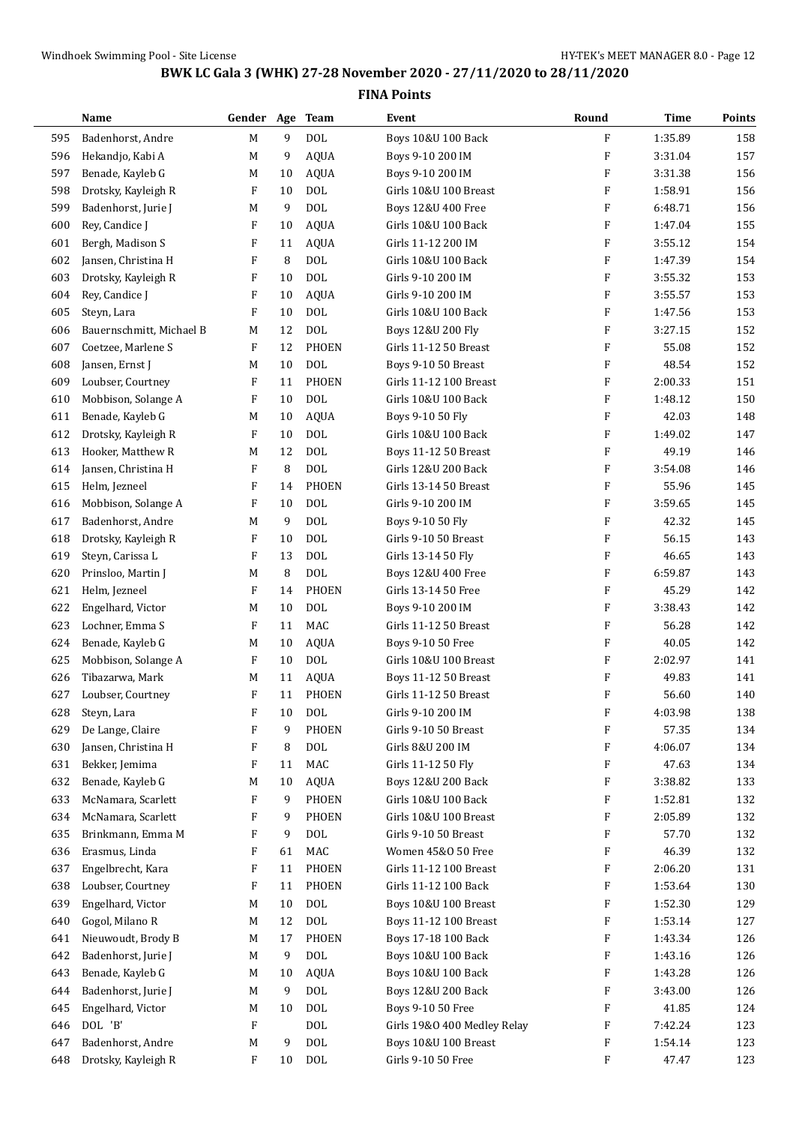|     | Name                     | Gender Age                |        | <b>Team</b>  | Event                         | Round                     | <b>Time</b> | Points |
|-----|--------------------------|---------------------------|--------|--------------|-------------------------------|---------------------------|-------------|--------|
| 595 | Badenhorst, Andre        | M                         | 9      | <b>DOL</b>   | Boys 10&U 100 Back            | F                         | 1:35.89     | 158    |
| 596 | Hekandjo, Kabi A         | M                         | 9      | <b>AQUA</b>  | Boys 9-10 200 IM              | F                         | 3:31.04     | 157    |
| 597 | Benade, Kayleb G         | M                         | 10     | <b>AQUA</b>  | Boys 9-10 200 IM              | F                         | 3:31.38     | 156    |
| 598 | Drotsky, Kayleigh R      | F                         | 10     | <b>DOL</b>   | Girls 10&U 100 Breast         | F                         | 1:58.91     | 156    |
| 599 | Badenhorst, Jurie J      | M                         | 9      | <b>DOL</b>   | Boys 12&U 400 Free            | F                         | 6:48.71     | 156    |
| 600 | Rey, Candice J           | F                         | 10     | <b>AQUA</b>  | Girls 10&U 100 Back           | F                         | 1:47.04     | 155    |
| 601 | Bergh, Madison S         | F                         | 11     | <b>AQUA</b>  | Girls 11-12 200 IM            | F                         | 3:55.12     | 154    |
| 602 | Jansen, Christina H      | $\boldsymbol{\mathrm{F}}$ | 8      | <b>DOL</b>   | Girls 10&U 100 Back           | F                         | 1:47.39     | 154    |
| 603 | Drotsky, Kayleigh R      | $\boldsymbol{\mathrm{F}}$ | 10     | <b>DOL</b>   | Girls 9-10 200 IM             | F                         | 3:55.32     | 153    |
| 604 | Rey, Candice J           | F                         | 10     | <b>AQUA</b>  | Girls 9-10 200 IM             | F                         | 3:55.57     | 153    |
| 605 | Steyn, Lara              | F                         | 10     | <b>DOL</b>   | Girls 10&U 100 Back           | F                         | 1:47.56     | 153    |
| 606 | Bauernschmitt, Michael B | М                         | 12     | <b>DOL</b>   | Boys 12&U 200 Fly             | F                         | 3:27.15     | 152    |
| 607 | Coetzee, Marlene S       | F                         | 12     | <b>PHOEN</b> | Girls 11-12 50 Breast         | F                         | 55.08       | 152    |
| 608 | Jansen, Ernst J          | M                         | 10     | <b>DOL</b>   | Boys 9-10 50 Breast           | F                         | 48.54       | 152    |
| 609 | Loubser, Courtney        | F                         | 11     | <b>PHOEN</b> | Girls 11-12 100 Breast        | F                         | 2:00.33     | 151    |
| 610 | Mobbison, Solange A      | F                         | 10     | <b>DOL</b>   | Girls 10&U 100 Back           | F                         | 1:48.12     | 150    |
| 611 | Benade, Kayleb G         | M                         | 10     | <b>AQUA</b>  | Boys 9-10 50 Fly              | F                         | 42.03       | 148    |
| 612 | Drotsky, Kayleigh R      | F                         | 10     | <b>DOL</b>   | Girls 10&U 100 Back           | F                         | 1:49.02     | 147    |
| 613 | Hooker, Matthew R        | M                         | 12     | <b>DOL</b>   | <b>Boys 11-12 50 Breast</b>   | F                         | 49.19       | 146    |
| 614 | Jansen, Christina H      | F                         | 8      | <b>DOL</b>   | Girls 12&U 200 Back           | F                         | 3:54.08     | 146    |
| 615 | Helm, Jezneel            | F                         | 14     | <b>PHOEN</b> | Girls 13-14 50 Breast         | F                         | 55.96       | 145    |
| 616 | Mobbison, Solange A      | F                         | 10     | <b>DOL</b>   | Girls 9-10 200 IM             | F                         | 3:59.65     | 145    |
| 617 | Badenhorst, Andre        | M                         | 9      | <b>DOL</b>   | Boys 9-10 50 Fly              | F                         | 42.32       | 145    |
| 618 | Drotsky, Kayleigh R      | $\boldsymbol{\mathrm{F}}$ | 10     | <b>DOL</b>   | Girls 9-10 50 Breast          | F                         | 56.15       | 143    |
| 619 | Steyn, Carissa L         | F                         | 13     | <b>DOL</b>   | Girls 13-14 50 Fly            | F                         | 46.65       | 143    |
| 620 | Prinsloo, Martin J       | M                         | 8      | <b>DOL</b>   | Boys 12&U 400 Free            | F                         | 6:59.87     | 143    |
| 621 | Helm, Jezneel            | F                         | 14     | <b>PHOEN</b> | Girls 13-14 50 Free           | $\boldsymbol{\mathrm{F}}$ | 45.29       | 142    |
| 622 | Engelhard, Victor        | M                         | 10     | <b>DOL</b>   | Boys 9-10 200 IM              | F                         | 3:38.43     | 142    |
| 623 | Lochner, Emma S          | F                         | 11     | MAC          | Girls 11-12 50 Breast         | F                         | 56.28       | 142    |
| 624 | Benade, Kayleb G         | M                         | 10     | <b>AQUA</b>  | Boys 9-10 50 Free             | F                         | 40.05       | 142    |
| 625 | Mobbison, Solange A      | F                         | 10     | <b>DOL</b>   | Girls 10&U 100 Breast         | F                         | 2:02.97     | 141    |
| 626 | Tibazarwa, Mark          | M                         | 11     | <b>AQUA</b>  | <b>Boys 11-12 50 Breast</b>   | F                         | 49.83       | 141    |
| 627 | Loubser, Courtney        | F                         | 11     | <b>PHOEN</b> | Girls 11-12 50 Breast         | $\boldsymbol{\mathrm{F}}$ | 56.60       | 140    |
| 628 | Steyn, Lara              | F                         | $10\,$ | <b>DOL</b>   | Girls 9-10 200 IM             | F                         | 4:03.98     | 138    |
| 629 | De Lange, Claire         | F                         | 9      | PHOEN        | Girls 9-10 50 Breast          | F                         | 57.35       | 134    |
| 630 | Jansen, Christina H      | F                         | 8      | <b>DOL</b>   | Girls 8&U 200 IM              | F                         | 4:06.07     | 134    |
| 631 | Bekker, Jemima           | F                         | 11     | MAC          | Girls 11-12 50 Fly            | F                         | 47.63       | 134    |
| 632 | Benade, Kayleb G         | M                         | 10     | <b>AQUA</b>  | <b>Boys 12&amp;U 200 Back</b> | F                         | 3:38.82     | 133    |
| 633 | McNamara, Scarlett       | F                         | 9      | <b>PHOEN</b> | Girls 10&U 100 Back           | F                         | 1:52.81     | 132    |
| 634 | McNamara, Scarlett       | F                         | 9      | PHOEN        | Girls 10&U 100 Breast         | F                         | 2:05.89     | 132    |
| 635 | Brinkmann, Emma M        | F                         | 9      | <b>DOL</b>   | Girls 9-10 50 Breast          | F                         | 57.70       | 132    |
| 636 | Erasmus, Linda           | F                         | 61     | MAC          | Women 45&0 50 Free            | F                         | 46.39       | 132    |
| 637 | Engelbrecht, Kara        | F                         | 11     | PHOEN        | Girls 11-12 100 Breast        | F                         | 2:06.20     | 131    |
| 638 | Loubser, Courtney        | F                         | 11     | PHOEN        | Girls 11-12 100 Back          | F                         | 1:53.64     | 130    |
| 639 | Engelhard, Victor        | М                         | 10     | <b>DOL</b>   | Boys 10&U 100 Breast          | F                         | 1:52.30     | 129    |
| 640 | Gogol, Milano R          | M                         | 12     | <b>DOL</b>   | Boys 11-12 100 Breast         | F                         | 1:53.14     | 127    |
| 641 | Nieuwoudt, Brody B       | M                         | 17     | PHOEN        | Boys 17-18 100 Back           | F                         | 1:43.34     | 126    |
| 642 | Badenhorst, Jurie J      | М                         | 9      | <b>DOL</b>   | Boys 10&U 100 Back            | F                         | 1:43.16     | 126    |
| 643 | Benade, Kayleb G         | M                         | 10     | <b>AQUA</b>  | Boys 10&U 100 Back            | F                         | 1:43.28     | 126    |
| 644 | Badenhorst, Jurie J      | M                         | 9      | $\rm DOL$    | Boys 12&U 200 Back            | F                         | 3:43.00     | 126    |
| 645 | Engelhard, Victor        | М                         | 10     | $\text{DOL}$ | Boys 9-10 50 Free             | F                         | 41.85       | 124    |
| 646 | DOL 'B'                  | F                         |        | DOL          | Girls 19&0 400 Medley Relay   | F                         | 7:42.24     | 123    |
| 647 | Badenhorst, Andre        | M                         | 9      | $\rm DOL$    | Boys 10&U 100 Breast          | F                         | 1:54.14     | 123    |
| 648 | Drotsky, Kayleigh R      | $\mathbf{F}$              | 10     | <b>DOL</b>   | Girls 9-10 50 Free            | $\rm F$                   | 47.47       | 123    |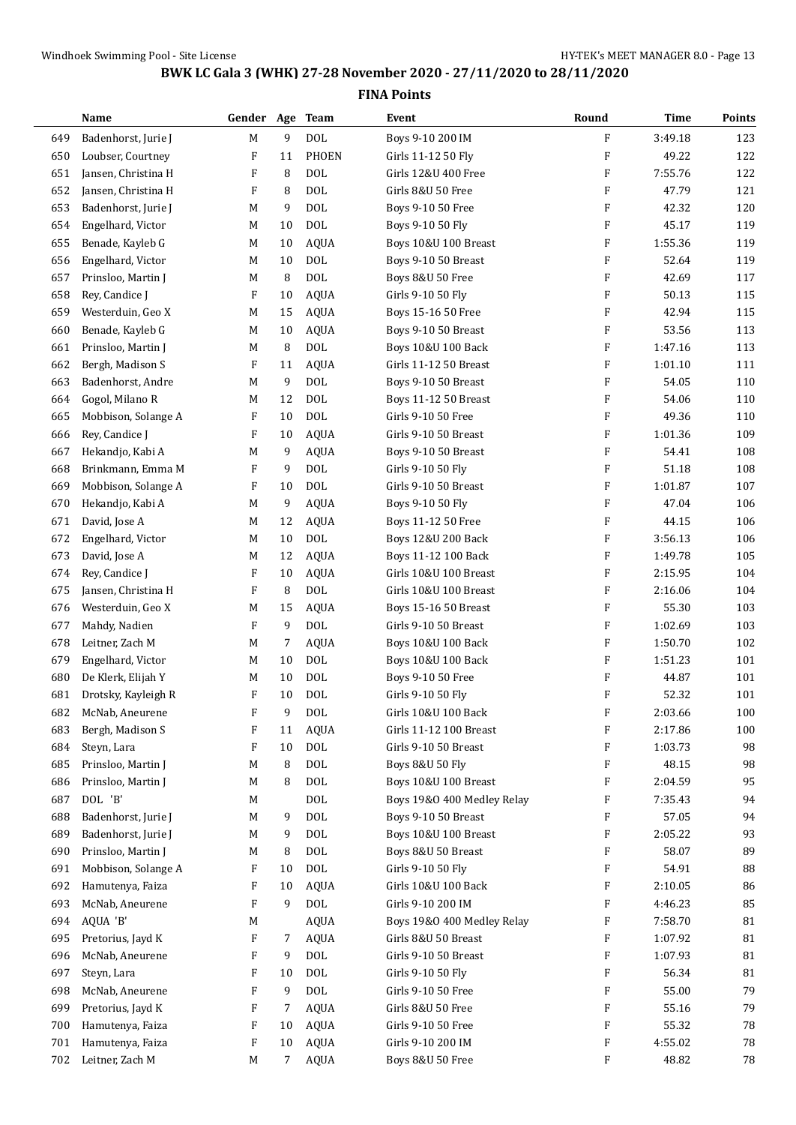|     | Name                | Gender Age |                | <b>Team</b> | Event                         | Round                     | <b>Time</b> | <b>Points</b> |
|-----|---------------------|------------|----------------|-------------|-------------------------------|---------------------------|-------------|---------------|
| 649 | Badenhorst, Jurie J | M          | 9              | <b>DOL</b>  | Boys 9-10 200 IM              | F                         | 3:49.18     | 123           |
| 650 | Loubser, Courtney   | F          | 11             | PHOEN       | Girls 11-12 50 Fly            | F                         | 49.22       | 122           |
| 651 | Jansen, Christina H | F          | 8              | <b>DOL</b>  | Girls 12&U 400 Free           | F                         | 7:55.76     | 122           |
| 652 | Jansen, Christina H | F          | 8              | <b>DOL</b>  | Girls 8&U 50 Free             | F                         | 47.79       | 121           |
| 653 | Badenhorst, Jurie J | M          | 9              | <b>DOL</b>  | Boys 9-10 50 Free             | F                         | 42.32       | 120           |
| 654 | Engelhard, Victor   | M          | 10             | <b>DOL</b>  | Boys 9-10 50 Fly              | F                         | 45.17       | 119           |
| 655 | Benade, Kayleb G    | M          | 10             | <b>AQUA</b> | Boys 10&U 100 Breast          | F                         | 1:55.36     | 119           |
| 656 | Engelhard, Victor   | M          | 10             | <b>DOL</b>  | Boys 9-10 50 Breast           | F                         | 52.64       | 119           |
| 657 | Prinsloo, Martin J  | М          | 8              | <b>DOL</b>  | Boys 8&U 50 Free              | F                         | 42.69       | 117           |
| 658 | Rey, Candice J      | F          | 10             | <b>AQUA</b> | Girls 9-10 50 Fly             | F                         | 50.13       | 115           |
| 659 | Westerduin, Geo X   | M          | 15             | <b>AQUA</b> | Boys 15-16 50 Free            | F                         | 42.94       | 115           |
| 660 | Benade, Kayleb G    | M          | 10             | <b>AQUA</b> | Boys 9-10 50 Breast           | F                         | 53.56       | 113           |
| 661 | Prinsloo, Martin J  | M          | 8              | <b>DOL</b>  | Boys 10&U 100 Back            | F                         | 1:47.16     | 113           |
| 662 | Bergh, Madison S    | F          | 11             | <b>AQUA</b> | Girls 11-12 50 Breast         | F                         | 1:01.10     | 111           |
| 663 | Badenhorst, Andre   | M          | 9              | <b>DOL</b>  | Boys 9-10 50 Breast           | F                         | 54.05       | 110           |
| 664 | Gogol, Milano R     | M          | 12             | <b>DOL</b>  | <b>Boys 11-12 50 Breast</b>   | F                         | 54.06       | 110           |
| 665 | Mobbison, Solange A | F          | 10             | <b>DOL</b>  | Girls 9-10 50 Free            | F                         | 49.36       | 110           |
| 666 | Rey, Candice J      | F          | 10             | <b>AQUA</b> | Girls 9-10 50 Breast          | F                         | 1:01.36     | 109           |
| 667 | Hekandjo, Kabi A    | M          | 9              | <b>AQUA</b> | Boys 9-10 50 Breast           | F                         | 54.41       | 108           |
| 668 | Brinkmann, Emma M   | F          | 9              | <b>DOL</b>  | Girls 9-10 50 Fly             | F                         | 51.18       | 108           |
| 669 | Mobbison, Solange A | F          | 10             | <b>DOL</b>  | Girls 9-10 50 Breast          | F                         | 1:01.87     | 107           |
| 670 | Hekandjo, Kabi A    | M          | 9              | <b>AQUA</b> | Boys 9-10 50 Fly              | F                         | 47.04       | 106           |
| 671 | David, Jose A       | M          | 12             | <b>AQUA</b> | Boys 11-12 50 Free            | F                         | 44.15       | 106           |
| 672 | Engelhard, Victor   | M          | 10             | <b>DOL</b>  | Boys 12&U 200 Back            | F                         | 3:56.13     | 106           |
| 673 | David, Jose A       | M          | 12             | <b>AQUA</b> | Boys 11-12 100 Back           | F                         | 1:49.78     | 105           |
| 674 | Rey, Candice J      | F          | 10             | <b>AQUA</b> | Girls 10&U 100 Breast         | F                         | 2:15.95     | 104           |
| 675 | Jansen, Christina H | F          | 8              | <b>DOL</b>  | Girls 10&U 100 Breast         | $\boldsymbol{\mathrm{F}}$ | 2:16.06     | 104           |
| 676 | Westerduin, Geo X   | M          | 15             | <b>AQUA</b> | Boys 15-16 50 Breast          | F                         | 55.30       | 103           |
| 677 | Mahdy, Nadien       | F          | 9              | <b>DOL</b>  | Girls 9-10 50 Breast          | F                         | 1:02.69     | 103           |
| 678 | Leitner, Zach M     | М          | 7              | <b>AQUA</b> | <b>Boys 10&amp;U 100 Back</b> | $\boldsymbol{\mathrm{F}}$ | 1:50.70     | 102           |
| 679 | Engelhard, Victor   | М          | 10             | <b>DOL</b>  | Boys 10&U 100 Back            | F                         | 1:51.23     | 101           |
| 680 | De Klerk, Elijah Y  | M          | 10             | <b>DOL</b>  | Boys 9-10 50 Free             | F                         | 44.87       | 101           |
| 681 | Drotsky, Kayleigh R | F          | 10             | <b>DOL</b>  | Girls 9-10 50 Fly             | $\boldsymbol{\mathrm{F}}$ | 52.32       | 101           |
| 682 | McNab, Aneurene     | F          | 9              | $\rm DOL$   | Girls 10&U 100 Back           | F                         | 2:03.66     | 100           |
| 683 | Bergh, Madison S    | F          | 11             | <b>AQUA</b> | Girls 11-12 100 Breast        | F                         | 2:17.86     | 100           |
| 684 | Steyn, Lara         | F          | 10             | <b>DOL</b>  | Girls 9-10 50 Breast          | F                         | 1:03.73     | 98            |
| 685 | Prinsloo, Martin J  | M          | 8              | <b>DOL</b>  | Boys 8&U 50 Fly               | F                         | 48.15       | 98            |
| 686 | Prinsloo, Martin J  | M          | 8              | DOL         | Boys 10&U 100 Breast          | F                         | 2:04.59     | 95            |
| 687 | DOL 'B'             | М          |                | $\rm DOL$   | Boys 19&0 400 Medley Relay    | F                         | 7:35.43     | 94            |
| 688 | Badenhorst, Jurie J | M          | 9              | <b>DOL</b>  | Boys 9-10 50 Breast           | F                         | 57.05       | 94            |
| 689 | Badenhorst, Jurie J | M          | 9              | DOL         | Boys 10&U 100 Breast          | F                         | 2:05.22     | 93            |
| 690 | Prinsloo, Martin J  | М          | 8              | DOL         | Boys 8&U 50 Breast            | F                         | 58.07       | 89            |
| 691 | Mobbison, Solange A | F          | 10             | <b>DOL</b>  | Girls 9-10 50 Fly             | F                         | 54.91       | 88            |
| 692 | Hamutenya, Faiza    | F          | 10             | <b>AQUA</b> | Girls 10&U 100 Back           | F                         | 2:10.05     | 86            |
| 693 | McNab, Aneurene     | F          | 9              | $\rm DOL$   | Girls 9-10 200 IM             | F                         | 4:46.23     | 85            |
| 694 | AQUA 'B'            | M          |                | AQUA        | Boys 19&0 400 Medley Relay    | F                         | 7:58.70     | 81            |
| 695 | Pretorius, Jayd K   | F          | 7              | <b>AQUA</b> | Girls 8&U 50 Breast           | F                         | 1:07.92     | 81            |
| 696 | McNab, Aneurene     | F          | 9              | <b>DOL</b>  | Girls 9-10 50 Breast          | F                         | 1:07.93     | 81            |
| 697 | Steyn, Lara         | F          | 10             | <b>DOL</b>  | Girls 9-10 50 Fly             | F                         | 56.34       | 81            |
| 698 | McNab, Aneurene     | F          | 9              | $\rm DOL$   | Girls 9-10 50 Free            | F                         | 55.00       | 79            |
| 699 | Pretorius, Jayd K   | F          | 7              | <b>AQUA</b> | Girls 8&U 50 Free             | F                         | 55.16       | 79            |
| 700 | Hamutenya, Faiza    | F          | 10             | <b>AQUA</b> | Girls 9-10 50 Free            | F                         | 55.32       | 78            |
| 701 | Hamutenya, Faiza    | F          | 10             | <b>AQUA</b> | Girls 9-10 200 IM             | F                         | 4:55.02     | 78            |
| 702 | Leitner, Zach M     | M          | $\overline{7}$ | AQUA        | Boys 8&U 50 Free              | F                         | 48.82       | 78            |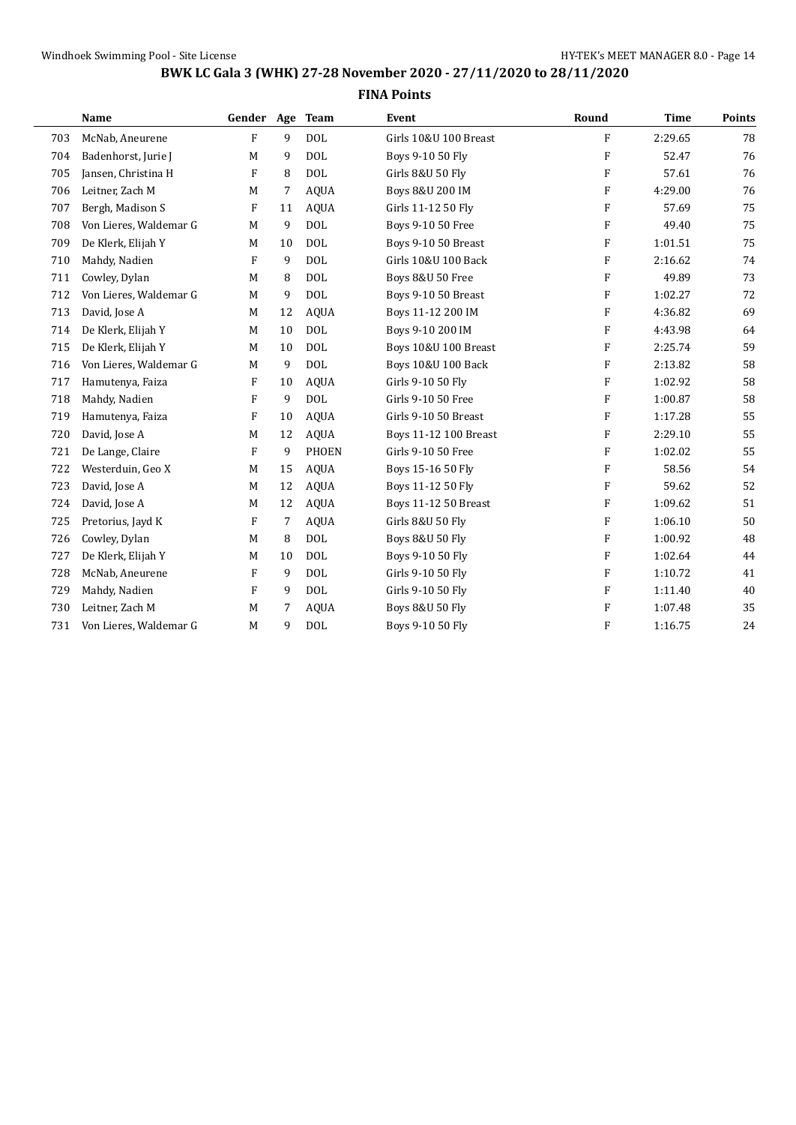|     | Name                   | Gender Age Team |    |              | Event                      | Round                     | <b>Time</b> | Points |
|-----|------------------------|-----------------|----|--------------|----------------------------|---------------------------|-------------|--------|
| 703 | McNab, Aneurene        | F               | 9  | <b>DOL</b>   | Girls 10&U 100 Breast      | F                         | 2:29.65     | 78     |
| 704 | Badenhorst, Jurie J    | M               | 9  | <b>DOL</b>   | Boys 9-10 50 Fly           | F                         | 52.47       | 76     |
| 705 | Jansen, Christina H    | F               | 8  | <b>DOL</b>   | Girls 8&U 50 Fly           | F                         | 57.61       | 76     |
| 706 | Leitner, Zach M        | M               | 7  | <b>AQUA</b>  | Boys 8&U 200 IM            | F                         | 4:29.00     | 76     |
| 707 | Bergh, Madison S       | F               | 11 | <b>AQUA</b>  | Girls 11-12 50 Fly         | F                         | 57.69       | 75     |
| 708 | Von Lieres, Waldemar G | M               | 9  | <b>DOL</b>   | Boys 9-10 50 Free          | F                         | 49.40       | 75     |
| 709 | De Klerk, Elijah Y     | M               | 10 | <b>DOL</b>   | Boys 9-10 50 Breast        | F                         | 1:01.51     | 75     |
| 710 | Mahdy, Nadien          | F               | 9  | <b>DOL</b>   | Girls 10&U 100 Back        | F                         | 2:16.62     | 74     |
| 711 | Cowley, Dylan          | M               | 8  | <b>DOL</b>   | Boys 8&U 50 Free           | F                         | 49.89       | 73     |
| 712 | Von Lieres, Waldemar G | M               | 9  | <b>DOL</b>   | Boys 9-10 50 Breast        | $\boldsymbol{\mathrm{F}}$ | 1:02.27     | 72     |
| 713 | David, Jose A          | M               | 12 | <b>AQUA</b>  | Boys 11-12 200 IM          | F                         | 4:36.82     | 69     |
| 714 | De Klerk, Elijah Y     | M               | 10 | <b>DOL</b>   | Boys 9-10 200 IM           | F                         | 4:43.98     | 64     |
| 715 | De Klerk, Elijah Y     | M               | 10 | <b>DOL</b>   | Boys 10&U 100 Breast       | F                         | 2:25.74     | 59     |
| 716 | Von Lieres, Waldemar G | M               | 9  | <b>DOL</b>   | Boys 10&U 100 Back         | F                         | 2:13.82     | 58     |
| 717 | Hamutenya, Faiza       | F               | 10 | <b>AQUA</b>  | Girls 9-10 50 Fly          | F                         | 1:02.92     | 58     |
| 718 | Mahdy, Nadien          | F               | 9  | <b>DOL</b>   | Girls 9-10 50 Free         | F                         | 1:00.87     | 58     |
| 719 | Hamutenya, Faiza       | F               | 10 | <b>AQUA</b>  | Girls 9-10 50 Breast       | $\boldsymbol{\mathrm{F}}$ | 1:17.28     | 55     |
| 720 | David, Jose A          | M               | 12 | <b>AQUA</b>  | Boys 11-12 100 Breast      | F                         | 2:29.10     | 55     |
| 721 | De Lange, Claire       | F               | 9  | <b>PHOEN</b> | Girls 9-10 50 Free         | F                         | 1:02.02     | 55     |
| 722 | Westerduin, Geo X      | M               | 15 | <b>AQUA</b>  | Boys 15-16 50 Fly          | F                         | 58.56       | 54     |
| 723 | David, Jose A          | M               | 12 | <b>AQUA</b>  | Boys 11-12 50 Fly          | $\boldsymbol{\mathrm{F}}$ | 59.62       | 52     |
| 724 | David, Jose A          | M               | 12 | <b>AQUA</b>  | Boys 11-12 50 Breast       | F                         | 1:09.62     | 51     |
| 725 | Pretorius, Jayd K      | F               | 7  | <b>AQUA</b>  | Girls 8&U 50 Flv           | F                         | 1:06.10     | 50     |
| 726 | Cowley, Dylan          | M               | 8  | <b>DOL</b>   | <b>Boys 8&amp;U 50 Fly</b> | F                         | 1:00.92     | 48     |
| 727 | De Klerk, Elijah Y     | M               | 10 | <b>DOL</b>   | Boys 9-10 50 Fly           | $\boldsymbol{\mathrm{F}}$ | 1:02.64     | 44     |
| 728 | McNab, Aneurene        | F               | 9  | <b>DOL</b>   | Girls 9-10 50 Flv          | F                         | 1:10.72     | 41     |
| 729 | Mahdy, Nadien          | F               | 9  | <b>DOL</b>   | Girls 9-10 50 Flv          | F                         | 1:11.40     | 40     |
| 730 | Leitner, Zach M        | M               | 7  | <b>AQUA</b>  | <b>Boys 8&amp;U 50 Fly</b> | F                         | 1:07.48     | 35     |
| 731 | Von Lieres, Waldemar G | M               | 9  | <b>DOL</b>   | Boys 9-10 50 Fly           | F                         | 1:16.75     | 24     |